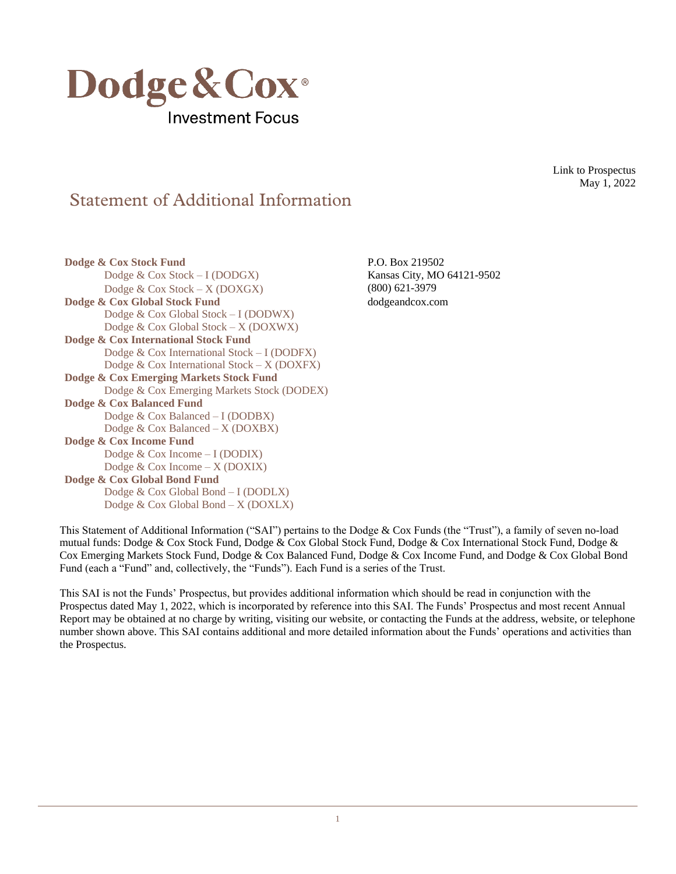

[Link to Prospectus](https://www.dodgeandcox.com/content/dam/dc/us/en/pdf/prospectuses/dc_statutory_prospectus.pdf)  May 1, 2022

# Statement of Additional Information

**Dodge & Cox Stock Fund** P.O. Box 219502 Dodge & Cox Stock – I (DODGX) Kansas City, MO 64121-9502 Dodge & Cox Stock – X (DOXGX) (800) 621-3979 **Dodge & Cox Global Stock Fund** [dodgeandcox.com](https://www.dodgeandcox.com/) Dodge & Cox Global Stock – I (DODWX) Dodge & Cox Global Stock – X (DOXWX) **Dodge & Cox International Stock Fund** Dodge & Cox International Stock – I (DODFX) Dodge & Cox International Stock – X (DOXFX) **Dodge & Cox Emerging Markets Stock Fund** Dodge & Cox Emerging Markets Stock (DODEX) **Dodge & Cox Balanced Fund** Dodge & Cox Balanced – I (DODBX) Dodge & Cox Balanced – X (DOXBX) **Dodge & Cox Income Fund** Dodge & Cox Income – I (DODIX) Dodge & Cox Income – X (DOXIX) **Dodge & Cox Global Bond Fund** Dodge & Cox Global Bond – I (DODLX) Dodge & Cox Global Bond – X (DOXLX)

This Statement of Additional Information ("SAI") pertains to the Dodge & Cox Funds (the "Trust"), a family of seven no-load mutual funds: Dodge & Cox Stock Fund, Dodge & Cox Global Stock Fund, Dodge & Cox International Stock Fund, Dodge & Cox Emerging Markets Stock Fund, Dodge & Cox Balanced Fund, Dodge & Cox Income Fund, and Dodge & Cox Global Bond Fund (each a "Fund" and, collectively, the "Funds"). Each Fund is a series of the Trust.

This SAI is not the Funds' Prospectus, but provides additional information which should be read in conjunction with the Prospectus dated May 1, 2022, which is incorporated by reference into this SAI. The Funds' Prospectus and most recent Annual Report may be obtained at no charge by writing, visiting our website, or contacting the Funds at the address, website, or telephone number shown above. This SAI contains additional and more detailed information about the Funds' operations and activities than the Prospectus.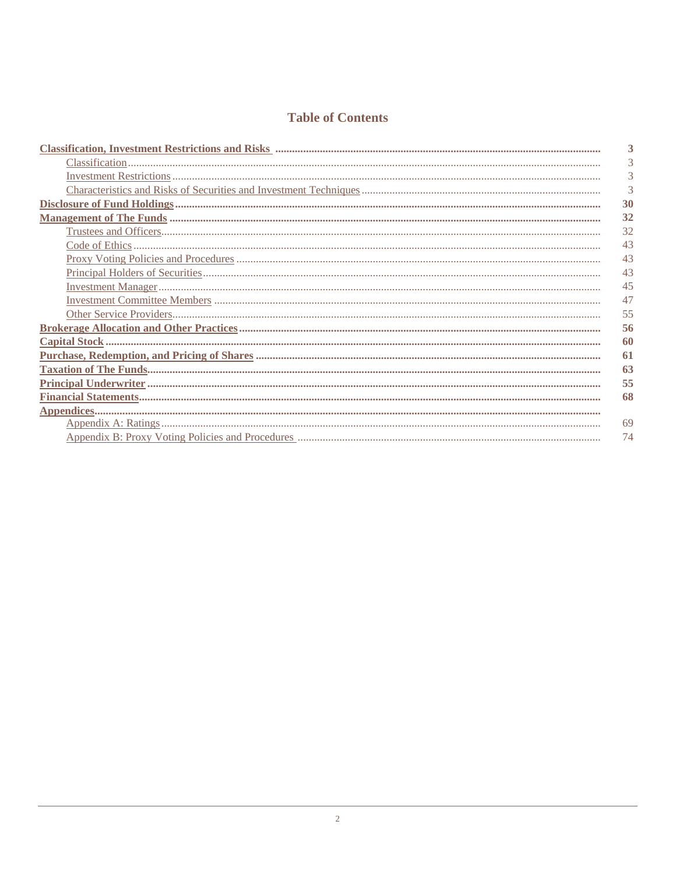# **Table of Contents**

| 3  |
|----|
| 3  |
| 3  |
| 3  |
| 30 |
| 32 |
| 32 |
| 43 |
| 43 |
| 43 |
| 45 |
|    |
| 55 |
| 56 |
| 60 |
| 61 |
| 63 |
| 55 |
| 68 |
|    |
|    |
| 74 |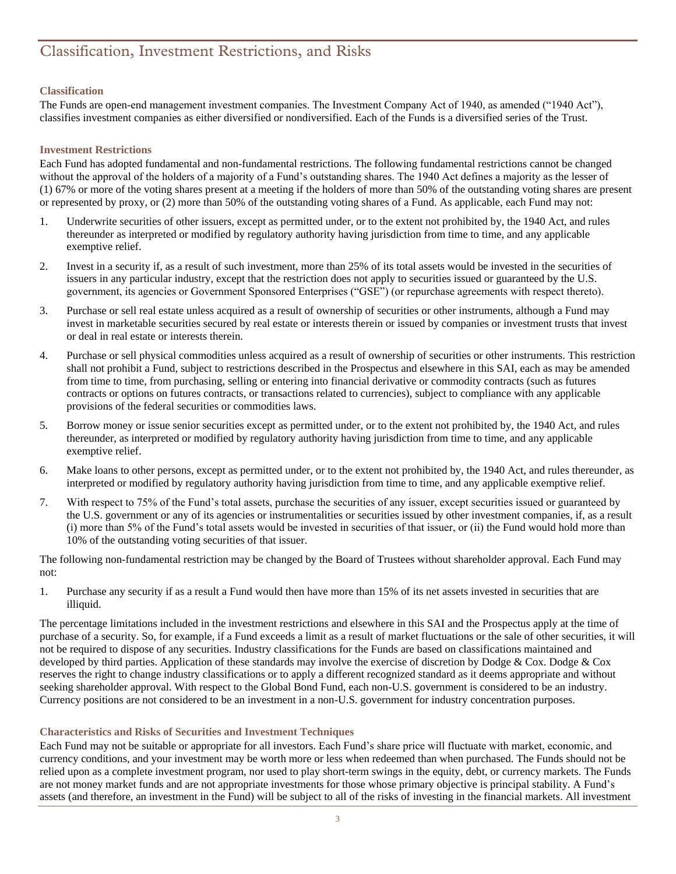# <span id="page-2-0"></span>Classification, Investment Restrictions, and Risks

# **Classification**

The Funds are open-end management investment companies. The Investment Company Act of 1940, as amended ("1940 Act"), classifies investment companies as either diversified or nondiversified. Each of the Funds is a diversified series of the Trust.

# <span id="page-2-1"></span>**Investment Restrictions**

Each Fund has adopted fundamental and non-fundamental restrictions. The following fundamental restrictions cannot be changed without the approval of the holders of a majority of a Fund's outstanding shares. The 1940 Act defines a majority as the lesser of (1) 67% or more of the voting shares present at a meeting if the holders of more than 50% of the outstanding voting shares are present or represented by proxy, or (2) more than 50% of the outstanding voting shares of a Fund. As applicable, each Fund may not:

- 1. Underwrite securities of other issuers, except as permitted under, or to the extent not prohibited by, the 1940 Act, and rules thereunder as interpreted or modified by regulatory authority having jurisdiction from time to time, and any applicable exemptive relief.
- 2. Invest in a security if, as a result of such investment, more than 25% of its total assets would be invested in the securities of issuers in any particular industry, except that the restriction does not apply to securities issued or guaranteed by the U.S. government, its agencies or Government Sponsored Enterprises ("GSE") (or repurchase agreements with respect thereto).
- 3. Purchase or sell real estate unless acquired as a result of ownership of securities or other instruments, although a Fund may invest in marketable securities secured by real estate or interests therein or issued by companies or investment trusts that invest or deal in real estate or interests therein.
- 4. Purchase or sell physical commodities unless acquired as a result of ownership of securities or other instruments. This restriction shall not prohibit a Fund, subject to restrictions described in the Prospectus and elsewhere in this SAI, each as may be amended from time to time, from purchasing, selling or entering into financial derivative or commodity contracts (such as futures contracts or options on futures contracts, or transactions related to currencies), subject to compliance with any applicable provisions of the federal securities or commodities laws.
- 5. Borrow money or issue senior securities except as permitted under, or to the extent not prohibited by, the 1940 Act, and rules thereunder, as interpreted or modified by regulatory authority having jurisdiction from time to time, and any applicable exemptive relief.
- 6. Make loans to other persons, except as permitted under, or to the extent not prohibited by, the 1940 Act, and rules thereunder, as interpreted or modified by regulatory authority having jurisdiction from time to time, and any applicable exemptive relief.
- 7. With respect to 75% of the Fund's total assets, purchase the securities of any issuer, except securities issued or guaranteed by the U.S. government or any of its agencies or instrumentalities or securities issued by other investment companies, if, as a result (i) more than 5% of the Fund's total assets would be invested in securities of that issuer, or (ii) the Fund would hold more than 10% of the outstanding voting securities of that issuer.

The following non-fundamental restriction may be changed by the Board of Trustees without shareholder approval. Each Fund may not:

1. Purchase any security if as a result a Fund would then have more than 15% of its net assets invested in securities that are illiquid.

The percentage limitations included in the investment restrictions and elsewhere in this SAI and the Prospectus apply at the time of purchase of a security. So, for example, if a Fund exceeds a limit as a result of market fluctuations or the sale of other securities, it will not be required to dispose of any securities. Industry classifications for the Funds are based on classifications maintained and developed by third parties. Application of these standards may involve the exercise of discretion by Dodge & Cox. Dodge & Cox reserves the right to change industry classifications or to apply a different recognized standard as it deems appropriate and without seeking shareholder approval. With respect to the Global Bond Fund, each non-U.S. government is considered to be an industry. Currency positions are not considered to be an investment in a non-U.S. government for industry concentration purposes.

# <span id="page-2-2"></span>**Characteristics and Risks of Securities and Investment Techniques**

Each Fund may not be suitable or appropriate for all investors. Each Fund's share price will fluctuate with market, economic, and currency conditions, and your investment may be worth more or less when redeemed than when purchased. The Funds should not be relied upon as a complete investment program, nor used to play short-term swings in the equity, debt, or currency markets. The Funds are not money market funds and are not appropriate investments for those whose primary objective is principal stability. A Fund's assets (and therefore, an investment in the Fund) will be subject to all of the risks of investing in the financial markets. All investment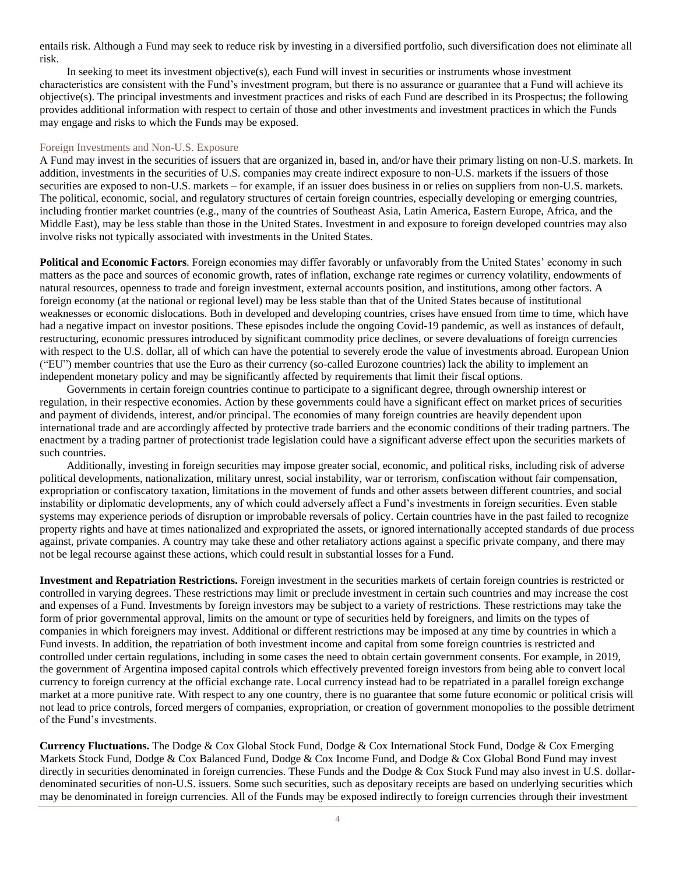entails risk. Although a Fund may seek to reduce risk by investing in a diversified portfolio, such diversification does not eliminate all risk.

In seeking to meet its investment objective(s), each Fund will invest in securities or instruments whose investment characteristics are consistent with the Fund's investment program, but there is no assurance or guarantee that a Fund will achieve its objective(s). The principal investments and investment practices and risks of each Fund are described in its Prospectus; the following provides additional information with respect to certain of those and other investments and investment practices in which the Funds may engage and risks to which the Funds may be exposed.

#### Foreign Investments and Non-U.S. Exposure

A Fund may invest in the securities of issuers that are organized in, based in, and/or have their primary listing on non-U.S. markets. In addition, investments in the securities of U.S. companies may create indirect exposure to non-U.S. markets if the issuers of those securities are exposed to non-U.S. markets – for example, if an issuer does business in or relies on suppliers from non-U.S. markets. The political, economic, social, and regulatory structures of certain foreign countries, especially developing or emerging countries, including frontier market countries (e.g., many of the countries of Southeast Asia, Latin America, Eastern Europe, Africa, and the Middle East), may be less stable than those in the United States. Investment in and exposure to foreign developed countries may also involve risks not typically associated with investments in the United States.

**Political and Economic Factors**. Foreign economies may differ favorably or unfavorably from the United States' economy in such matters as the pace and sources of economic growth, rates of inflation, exchange rate regimes or currency volatility, endowments of natural resources, openness to trade and foreign investment, external accounts position, and institutions, among other factors. A foreign economy (at the national or regional level) may be less stable than that of the United States because of institutional weaknesses or economic dislocations. Both in developed and developing countries, crises have ensued from time to time, which have had a negative impact on investor positions. These episodes include the ongoing Covid-19 pandemic, as well as instances of default, restructuring, economic pressures introduced by significant commodity price declines, or severe devaluations of foreign currencies with respect to the U.S. dollar, all of which can have the potential to severely erode the value of investments abroad. European Union ("EU") member countries that use the Euro as their currency (so-called Eurozone countries) lack the ability to implement an independent monetary policy and may be significantly affected by requirements that limit their fiscal options.

Governments in certain foreign countries continue to participate to a significant degree, through ownership interest or regulation, in their respective economies. Action by these governments could have a significant effect on market prices of securities and payment of dividends, interest, and/or principal. The economies of many foreign countries are heavily dependent upon international trade and are accordingly affected by protective trade barriers and the economic conditions of their trading partners. The enactment by a trading partner of protectionist trade legislation could have a significant adverse effect upon the securities markets of such countries.

Additionally, investing in foreign securities may impose greater social, economic, and political risks, including risk of adverse political developments, nationalization, military unrest, social instability, war or terrorism, confiscation without fair compensation, expropriation or confiscatory taxation, limitations in the movement of funds and other assets between different countries, and social instability or diplomatic developments, any of which could adversely affect a Fund's investments in foreign securities. Even stable systems may experience periods of disruption or improbable reversals of policy. Certain countries have in the past failed to recognize property rights and have at times nationalized and expropriated the assets, or ignored internationally accepted standards of due process against, private companies. A country may take these and other retaliatory actions against a specific private company, and there may not be legal recourse against these actions, which could result in substantial losses for a Fund.

**Investment and Repatriation Restrictions.** Foreign investment in the securities markets of certain foreign countries is restricted or controlled in varying degrees. These restrictions may limit or preclude investment in certain such countries and may increase the cost and expenses of a Fund. Investments by foreign investors may be subject to a variety of restrictions. These restrictions may take the form of prior governmental approval, limits on the amount or type of securities held by foreigners, and limits on the types of companies in which foreigners may invest. Additional or different restrictions may be imposed at any time by countries in which a Fund invests. In addition, the repatriation of both investment income and capital from some foreign countries is restricted and controlled under certain regulations, including in some cases the need to obtain certain government consents. For example, in 2019, the government of Argentina imposed capital controls which effectively prevented foreign investors from being able to convert local currency to foreign currency at the official exchange rate. Local currency instead had to be repatriated in a parallel foreign exchange market at a more punitive rate. With respect to any one country, there is no guarantee that some future economic or political crisis will not lead to price controls, forced mergers of companies, expropriation, or creation of government monopolies to the possible detriment of the Fund's investments.

**Currency Fluctuations.** The Dodge & Cox Global Stock Fund, Dodge & Cox International Stock Fund, Dodge & Cox Emerging Markets Stock Fund, Dodge & Cox Balanced Fund, Dodge & Cox Income Fund, and Dodge & Cox Global Bond Fund may invest directly in securities denominated in foreign currencies. These Funds and the Dodge & Cox Stock Fund may also invest in U.S. dollardenominated securities of non-U.S. issuers. Some such securities, such as depositary receipts are based on underlying securities which may be denominated in foreign currencies. All of the Funds may be exposed indirectly to foreign currencies through their investment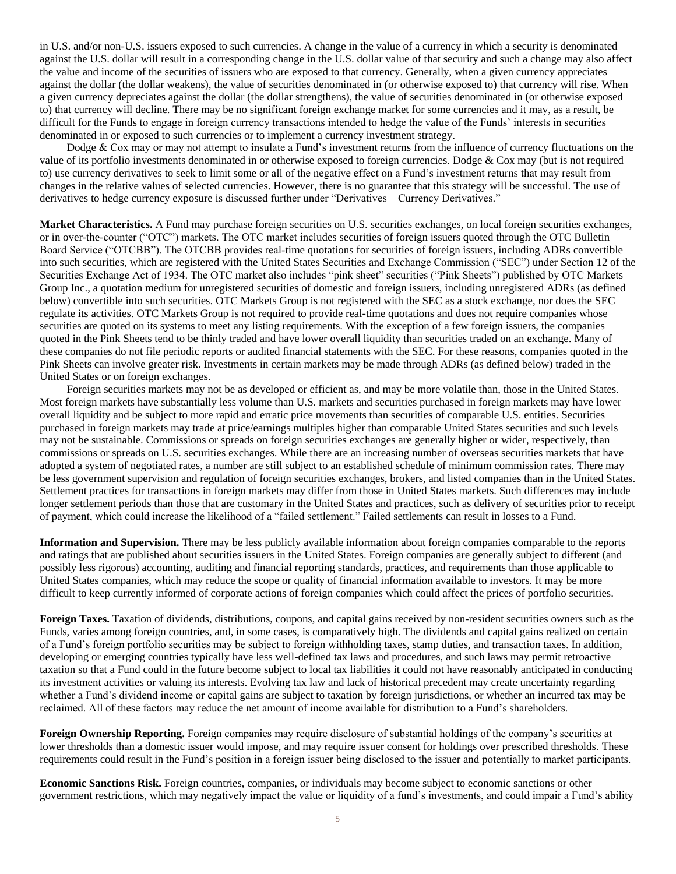in U.S. and/or non-U.S. issuers exposed to such currencies. A change in the value of a currency in which a security is denominated against the U.S. dollar will result in a corresponding change in the U.S. dollar value of that security and such a change may also affect the value and income of the securities of issuers who are exposed to that currency. Generally, when a given currency appreciates against the dollar (the dollar weakens), the value of securities denominated in (or otherwise exposed to) that currency will rise. When a given currency depreciates against the dollar (the dollar strengthens), the value of securities denominated in (or otherwise exposed to) that currency will decline. There may be no significant foreign exchange market for some currencies and it may, as a result, be difficult for the Funds to engage in foreign currency transactions intended to hedge the value of the Funds' interests in securities denominated in or exposed to such currencies or to implement a currency investment strategy.

Dodge & Cox may or may not attempt to insulate a Fund's investment returns from the influence of currency fluctuations on the value of its portfolio investments denominated in or otherwise exposed to foreign currencies. Dodge & Cox may (but is not required to) use currency derivatives to seek to limit some or all of the negative effect on a Fund's investment returns that may result from changes in the relative values of selected currencies. However, there is no guarantee that this strategy will be successful. The use of derivatives to hedge currency exposure is discussed further under "Derivatives – Currency Derivatives."

**Market Characteristics.** A Fund may purchase foreign securities on U.S. securities exchanges, on local foreign securities exchanges, or in over-the-counter ("OTC") markets. The OTC market includes securities of foreign issuers quoted through the OTC Bulletin Board Service ("OTCBB"). The OTCBB provides real-time quotations for securities of foreign issuers, including ADRs convertible into such securities, which are registered with the United States Securities and Exchange Commission ("SEC") under Section 12 of the Securities Exchange Act of 1934. The OTC market also includes "pink sheet" securities ("Pink Sheets") published by OTC Markets Group Inc., a quotation medium for unregistered securities of domestic and foreign issuers, including unregistered ADRs (as defined below) convertible into such securities. OTC Markets Group is not registered with the SEC as a stock exchange, nor does the SEC regulate its activities. OTC Markets Group is not required to provide real-time quotations and does not require companies whose securities are quoted on its systems to meet any listing requirements. With the exception of a few foreign issuers, the companies quoted in the Pink Sheets tend to be thinly traded and have lower overall liquidity than securities traded on an exchange. Many of these companies do not file periodic reports or audited financial statements with the SEC. For these reasons, companies quoted in the Pink Sheets can involve greater risk. Investments in certain markets may be made through ADRs (as defined below) traded in the United States or on foreign exchanges.

Foreign securities markets may not be as developed or efficient as, and may be more volatile than, those in the United States. Most foreign markets have substantially less volume than U.S. markets and securities purchased in foreign markets may have lower overall liquidity and be subject to more rapid and erratic price movements than securities of comparable U.S. entities. Securities purchased in foreign markets may trade at price/earnings multiples higher than comparable United States securities and such levels may not be sustainable. Commissions or spreads on foreign securities exchanges are generally higher or wider, respectively, than commissions or spreads on U.S. securities exchanges. While there are an increasing number of overseas securities markets that have adopted a system of negotiated rates, a number are still subject to an established schedule of minimum commission rates. There may be less government supervision and regulation of foreign securities exchanges, brokers, and listed companies than in the United States. Settlement practices for transactions in foreign markets may differ from those in United States markets. Such differences may include longer settlement periods than those that are customary in the United States and practices, such as delivery of securities prior to receipt of payment, which could increase the likelihood of a "failed settlement." Failed settlements can result in losses to a Fund.

**Information and Supervision.** There may be less publicly available information about foreign companies comparable to the reports and ratings that are published about securities issuers in the United States. Foreign companies are generally subject to different (and possibly less rigorous) accounting, auditing and financial reporting standards, practices, and requirements than those applicable to United States companies, which may reduce the scope or quality of financial information available to investors. It may be more difficult to keep currently informed of corporate actions of foreign companies which could affect the prices of portfolio securities.

**Foreign Taxes.** Taxation of dividends, distributions, coupons, and capital gains received by non-resident securities owners such as the Funds, varies among foreign countries, and, in some cases, is comparatively high. The dividends and capital gains realized on certain of a Fund's foreign portfolio securities may be subject to foreign withholding taxes, stamp duties, and transaction taxes. In addition, developing or emerging countries typically have less well-defined tax laws and procedures, and such laws may permit retroactive taxation so that a Fund could in the future become subject to local tax liabilities it could not have reasonably anticipated in conducting its investment activities or valuing its interests. Evolving tax law and lack of historical precedent may create uncertainty regarding whether a Fund's dividend income or capital gains are subject to taxation by foreign jurisdictions, or whether an incurred tax may be reclaimed. All of these factors may reduce the net amount of income available for distribution to a Fund's shareholders.

**Foreign Ownership Reporting.** Foreign companies may require disclosure of substantial holdings of the company's securities at lower thresholds than a domestic issuer would impose, and may require issuer consent for holdings over prescribed thresholds. These requirements could result in the Fund's position in a foreign issuer being disclosed to the issuer and potentially to market participants.

**Economic Sanctions Risk.** Foreign countries, companies, or individuals may become subject to economic sanctions or other government restrictions, which may negatively impact the value or liquidity of a fund's investments, and could impair a Fund's ability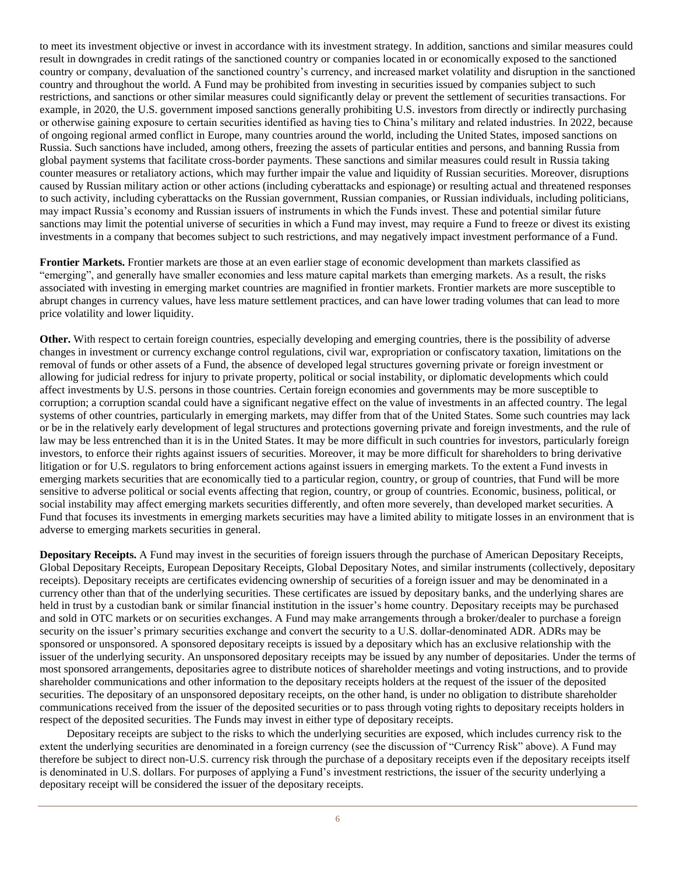to meet its investment objective or invest in accordance with its investment strategy. In addition, sanctions and similar measures could result in downgrades in credit ratings of the sanctioned country or companies located in or economically exposed to the sanctioned country or company, devaluation of the sanctioned country's currency, and increased market volatility and disruption in the sanctioned country and throughout the world. A Fund may be prohibited from investing in securities issued by companies subject to such restrictions, and sanctions or other similar measures could significantly delay or prevent the settlement of securities transactions. For example, in 2020, the U.S. government imposed sanctions generally prohibiting U.S. investors from directly or indirectly purchasing or otherwise gaining exposure to certain securities identified as having ties to China's military and related industries. In 2022, because of ongoing regional armed conflict in Europe, many countries around the world, including the United States, imposed sanctions on Russia. Such sanctions have included, among others, freezing the assets of particular entities and persons, and banning Russia from global payment systems that facilitate cross-border payments. These sanctions and similar measures could result in Russia taking counter measures or retaliatory actions, which may further impair the value and liquidity of Russian securities. Moreover, disruptions caused by Russian military action or other actions (including cyberattacks and espionage) or resulting actual and threatened responses to such activity, including cyberattacks on the Russian government, Russian companies, or Russian individuals, including politicians, may impact Russia's economy and Russian issuers of instruments in which the Funds invest. These and potential similar future sanctions may limit the potential universe of securities in which a Fund may invest, may require a Fund to freeze or divest its existing investments in a company that becomes subject to such restrictions, and may negatively impact investment performance of a Fund.

**Frontier Markets.** Frontier markets are those at an even earlier stage of economic development than markets classified as "emerging", and generally have smaller economies and less mature capital markets than emerging markets. As a result, the risks associated with investing in emerging market countries are magnified in frontier markets. Frontier markets are more susceptible to abrupt changes in currency values, have less mature settlement practices, and can have lower trading volumes that can lead to more price volatility and lower liquidity.

**Other.** With respect to certain foreign countries, especially developing and emerging countries, there is the possibility of adverse changes in investment or currency exchange control regulations, civil war, expropriation or confiscatory taxation, limitations on the removal of funds or other assets of a Fund, the absence of developed legal structures governing private or foreign investment or allowing for judicial redress for injury to private property, political or social instability, or diplomatic developments which could affect investments by U.S. persons in those countries. Certain foreign economies and governments may be more susceptible to corruption; a corruption scandal could have a significant negative effect on the value of investments in an affected country. The legal systems of other countries, particularly in emerging markets, may differ from that of the United States. Some such countries may lack or be in the relatively early development of legal structures and protections governing private and foreign investments, and the rule of law may be less entrenched than it is in the United States. It may be more difficult in such countries for investors, particularly foreign investors, to enforce their rights against issuers of securities. Moreover, it may be more difficult for shareholders to bring derivative litigation or for U.S. regulators to bring enforcement actions against issuers in emerging markets. To the extent a Fund invests in emerging markets securities that are economically tied to a particular region, country, or group of countries, that Fund will be more sensitive to adverse political or social events affecting that region, country, or group of countries. Economic, business, political, or social instability may affect emerging markets securities differently, and often more severely, than developed market securities. A Fund that focuses its investments in emerging markets securities may have a limited ability to mitigate losses in an environment that is adverse to emerging markets securities in general.

**Depositary Receipts.** A Fund may invest in the securities of foreign issuers through the purchase of American Depositary Receipts, Global Depositary Receipts, European Depositary Receipts, Global Depositary Notes, and similar instruments (collectively, depositary receipts). Depositary receipts are certificates evidencing ownership of securities of a foreign issuer and may be denominated in a currency other than that of the underlying securities. These certificates are issued by depositary banks, and the underlying shares are held in trust by a custodian bank or similar financial institution in the issuer's home country. Depositary receipts may be purchased and sold in OTC markets or on securities exchanges. A Fund may make arrangements through a broker/dealer to purchase a foreign security on the issuer's primary securities exchange and convert the security to a U.S. dollar-denominated ADR. ADRs may be sponsored or unsponsored. A sponsored depositary receipts is issued by a depositary which has an exclusive relationship with the issuer of the underlying security. An unsponsored depositary receipts may be issued by any number of depositaries. Under the terms of most sponsored arrangements, depositaries agree to distribute notices of shareholder meetings and voting instructions, and to provide shareholder communications and other information to the depositary receipts holders at the request of the issuer of the deposited securities. The depositary of an unsponsored depositary receipts, on the other hand, is under no obligation to distribute shareholder communications received from the issuer of the deposited securities or to pass through voting rights to depositary receipts holders in respect of the deposited securities. The Funds may invest in either type of depositary receipts.

Depositary receipts are subject to the risks to which the underlying securities are exposed, which includes currency risk to the extent the underlying securities are denominated in a foreign currency (see the discussion of "Currency Risk" above). A Fund may therefore be subject to direct non-U.S. currency risk through the purchase of a depositary receipts even if the depositary receipts itself is denominated in U.S. dollars. For purposes of applying a Fund's investment restrictions, the issuer of the security underlying a depositary receipt will be considered the issuer of the depositary receipts.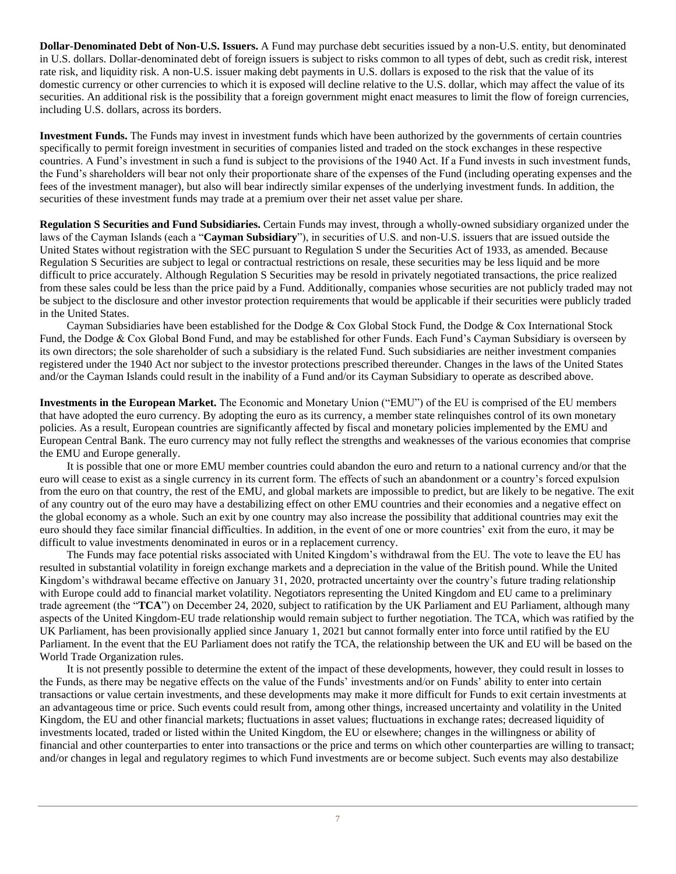**Dollar-Denominated Debt of Non-U.S. Issuers.** A Fund may purchase debt securities issued by a non-U.S. entity, but denominated in U.S. dollars. Dollar-denominated debt of foreign issuers is subject to risks common to all types of debt, such as credit risk, interest rate risk, and liquidity risk. A non-U.S. issuer making debt payments in U.S. dollars is exposed to the risk that the value of its domestic currency or other currencies to which it is exposed will decline relative to the U.S. dollar, which may affect the value of its securities. An additional risk is the possibility that a foreign government might enact measures to limit the flow of foreign currencies, including U.S. dollars, across its borders.

**Investment Funds.** The Funds may invest in investment funds which have been authorized by the governments of certain countries specifically to permit foreign investment in securities of companies listed and traded on the stock exchanges in these respective countries. A Fund's investment in such a fund is subject to the provisions of the 1940 Act. If a Fund invests in such investment funds, the Fund's shareholders will bear not only their proportionate share of the expenses of the Fund (including operating expenses and the fees of the investment manager), but also will bear indirectly similar expenses of the underlying investment funds. In addition, the securities of these investment funds may trade at a premium over their net asset value per share.

**Regulation S Securities and Fund Subsidiaries.** Certain Funds may invest, through a wholly-owned subsidiary organized under the laws of the Cayman Islands (each a "**Cayman Subsidiary**"), in securities of U.S. and non-U.S. issuers that are issued outside the United States without registration with the SEC pursuant to Regulation S under the Securities Act of 1933, as amended. Because Regulation S Securities are subject to legal or contractual restrictions on resale, these securities may be less liquid and be more difficult to price accurately. Although Regulation S Securities may be resold in privately negotiated transactions, the price realized from these sales could be less than the price paid by a Fund. Additionally, companies whose securities are not publicly traded may not be subject to the disclosure and other investor protection requirements that would be applicable if their securities were publicly traded in the United States.

Cayman Subsidiaries have been established for the Dodge & Cox Global Stock Fund, the Dodge & Cox International Stock Fund, the Dodge & Cox Global Bond Fund, and may be established for other Funds. Each Fund's Cayman Subsidiary is overseen by its own directors; the sole shareholder of such a subsidiary is the related Fund. Such subsidiaries are neither investment companies registered under the 1940 Act nor subject to the investor protections prescribed thereunder. Changes in the laws of the United States and/or the Cayman Islands could result in the inability of a Fund and/or its Cayman Subsidiary to operate as described above.

**Investments in the European Market.** The Economic and Monetary Union ("EMU") of the EU is comprised of the EU members that have adopted the euro currency. By adopting the euro as its currency, a member state relinquishes control of its own monetary policies. As a result, European countries are significantly affected by fiscal and monetary policies implemented by the EMU and European Central Bank. The euro currency may not fully reflect the strengths and weaknesses of the various economies that comprise the EMU and Europe generally.

It is possible that one or more EMU member countries could abandon the euro and return to a national currency and/or that the euro will cease to exist as a single currency in its current form. The effects of such an abandonment or a country's forced expulsion from the euro on that country, the rest of the EMU, and global markets are impossible to predict, but are likely to be negative. The exit of any country out of the euro may have a destabilizing effect on other EMU countries and their economies and a negative effect on the global economy as a whole. Such an exit by one country may also increase the possibility that additional countries may exit the euro should they face similar financial difficulties. In addition, in the event of one or more countries' exit from the euro, it may be difficult to value investments denominated in euros or in a replacement currency.

The Funds may face potential risks associated with United Kingdom's withdrawal from the EU. The vote to leave the EU has resulted in substantial volatility in foreign exchange markets and a depreciation in the value of the British pound. While the United Kingdom's withdrawal became effective on January 31, 2020, protracted uncertainty over the country's future trading relationship with Europe could add to financial market volatility. Negotiators representing the United Kingdom and EU came to a preliminary trade agreement (the "**TCA**") on December 24, 2020, subject to ratification by the UK Parliament and EU Parliament, although many aspects of the United Kingdom-EU trade relationship would remain subject to further negotiation. The TCA, which was ratified by the UK Parliament, has been provisionally applied since January 1, 2021 but cannot formally enter into force until ratified by the EU Parliament. In the event that the EU Parliament does not ratify the TCA, the relationship between the UK and EU will be based on the World Trade Organization rules.

It is not presently possible to determine the extent of the impact of these developments, however, they could result in losses to the Funds, as there may be negative effects on the value of the Funds' investments and/or on Funds' ability to enter into certain transactions or value certain investments, and these developments may make it more difficult for Funds to exit certain investments at an advantageous time or price. Such events could result from, among other things, increased uncertainty and volatility in the United Kingdom, the EU and other financial markets; fluctuations in asset values; fluctuations in exchange rates; decreased liquidity of investments located, traded or listed within the United Kingdom, the EU or elsewhere; changes in the willingness or ability of financial and other counterparties to enter into transactions or the price and terms on which other counterparties are willing to transact; and/or changes in legal and regulatory regimes to which Fund investments are or become subject. Such events may also destabilize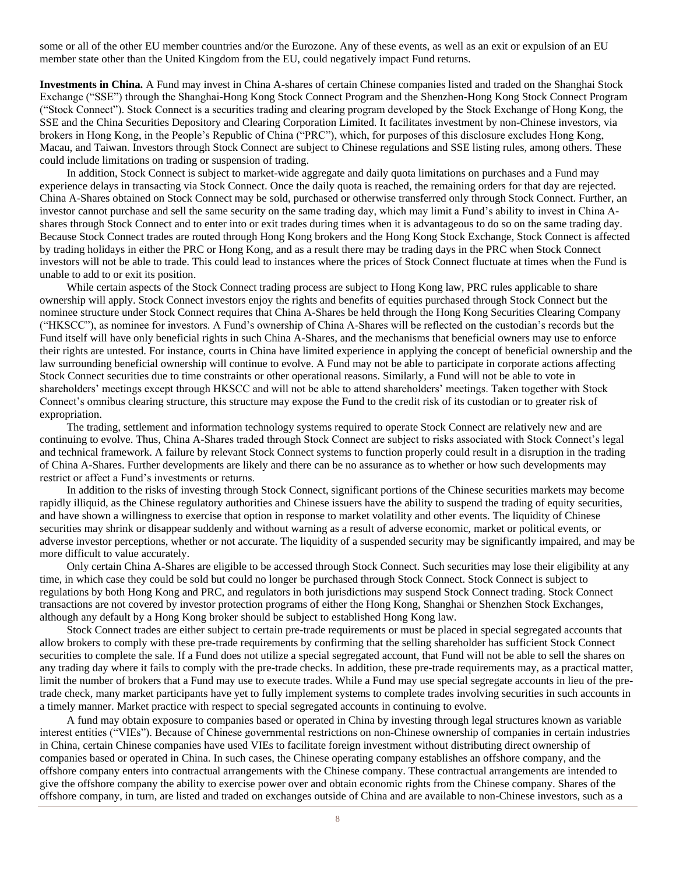some or all of the other EU member countries and/or the Eurozone. Any of these events, as well as an exit or expulsion of an EU member state other than the United Kingdom from the EU, could negatively impact Fund returns.

**Investments in China.** A Fund may invest in China A-shares of certain Chinese companies listed and traded on the Shanghai Stock Exchange ("SSE") through the Shanghai-Hong Kong Stock Connect Program and the Shenzhen-Hong Kong Stock Connect Program ("Stock Connect"). Stock Connect is a securities trading and clearing program developed by the Stock Exchange of Hong Kong, the SSE and the China Securities Depository and Clearing Corporation Limited. It facilitates investment by non-Chinese investors, via brokers in Hong Kong, in the People's Republic of China ("PRC"), which, for purposes of this disclosure excludes Hong Kong, Macau, and Taiwan. Investors through Stock Connect are subject to Chinese regulations and SSE listing rules, among others. These could include limitations on trading or suspension of trading.

In addition, Stock Connect is subject to market-wide aggregate and daily quota limitations on purchases and a Fund may experience delays in transacting via Stock Connect. Once the daily quota is reached, the remaining orders for that day are rejected. China A-Shares obtained on Stock Connect may be sold, purchased or otherwise transferred only through Stock Connect. Further, an investor cannot purchase and sell the same security on the same trading day, which may limit a Fund's ability to invest in China Ashares through Stock Connect and to enter into or exit trades during times when it is advantageous to do so on the same trading day. Because Stock Connect trades are routed through Hong Kong brokers and the Hong Kong Stock Exchange, Stock Connect is affected by trading holidays in either the PRC or Hong Kong, and as a result there may be trading days in the PRC when Stock Connect investors will not be able to trade. This could lead to instances where the prices of Stock Connect fluctuate at times when the Fund is unable to add to or exit its position.

While certain aspects of the Stock Connect trading process are subject to Hong Kong law, PRC rules applicable to share ownership will apply. Stock Connect investors enjoy the rights and benefits of equities purchased through Stock Connect but the nominee structure under Stock Connect requires that China A-Shares be held through the Hong Kong Securities Clearing Company ("HKSCC"), as nominee for investors. A Fund's ownership of China A-Shares will be reflected on the custodian's records but the Fund itself will have only beneficial rights in such China A-Shares, and the mechanisms that beneficial owners may use to enforce their rights are untested. For instance, courts in China have limited experience in applying the concept of beneficial ownership and the law surrounding beneficial ownership will continue to evolve. A Fund may not be able to participate in corporate actions affecting Stock Connect securities due to time constraints or other operational reasons. Similarly, a Fund will not be able to vote in shareholders' meetings except through HKSCC and will not be able to attend shareholders' meetings. Taken together with Stock Connect's omnibus clearing structure, this structure may expose the Fund to the credit risk of its custodian or to greater risk of expropriation.

The trading, settlement and information technology systems required to operate Stock Connect are relatively new and are continuing to evolve. Thus, China A-Shares traded through Stock Connect are subject to risks associated with Stock Connect's legal and technical framework. A failure by relevant Stock Connect systems to function properly could result in a disruption in the trading of China A-Shares. Further developments are likely and there can be no assurance as to whether or how such developments may restrict or affect a Fund's investments or returns.

In addition to the risks of investing through Stock Connect, significant portions of the Chinese securities markets may become rapidly illiquid, as the Chinese regulatory authorities and Chinese issuers have the ability to suspend the trading of equity securities, and have shown a willingness to exercise that option in response to market volatility and other events. The liquidity of Chinese securities may shrink or disappear suddenly and without warning as a result of adverse economic, market or political events, or adverse investor perceptions, whether or not accurate. The liquidity of a suspended security may be significantly impaired, and may be more difficult to value accurately.

Only certain China A-Shares are eligible to be accessed through Stock Connect. Such securities may lose their eligibility at any time, in which case they could be sold but could no longer be purchased through Stock Connect. Stock Connect is subject to regulations by both Hong Kong and PRC, and regulators in both jurisdictions may suspend Stock Connect trading. Stock Connect transactions are not covered by investor protection programs of either the Hong Kong, Shanghai or Shenzhen Stock Exchanges, although any default by a Hong Kong broker should be subject to established Hong Kong law.

Stock Connect trades are either subject to certain pre-trade requirements or must be placed in special segregated accounts that allow brokers to comply with these pre-trade requirements by confirming that the selling shareholder has sufficient Stock Connect securities to complete the sale. If a Fund does not utilize a special segregated account, that Fund will not be able to sell the shares on any trading day where it fails to comply with the pre-trade checks. In addition, these pre-trade requirements may, as a practical matter, limit the number of brokers that a Fund may use to execute trades. While a Fund may use special segregate accounts in lieu of the pretrade check, many market participants have yet to fully implement systems to complete trades involving securities in such accounts in a timely manner. Market practice with respect to special segregated accounts in continuing to evolve.

A fund may obtain exposure to companies based or operated in China by investing through legal structures known as variable interest entities ("VIEs"). Because of Chinese governmental restrictions on non-Chinese ownership of companies in certain industries in China, certain Chinese companies have used VIEs to facilitate foreign investment without distributing direct ownership of companies based or operated in China. In such cases, the Chinese operating company establishes an offshore company, and the offshore company enters into contractual arrangements with the Chinese company. These contractual arrangements are intended to give the offshore company the ability to exercise power over and obtain economic rights from the Chinese company. Shares of the offshore company, in turn, are listed and traded on exchanges outside of China and are available to non-Chinese investors, such as a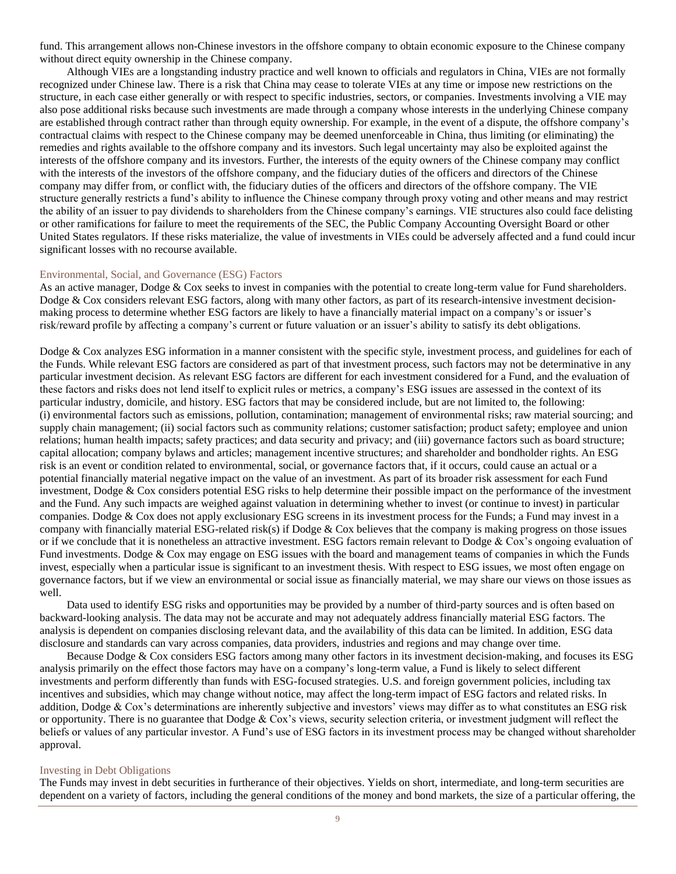fund. This arrangement allows non-Chinese investors in the offshore company to obtain economic exposure to the Chinese company without direct equity ownership in the Chinese company.

Although VIEs are a longstanding industry practice and well known to officials and regulators in China, VIEs are not formally recognized under Chinese law. There is a risk that China may cease to tolerate VIEs at any time or impose new restrictions on the structure, in each case either generally or with respect to specific industries, sectors, or companies. Investments involving a VIE may also pose additional risks because such investments are made through a company whose interests in the underlying Chinese company are established through contract rather than through equity ownership. For example, in the event of a dispute, the offshore company's contractual claims with respect to the Chinese company may be deemed unenforceable in China, thus limiting (or eliminating) the remedies and rights available to the offshore company and its investors. Such legal uncertainty may also be exploited against the interests of the offshore company and its investors. Further, the interests of the equity owners of the Chinese company may conflict with the interests of the investors of the offshore company, and the fiduciary duties of the officers and directors of the Chinese company may differ from, or conflict with, the fiduciary duties of the officers and directors of the offshore company. The VIE structure generally restricts a fund's ability to influence the Chinese company through proxy voting and other means and may restrict the ability of an issuer to pay dividends to shareholders from the Chinese company's earnings. VIE structures also could face delisting or other ramifications for failure to meet the requirements of the SEC, the Public Company Accounting Oversight Board or other United States regulators. If these risks materialize, the value of investments in VIEs could be adversely affected and a fund could incur significant losses with no recourse available.

### Environmental, Social, and Governance (ESG) Factors

As an active manager, Dodge & Cox seeks to invest in companies with the potential to create long-term value for Fund shareholders. Dodge & Cox considers relevant ESG factors, along with many other factors, as part of its research-intensive investment decisionmaking process to determine whether ESG factors are likely to have a financially material impact on a company's or issuer's risk/reward profile by affecting a company's current or future valuation or an issuer's ability to satisfy its debt obligations.

Dodge & Cox analyzes ESG information in a manner consistent with the specific style, investment process, and guidelines for each of the Funds. While relevant ESG factors are considered as part of that investment process, such factors may not be determinative in any particular investment decision. As relevant ESG factors are different for each investment considered for a Fund, and the evaluation of these factors and risks does not lend itself to explicit rules or metrics, a company's ESG issues are assessed in the context of its particular industry, domicile, and history. ESG factors that may be considered include, but are not limited to, the following: (i) environmental factors such as emissions, pollution, contamination; management of environmental risks; raw material sourcing; and supply chain management; (ii) social factors such as community relations; customer satisfaction; product safety; employee and union relations; human health impacts; safety practices; and data security and privacy; and (iii) governance factors such as board structure; capital allocation; company bylaws and articles; management incentive structures; and shareholder and bondholder rights. An ESG risk is an event or condition related to environmental, social, or governance factors that, if it occurs, could cause an actual or a potential financially material negative impact on the value of an investment. As part of its broader risk assessment for each Fund investment, Dodge & Cox considers potential ESG risks to help determine their possible impact on the performance of the investment and the Fund. Any such impacts are weighed against valuation in determining whether to invest (or continue to invest) in particular companies. Dodge & Cox does not apply exclusionary ESG screens in its investment process for the Funds; a Fund may invest in a company with financially material ESG-related risk(s) if Dodge  $& Cox$  believes that the company is making progress on those issues or if we conclude that it is nonetheless an attractive investment. ESG factors remain relevant to Dodge  $\&$  Cox's ongoing evaluation of Fund investments. Dodge & Cox may engage on ESG issues with the board and management teams of companies in which the Funds invest, especially when a particular issue is significant to an investment thesis. With respect to ESG issues, we most often engage on governance factors, but if we view an environmental or social issue as financially material, we may share our views on those issues as well.

Data used to identify ESG risks and opportunities may be provided by a number of third-party sources and is often based on backward-looking analysis. The data may not be accurate and may not adequately address financially material ESG factors. The analysis is dependent on companies disclosing relevant data, and the availability of this data can be limited. In addition, ESG data disclosure and standards can vary across companies, data providers, industries and regions and may change over time.

Because Dodge & Cox considers ESG factors among many other factors in its investment decision-making, and focuses its ESG analysis primarily on the effect those factors may have on a company's long-term value, a Fund is likely to select different investments and perform differently than funds with ESG-focused strategies. U.S. and foreign government policies, including tax incentives and subsidies, which may change without notice, may affect the long-term impact of ESG factors and related risks. In addition, Dodge & Cox's determinations are inherently subjective and investors' views may differ as to what constitutes an ESG risk or opportunity. There is no guarantee that Dodge & Cox's views, security selection criteria, or investment judgment will reflect the beliefs or values of any particular investor. A Fund's use of ESG factors in its investment process may be changed without shareholder approval.

#### Investing in Debt Obligations

The Funds may invest in debt securities in furtherance of their objectives. Yields on short, intermediate, and long-term securities are dependent on a variety of factors, including the general conditions of the money and bond markets, the size of a particular offering, the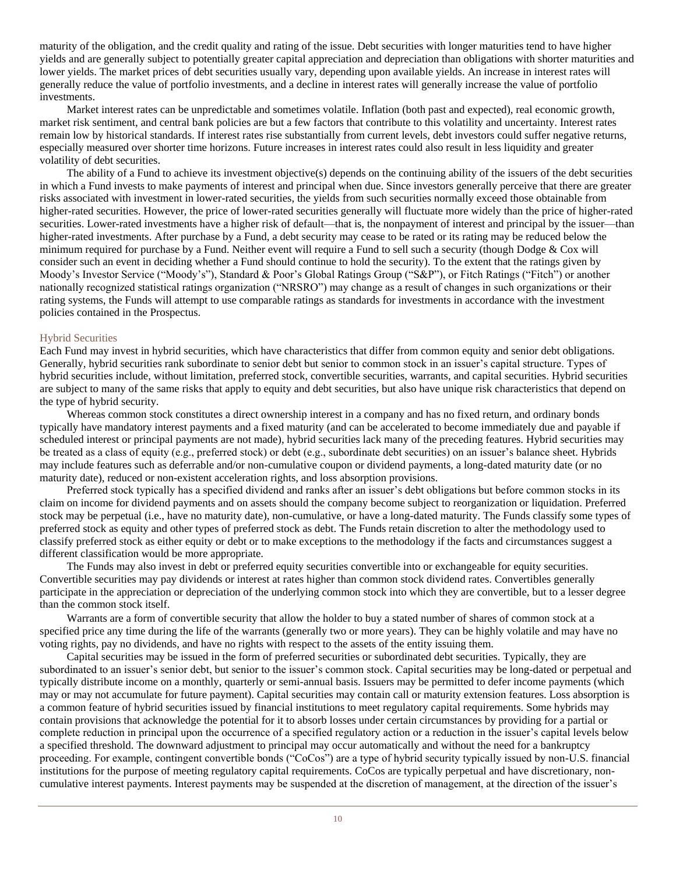maturity of the obligation, and the credit quality and rating of the issue. Debt securities with longer maturities tend to have higher yields and are generally subject to potentially greater capital appreciation and depreciation than obligations with shorter maturities and lower yields. The market prices of debt securities usually vary, depending upon available yields. An increase in interest rates will generally reduce the value of portfolio investments, and a decline in interest rates will generally increase the value of portfolio investments.

Market interest rates can be unpredictable and sometimes volatile. Inflation (both past and expected), real economic growth, market risk sentiment, and central bank policies are but a few factors that contribute to this volatility and uncertainty. Interest rates remain low by historical standards. If interest rates rise substantially from current levels, debt investors could suffer negative returns, especially measured over shorter time horizons. Future increases in interest rates could also result in less liquidity and greater volatility of debt securities.

The ability of a Fund to achieve its investment objective(s) depends on the continuing ability of the issuers of the debt securities in which a Fund invests to make payments of interest and principal when due. Since investors generally perceive that there are greater risks associated with investment in lower-rated securities, the yields from such securities normally exceed those obtainable from higher-rated securities. However, the price of lower-rated securities generally will fluctuate more widely than the price of higher-rated securities. Lower-rated investments have a higher risk of default—that is, the nonpayment of interest and principal by the issuer—than higher-rated investments. After purchase by a Fund, a debt security may cease to be rated or its rating may be reduced below the minimum required for purchase by a Fund. Neither event will require a Fund to sell such a security (though Dodge  $&$  Cox will consider such an event in deciding whether a Fund should continue to hold the security). To the extent that the ratings given by Moody's Investor Service ("Moody's"), Standard & Poor's Global Ratings Group ("S&P"), or Fitch Ratings ("Fitch") or another nationally recognized statistical ratings organization ("NRSRO") may change as a result of changes in such organizations or their rating systems, the Funds will attempt to use comparable ratings as standards for investments in accordance with the investment policies contained in the Prospectus.

#### Hybrid Securities

Each Fund may invest in hybrid securities, which have characteristics that differ from common equity and senior debt obligations. Generally, hybrid securities rank subordinate to senior debt but senior to common stock in an issuer's capital structure. Types of hybrid securities include, without limitation, preferred stock, convertible securities, warrants, and capital securities. Hybrid securities are subject to many of the same risks that apply to equity and debt securities, but also have unique risk characteristics that depend on the type of hybrid security.

Whereas common stock constitutes a direct ownership interest in a company and has no fixed return, and ordinary bonds typically have mandatory interest payments and a fixed maturity (and can be accelerated to become immediately due and payable if scheduled interest or principal payments are not made), hybrid securities lack many of the preceding features. Hybrid securities may be treated as a class of equity (e.g., preferred stock) or debt (e.g., subordinate debt securities) on an issuer's balance sheet. Hybrids may include features such as deferrable and/or non-cumulative coupon or dividend payments, a long-dated maturity date (or no maturity date), reduced or non-existent acceleration rights, and loss absorption provisions.

Preferred stock typically has a specified dividend and ranks after an issuer's debt obligations but before common stocks in its claim on income for dividend payments and on assets should the company become subject to reorganization or liquidation. Preferred stock may be perpetual (i.e., have no maturity date), non-cumulative, or have a long-dated maturity. The Funds classify some types of preferred stock as equity and other types of preferred stock as debt. The Funds retain discretion to alter the methodology used to classify preferred stock as either equity or debt or to make exceptions to the methodology if the facts and circumstances suggest a different classification would be more appropriate.

The Funds may also invest in debt or preferred equity securities convertible into or exchangeable for equity securities. Convertible securities may pay dividends or interest at rates higher than common stock dividend rates. Convertibles generally participate in the appreciation or depreciation of the underlying common stock into which they are convertible, but to a lesser degree than the common stock itself.

Warrants are a form of convertible security that allow the holder to buy a stated number of shares of common stock at a specified price any time during the life of the warrants (generally two or more years). They can be highly volatile and may have no voting rights, pay no dividends, and have no rights with respect to the assets of the entity issuing them.

Capital securities may be issued in the form of preferred securities or subordinated debt securities. Typically, they are subordinated to an issuer's senior debt, but senior to the issuer's common stock. Capital securities may be long-dated or perpetual and typically distribute income on a monthly, quarterly or semi-annual basis. Issuers may be permitted to defer income payments (which may or may not accumulate for future payment). Capital securities may contain call or maturity extension features. Loss absorption is a common feature of hybrid securities issued by financial institutions to meet regulatory capital requirements. Some hybrids may contain provisions that acknowledge the potential for it to absorb losses under certain circumstances by providing for a partial or complete reduction in principal upon the occurrence of a specified regulatory action or a reduction in the issuer's capital levels below a specified threshold. The downward adjustment to principal may occur automatically and without the need for a bankruptcy proceeding. For example, contingent convertible bonds ("CoCos") are a type of hybrid security typically issued by non-U.S. financial institutions for the purpose of meeting regulatory capital requirements. CoCos are typically perpetual and have discretionary, noncumulative interest payments. Interest payments may be suspended at the discretion of management, at the direction of the issuer's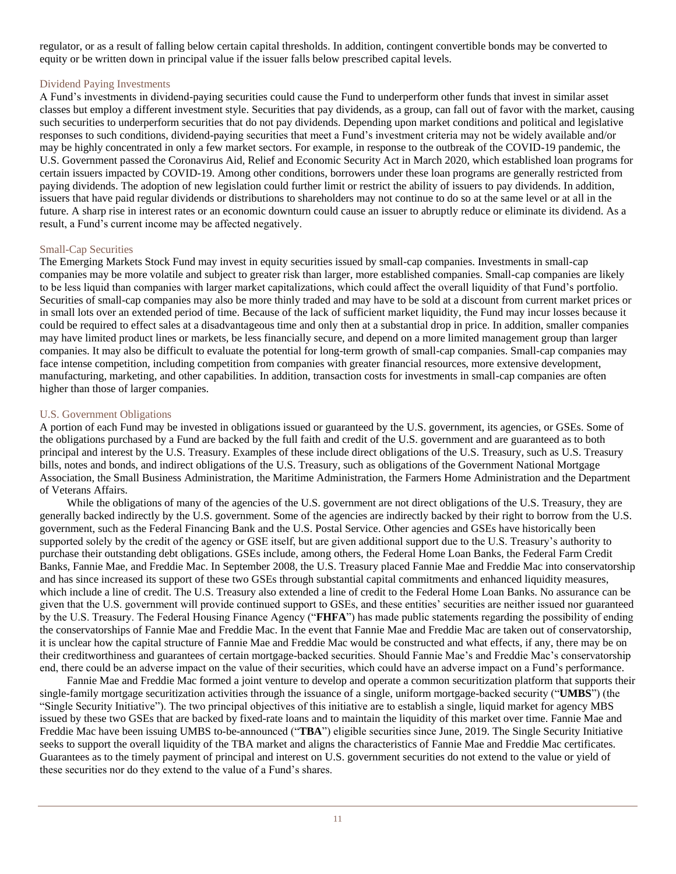regulator, or as a result of falling below certain capital thresholds. In addition, contingent convertible bonds may be converted to equity or be written down in principal value if the issuer falls below prescribed capital levels.

## Dividend Paying Investments

A Fund's investments in dividend-paying securities could cause the Fund to underperform other funds that invest in similar asset classes but employ a different investment style. Securities that pay dividends, as a group, can fall out of favor with the market, causing such securities to underperform securities that do not pay dividends. Depending upon market conditions and political and legislative responses to such conditions, dividend-paying securities that meet a Fund's investment criteria may not be widely available and/or may be highly concentrated in only a few market sectors. For example, in response to the outbreak of the COVID-19 pandemic, the U.S. Government passed the Coronavirus Aid, Relief and Economic Security Act in March 2020, which established loan programs for certain issuers impacted by COVID-19. Among other conditions, borrowers under these loan programs are generally restricted from paying dividends. The adoption of new legislation could further limit or restrict the ability of issuers to pay dividends. In addition, issuers that have paid regular dividends or distributions to shareholders may not continue to do so at the same level or at all in the future. A sharp rise in interest rates or an economic downturn could cause an issuer to abruptly reduce or eliminate its dividend. As a result, a Fund's current income may be affected negatively.

### Small-Cap Securities

The Emerging Markets Stock Fund may invest in equity securities issued by small-cap companies. Investments in small-cap companies may be more volatile and subject to greater risk than larger, more established companies. Small-cap companies are likely to be less liquid than companies with larger market capitalizations, which could affect the overall liquidity of that Fund's portfolio. Securities of small-cap companies may also be more thinly traded and may have to be sold at a discount from current market prices or in small lots over an extended period of time. Because of the lack of sufficient market liquidity, the Fund may incur losses because it could be required to effect sales at a disadvantageous time and only then at a substantial drop in price. In addition, smaller companies may have limited product lines or markets, be less financially secure, and depend on a more limited management group than larger companies. It may also be difficult to evaluate the potential for long-term growth of small-cap companies. Small-cap companies may face intense competition, including competition from companies with greater financial resources, more extensive development, manufacturing, marketing, and other capabilities. In addition, transaction costs for investments in small-cap companies are often higher than those of larger companies.

### U.S. Government Obligations

A portion of each Fund may be invested in obligations issued or guaranteed by the U.S. government, its agencies, or GSEs. Some of the obligations purchased by a Fund are backed by the full faith and credit of the U.S. government and are guaranteed as to both principal and interest by the U.S. Treasury. Examples of these include direct obligations of the U.S. Treasury, such as U.S. Treasury bills, notes and bonds, and indirect obligations of the U.S. Treasury, such as obligations of the Government National Mortgage Association, the Small Business Administration, the Maritime Administration, the Farmers Home Administration and the Department of Veterans Affairs.

While the obligations of many of the agencies of the U.S. government are not direct obligations of the U.S. Treasury, they are generally backed indirectly by the U.S. government. Some of the agencies are indirectly backed by their right to borrow from the U.S. government, such as the Federal Financing Bank and the U.S. Postal Service. Other agencies and GSEs have historically been supported solely by the credit of the agency or GSE itself, but are given additional support due to the U.S. Treasury's authority to purchase their outstanding debt obligations. GSEs include, among others, the Federal Home Loan Banks, the Federal Farm Credit Banks, Fannie Mae, and Freddie Mac. In September 2008, the U.S. Treasury placed Fannie Mae and Freddie Mac into conservatorship and has since increased its support of these two GSEs through substantial capital commitments and enhanced liquidity measures, which include a line of credit. The U.S. Treasury also extended a line of credit to the Federal Home Loan Banks. No assurance can be given that the U.S. government will provide continued support to GSEs, and these entities' securities are neither issued nor guaranteed by the U.S. Treasury. The Federal Housing Finance Agency ("**FHFA**") has made public statements regarding the possibility of ending the conservatorships of Fannie Mae and Freddie Mac. In the event that Fannie Mae and Freddie Mac are taken out of conservatorship, it is unclear how the capital structure of Fannie Mae and Freddie Mac would be constructed and what effects, if any, there may be on their creditworthiness and guarantees of certain mortgage-backed securities. Should Fannie Mae's and Freddie Mac's conservatorship end, there could be an adverse impact on the value of their securities, which could have an adverse impact on a Fund's performance.

Fannie Mae and Freddie Mac formed a joint venture to develop and operate a common securitization platform that supports their single-family mortgage securitization activities through the issuance of a single, uniform mortgage-backed security ("**UMBS**") (the "Single Security Initiative"). The two principal objectives of this initiative are to establish a single, liquid market for agency MBS issued by these two GSEs that are backed by fixed-rate loans and to maintain the liquidity of this market over time. Fannie Mae and Freddie Mac have been issuing UMBS to-be-announced ("**TBA**") eligible securities since June, 2019. The Single Security Initiative seeks to support the overall liquidity of the TBA market and aligns the characteristics of Fannie Mae and Freddie Mac certificates. Guarantees as to the timely payment of principal and interest on U.S. government securities do not extend to the value or yield of these securities nor do they extend to the value of a Fund's shares.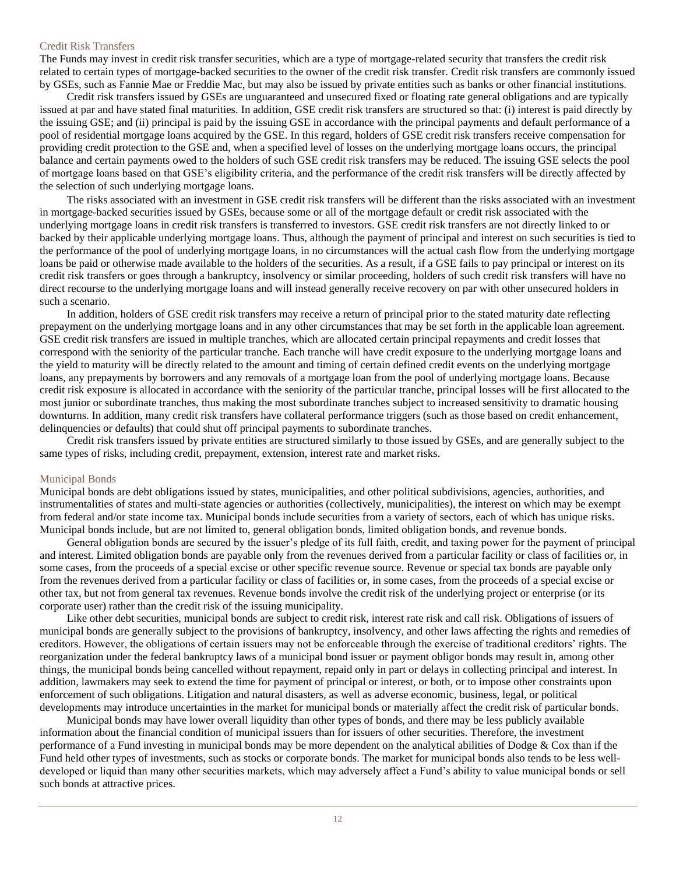#### Credit Risk Transfers

The Funds may invest in credit risk transfer securities, which are a type of mortgage-related security that transfers the credit risk related to certain types of mortgage-backed securities to the owner of the credit risk transfer. Credit risk transfers are commonly issued by GSEs, such as Fannie Mae or Freddie Mac, but may also be issued by private entities such as banks or other financial institutions.

Credit risk transfers issued by GSEs are unguaranteed and unsecured fixed or floating rate general obligations and are typically issued at par and have stated final maturities. In addition, GSE credit risk transfers are structured so that: (i) interest is paid directly by the issuing GSE; and (ii) principal is paid by the issuing GSE in accordance with the principal payments and default performance of a pool of residential mortgage loans acquired by the GSE. In this regard, holders of GSE credit risk transfers receive compensation for providing credit protection to the GSE and, when a specified level of losses on the underlying mortgage loans occurs, the principal balance and certain payments owed to the holders of such GSE credit risk transfers may be reduced. The issuing GSE selects the pool of mortgage loans based on that GSE's eligibility criteria, and the performance of the credit risk transfers will be directly affected by the selection of such underlying mortgage loans.

The risks associated with an investment in GSE credit risk transfers will be different than the risks associated with an investment in mortgage-backed securities issued by GSEs, because some or all of the mortgage default or credit risk associated with the underlying mortgage loans in credit risk transfers is transferred to investors. GSE credit risk transfers are not directly linked to or backed by their applicable underlying mortgage loans. Thus, although the payment of principal and interest on such securities is tied to the performance of the pool of underlying mortgage loans, in no circumstances will the actual cash flow from the underlying mortgage loans be paid or otherwise made available to the holders of the securities. As a result, if a GSE fails to pay principal or interest on its credit risk transfers or goes through a bankruptcy, insolvency or similar proceeding, holders of such credit risk transfers will have no direct recourse to the underlying mortgage loans and will instead generally receive recovery on par with other unsecured holders in such a scenario.

In addition, holders of GSE credit risk transfers may receive a return of principal prior to the stated maturity date reflecting prepayment on the underlying mortgage loans and in any other circumstances that may be set forth in the applicable loan agreement. GSE credit risk transfers are issued in multiple tranches, which are allocated certain principal repayments and credit losses that correspond with the seniority of the particular tranche. Each tranche will have credit exposure to the underlying mortgage loans and the yield to maturity will be directly related to the amount and timing of certain defined credit events on the underlying mortgage loans, any prepayments by borrowers and any removals of a mortgage loan from the pool of underlying mortgage loans. Because credit risk exposure is allocated in accordance with the seniority of the particular tranche, principal losses will be first allocated to the most junior or subordinate tranches, thus making the most subordinate tranches subject to increased sensitivity to dramatic housing downturns. In addition, many credit risk transfers have collateral performance triggers (such as those based on credit enhancement, delinquencies or defaults) that could shut off principal payments to subordinate tranches.

Credit risk transfers issued by private entities are structured similarly to those issued by GSEs, and are generally subject to the same types of risks, including credit, prepayment, extension, interest rate and market risks.

#### Municipal Bonds

Municipal bonds are debt obligations issued by states, municipalities, and other political subdivisions, agencies, authorities, and instrumentalities of states and multi-state agencies or authorities (collectively, municipalities), the interest on which may be exempt from federal and/or state income tax. Municipal bonds include securities from a variety of sectors, each of which has unique risks. Municipal bonds include, but are not limited to, general obligation bonds, limited obligation bonds, and revenue bonds.

General obligation bonds are secured by the issuer's pledge of its full faith, credit, and taxing power for the payment of principal and interest. Limited obligation bonds are payable only from the revenues derived from a particular facility or class of facilities or, in some cases, from the proceeds of a special excise or other specific revenue source. Revenue or special tax bonds are payable only from the revenues derived from a particular facility or class of facilities or, in some cases, from the proceeds of a special excise or other tax, but not from general tax revenues. Revenue bonds involve the credit risk of the underlying project or enterprise (or its corporate user) rather than the credit risk of the issuing municipality.

Like other debt securities, municipal bonds are subject to credit risk, interest rate risk and call risk. Obligations of issuers of municipal bonds are generally subject to the provisions of bankruptcy, insolvency, and other laws affecting the rights and remedies of creditors. However, the obligations of certain issuers may not be enforceable through the exercise of traditional creditors' rights. The reorganization under the federal bankruptcy laws of a municipal bond issuer or payment obligor bonds may result in, among other things, the municipal bonds being cancelled without repayment, repaid only in part or delays in collecting principal and interest. In addition, lawmakers may seek to extend the time for payment of principal or interest, or both, or to impose other constraints upon enforcement of such obligations. Litigation and natural disasters, as well as adverse economic, business, legal, or political developments may introduce uncertainties in the market for municipal bonds or materially affect the credit risk of particular bonds.

Municipal bonds may have lower overall liquidity than other types of bonds, and there may be less publicly available information about the financial condition of municipal issuers than for issuers of other securities. Therefore, the investment performance of a Fund investing in municipal bonds may be more dependent on the analytical abilities of Dodge & Cox than if the Fund held other types of investments, such as stocks or corporate bonds. The market for municipal bonds also tends to be less welldeveloped or liquid than many other securities markets, which may adversely affect a Fund's ability to value municipal bonds or sell such bonds at attractive prices.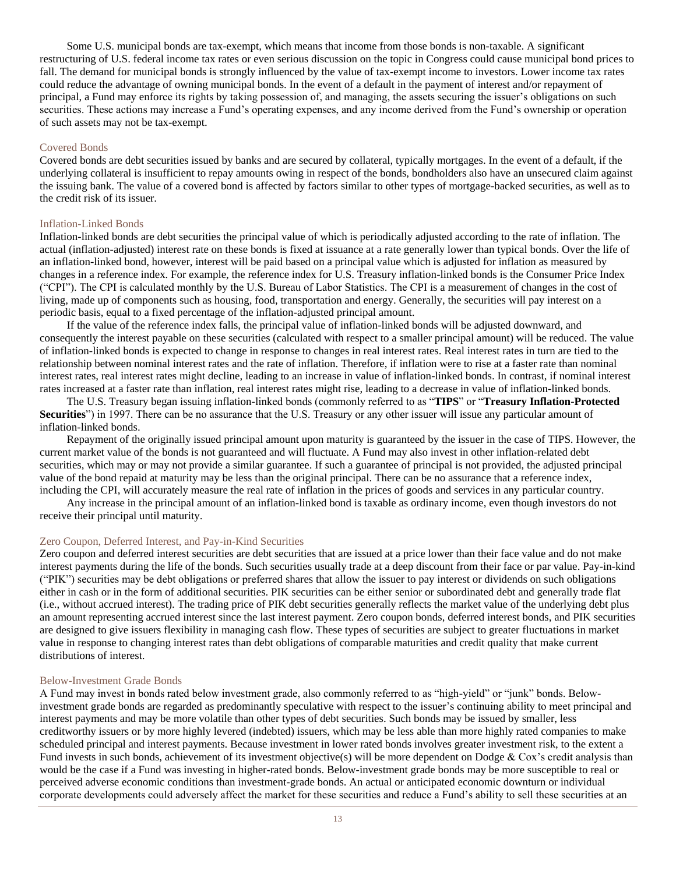Some U.S. municipal bonds are tax-exempt, which means that income from those bonds is non-taxable. A significant restructuring of U.S. federal income tax rates or even serious discussion on the topic in Congress could cause municipal bond prices to fall. The demand for municipal bonds is strongly influenced by the value of tax-exempt income to investors. Lower income tax rates could reduce the advantage of owning municipal bonds. In the event of a default in the payment of interest and/or repayment of principal, a Fund may enforce its rights by taking possession of, and managing, the assets securing the issuer's obligations on such securities. These actions may increase a Fund's operating expenses, and any income derived from the Fund's ownership or operation of such assets may not be tax-exempt.

#### Covered Bonds

Covered bonds are debt securities issued by banks and are secured by collateral, typically mortgages. In the event of a default, if the underlying collateral is insufficient to repay amounts owing in respect of the bonds, bondholders also have an unsecured claim against the issuing bank. The value of a covered bond is affected by factors similar to other types of mortgage-backed securities, as well as to the credit risk of its issuer.

#### Inflation-Linked Bonds

Inflation-linked bonds are debt securities the principal value of which is periodically adjusted according to the rate of inflation. The actual (inflation-adjusted) interest rate on these bonds is fixed at issuance at a rate generally lower than typical bonds. Over the life of an inflation-linked bond, however, interest will be paid based on a principal value which is adjusted for inflation as measured by changes in a reference index. For example, the reference index for U.S. Treasury inflation-linked bonds is the Consumer Price Index ("CPI"). The CPI is calculated monthly by the U.S. Bureau of Labor Statistics. The CPI is a measurement of changes in the cost of living, made up of components such as housing, food, transportation and energy. Generally, the securities will pay interest on a periodic basis, equal to a fixed percentage of the inflation-adjusted principal amount.

If the value of the reference index falls, the principal value of inflation-linked bonds will be adjusted downward, and consequently the interest payable on these securities (calculated with respect to a smaller principal amount) will be reduced. The value of inflation-linked bonds is expected to change in response to changes in real interest rates. Real interest rates in turn are tied to the relationship between nominal interest rates and the rate of inflation. Therefore, if inflation were to rise at a faster rate than nominal interest rates, real interest rates might decline, leading to an increase in value of inflation-linked bonds. In contrast, if nominal interest rates increased at a faster rate than inflation, real interest rates might rise, leading to a decrease in value of inflation-linked bonds.

The U.S. Treasury began issuing inflation-linked bonds (commonly referred to as "**TIPS**" or "**Treasury Inflation-Protected**  Securities") in 1997. There can be no assurance that the U.S. Treasury or any other issuer will issue any particular amount of inflation-linked bonds.

Repayment of the originally issued principal amount upon maturity is guaranteed by the issuer in the case of TIPS. However, the current market value of the bonds is not guaranteed and will fluctuate. A Fund may also invest in other inflation-related debt securities, which may or may not provide a similar guarantee. If such a guarantee of principal is not provided, the adjusted principal value of the bond repaid at maturity may be less than the original principal. There can be no assurance that a reference index, including the CPI, will accurately measure the real rate of inflation in the prices of goods and services in any particular country.

Any increase in the principal amount of an inflation-linked bond is taxable as ordinary income, even though investors do not receive their principal until maturity.

#### Zero Coupon, Deferred Interest, and Pay-in-Kind Securities

Zero coupon and deferred interest securities are debt securities that are issued at a price lower than their face value and do not make interest payments during the life of the bonds. Such securities usually trade at a deep discount from their face or par value. Pay-in-kind ("PIK") securities may be debt obligations or preferred shares that allow the issuer to pay interest or dividends on such obligations either in cash or in the form of additional securities. PIK securities can be either senior or subordinated debt and generally trade flat (i.e., without accrued interest). The trading price of PIK debt securities generally reflects the market value of the underlying debt plus an amount representing accrued interest since the last interest payment. Zero coupon bonds, deferred interest bonds, and PIK securities are designed to give issuers flexibility in managing cash flow. These types of securities are subject to greater fluctuations in market value in response to changing interest rates than debt obligations of comparable maturities and credit quality that make current distributions of interest.

#### Below-Investment Grade Bonds

A Fund may invest in bonds rated below investment grade, also commonly referred to as "high-yield" or "junk" bonds. Belowinvestment grade bonds are regarded as predominantly speculative with respect to the issuer's continuing ability to meet principal and interest payments and may be more volatile than other types of debt securities. Such bonds may be issued by smaller, less creditworthy issuers or by more highly levered (indebted) issuers, which may be less able than more highly rated companies to make scheduled principal and interest payments. Because investment in lower rated bonds involves greater investment risk, to the extent a Fund invests in such bonds, achievement of its investment objective(s) will be more dependent on Dodge & Cox's credit analysis than would be the case if a Fund was investing in higher-rated bonds. Below-investment grade bonds may be more susceptible to real or perceived adverse economic conditions than investment-grade bonds. An actual or anticipated economic downturn or individual corporate developments could adversely affect the market for these securities and reduce a Fund's ability to sell these securities at an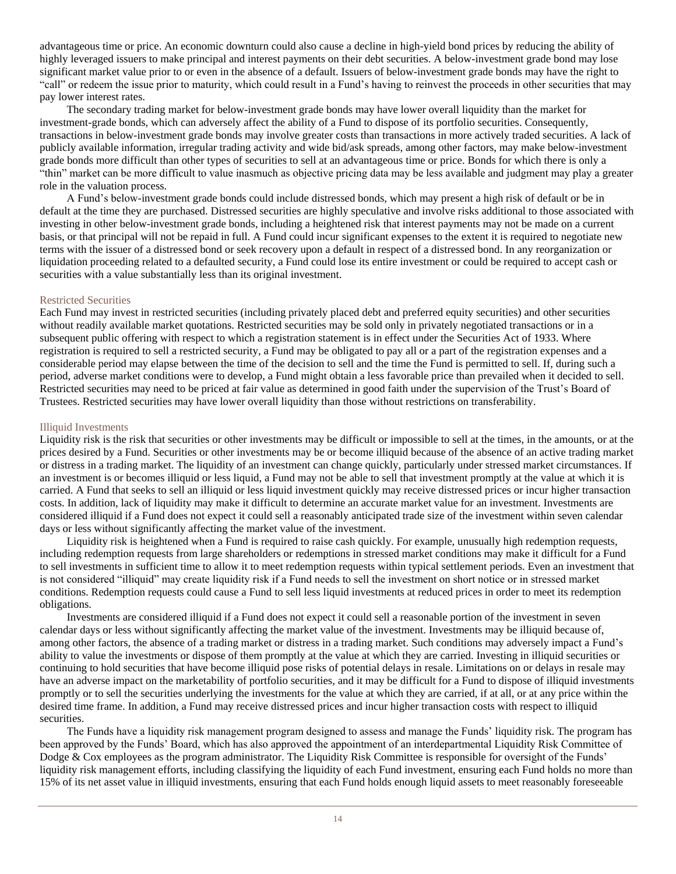advantageous time or price. An economic downturn could also cause a decline in high-yield bond prices by reducing the ability of highly leveraged issuers to make principal and interest payments on their debt securities. A below-investment grade bond may lose significant market value prior to or even in the absence of a default. Issuers of below-investment grade bonds may have the right to "call" or redeem the issue prior to maturity, which could result in a Fund's having to reinvest the proceeds in other securities that may pay lower interest rates.

The secondary trading market for below-investment grade bonds may have lower overall liquidity than the market for investment-grade bonds, which can adversely affect the ability of a Fund to dispose of its portfolio securities. Consequently, transactions in below-investment grade bonds may involve greater costs than transactions in more actively traded securities. A lack of publicly available information, irregular trading activity and wide bid/ask spreads, among other factors, may make below-investment grade bonds more difficult than other types of securities to sell at an advantageous time or price. Bonds for which there is only a "thin" market can be more difficult to value inasmuch as objective pricing data may be less available and judgment may play a greater role in the valuation process.

A Fund's below-investment grade bonds could include distressed bonds, which may present a high risk of default or be in default at the time they are purchased. Distressed securities are highly speculative and involve risks additional to those associated with investing in other below-investment grade bonds, including a heightened risk that interest payments may not be made on a current basis, or that principal will not be repaid in full. A Fund could incur significant expenses to the extent it is required to negotiate new terms with the issuer of a distressed bond or seek recovery upon a default in respect of a distressed bond. In any reorganization or liquidation proceeding related to a defaulted security, a Fund could lose its entire investment or could be required to accept cash or securities with a value substantially less than its original investment.

## Restricted Securities

Each Fund may invest in restricted securities (including privately placed debt and preferred equity securities) and other securities without readily available market quotations. Restricted securities may be sold only in privately negotiated transactions or in a subsequent public offering with respect to which a registration statement is in effect under the Securities Act of 1933. Where registration is required to sell a restricted security, a Fund may be obligated to pay all or a part of the registration expenses and a considerable period may elapse between the time of the decision to sell and the time the Fund is permitted to sell. If, during such a period, adverse market conditions were to develop, a Fund might obtain a less favorable price than prevailed when it decided to sell. Restricted securities may need to be priced at fair value as determined in good faith under the supervision of the Trust's Board of Trustees. Restricted securities may have lower overall liquidity than those without restrictions on transferability.

## Illiquid Investments

Liquidity risk is the risk that securities or other investments may be difficult or impossible to sell at the times, in the amounts, or at the prices desired by a Fund. Securities or other investments may be or become illiquid because of the absence of an active trading market or distress in a trading market. The liquidity of an investment can change quickly, particularly under stressed market circumstances. If an investment is or becomes illiquid or less liquid, a Fund may not be able to sell that investment promptly at the value at which it is carried. A Fund that seeks to sell an illiquid or less liquid investment quickly may receive distressed prices or incur higher transaction costs. In addition, lack of liquidity may make it difficult to determine an accurate market value for an investment. Investments are considered illiquid if a Fund does not expect it could sell a reasonably anticipated trade size of the investment within seven calendar days or less without significantly affecting the market value of the investment.

Liquidity risk is heightened when a Fund is required to raise cash quickly. For example, unusually high redemption requests, including redemption requests from large shareholders or redemptions in stressed market conditions may make it difficult for a Fund to sell investments in sufficient time to allow it to meet redemption requests within typical settlement periods. Even an investment that is not considered "illiquid" may create liquidity risk if a Fund needs to sell the investment on short notice or in stressed market conditions. Redemption requests could cause a Fund to sell less liquid investments at reduced prices in order to meet its redemption obligations.

Investments are considered illiquid if a Fund does not expect it could sell a reasonable portion of the investment in seven calendar days or less without significantly affecting the market value of the investment. Investments may be illiquid because of, among other factors, the absence of a trading market or distress in a trading market. Such conditions may adversely impact a Fund's ability to value the investments or dispose of them promptly at the value at which they are carried. Investing in illiquid securities or continuing to hold securities that have become illiquid pose risks of potential delays in resale. Limitations on or delays in resale may have an adverse impact on the marketability of portfolio securities, and it may be difficult for a Fund to dispose of illiquid investments promptly or to sell the securities underlying the investments for the value at which they are carried, if at all, or at any price within the desired time frame. In addition, a Fund may receive distressed prices and incur higher transaction costs with respect to illiquid securities.

The Funds have a liquidity risk management program designed to assess and manage the Funds' liquidity risk. The program has been approved by the Funds' Board, which has also approved the appointment of an interdepartmental Liquidity Risk Committee of Dodge & Cox employees as the program administrator. The Liquidity Risk Committee is responsible for oversight of the Funds' liquidity risk management efforts, including classifying the liquidity of each Fund investment, ensuring each Fund holds no more than 15% of its net asset value in illiquid investments, ensuring that each Fund holds enough liquid assets to meet reasonably foreseeable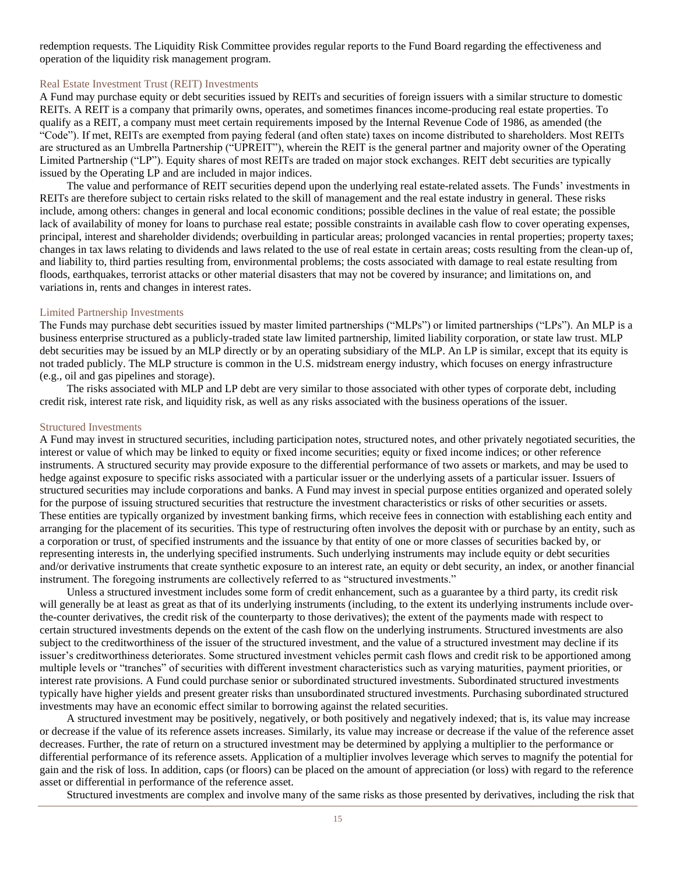redemption requests. The Liquidity Risk Committee provides regular reports to the Fund Board regarding the effectiveness and operation of the liquidity risk management program.

### Real Estate Investment Trust (REIT) Investments

A Fund may purchase equity or debt securities issued by REITs and securities of foreign issuers with a similar structure to domestic REITs. A REIT is a company that primarily owns, operates, and sometimes finances income-producing real estate properties. To qualify as a REIT, a company must meet certain requirements imposed by the Internal Revenue Code of 1986, as amended (the "Code"). If met, REITs are exempted from paying federal (and often state) taxes on income distributed to shareholders. Most REITs are structured as an Umbrella Partnership ("UPREIT"), wherein the REIT is the general partner and majority owner of the Operating Limited Partnership ("LP"). Equity shares of most REITs are traded on major stock exchanges. REIT debt securities are typically issued by the Operating LP and are included in major indices.

The value and performance of REIT securities depend upon the underlying real estate-related assets. The Funds' investments in REITs are therefore subject to certain risks related to the skill of management and the real estate industry in general. These risks include, among others: changes in general and local economic conditions; possible declines in the value of real estate; the possible lack of availability of money for loans to purchase real estate; possible constraints in available cash flow to cover operating expenses, principal, interest and shareholder dividends; overbuilding in particular areas; prolonged vacancies in rental properties; property taxes; changes in tax laws relating to dividends and laws related to the use of real estate in certain areas; costs resulting from the clean-up of, and liability to, third parties resulting from, environmental problems; the costs associated with damage to real estate resulting from floods, earthquakes, terrorist attacks or other material disasters that may not be covered by insurance; and limitations on, and variations in, rents and changes in interest rates.

#### Limited Partnership Investments

The Funds may purchase debt securities issued by master limited partnerships ("MLPs") or limited partnerships ("LPs"). An MLP is a business enterprise structured as a publicly-traded state law limited partnership, limited liability corporation, or state law trust. MLP debt securities may be issued by an MLP directly or by an operating subsidiary of the MLP. An LP is similar, except that its equity is not traded publicly. The MLP structure is common in the U.S. midstream energy industry, which focuses on energy infrastructure (e.g., oil and gas pipelines and storage).

The risks associated with MLP and LP debt are very similar to those associated with other types of corporate debt, including credit risk, interest rate risk, and liquidity risk, as well as any risks associated with the business operations of the issuer.

#### Structured Investments

A Fund may invest in structured securities, including participation notes, structured notes, and other privately negotiated securities, the interest or value of which may be linked to equity or fixed income securities; equity or fixed income indices; or other reference instruments. A structured security may provide exposure to the differential performance of two assets or markets, and may be used to hedge against exposure to specific risks associated with a particular issuer or the underlying assets of a particular issuer. Issuers of structured securities may include corporations and banks. A Fund may invest in special purpose entities organized and operated solely for the purpose of issuing structured securities that restructure the investment characteristics or risks of other securities or assets. These entities are typically organized by investment banking firms, which receive fees in connection with establishing each entity and arranging for the placement of its securities. This type of restructuring often involves the deposit with or purchase by an entity, such as a corporation or trust, of specified instruments and the issuance by that entity of one or more classes of securities backed by, or representing interests in, the underlying specified instruments. Such underlying instruments may include equity or debt securities and/or derivative instruments that create synthetic exposure to an interest rate, an equity or debt security, an index, or another financial instrument. The foregoing instruments are collectively referred to as "structured investments."

Unless a structured investment includes some form of credit enhancement, such as a guarantee by a third party, its credit risk will generally be at least as great as that of its underlying instruments (including, to the extent its underlying instruments include overthe-counter derivatives, the credit risk of the counterparty to those derivatives); the extent of the payments made with respect to certain structured investments depends on the extent of the cash flow on the underlying instruments. Structured investments are also subject to the creditworthiness of the issuer of the structured investment, and the value of a structured investment may decline if its issuer's creditworthiness deteriorates. Some structured investment vehicles permit cash flows and credit risk to be apportioned among multiple levels or "tranches" of securities with different investment characteristics such as varying maturities, payment priorities, or interest rate provisions. A Fund could purchase senior or subordinated structured investments. Subordinated structured investments typically have higher yields and present greater risks than unsubordinated structured investments. Purchasing subordinated structured investments may have an economic effect similar to borrowing against the related securities.

A structured investment may be positively, negatively, or both positively and negatively indexed; that is, its value may increase or decrease if the value of its reference assets increases. Similarly, its value may increase or decrease if the value of the reference asset decreases. Further, the rate of return on a structured investment may be determined by applying a multiplier to the performance or differential performance of its reference assets. Application of a multiplier involves leverage which serves to magnify the potential for gain and the risk of loss. In addition, caps (or floors) can be placed on the amount of appreciation (or loss) with regard to the reference asset or differential in performance of the reference asset.

Structured investments are complex and involve many of the same risks as those presented by derivatives, including the risk that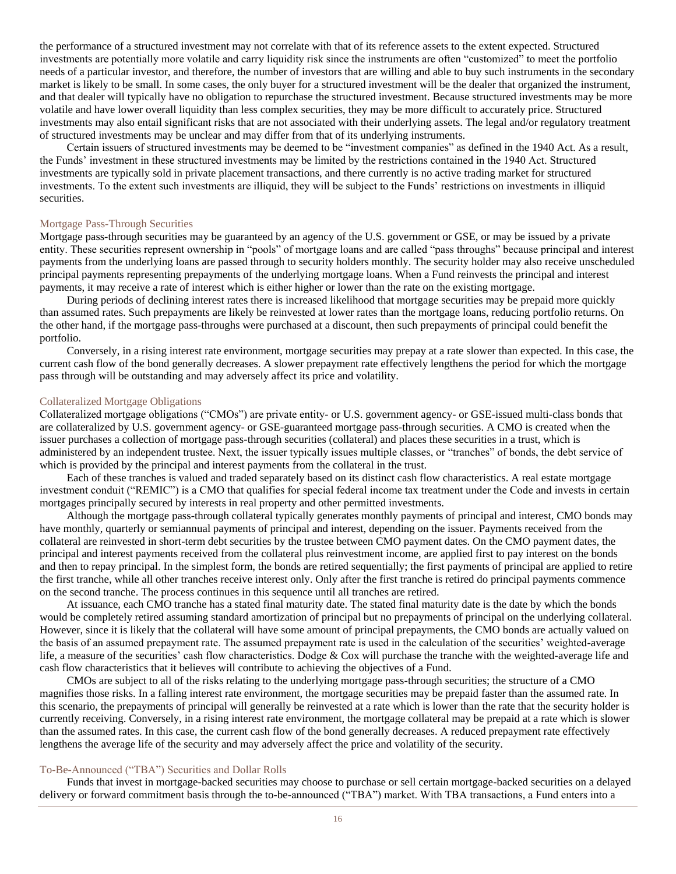the performance of a structured investment may not correlate with that of its reference assets to the extent expected. Structured investments are potentially more volatile and carry liquidity risk since the instruments are often "customized" to meet the portfolio needs of a particular investor, and therefore, the number of investors that are willing and able to buy such instruments in the secondary market is likely to be small. In some cases, the only buyer for a structured investment will be the dealer that organized the instrument, and that dealer will typically have no obligation to repurchase the structured investment. Because structured investments may be more volatile and have lower overall liquidity than less complex securities, they may be more difficult to accurately price. Structured investments may also entail significant risks that are not associated with their underlying assets. The legal and/or regulatory treatment of structured investments may be unclear and may differ from that of its underlying instruments.

Certain issuers of structured investments may be deemed to be "investment companies" as defined in the 1940 Act. As a result, the Funds' investment in these structured investments may be limited by the restrictions contained in the 1940 Act. Structured investments are typically sold in private placement transactions, and there currently is no active trading market for structured investments. To the extent such investments are illiquid, they will be subject to the Funds' restrictions on investments in illiquid securities.

#### Mortgage Pass-Through Securities

Mortgage pass-through securities may be guaranteed by an agency of the U.S. government or GSE, or may be issued by a private entity. These securities represent ownership in "pools" of mortgage loans and are called "pass throughs" because principal and interest payments from the underlying loans are passed through to security holders monthly. The security holder may also receive unscheduled principal payments representing prepayments of the underlying mortgage loans. When a Fund reinvests the principal and interest payments, it may receive a rate of interest which is either higher or lower than the rate on the existing mortgage.

During periods of declining interest rates there is increased likelihood that mortgage securities may be prepaid more quickly than assumed rates. Such prepayments are likely be reinvested at lower rates than the mortgage loans, reducing portfolio returns. On the other hand, if the mortgage pass-throughs were purchased at a discount, then such prepayments of principal could benefit the portfolio.

Conversely, in a rising interest rate environment, mortgage securities may prepay at a rate slower than expected. In this case, the current cash flow of the bond generally decreases. A slower prepayment rate effectively lengthens the period for which the mortgage pass through will be outstanding and may adversely affect its price and volatility.

## Collateralized Mortgage Obligations

Collateralized mortgage obligations ("CMOs") are private entity- or U.S. government agency- or GSE-issued multi-class bonds that are collateralized by U.S. government agency- or GSE-guaranteed mortgage pass-through securities. A CMO is created when the issuer purchases a collection of mortgage pass-through securities (collateral) and places these securities in a trust, which is administered by an independent trustee. Next, the issuer typically issues multiple classes, or "tranches" of bonds, the debt service of which is provided by the principal and interest payments from the collateral in the trust.

Each of these tranches is valued and traded separately based on its distinct cash flow characteristics. A real estate mortgage investment conduit ("REMIC") is a CMO that qualifies for special federal income tax treatment under the Code and invests in certain mortgages principally secured by interests in real property and other permitted investments.

Although the mortgage pass-through collateral typically generates monthly payments of principal and interest, CMO bonds may have monthly, quarterly or semiannual payments of principal and interest, depending on the issuer. Payments received from the collateral are reinvested in short-term debt securities by the trustee between CMO payment dates. On the CMO payment dates, the principal and interest payments received from the collateral plus reinvestment income, are applied first to pay interest on the bonds and then to repay principal. In the simplest form, the bonds are retired sequentially; the first payments of principal are applied to retire the first tranche, while all other tranches receive interest only. Only after the first tranche is retired do principal payments commence on the second tranche. The process continues in this sequence until all tranches are retired.

At issuance, each CMO tranche has a stated final maturity date. The stated final maturity date is the date by which the bonds would be completely retired assuming standard amortization of principal but no prepayments of principal on the underlying collateral. However, since it is likely that the collateral will have some amount of principal prepayments, the CMO bonds are actually valued on the basis of an assumed prepayment rate. The assumed prepayment rate is used in the calculation of the securities' weighted-average life, a measure of the securities' cash flow characteristics. Dodge & Cox will purchase the tranche with the weighted-average life and cash flow characteristics that it believes will contribute to achieving the objectives of a Fund.

CMOs are subject to all of the risks relating to the underlying mortgage pass-through securities; the structure of a CMO magnifies those risks. In a falling interest rate environment, the mortgage securities may be prepaid faster than the assumed rate. In this scenario, the prepayments of principal will generally be reinvested at a rate which is lower than the rate that the security holder is currently receiving. Conversely, in a rising interest rate environment, the mortgage collateral may be prepaid at a rate which is slower than the assumed rates. In this case, the current cash flow of the bond generally decreases. A reduced prepayment rate effectively lengthens the average life of the security and may adversely affect the price and volatility of the security.

#### To-Be-Announced ("TBA") Securities and Dollar Rolls

Funds that invest in mortgage-backed securities may choose to purchase or sell certain mortgage-backed securities on a delayed delivery or forward commitment basis through the to-be-announced ("TBA") market. With TBA transactions, a Fund enters into a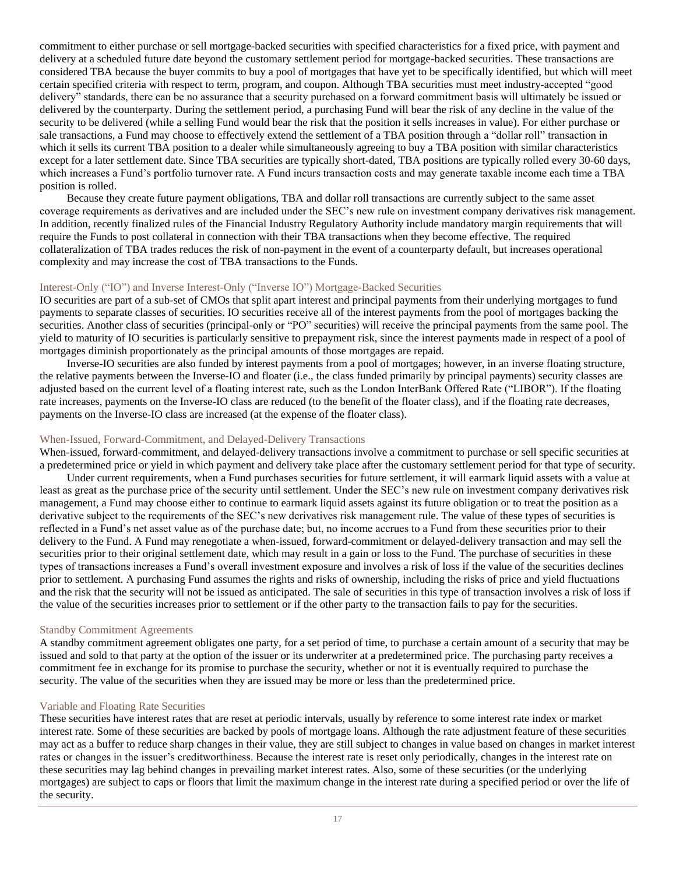commitment to either purchase or sell mortgage-backed securities with specified characteristics for a fixed price, with payment and delivery at a scheduled future date beyond the customary settlement period for mortgage-backed securities. These transactions are considered TBA because the buyer commits to buy a pool of mortgages that have yet to be specifically identified, but which will meet certain specified criteria with respect to term, program, and coupon. Although TBA securities must meet industry-accepted "good delivery" standards, there can be no assurance that a security purchased on a forward commitment basis will ultimately be issued or delivered by the counterparty. During the settlement period, a purchasing Fund will bear the risk of any decline in the value of the security to be delivered (while a selling Fund would bear the risk that the position it sells increases in value). For either purchase or sale transactions, a Fund may choose to effectively extend the settlement of a TBA position through a "dollar roll" transaction in which it sells its current TBA position to a dealer while simultaneously agreeing to buy a TBA position with similar characteristics except for a later settlement date. Since TBA securities are typically short-dated, TBA positions are typically rolled every 30-60 days, which increases a Fund's portfolio turnover rate. A Fund incurs transaction costs and may generate taxable income each time a TBA position is rolled.

Because they create future payment obligations, TBA and dollar roll transactions are currently subject to the same asset coverage requirements as derivatives and are included under the SEC's new rule on investment company derivatives risk management. In addition, recently finalized rules of the Financial Industry Regulatory Authority include mandatory margin requirements that will require the Funds to post collateral in connection with their TBA transactions when they become effective. The required collateralization of TBA trades reduces the risk of non-payment in the event of a counterparty default, but increases operational complexity and may increase the cost of TBA transactions to the Funds.

## Interest-Only ("IO") and Inverse Interest-Only ("Inverse IO") Mortgage-Backed Securities

IO securities are part of a sub-set of CMOs that split apart interest and principal payments from their underlying mortgages to fund payments to separate classes of securities. IO securities receive all of the interest payments from the pool of mortgages backing the securities. Another class of securities (principal-only or "PO" securities) will receive the principal payments from the same pool. The yield to maturity of IO securities is particularly sensitive to prepayment risk, since the interest payments made in respect of a pool of mortgages diminish proportionately as the principal amounts of those mortgages are repaid.

Inverse-IO securities are also funded by interest payments from a pool of mortgages; however, in an inverse floating structure, the relative payments between the Inverse-IO and floater (i.e., the class funded primarily by principal payments) security classes are adjusted based on the current level of a floating interest rate, such as the London InterBank Offered Rate ("LIBOR"). If the floating rate increases, payments on the Inverse-IO class are reduced (to the benefit of the floater class), and if the floating rate decreases, payments on the Inverse-IO class are increased (at the expense of the floater class).

## When-Issued, Forward-Commitment, and Delayed-Delivery Transactions

When-issued, forward-commitment, and delayed-delivery transactions involve a commitment to purchase or sell specific securities at a predetermined price or yield in which payment and delivery take place after the customary settlement period for that type of security.

Under current requirements, when a Fund purchases securities for future settlement, it will earmark liquid assets with a value at least as great as the purchase price of the security until settlement. Under the SEC's new rule on investment company derivatives risk management, a Fund may choose either to continue to earmark liquid assets against its future obligation or to treat the position as a derivative subject to the requirements of the SEC's new derivatives risk management rule. The value of these types of securities is reflected in a Fund's net asset value as of the purchase date; but, no income accrues to a Fund from these securities prior to their delivery to the Fund. A Fund may renegotiate a when-issued, forward-commitment or delayed-delivery transaction and may sell the securities prior to their original settlement date, which may result in a gain or loss to the Fund. The purchase of securities in these types of transactions increases a Fund's overall investment exposure and involves a risk of loss if the value of the securities declines prior to settlement. A purchasing Fund assumes the rights and risks of ownership, including the risks of price and yield fluctuations and the risk that the security will not be issued as anticipated. The sale of securities in this type of transaction involves a risk of loss if the value of the securities increases prior to settlement or if the other party to the transaction fails to pay for the securities.

## Standby Commitment Agreements

A standby commitment agreement obligates one party, for a set period of time, to purchase a certain amount of a security that may be issued and sold to that party at the option of the issuer or its underwriter at a predetermined price. The purchasing party receives a commitment fee in exchange for its promise to purchase the security, whether or not it is eventually required to purchase the security. The value of the securities when they are issued may be more or less than the predetermined price.

### Variable and Floating Rate Securities

These securities have interest rates that are reset at periodic intervals, usually by reference to some interest rate index or market interest rate. Some of these securities are backed by pools of mortgage loans. Although the rate adjustment feature of these securities may act as a buffer to reduce sharp changes in their value, they are still subject to changes in value based on changes in market interest rates or changes in the issuer's creditworthiness. Because the interest rate is reset only periodically, changes in the interest rate on these securities may lag behind changes in prevailing market interest rates. Also, some of these securities (or the underlying mortgages) are subject to caps or floors that limit the maximum change in the interest rate during a specified period or over the life of the security.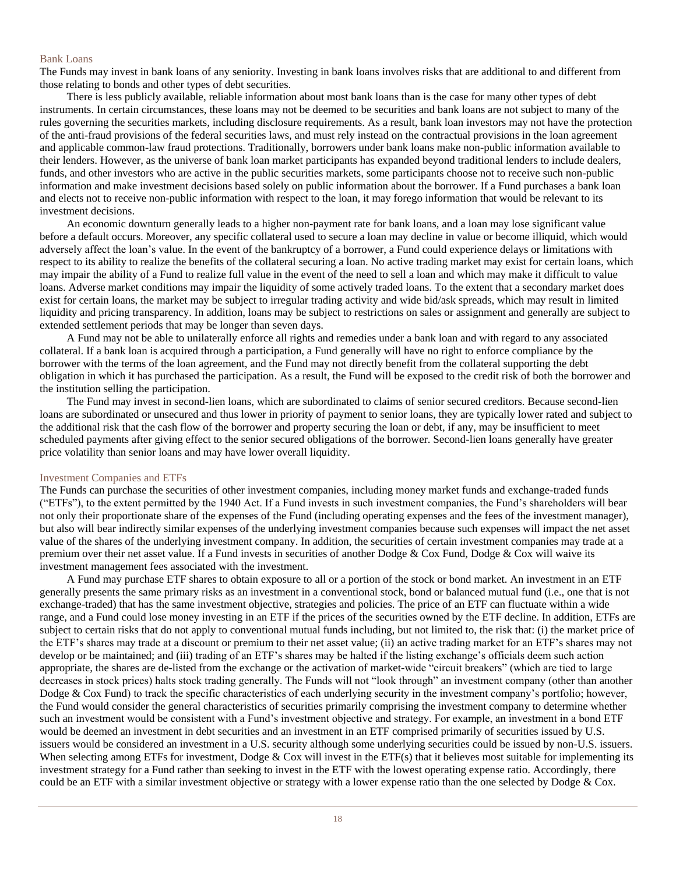#### Bank Loans

The Funds may invest in bank loans of any seniority. Investing in bank loans involves risks that are additional to and different from those relating to bonds and other types of debt securities.

There is less publicly available, reliable information about most bank loans than is the case for many other types of debt instruments. In certain circumstances, these loans may not be deemed to be securities and bank loans are not subject to many of the rules governing the securities markets, including disclosure requirements. As a result, bank loan investors may not have the protection of the anti-fraud provisions of the federal securities laws, and must rely instead on the contractual provisions in the loan agreement and applicable common-law fraud protections. Traditionally, borrowers under bank loans make non-public information available to their lenders. However, as the universe of bank loan market participants has expanded beyond traditional lenders to include dealers, funds, and other investors who are active in the public securities markets, some participants choose not to receive such non-public information and make investment decisions based solely on public information about the borrower. If a Fund purchases a bank loan and elects not to receive non-public information with respect to the loan, it may forego information that would be relevant to its investment decisions.

An economic downturn generally leads to a higher non-payment rate for bank loans, and a loan may lose significant value before a default occurs. Moreover, any specific collateral used to secure a loan may decline in value or become illiquid, which would adversely affect the loan's value. In the event of the bankruptcy of a borrower, a Fund could experience delays or limitations with respect to its ability to realize the benefits of the collateral securing a loan. No active trading market may exist for certain loans, which may impair the ability of a Fund to realize full value in the event of the need to sell a loan and which may make it difficult to value loans. Adverse market conditions may impair the liquidity of some actively traded loans. To the extent that a secondary market does exist for certain loans, the market may be subject to irregular trading activity and wide bid/ask spreads, which may result in limited liquidity and pricing transparency. In addition, loans may be subject to restrictions on sales or assignment and generally are subject to extended settlement periods that may be longer than seven days.

A Fund may not be able to unilaterally enforce all rights and remedies under a bank loan and with regard to any associated collateral. If a bank loan is acquired through a participation, a Fund generally will have no right to enforce compliance by the borrower with the terms of the loan agreement, and the Fund may not directly benefit from the collateral supporting the debt obligation in which it has purchased the participation. As a result, the Fund will be exposed to the credit risk of both the borrower and the institution selling the participation.

The Fund may invest in second-lien loans, which are subordinated to claims of senior secured creditors. Because second-lien loans are subordinated or unsecured and thus lower in priority of payment to senior loans, they are typically lower rated and subject to the additional risk that the cash flow of the borrower and property securing the loan or debt, if any, may be insufficient to meet scheduled payments after giving effect to the senior secured obligations of the borrower. Second-lien loans generally have greater price volatility than senior loans and may have lower overall liquidity.

#### Investment Companies and ETFs

The Funds can purchase the securities of other investment companies, including money market funds and exchange-traded funds ("ETFs"), to the extent permitted by the 1940 Act. If a Fund invests in such investment companies, the Fund's shareholders will bear not only their proportionate share of the expenses of the Fund (including operating expenses and the fees of the investment manager), but also will bear indirectly similar expenses of the underlying investment companies because such expenses will impact the net asset value of the shares of the underlying investment company. In addition, the securities of certain investment companies may trade at a premium over their net asset value. If a Fund invests in securities of another Dodge  $\&$  Cox Fund, Dodge  $\&$  Cox will waive its investment management fees associated with the investment.

A Fund may purchase ETF shares to obtain exposure to all or a portion of the stock or bond market. An investment in an ETF generally presents the same primary risks as an investment in a conventional stock, bond or balanced mutual fund (i.e., one that is not exchange-traded) that has the same investment objective, strategies and policies. The price of an ETF can fluctuate within a wide range, and a Fund could lose money investing in an ETF if the prices of the securities owned by the ETF decline. In addition, ETFs are subject to certain risks that do not apply to conventional mutual funds including, but not limited to, the risk that: (i) the market price of the ETF's shares may trade at a discount or premium to their net asset value; (ii) an active trading market for an ETF's shares may not develop or be maintained; and (iii) trading of an ETF's shares may be halted if the listing exchange's officials deem such action appropriate, the shares are de-listed from the exchange or the activation of market-wide "circuit breakers" (which are tied to large decreases in stock prices) halts stock trading generally. The Funds will not "look through" an investment company (other than another Dodge & Cox Fund) to track the specific characteristics of each underlying security in the investment company's portfolio; however, the Fund would consider the general characteristics of securities primarily comprising the investment company to determine whether such an investment would be consistent with a Fund's investment objective and strategy. For example, an investment in a bond ETF would be deemed an investment in debt securities and an investment in an ETF comprised primarily of securities issued by U.S. issuers would be considered an investment in a U.S. security although some underlying securities could be issued by non-U.S. issuers. When selecting among ETFs for investment, Dodge & Cox will invest in the ETF(s) that it believes most suitable for implementing its investment strategy for a Fund rather than seeking to invest in the ETF with the lowest operating expense ratio. Accordingly, there could be an ETF with a similar investment objective or strategy with a lower expense ratio than the one selected by Dodge & Cox.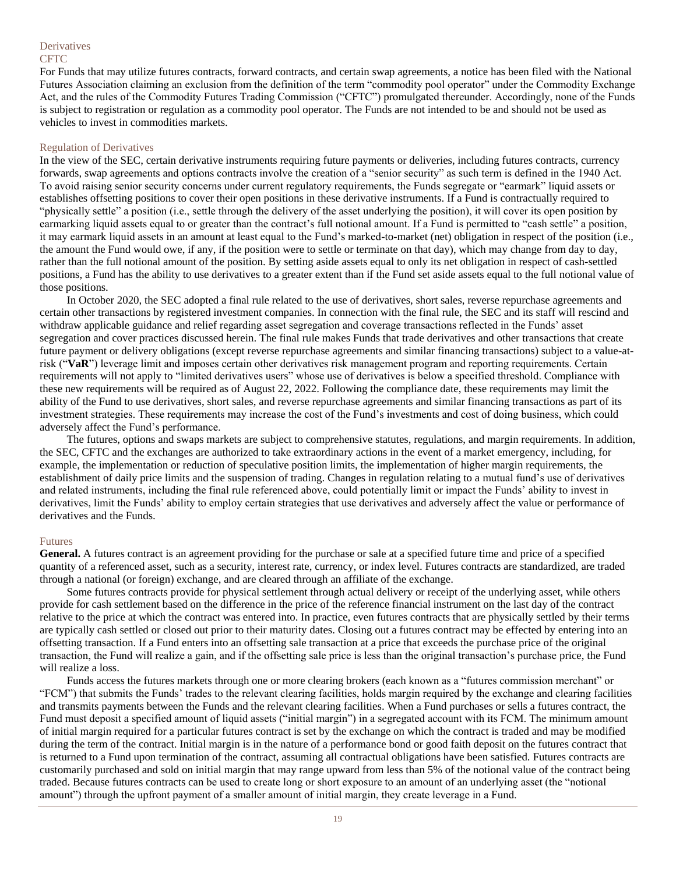#### Derivatives CFTC

For Funds that may utilize futures contracts, forward contracts, and certain swap agreements, a notice has been filed with the National Futures Association claiming an exclusion from the definition of the term "commodity pool operator" under the Commodity Exchange Act, and the rules of the Commodity Futures Trading Commission ("CFTC") promulgated thereunder. Accordingly, none of the Funds is subject to registration or regulation as a commodity pool operator. The Funds are not intended to be and should not be used as vehicles to invest in commodities markets.

## Regulation of Derivatives

In the view of the SEC, certain derivative instruments requiring future payments or deliveries, including futures contracts, currency forwards, swap agreements and options contracts involve the creation of a "senior security" as such term is defined in the 1940 Act. To avoid raising senior security concerns under current regulatory requirements, the Funds segregate or "earmark" liquid assets or establishes offsetting positions to cover their open positions in these derivative instruments. If a Fund is contractually required to "physically settle" a position (i.e., settle through the delivery of the asset underlying the position), it will cover its open position by earmarking liquid assets equal to or greater than the contract's full notional amount. If a Fund is permitted to "cash settle" a position, it may earmark liquid assets in an amount at least equal to the Fund's marked-to-market (net) obligation in respect of the position (i.e., the amount the Fund would owe, if any, if the position were to settle or terminate on that day), which may change from day to day, rather than the full notional amount of the position. By setting aside assets equal to only its net obligation in respect of cash-settled positions, a Fund has the ability to use derivatives to a greater extent than if the Fund set aside assets equal to the full notional value of those positions.

In October 2020, the SEC adopted a final rule related to the use of derivatives, short sales, reverse repurchase agreements and certain other transactions by registered investment companies. In connection with the final rule, the SEC and its staff will rescind and withdraw applicable guidance and relief regarding asset segregation and coverage transactions reflected in the Funds' asset segregation and cover practices discussed herein. The final rule makes Funds that trade derivatives and other transactions that create future payment or delivery obligations (except reverse repurchase agreements and similar financing transactions) subject to a value-atrisk ("**VaR**") leverage limit and imposes certain other derivatives risk management program and reporting requirements. Certain requirements will not apply to "limited derivatives users" whose use of derivatives is below a specified threshold. Compliance with these new requirements will be required as of August 22, 2022. Following the compliance date, these requirements may limit the ability of the Fund to use derivatives, short sales, and reverse repurchase agreements and similar financing transactions as part of its investment strategies. These requirements may increase the cost of the Fund's investments and cost of doing business, which could adversely affect the Fund's performance.

The futures, options and swaps markets are subject to comprehensive statutes, regulations, and margin requirements. In addition, the SEC, CFTC and the exchanges are authorized to take extraordinary actions in the event of a market emergency, including, for example, the implementation or reduction of speculative position limits, the implementation of higher margin requirements, the establishment of daily price limits and the suspension of trading. Changes in regulation relating to a mutual fund's use of derivatives and related instruments, including the final rule referenced above, could potentially limit or impact the Funds' ability to invest in derivatives, limit the Funds' ability to employ certain strategies that use derivatives and adversely affect the value or performance of derivatives and the Funds.

### Futures

**General.** A futures contract is an agreement providing for the purchase or sale at a specified future time and price of a specified quantity of a referenced asset, such as a security, interest rate, currency, or index level. Futures contracts are standardized, are traded through a national (or foreign) exchange, and are cleared through an affiliate of the exchange.

Some futures contracts provide for physical settlement through actual delivery or receipt of the underlying asset, while others provide for cash settlement based on the difference in the price of the reference financial instrument on the last day of the contract relative to the price at which the contract was entered into. In practice, even futures contracts that are physically settled by their terms are typically cash settled or closed out prior to their maturity dates. Closing out a futures contract may be effected by entering into an offsetting transaction. If a Fund enters into an offsetting sale transaction at a price that exceeds the purchase price of the original transaction, the Fund will realize a gain, and if the offsetting sale price is less than the original transaction's purchase price, the Fund will realize a loss.

Funds access the futures markets through one or more clearing brokers (each known as a "futures commission merchant" or "FCM") that submits the Funds' trades to the relevant clearing facilities, holds margin required by the exchange and clearing facilities and transmits payments between the Funds and the relevant clearing facilities. When a Fund purchases or sells a futures contract, the Fund must deposit a specified amount of liquid assets ("initial margin") in a segregated account with its FCM. The minimum amount of initial margin required for a particular futures contract is set by the exchange on which the contract is traded and may be modified during the term of the contract. Initial margin is in the nature of a performance bond or good faith deposit on the futures contract that is returned to a Fund upon termination of the contract, assuming all contractual obligations have been satisfied. Futures contracts are customarily purchased and sold on initial margin that may range upward from less than 5% of the notional value of the contract being traded. Because futures contracts can be used to create long or short exposure to an amount of an underlying asset (the "notional amount") through the upfront payment of a smaller amount of initial margin, they create leverage in a Fund.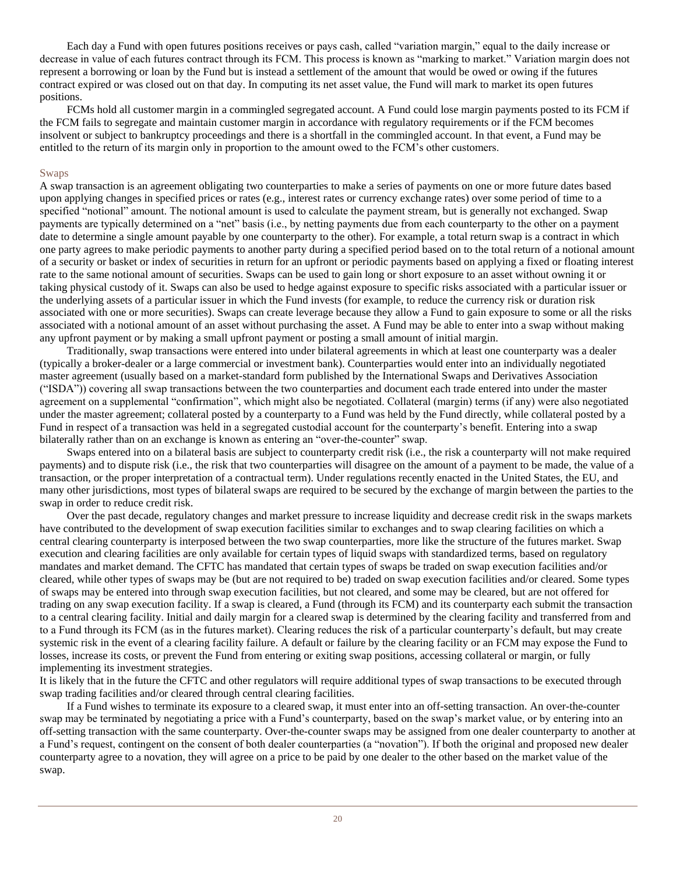Each day a Fund with open futures positions receives or pays cash, called "variation margin," equal to the daily increase or decrease in value of each futures contract through its FCM. This process is known as "marking to market." Variation margin does not represent a borrowing or loan by the Fund but is instead a settlement of the amount that would be owed or owing if the futures contract expired or was closed out on that day. In computing its net asset value, the Fund will mark to market its open futures positions.

FCMs hold all customer margin in a commingled segregated account. A Fund could lose margin payments posted to its FCM if the FCM fails to segregate and maintain customer margin in accordance with regulatory requirements or if the FCM becomes insolvent or subject to bankruptcy proceedings and there is a shortfall in the commingled account. In that event, a Fund may be entitled to the return of its margin only in proportion to the amount owed to the FCM's other customers.

#### Swaps

A swap transaction is an agreement obligating two counterparties to make a series of payments on one or more future dates based upon applying changes in specified prices or rates (e.g., interest rates or currency exchange rates) over some period of time to a specified "notional" amount. The notional amount is used to calculate the payment stream, but is generally not exchanged. Swap payments are typically determined on a "net" basis (i.e., by netting payments due from each counterparty to the other on a payment date to determine a single amount payable by one counterparty to the other). For example, a total return swap is a contract in which one party agrees to make periodic payments to another party during a specified period based on to the total return of a notional amount of a security or basket or index of securities in return for an upfront or periodic payments based on applying a fixed or floating interest rate to the same notional amount of securities. Swaps can be used to gain long or short exposure to an asset without owning it or taking physical custody of it. Swaps can also be used to hedge against exposure to specific risks associated with a particular issuer or the underlying assets of a particular issuer in which the Fund invests (for example, to reduce the currency risk or duration risk associated with one or more securities). Swaps can create leverage because they allow a Fund to gain exposure to some or all the risks associated with a notional amount of an asset without purchasing the asset. A Fund may be able to enter into a swap without making any upfront payment or by making a small upfront payment or posting a small amount of initial margin.

Traditionally, swap transactions were entered into under bilateral agreements in which at least one counterparty was a dealer (typically a broker-dealer or a large commercial or investment bank). Counterparties would enter into an individually negotiated master agreement (usually based on a market-standard form published by the International Swaps and Derivatives Association ("ISDA")) covering all swap transactions between the two counterparties and document each trade entered into under the master agreement on a supplemental "confirmation", which might also be negotiated. Collateral (margin) terms (if any) were also negotiated under the master agreement; collateral posted by a counterparty to a Fund was held by the Fund directly, while collateral posted by a Fund in respect of a transaction was held in a segregated custodial account for the counterparty's benefit. Entering into a swap bilaterally rather than on an exchange is known as entering an "over-the-counter" swap.

Swaps entered into on a bilateral basis are subject to counterparty credit risk (i.e., the risk a counterparty will not make required payments) and to dispute risk (i.e., the risk that two counterparties will disagree on the amount of a payment to be made, the value of a transaction, or the proper interpretation of a contractual term). Under regulations recently enacted in the United States, the EU, and many other jurisdictions, most types of bilateral swaps are required to be secured by the exchange of margin between the parties to the swap in order to reduce credit risk.

Over the past decade, regulatory changes and market pressure to increase liquidity and decrease credit risk in the swaps markets have contributed to the development of swap execution facilities similar to exchanges and to swap clearing facilities on which a central clearing counterparty is interposed between the two swap counterparties, more like the structure of the futures market. Swap execution and clearing facilities are only available for certain types of liquid swaps with standardized terms, based on regulatory mandates and market demand. The CFTC has mandated that certain types of swaps be traded on swap execution facilities and/or cleared, while other types of swaps may be (but are not required to be) traded on swap execution facilities and/or cleared. Some types of swaps may be entered into through swap execution facilities, but not cleared, and some may be cleared, but are not offered for trading on any swap execution facility. If a swap is cleared, a Fund (through its FCM) and its counterparty each submit the transaction to a central clearing facility. Initial and daily margin for a cleared swap is determined by the clearing facility and transferred from and to a Fund through its FCM (as in the futures market). Clearing reduces the risk of a particular counterparty's default, but may create systemic risk in the event of a clearing facility failure. A default or failure by the clearing facility or an FCM may expose the Fund to losses, increase its costs, or prevent the Fund from entering or exiting swap positions, accessing collateral or margin, or fully implementing its investment strategies.

It is likely that in the future the CFTC and other regulators will require additional types of swap transactions to be executed through swap trading facilities and/or cleared through central clearing facilities.

If a Fund wishes to terminate its exposure to a cleared swap, it must enter into an off-setting transaction. An over-the-counter swap may be terminated by negotiating a price with a Fund's counterparty, based on the swap's market value, or by entering into an off-setting transaction with the same counterparty. Over-the-counter swaps may be assigned from one dealer counterparty to another at a Fund's request, contingent on the consent of both dealer counterparties (a "novation"). If both the original and proposed new dealer counterparty agree to a novation, they will agree on a price to be paid by one dealer to the other based on the market value of the swap.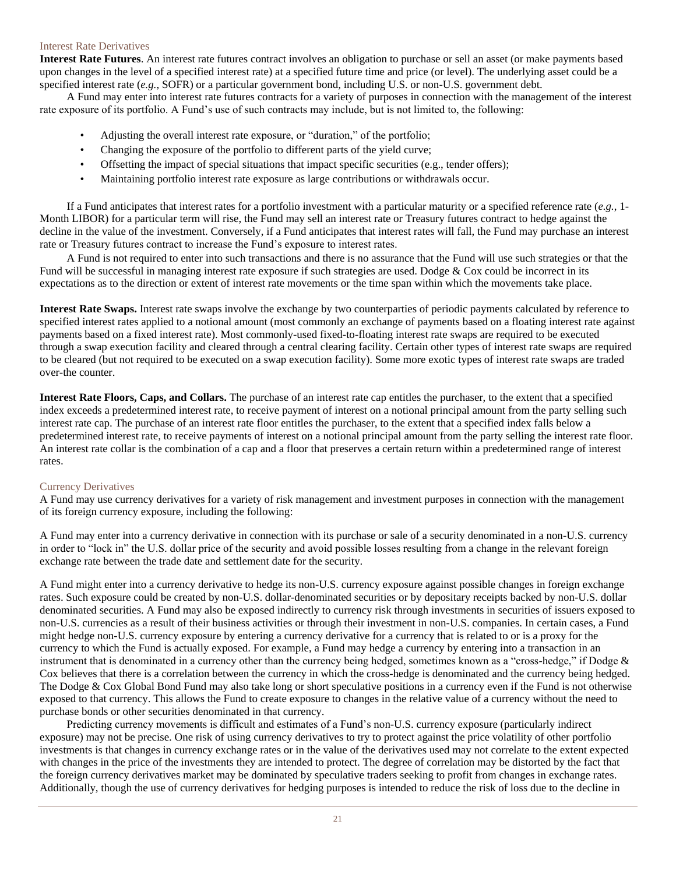## Interest Rate Derivatives

**Interest Rate Futures**. An interest rate futures contract involves an obligation to purchase or sell an asset (or make payments based upon changes in the level of a specified interest rate) at a specified future time and price (or level). The underlying asset could be a specified interest rate (*e.g.*, SOFR) or a particular government bond, including U.S. or non-U.S. government debt.

A Fund may enter into interest rate futures contracts for a variety of purposes in connection with the management of the interest rate exposure of its portfolio. A Fund's use of such contracts may include, but is not limited to, the following:

- Adjusting the overall interest rate exposure, or "duration," of the portfolio;
- Changing the exposure of the portfolio to different parts of the yield curve;
- Offsetting the impact of special situations that impact specific securities (e.g., tender offers);
- Maintaining portfolio interest rate exposure as large contributions or withdrawals occur.

If a Fund anticipates that interest rates for a portfolio investment with a particular maturity or a specified reference rate (*e.g.*, 1- Month LIBOR) for a particular term will rise, the Fund may sell an interest rate or Treasury futures contract to hedge against the decline in the value of the investment. Conversely, if a Fund anticipates that interest rates will fall, the Fund may purchase an interest rate or Treasury futures contract to increase the Fund's exposure to interest rates.

A Fund is not required to enter into such transactions and there is no assurance that the Fund will use such strategies or that the Fund will be successful in managing interest rate exposure if such strategies are used. Dodge & Cox could be incorrect in its expectations as to the direction or extent of interest rate movements or the time span within which the movements take place.

**Interest Rate Swaps.** Interest rate swaps involve the exchange by two counterparties of periodic payments calculated by reference to specified interest rates applied to a notional amount (most commonly an exchange of payments based on a floating interest rate against payments based on a fixed interest rate). Most commonly-used fixed-to-floating interest rate swaps are required to be executed through a swap execution facility and cleared through a central clearing facility. Certain other types of interest rate swaps are required to be cleared (but not required to be executed on a swap execution facility). Some more exotic types of interest rate swaps are traded over-the counter.

**Interest Rate Floors, Caps, and Collars.** The purchase of an interest rate cap entitles the purchaser, to the extent that a specified index exceeds a predetermined interest rate, to receive payment of interest on a notional principal amount from the party selling such interest rate cap. The purchase of an interest rate floor entitles the purchaser, to the extent that a specified index falls below a predetermined interest rate, to receive payments of interest on a notional principal amount from the party selling the interest rate floor. An interest rate collar is the combination of a cap and a floor that preserves a certain return within a predetermined range of interest rates.

## Currency Derivatives

A Fund may use currency derivatives for a variety of risk management and investment purposes in connection with the management of its foreign currency exposure, including the following:

A Fund may enter into a currency derivative in connection with its purchase or sale of a security denominated in a non-U.S. currency in order to "lock in" the U.S. dollar price of the security and avoid possible losses resulting from a change in the relevant foreign exchange rate between the trade date and settlement date for the security.

A Fund might enter into a currency derivative to hedge its non-U.S. currency exposure against possible changes in foreign exchange rates. Such exposure could be created by non-U.S. dollar-denominated securities or by depositary receipts backed by non-U.S. dollar denominated securities. A Fund may also be exposed indirectly to currency risk through investments in securities of issuers exposed to non-U.S. currencies as a result of their business activities or through their investment in non-U.S. companies. In certain cases, a Fund might hedge non-U.S. currency exposure by entering a currency derivative for a currency that is related to or is a proxy for the currency to which the Fund is actually exposed. For example, a Fund may hedge a currency by entering into a transaction in an instrument that is denominated in a currency other than the currency being hedged, sometimes known as a "cross-hedge," if Dodge & Cox believes that there is a correlation between the currency in which the cross-hedge is denominated and the currency being hedged. The Dodge & Cox Global Bond Fund may also take long or short speculative positions in a currency even if the Fund is not otherwise exposed to that currency. This allows the Fund to create exposure to changes in the relative value of a currency without the need to purchase bonds or other securities denominated in that currency.

Predicting currency movements is difficult and estimates of a Fund's non-U.S. currency exposure (particularly indirect exposure) may not be precise. One risk of using currency derivatives to try to protect against the price volatility of other portfolio investments is that changes in currency exchange rates or in the value of the derivatives used may not correlate to the extent expected with changes in the price of the investments they are intended to protect. The degree of correlation may be distorted by the fact that the foreign currency derivatives market may be dominated by speculative traders seeking to profit from changes in exchange rates. Additionally, though the use of currency derivatives for hedging purposes is intended to reduce the risk of loss due to the decline in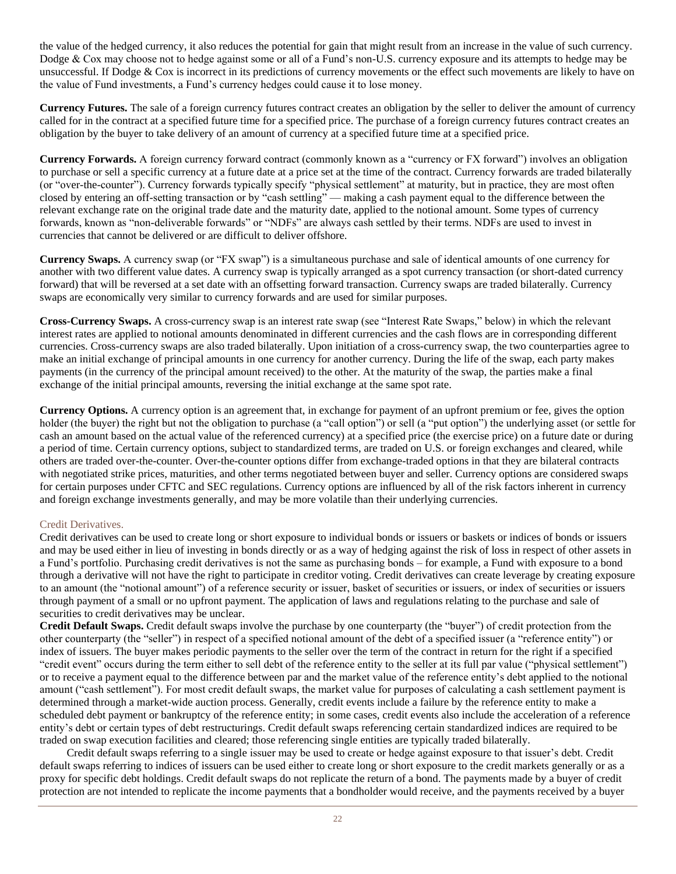the value of the hedged currency, it also reduces the potential for gain that might result from an increase in the value of such currency. Dodge & Cox may choose not to hedge against some or all of a Fund's non-U.S. currency exposure and its attempts to hedge may be unsuccessful. If Dodge & Cox is incorrect in its predictions of currency movements or the effect such movements are likely to have on the value of Fund investments, a Fund's currency hedges could cause it to lose money.

**Currency Futures.** The sale of a foreign currency futures contract creates an obligation by the seller to deliver the amount of currency called for in the contract at a specified future time for a specified price. The purchase of a foreign currency futures contract creates an obligation by the buyer to take delivery of an amount of currency at a specified future time at a specified price.

**Currency Forwards.** A foreign currency forward contract (commonly known as a "currency or FX forward") involves an obligation to purchase or sell a specific currency at a future date at a price set at the time of the contract. Currency forwards are traded bilaterally (or "over-the-counter"). Currency forwards typically specify "physical settlement" at maturity, but in practice, they are most often closed by entering an off-setting transaction or by "cash settling" — making a cash payment equal to the difference between the relevant exchange rate on the original trade date and the maturity date, applied to the notional amount. Some types of currency forwards, known as "non-deliverable forwards" or "NDFs" are always cash settled by their terms. NDFs are used to invest in currencies that cannot be delivered or are difficult to deliver offshore.

**Currency Swaps.** A currency swap (or "FX swap") is a simultaneous purchase and sale of identical amounts of one currency for another with two different value dates. A currency swap is typically arranged as a spot currency transaction (or short-dated currency forward) that will be reversed at a set date with an offsetting forward transaction. Currency swaps are traded bilaterally. Currency swaps are economically very similar to currency forwards and are used for similar purposes.

**Cross-Currency Swaps.** A cross-currency swap is an interest rate swap (see "Interest Rate Swaps," below) in which the relevant interest rates are applied to notional amounts denominated in different currencies and the cash flows are in corresponding different currencies. Cross-currency swaps are also traded bilaterally. Upon initiation of a cross-currency swap, the two counterparties agree to make an initial exchange of principal amounts in one currency for another currency. During the life of the swap, each party makes payments (in the currency of the principal amount received) to the other. At the maturity of the swap, the parties make a final exchange of the initial principal amounts, reversing the initial exchange at the same spot rate.

**Currency Options.** A currency option is an agreement that, in exchange for payment of an upfront premium or fee, gives the option holder (the buyer) the right but not the obligation to purchase (a "call option") or sell (a "put option") the underlying asset (or settle for cash an amount based on the actual value of the referenced currency) at a specified price (the exercise price) on a future date or during a period of time. Certain currency options, subject to standardized terms, are traded on U.S. or foreign exchanges and cleared, while others are traded over-the-counter. Over-the-counter options differ from exchange-traded options in that they are bilateral contracts with negotiated strike prices, maturities, and other terms negotiated between buyer and seller. Currency options are considered swaps for certain purposes under CFTC and SEC regulations. Currency options are influenced by all of the risk factors inherent in currency and foreign exchange investments generally, and may be more volatile than their underlying currencies.

## Credit Derivatives.

Credit derivatives can be used to create long or short exposure to individual bonds or issuers or baskets or indices of bonds or issuers and may be used either in lieu of investing in bonds directly or as a way of hedging against the risk of loss in respect of other assets in a Fund's portfolio. Purchasing credit derivatives is not the same as purchasing bonds – for example, a Fund with exposure to a bond through a derivative will not have the right to participate in creditor voting. Credit derivatives can create leverage by creating exposure to an amount (the "notional amount") of a reference security or issuer, basket of securities or issuers, or index of securities or issuers through payment of a small or no upfront payment. The application of laws and regulations relating to the purchase and sale of securities to credit derivatives may be unclear.

**Credit Default Swaps.** Credit default swaps involve the purchase by one counterparty (the "buyer") of credit protection from the other counterparty (the "seller") in respect of a specified notional amount of the debt of a specified issuer (a "reference entity") or index of issuers. The buyer makes periodic payments to the seller over the term of the contract in return for the right if a specified "credit event" occurs during the term either to sell debt of the reference entity to the seller at its full par value ("physical settlement") or to receive a payment equal to the difference between par and the market value of the reference entity's debt applied to the notional amount ("cash settlement"). For most credit default swaps, the market value for purposes of calculating a cash settlement payment is determined through a market-wide auction process. Generally, credit events include a failure by the reference entity to make a scheduled debt payment or bankruptcy of the reference entity; in some cases, credit events also include the acceleration of a reference entity's debt or certain types of debt restructurings. Credit default swaps referencing certain standardized indices are required to be traded on swap execution facilities and cleared; those referencing single entities are typically traded bilaterally.

Credit default swaps referring to a single issuer may be used to create or hedge against exposure to that issuer's debt. Credit default swaps referring to indices of issuers can be used either to create long or short exposure to the credit markets generally or as a proxy for specific debt holdings. Credit default swaps do not replicate the return of a bond. The payments made by a buyer of credit protection are not intended to replicate the income payments that a bondholder would receive, and the payments received by a buyer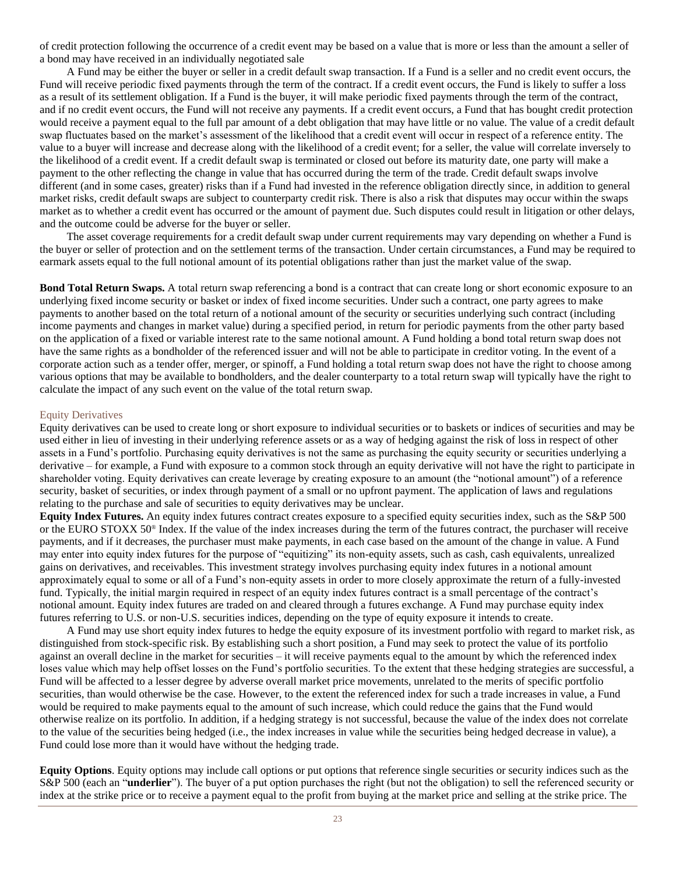of credit protection following the occurrence of a credit event may be based on a value that is more or less than the amount a seller of a bond may have received in an individually negotiated sale

A Fund may be either the buyer or seller in a credit default swap transaction. If a Fund is a seller and no credit event occurs, the Fund will receive periodic fixed payments through the term of the contract. If a credit event occurs, the Fund is likely to suffer a loss as a result of its settlement obligation. If a Fund is the buyer, it will make periodic fixed payments through the term of the contract, and if no credit event occurs, the Fund will not receive any payments. If a credit event occurs, a Fund that has bought credit protection would receive a payment equal to the full par amount of a debt obligation that may have little or no value. The value of a credit default swap fluctuates based on the market's assessment of the likelihood that a credit event will occur in respect of a reference entity. The value to a buyer will increase and decrease along with the likelihood of a credit event; for a seller, the value will correlate inversely to the likelihood of a credit event. If a credit default swap is terminated or closed out before its maturity date, one party will make a payment to the other reflecting the change in value that has occurred during the term of the trade. Credit default swaps involve different (and in some cases, greater) risks than if a Fund had invested in the reference obligation directly since, in addition to general market risks, credit default swaps are subject to counterparty credit risk. There is also a risk that disputes may occur within the swaps market as to whether a credit event has occurred or the amount of payment due. Such disputes could result in litigation or other delays, and the outcome could be adverse for the buyer or seller.

The asset coverage requirements for a credit default swap under current requirements may vary depending on whether a Fund is the buyer or seller of protection and on the settlement terms of the transaction. Under certain circumstances, a Fund may be required to earmark assets equal to the full notional amount of its potential obligations rather than just the market value of the swap.

**Bond Total Return Swaps.** A total return swap referencing a bond is a contract that can create long or short economic exposure to an underlying fixed income security or basket or index of fixed income securities. Under such a contract, one party agrees to make payments to another based on the total return of a notional amount of the security or securities underlying such contract (including income payments and changes in market value) during a specified period, in return for periodic payments from the other party based on the application of a fixed or variable interest rate to the same notional amount. A Fund holding a bond total return swap does not have the same rights as a bondholder of the referenced issuer and will not be able to participate in creditor voting. In the event of a corporate action such as a tender offer, merger, or spinoff, a Fund holding a total return swap does not have the right to choose among various options that may be available to bondholders, and the dealer counterparty to a total return swap will typically have the right to calculate the impact of any such event on the value of the total return swap.

#### Equity Derivatives

Equity derivatives can be used to create long or short exposure to individual securities or to baskets or indices of securities and may be used either in lieu of investing in their underlying reference assets or as a way of hedging against the risk of loss in respect of other assets in a Fund's portfolio. Purchasing equity derivatives is not the same as purchasing the equity security or securities underlying a derivative – for example, a Fund with exposure to a common stock through an equity derivative will not have the right to participate in shareholder voting. Equity derivatives can create leverage by creating exposure to an amount (the "notional amount") of a reference security, basket of securities, or index through payment of a small or no upfront payment. The application of laws and regulations relating to the purchase and sale of securities to equity derivatives may be unclear.

**Equity Index Futures.** An equity index futures contract creates exposure to a specified equity securities index, such as the S&P 500 or the EURO STOXX 50® Index. If the value of the index increases during the term of the futures contract, the purchaser will receive payments, and if it decreases, the purchaser must make payments, in each case based on the amount of the change in value. A Fund may enter into equity index futures for the purpose of "equitizing" its non-equity assets, such as cash, cash equivalents, unrealized gains on derivatives, and receivables. This investment strategy involves purchasing equity index futures in a notional amount approximately equal to some or all of a Fund's non-equity assets in order to more closely approximate the return of a fully-invested fund. Typically, the initial margin required in respect of an equity index futures contract is a small percentage of the contract's notional amount. Equity index futures are traded on and cleared through a futures exchange. A Fund may purchase equity index futures referring to U.S. or non-U.S. securities indices, depending on the type of equity exposure it intends to create.

A Fund may use short equity index futures to hedge the equity exposure of its investment portfolio with regard to market risk, as distinguished from stock-specific risk. By establishing such a short position, a Fund may seek to protect the value of its portfolio against an overall decline in the market for securities – it will receive payments equal to the amount by which the referenced index loses value which may help offset losses on the Fund's portfolio securities. To the extent that these hedging strategies are successful, a Fund will be affected to a lesser degree by adverse overall market price movements, unrelated to the merits of specific portfolio securities, than would otherwise be the case. However, to the extent the referenced index for such a trade increases in value, a Fund would be required to make payments equal to the amount of such increase, which could reduce the gains that the Fund would otherwise realize on its portfolio. In addition, if a hedging strategy is not successful, because the value of the index does not correlate to the value of the securities being hedged (i.e., the index increases in value while the securities being hedged decrease in value), a Fund could lose more than it would have without the hedging trade.

**Equity Options**. Equity options may include call options or put options that reference single securities or security indices such as the S&P 500 (each an "**underlier**"). The buyer of a put option purchases the right (but not the obligation) to sell the referenced security or index at the strike price or to receive a payment equal to the profit from buying at the market price and selling at the strike price. The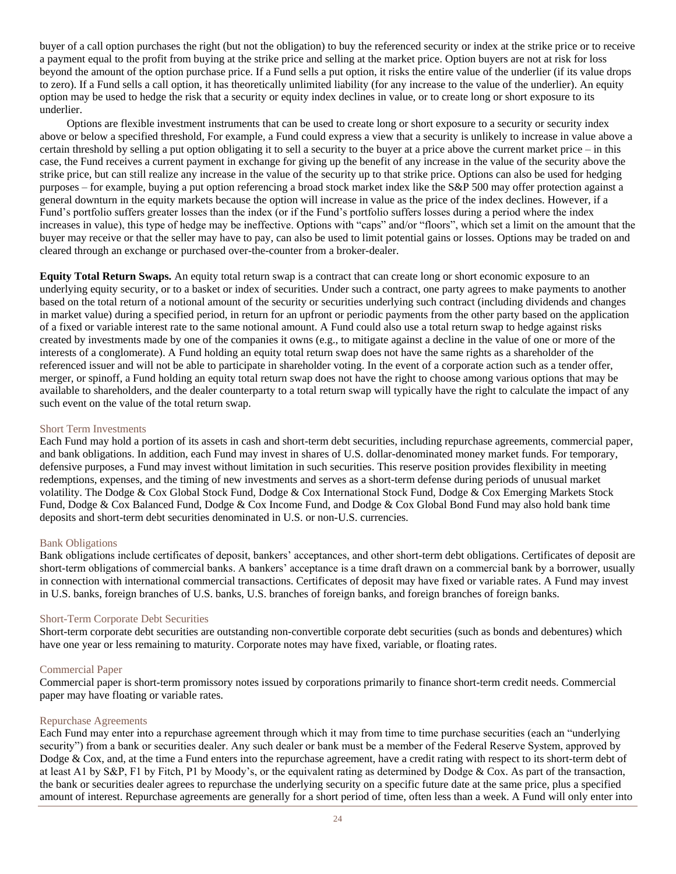buyer of a call option purchases the right (but not the obligation) to buy the referenced security or index at the strike price or to receive a payment equal to the profit from buying at the strike price and selling at the market price. Option buyers are not at risk for loss beyond the amount of the option purchase price. If a Fund sells a put option, it risks the entire value of the underlier (if its value drops to zero). If a Fund sells a call option, it has theoretically unlimited liability (for any increase to the value of the underlier). An equity option may be used to hedge the risk that a security or equity index declines in value, or to create long or short exposure to its underlier.

Options are flexible investment instruments that can be used to create long or short exposure to a security or security index above or below a specified threshold, For example, a Fund could express a view that a security is unlikely to increase in value above a certain threshold by selling a put option obligating it to sell a security to the buyer at a price above the current market price – in this case, the Fund receives a current payment in exchange for giving up the benefit of any increase in the value of the security above the strike price, but can still realize any increase in the value of the security up to that strike price. Options can also be used for hedging purposes – for example, buying a put option referencing a broad stock market index like the S&P 500 may offer protection against a general downturn in the equity markets because the option will increase in value as the price of the index declines. However, if a Fund's portfolio suffers greater losses than the index (or if the Fund's portfolio suffers losses during a period where the index increases in value), this type of hedge may be ineffective. Options with "caps" and/or "floors", which set a limit on the amount that the buyer may receive or that the seller may have to pay, can also be used to limit potential gains or losses. Options may be traded on and cleared through an exchange or purchased over-the-counter from a broker-dealer.

**Equity Total Return Swaps.** An equity total return swap is a contract that can create long or short economic exposure to an underlying equity security, or to a basket or index of securities. Under such a contract, one party agrees to make payments to another based on the total return of a notional amount of the security or securities underlying such contract (including dividends and changes in market value) during a specified period, in return for an upfront or periodic payments from the other party based on the application of a fixed or variable interest rate to the same notional amount. A Fund could also use a total return swap to hedge against risks created by investments made by one of the companies it owns (e.g., to mitigate against a decline in the value of one or more of the interests of a conglomerate). A Fund holding an equity total return swap does not have the same rights as a shareholder of the referenced issuer and will not be able to participate in shareholder voting. In the event of a corporate action such as a tender offer, merger, or spinoff, a Fund holding an equity total return swap does not have the right to choose among various options that may be available to shareholders, and the dealer counterparty to a total return swap will typically have the right to calculate the impact of any such event on the value of the total return swap.

## Short Term Investments

Each Fund may hold a portion of its assets in cash and short-term debt securities, including repurchase agreements, commercial paper, and bank obligations. In addition, each Fund may invest in shares of U.S. dollar-denominated money market funds. For temporary, defensive purposes, a Fund may invest without limitation in such securities. This reserve position provides flexibility in meeting redemptions, expenses, and the timing of new investments and serves as a short-term defense during periods of unusual market volatility. The Dodge & Cox Global Stock Fund, Dodge & Cox International Stock Fund, Dodge & Cox Emerging Markets Stock Fund, Dodge & Cox Balanced Fund, Dodge & Cox Income Fund, and Dodge & Cox Global Bond Fund may also hold bank time deposits and short-term debt securities denominated in U.S. or non-U.S. currencies.

### Bank Obligations

Bank obligations include certificates of deposit, bankers' acceptances, and other short-term debt obligations. Certificates of deposit are short-term obligations of commercial banks. A bankers' acceptance is a time draft drawn on a commercial bank by a borrower, usually in connection with international commercial transactions. Certificates of deposit may have fixed or variable rates. A Fund may invest in U.S. banks, foreign branches of U.S. banks, U.S. branches of foreign banks, and foreign branches of foreign banks.

### Short-Term Corporate Debt Securities

Short-term corporate debt securities are outstanding non-convertible corporate debt securities (such as bonds and debentures) which have one year or less remaining to maturity. Corporate notes may have fixed, variable, or floating rates.

### Commercial Paper

Commercial paper is short-term promissory notes issued by corporations primarily to finance short-term credit needs. Commercial paper may have floating or variable rates.

## Repurchase Agreements

Each Fund may enter into a repurchase agreement through which it may from time to time purchase securities (each an "underlying security") from a bank or securities dealer. Any such dealer or bank must be a member of the Federal Reserve System, approved by Dodge & Cox, and, at the time a Fund enters into the repurchase agreement, have a credit rating with respect to its short-term debt of at least A1 by S&P, F1 by Fitch, P1 by Moody's, or the equivalent rating as determined by Dodge & Cox. As part of the transaction, the bank or securities dealer agrees to repurchase the underlying security on a specific future date at the same price, plus a specified amount of interest. Repurchase agreements are generally for a short period of time, often less than a week. A Fund will only enter into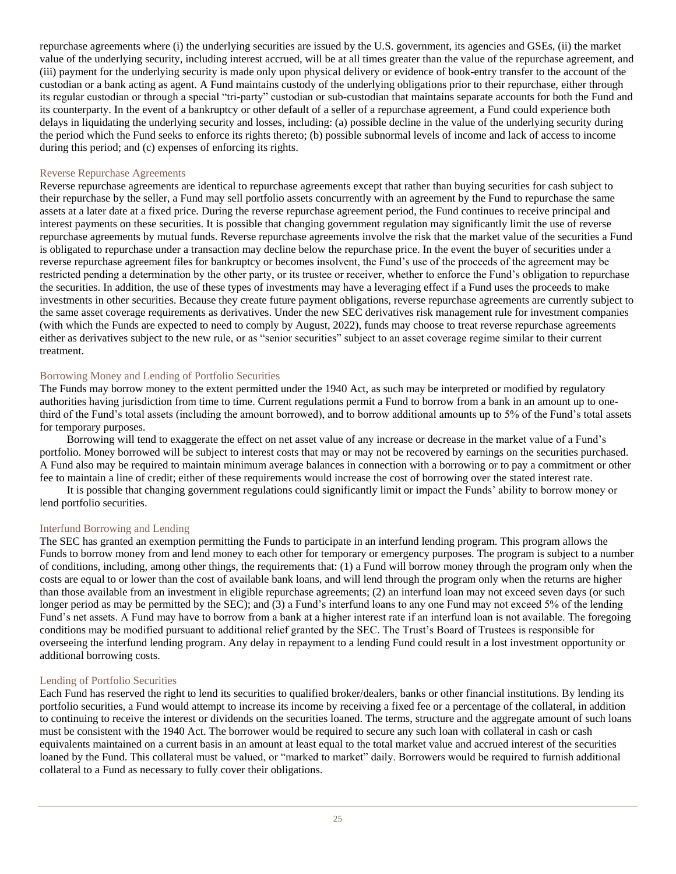repurchase agreements where (i) the underlying securities are issued by the U.S. government, its agencies and GSEs, (ii) the market value of the underlying security, including interest accrued, will be at all times greater than the value of the repurchase agreement, and (iii) payment for the underlying security is made only upon physical delivery or evidence of book-entry transfer to the account of the custodian or a bank acting as agent. A Fund maintains custody of the underlying obligations prior to their repurchase, either through its regular custodian or through a special "tri-party" custodian or sub-custodian that maintains separate accounts for both the Fund and its counterparty. In the event of a bankruptcy or other default of a seller of a repurchase agreement, a Fund could experience both delays in liquidating the underlying security and losses, including: (a) possible decline in the value of the underlying security during the period which the Fund seeks to enforce its rights thereto; (b) possible subnormal levels of income and lack of access to income during this period; and (c) expenses of enforcing its rights.

## Reverse Repurchase Agreements

Reverse repurchase agreements are identical to repurchase agreements except that rather than buying securities for cash subject to their repurchase by the seller, a Fund may sell portfolio assets concurrently with an agreement by the Fund to repurchase the same assets at a later date at a fixed price. During the reverse repurchase agreement period, the Fund continues to receive principal and interest payments on these securities. It is possible that changing government regulation may significantly limit the use of reverse repurchase agreements by mutual funds. Reverse repurchase agreements involve the risk that the market value of the securities a Fund is obligated to repurchase under a transaction may decline below the repurchase price. In the event the buyer of securities under a reverse repurchase agreement files for bankruptcy or becomes insolvent, the Fund's use of the proceeds of the agreement may be restricted pending a determination by the other party, or its trustee or receiver, whether to enforce the Fund's obligation to repurchase the securities. In addition, the use of these types of investments may have a leveraging effect if a Fund uses the proceeds to make investments in other securities. Because they create future payment obligations, reverse repurchase agreements are currently subject to the same asset coverage requirements as derivatives. Under the new SEC derivatives risk management rule for investment companies (with which the Funds are expected to need to comply by August, 2022), funds may choose to treat reverse repurchase agreements either as derivatives subject to the new rule, or as "senior securities" subject to an asset coverage regime similar to their current treatment.

## Borrowing Money and Lending of Portfolio Securities

The Funds may borrow money to the extent permitted under the 1940 Act, as such may be interpreted or modified by regulatory authorities having jurisdiction from time to time. Current regulations permit a Fund to borrow from a bank in an amount up to onethird of the Fund's total assets (including the amount borrowed), and to borrow additional amounts up to 5% of the Fund's total assets for temporary purposes.

Borrowing will tend to exaggerate the effect on net asset value of any increase or decrease in the market value of a Fund's portfolio. Money borrowed will be subject to interest costs that may or may not be recovered by earnings on the securities purchased. A Fund also may be required to maintain minimum average balances in connection with a borrowing or to pay a commitment or other fee to maintain a line of credit; either of these requirements would increase the cost of borrowing over the stated interest rate.

It is possible that changing government regulations could significantly limit or impact the Funds' ability to borrow money or lend portfolio securities.

## Interfund Borrowing and Lending

The SEC has granted an exemption permitting the Funds to participate in an interfund lending program. This program allows the Funds to borrow money from and lend money to each other for temporary or emergency purposes. The program is subject to a number of conditions, including, among other things, the requirements that: (1) a Fund will borrow money through the program only when the costs are equal to or lower than the cost of available bank loans, and will lend through the program only when the returns are higher than those available from an investment in eligible repurchase agreements; (2) an interfund loan may not exceed seven days (or such longer period as may be permitted by the SEC); and (3) a Fund's interfund loans to any one Fund may not exceed 5% of the lending Fund's net assets. A Fund may have to borrow from a bank at a higher interest rate if an interfund loan is not available. The foregoing conditions may be modified pursuant to additional relief granted by the SEC. The Trust's Board of Trustees is responsible for overseeing the interfund lending program. Any delay in repayment to a lending Fund could result in a lost investment opportunity or additional borrowing costs.

### Lending of Portfolio Securities

Each Fund has reserved the right to lend its securities to qualified broker/dealers, banks or other financial institutions. By lending its portfolio securities, a Fund would attempt to increase its income by receiving a fixed fee or a percentage of the collateral, in addition to continuing to receive the interest or dividends on the securities loaned. The terms, structure and the aggregate amount of such loans must be consistent with the 1940 Act. The borrower would be required to secure any such loan with collateral in cash or cash equivalents maintained on a current basis in an amount at least equal to the total market value and accrued interest of the securities loaned by the Fund. This collateral must be valued, or "marked to market" daily. Borrowers would be required to furnish additional collateral to a Fund as necessary to fully cover their obligations.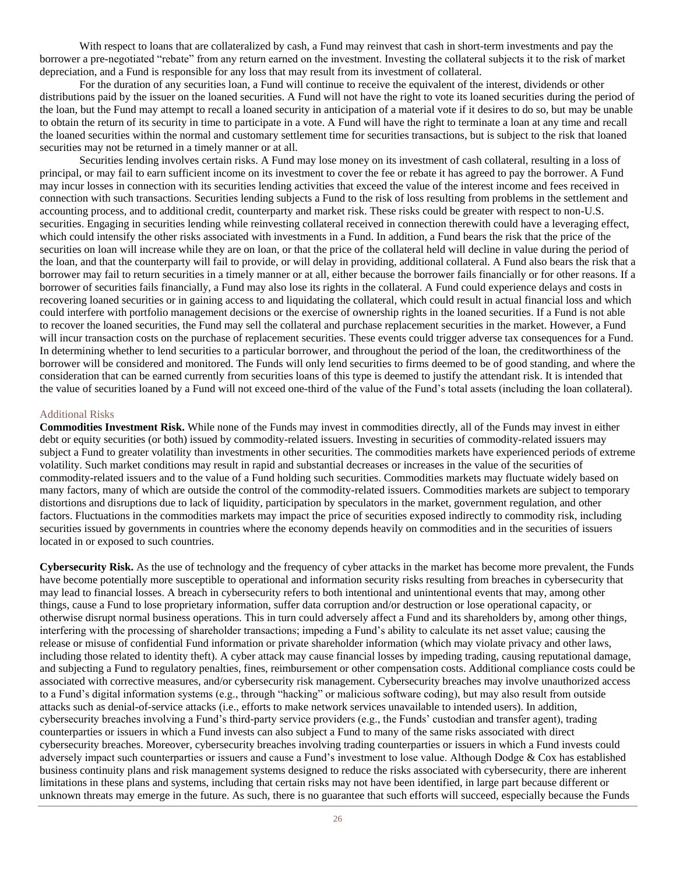With respect to loans that are collateralized by cash, a Fund may reinvest that cash in short-term investments and pay the borrower a pre-negotiated "rebate" from any return earned on the investment. Investing the collateral subjects it to the risk of market depreciation, and a Fund is responsible for any loss that may result from its investment of collateral.

For the duration of any securities loan, a Fund will continue to receive the equivalent of the interest, dividends or other distributions paid by the issuer on the loaned securities. A Fund will not have the right to vote its loaned securities during the period of the loan, but the Fund may attempt to recall a loaned security in anticipation of a material vote if it desires to do so, but may be unable to obtain the return of its security in time to participate in a vote. A Fund will have the right to terminate a loan at any time and recall the loaned securities within the normal and customary settlement time for securities transactions, but is subject to the risk that loaned securities may not be returned in a timely manner or at all.

Securities lending involves certain risks. A Fund may lose money on its investment of cash collateral, resulting in a loss of principal, or may fail to earn sufficient income on its investment to cover the fee or rebate it has agreed to pay the borrower. A Fund may incur losses in connection with its securities lending activities that exceed the value of the interest income and fees received in connection with such transactions. Securities lending subjects a Fund to the risk of loss resulting from problems in the settlement and accounting process, and to additional credit, counterparty and market risk. These risks could be greater with respect to non-U.S. securities. Engaging in securities lending while reinvesting collateral received in connection therewith could have a leveraging effect, which could intensify the other risks associated with investments in a Fund. In addition, a Fund bears the risk that the price of the securities on loan will increase while they are on loan, or that the price of the collateral held will decline in value during the period of the loan, and that the counterparty will fail to provide, or will delay in providing, additional collateral. A Fund also bears the risk that a borrower may fail to return securities in a timely manner or at all, either because the borrower fails financially or for other reasons. If a borrower of securities fails financially, a Fund may also lose its rights in the collateral. A Fund could experience delays and costs in recovering loaned securities or in gaining access to and liquidating the collateral, which could result in actual financial loss and which could interfere with portfolio management decisions or the exercise of ownership rights in the loaned securities. If a Fund is not able to recover the loaned securities, the Fund may sell the collateral and purchase replacement securities in the market. However, a Fund will incur transaction costs on the purchase of replacement securities. These events could trigger adverse tax consequences for a Fund. In determining whether to lend securities to a particular borrower, and throughout the period of the loan, the creditworthiness of the borrower will be considered and monitored. The Funds will only lend securities to firms deemed to be of good standing, and where the consideration that can be earned currently from securities loans of this type is deemed to justify the attendant risk. It is intended that the value of securities loaned by a Fund will not exceed one-third of the value of the Fund's total assets (including the loan collateral).

#### Additional Risks

**Commodities Investment Risk.** While none of the Funds may invest in commodities directly, all of the Funds may invest in either debt or equity securities (or both) issued by commodity-related issuers. Investing in securities of commodity-related issuers may subject a Fund to greater volatility than investments in other securities. The commodities markets have experienced periods of extreme volatility. Such market conditions may result in rapid and substantial decreases or increases in the value of the securities of commodity-related issuers and to the value of a Fund holding such securities. Commodities markets may fluctuate widely based on many factors, many of which are outside the control of the commodity-related issuers. Commodities markets are subject to temporary distortions and disruptions due to lack of liquidity, participation by speculators in the market, government regulation, and other factors. Fluctuations in the commodities markets may impact the price of securities exposed indirectly to commodity risk, including securities issued by governments in countries where the economy depends heavily on commodities and in the securities of issuers located in or exposed to such countries.

**Cybersecurity Risk.** As the use of technology and the frequency of cyber attacks in the market has become more prevalent, the Funds have become potentially more susceptible to operational and information security risks resulting from breaches in cybersecurity that may lead to financial losses. A breach in cybersecurity refers to both intentional and unintentional events that may, among other things, cause a Fund to lose proprietary information, suffer data corruption and/or destruction or lose operational capacity, or otherwise disrupt normal business operations. This in turn could adversely affect a Fund and its shareholders by, among other things, interfering with the processing of shareholder transactions; impeding a Fund's ability to calculate its net asset value; causing the release or misuse of confidential Fund information or private shareholder information (which may violate privacy and other laws, including those related to identity theft). A cyber attack may cause financial losses by impeding trading, causing reputational damage, and subjecting a Fund to regulatory penalties, fines, reimbursement or other compensation costs. Additional compliance costs could be associated with corrective measures, and/or cybersecurity risk management. Cybersecurity breaches may involve unauthorized access to a Fund's digital information systems (e.g., through "hacking" or malicious software coding), but may also result from outside attacks such as denial-of-service attacks (i.e., efforts to make network services unavailable to intended users). In addition, cybersecurity breaches involving a Fund's third-party service providers (e.g., the Funds' custodian and transfer agent), trading counterparties or issuers in which a Fund invests can also subject a Fund to many of the same risks associated with direct cybersecurity breaches. Moreover, cybersecurity breaches involving trading counterparties or issuers in which a Fund invests could adversely impact such counterparties or issuers and cause a Fund's investment to lose value. Although Dodge & Cox has established business continuity plans and risk management systems designed to reduce the risks associated with cybersecurity, there are inherent limitations in these plans and systems, including that certain risks may not have been identified, in large part because different or unknown threats may emerge in the future. As such, there is no guarantee that such efforts will succeed, especially because the Funds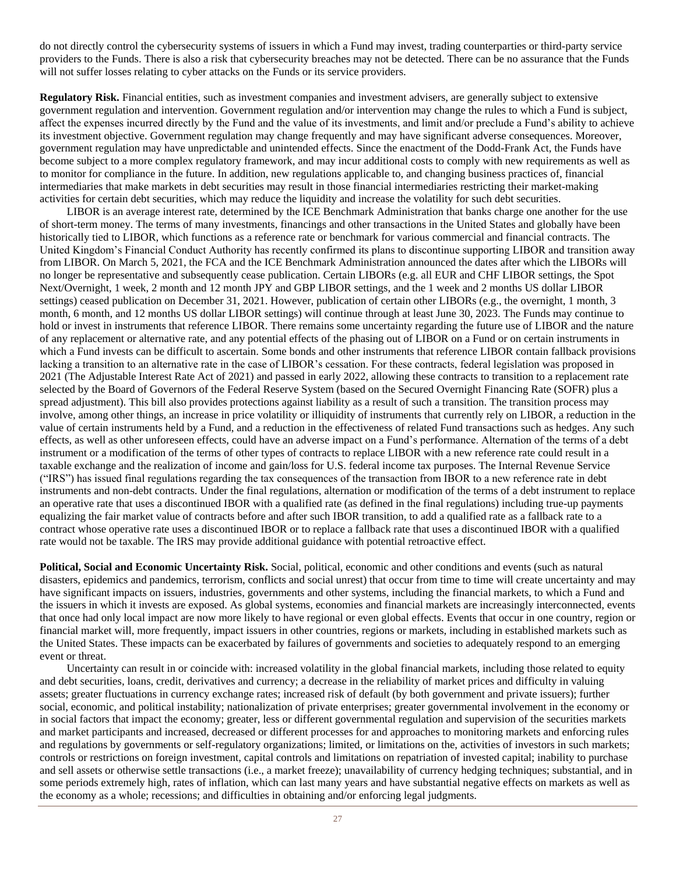do not directly control the cybersecurity systems of issuers in which a Fund may invest, trading counterparties or third-party service providers to the Funds. There is also a risk that cybersecurity breaches may not be detected. There can be no assurance that the Funds will not suffer losses relating to cyber attacks on the Funds or its service providers.

**Regulatory Risk.** Financial entities, such as investment companies and investment advisers, are generally subject to extensive government regulation and intervention. Government regulation and/or intervention may change the rules to which a Fund is subject, affect the expenses incurred directly by the Fund and the value of its investments, and limit and/or preclude a Fund's ability to achieve its investment objective. Government regulation may change frequently and may have significant adverse consequences. Moreover, government regulation may have unpredictable and unintended effects. Since the enactment of the Dodd-Frank Act, the Funds have become subject to a more complex regulatory framework, and may incur additional costs to comply with new requirements as well as to monitor for compliance in the future. In addition, new regulations applicable to, and changing business practices of, financial intermediaries that make markets in debt securities may result in those financial intermediaries restricting their market-making activities for certain debt securities, which may reduce the liquidity and increase the volatility for such debt securities.

LIBOR is an average interest rate, determined by the ICE Benchmark Administration that banks charge one another for the use of short-term money. The terms of many investments, financings and other transactions in the United States and globally have been historically tied to LIBOR, which functions as a reference rate or benchmark for various commercial and financial contracts. The United Kingdom's Financial Conduct Authority has recently confirmed its plans to discontinue supporting LIBOR and transition away from LIBOR. On March 5, 2021, the FCA and the ICE Benchmark Administration announced the dates after which the LIBORs will no longer be representative and subsequently cease publication. Certain LIBORs (e.g. all EUR and CHF LIBOR settings, the Spot Next/Overnight, 1 week, 2 month and 12 month JPY and GBP LIBOR settings, and the 1 week and 2 months US dollar LIBOR settings) ceased publication on December 31, 2021. However, publication of certain other LIBORs (e.g., the overnight, 1 month, 3 month, 6 month, and 12 months US dollar LIBOR settings) will continue through at least June 30, 2023. The Funds may continue to hold or invest in instruments that reference LIBOR. There remains some uncertainty regarding the future use of LIBOR and the nature of any replacement or alternative rate, and any potential effects of the phasing out of LIBOR on a Fund or on certain instruments in which a Fund invests can be difficult to ascertain. Some bonds and other instruments that reference LIBOR contain fallback provisions lacking a transition to an alternative rate in the case of LIBOR's cessation. For these contracts, federal legislation was proposed in 2021 (The Adjustable Interest Rate Act of 2021) and passed in early 2022, allowing these contracts to transition to a replacement rate selected by the Board of Governors of the Federal Reserve System (based on the Secured Overnight Financing Rate (SOFR) plus a spread adjustment). This bill also provides protections against liability as a result of such a transition. The transition process may involve, among other things, an increase in price volatility or illiquidity of instruments that currently rely on LIBOR, a reduction in the value of certain instruments held by a Fund, and a reduction in the effectiveness of related Fund transactions such as hedges. Any such effects, as well as other unforeseen effects, could have an adverse impact on a Fund's performance. Alternation of the terms of a debt instrument or a modification of the terms of other types of contracts to replace LIBOR with a new reference rate could result in a taxable exchange and the realization of income and gain/loss for U.S. federal income tax purposes. The Internal Revenue Service ("IRS") has issued final regulations regarding the tax consequences of the transaction from IBOR to a new reference rate in debt instruments and non-debt contracts. Under the final regulations, alternation or modification of the terms of a debt instrument to replace an operative rate that uses a discontinued IBOR with a qualified rate (as defined in the final regulations) including true-up payments equalizing the fair market value of contracts before and after such IBOR transition, to add a qualified rate as a fallback rate to a contract whose operative rate uses a discontinued IBOR or to replace a fallback rate that uses a discontinued IBOR with a qualified rate would not be taxable. The IRS may provide additional guidance with potential retroactive effect.

**Political, Social and Economic Uncertainty Risk.** Social, political, economic and other conditions and events (such as natural disasters, epidemics and pandemics, terrorism, conflicts and social unrest) that occur from time to time will create uncertainty and may have significant impacts on issuers, industries, governments and other systems, including the financial markets, to which a Fund and the issuers in which it invests are exposed. As global systems, economies and financial markets are increasingly interconnected, events that once had only local impact are now more likely to have regional or even global effects. Events that occur in one country, region or financial market will, more frequently, impact issuers in other countries, regions or markets, including in established markets such as the United States. These impacts can be exacerbated by failures of governments and societies to adequately respond to an emerging event or threat.

Uncertainty can result in or coincide with: increased volatility in the global financial markets, including those related to equity and debt securities, loans, credit, derivatives and currency; a decrease in the reliability of market prices and difficulty in valuing assets; greater fluctuations in currency exchange rates; increased risk of default (by both government and private issuers); further social, economic, and political instability; nationalization of private enterprises; greater governmental involvement in the economy or in social factors that impact the economy; greater, less or different governmental regulation and supervision of the securities markets and market participants and increased, decreased or different processes for and approaches to monitoring markets and enforcing rules and regulations by governments or self-regulatory organizations; limited, or limitations on the, activities of investors in such markets; controls or restrictions on foreign investment, capital controls and limitations on repatriation of invested capital; inability to purchase and sell assets or otherwise settle transactions (i.e., a market freeze); unavailability of currency hedging techniques; substantial, and in some periods extremely high, rates of inflation, which can last many years and have substantial negative effects on markets as well as the economy as a whole; recessions; and difficulties in obtaining and/or enforcing legal judgments.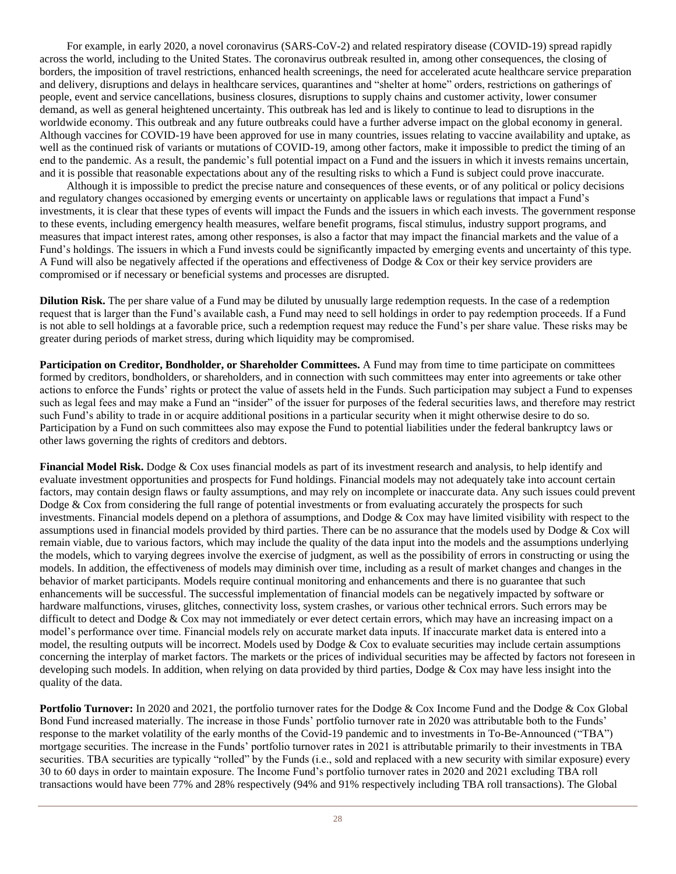For example, in early 2020, a novel coronavirus (SARS-CoV-2) and related respiratory disease (COVID-19) spread rapidly across the world, including to the United States. The coronavirus outbreak resulted in, among other consequences, the closing of borders, the imposition of travel restrictions, enhanced health screenings, the need for accelerated acute healthcare service preparation and delivery, disruptions and delays in healthcare services, quarantines and "shelter at home" orders, restrictions on gatherings of people, event and service cancellations, business closures, disruptions to supply chains and customer activity, lower consumer demand, as well as general heightened uncertainty. This outbreak has led and is likely to continue to lead to disruptions in the worldwide economy. This outbreak and any future outbreaks could have a further adverse impact on the global economy in general. Although vaccines for COVID-19 have been approved for use in many countries, issues relating to vaccine availability and uptake, as well as the continued risk of variants or mutations of COVID-19, among other factors, make it impossible to predict the timing of an end to the pandemic. As a result, the pandemic's full potential impact on a Fund and the issuers in which it invests remains uncertain, and it is possible that reasonable expectations about any of the resulting risks to which a Fund is subject could prove inaccurate.

Although it is impossible to predict the precise nature and consequences of these events, or of any political or policy decisions and regulatory changes occasioned by emerging events or uncertainty on applicable laws or regulations that impact a Fund's investments, it is clear that these types of events will impact the Funds and the issuers in which each invests. The government response to these events, including emergency health measures, welfare benefit programs, fiscal stimulus, industry support programs, and measures that impact interest rates, among other responses, is also a factor that may impact the financial markets and the value of a Fund's holdings. The issuers in which a Fund invests could be significantly impacted by emerging events and uncertainty of this type. A Fund will also be negatively affected if the operations and effectiveness of Dodge  $\&$  Cox or their key service providers are compromised or if necessary or beneficial systems and processes are disrupted.

**Dilution Risk.** The per share value of a Fund may be diluted by unusually large redemption requests. In the case of a redemption request that is larger than the Fund's available cash, a Fund may need to sell holdings in order to pay redemption proceeds. If a Fund is not able to sell holdings at a favorable price, such a redemption request may reduce the Fund's per share value. These risks may be greater during periods of market stress, during which liquidity may be compromised.

**Participation on Creditor, Bondholder, or Shareholder Committees.** A Fund may from time to time participate on committees formed by creditors, bondholders, or shareholders, and in connection with such committees may enter into agreements or take other actions to enforce the Funds' rights or protect the value of assets held in the Funds. Such participation may subject a Fund to expenses such as legal fees and may make a Fund an "insider" of the issuer for purposes of the federal securities laws, and therefore may restrict such Fund's ability to trade in or acquire additional positions in a particular security when it might otherwise desire to do so. Participation by a Fund on such committees also may expose the Fund to potential liabilities under the federal bankruptcy laws or other laws governing the rights of creditors and debtors.

**Financial Model Risk.** Dodge & Cox uses financial models as part of its investment research and analysis, to help identify and evaluate investment opportunities and prospects for Fund holdings. Financial models may not adequately take into account certain factors, may contain design flaws or faulty assumptions, and may rely on incomplete or inaccurate data. Any such issues could prevent Dodge & Cox from considering the full range of potential investments or from evaluating accurately the prospects for such investments. Financial models depend on a plethora of assumptions, and Dodge & Cox may have limited visibility with respect to the assumptions used in financial models provided by third parties. There can be no assurance that the models used by Dodge & Cox will remain viable, due to various factors, which may include the quality of the data input into the models and the assumptions underlying the models, which to varying degrees involve the exercise of judgment, as well as the possibility of errors in constructing or using the models. In addition, the effectiveness of models may diminish over time, including as a result of market changes and changes in the behavior of market participants. Models require continual monitoring and enhancements and there is no guarantee that such enhancements will be successful. The successful implementation of financial models can be negatively impacted by software or hardware malfunctions, viruses, glitches, connectivity loss, system crashes, or various other technical errors. Such errors may be difficult to detect and Dodge & Cox may not immediately or ever detect certain errors, which may have an increasing impact on a model's performance over time. Financial models rely on accurate market data inputs. If inaccurate market data is entered into a model, the resulting outputs will be incorrect. Models used by Dodge  $& Cox$  to evaluate securities may include certain assumptions concerning the interplay of market factors. The markets or the prices of individual securities may be affected by factors not foreseen in developing such models. In addition, when relying on data provided by third parties, Dodge  $\&$  Cox may have less insight into the quality of the data.

**Portfolio Turnover:** In 2020 and 2021, the portfolio turnover rates for the Dodge & Cox Income Fund and the Dodge & Cox Global Bond Fund increased materially. The increase in those Funds' portfolio turnover rate in 2020 was attributable both to the Funds' response to the market volatility of the early months of the Covid-19 pandemic and to investments in To-Be-Announced ("TBA") mortgage securities. The increase in the Funds' portfolio turnover rates in 2021 is attributable primarily to their investments in TBA securities. TBA securities are typically "rolled" by the Funds (i.e., sold and replaced with a new security with similar exposure) every 30 to 60 days in order to maintain exposure. The Income Fund's portfolio turnover rates in 2020 and 2021 excluding TBA roll transactions would have been 77% and 28% respectively (94% and 91% respectively including TBA roll transactions). The Global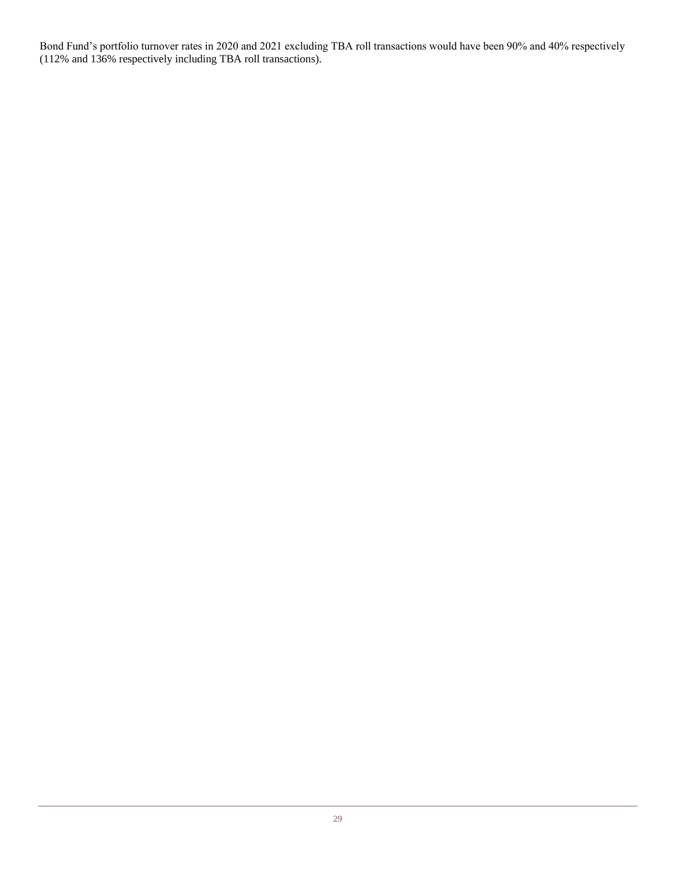Bond Fund's portfolio turnover rates in 2020 and 2021 excluding TBA roll transactions would have been 90% and 40% respectively (112% and 136% respectively including TBA roll transactions).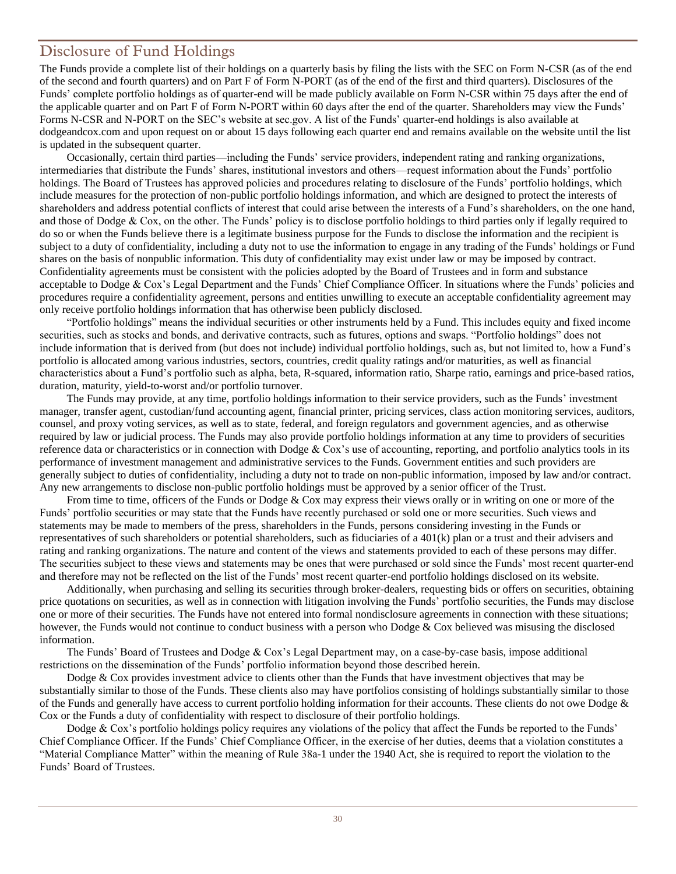# <span id="page-29-0"></span>Disclosure of Fund Holdings

The Funds provide a complete list of their holdings on a quarterly basis by filing the lists with the SEC on Form N-CSR (as of the end of the second and fourth quarters) and on Part F of Form N-PORT (as of the end of the first and third quarters). Disclosures of the Funds' complete portfolio holdings as of quarter-end will be made publicly available on Form N-CSR within 75 days after the end of the applicable quarter and on Part F of Form N-PORT within 60 days after the end of the quarter. Shareholders may view the Funds' Forms N-CSR and N-PORT on the SEC's website at sec.gov. A list of the Funds' quarter-end holdings is also available at dodgeandcox.com and upon request on or about 15 days following each quarter end and remains available on the website until the list is updated in the subsequent quarter.

Occasionally, certain third parties—including the Funds' service providers, independent rating and ranking organizations, intermediaries that distribute the Funds' shares, institutional investors and others—request information about the Funds' portfolio holdings. The Board of Trustees has approved policies and procedures relating to disclosure of the Funds' portfolio holdings, which include measures for the protection of non-public portfolio holdings information, and which are designed to protect the interests of shareholders and address potential conflicts of interest that could arise between the interests of a Fund's shareholders, on the one hand, and those of Dodge  $& Cox$ , on the other. The Funds' policy is to disclose portfolio holdings to third parties only if legally required to do so or when the Funds believe there is a legitimate business purpose for the Funds to disclose the information and the recipient is subject to a duty of confidentiality, including a duty not to use the information to engage in any trading of the Funds' holdings or Fund shares on the basis of nonpublic information. This duty of confidentiality may exist under law or may be imposed by contract. Confidentiality agreements must be consistent with the policies adopted by the Board of Trustees and in form and substance acceptable to Dodge & Cox's Legal Department and the Funds' Chief Compliance Officer. In situations where the Funds' policies and procedures require a confidentiality agreement, persons and entities unwilling to execute an acceptable confidentiality agreement may only receive portfolio holdings information that has otherwise been publicly disclosed.

"Portfolio holdings" means the individual securities or other instruments held by a Fund. This includes equity and fixed income securities, such as stocks and bonds, and derivative contracts, such as futures, options and swaps. "Portfolio holdings" does not include information that is derived from (but does not include) individual portfolio holdings, such as, but not limited to, how a Fund's portfolio is allocated among various industries, sectors, countries, credit quality ratings and/or maturities, as well as financial characteristics about a Fund's portfolio such as alpha, beta, R-squared, information ratio, Sharpe ratio, earnings and price-based ratios, duration, maturity, yield-to-worst and/or portfolio turnover.

The Funds may provide, at any time, portfolio holdings information to their service providers, such as the Funds' investment manager, transfer agent, custodian/fund accounting agent, financial printer, pricing services, class action monitoring services, auditors, counsel, and proxy voting services, as well as to state, federal, and foreign regulators and government agencies, and as otherwise required by law or judicial process. The Funds may also provide portfolio holdings information at any time to providers of securities reference data or characteristics or in connection with Dodge & Cox's use of accounting, reporting, and portfolio analytics tools in its performance of investment management and administrative services to the Funds. Government entities and such providers are generally subject to duties of confidentiality, including a duty not to trade on non-public information, imposed by law and/or contract. Any new arrangements to disclose non-public portfolio holdings must be approved by a senior officer of the Trust.

From time to time, officers of the Funds or Dodge & Cox may express their views orally or in writing on one or more of the Funds' portfolio securities or may state that the Funds have recently purchased or sold one or more securities. Such views and statements may be made to members of the press, shareholders in the Funds, persons considering investing in the Funds or representatives of such shareholders or potential shareholders, such as fiduciaries of a 401(k) plan or a trust and their advisers and rating and ranking organizations. The nature and content of the views and statements provided to each of these persons may differ. The securities subject to these views and statements may be ones that were purchased or sold since the Funds' most recent quarter-end and therefore may not be reflected on the list of the Funds' most recent quarter-end portfolio holdings disclosed on its website.

Additionally, when purchasing and selling its securities through broker-dealers, requesting bids or offers on securities, obtaining price quotations on securities, as well as in connection with litigation involving the Funds' portfolio securities, the Funds may disclose one or more of their securities. The Funds have not entered into formal nondisclosure agreements in connection with these situations; however, the Funds would not continue to conduct business with a person who Dodge & Cox believed was misusing the disclosed information.

The Funds' Board of Trustees and Dodge  $& Cox's$  Legal Department may, on a case-by-case basis, impose additional restrictions on the dissemination of the Funds' portfolio information beyond those described herein.

Dodge & Cox provides investment advice to clients other than the Funds that have investment objectives that may be substantially similar to those of the Funds. These clients also may have portfolios consisting of holdings substantially similar to those of the Funds and generally have access to current portfolio holding information for their accounts. These clients do not owe Dodge  $\&$ Cox or the Funds a duty of confidentiality with respect to disclosure of their portfolio holdings.

Dodge  $& Cox's$  portfolio holdings policy requires any violations of the policy that affect the Funds be reported to the Funds' Chief Compliance Officer. If the Funds' Chief Compliance Officer, in the exercise of her duties, deems that a violation constitutes a "Material Compliance Matter" within the meaning of Rule 38a-1 under the 1940 Act, she is required to report the violation to the Funds' Board of Trustees.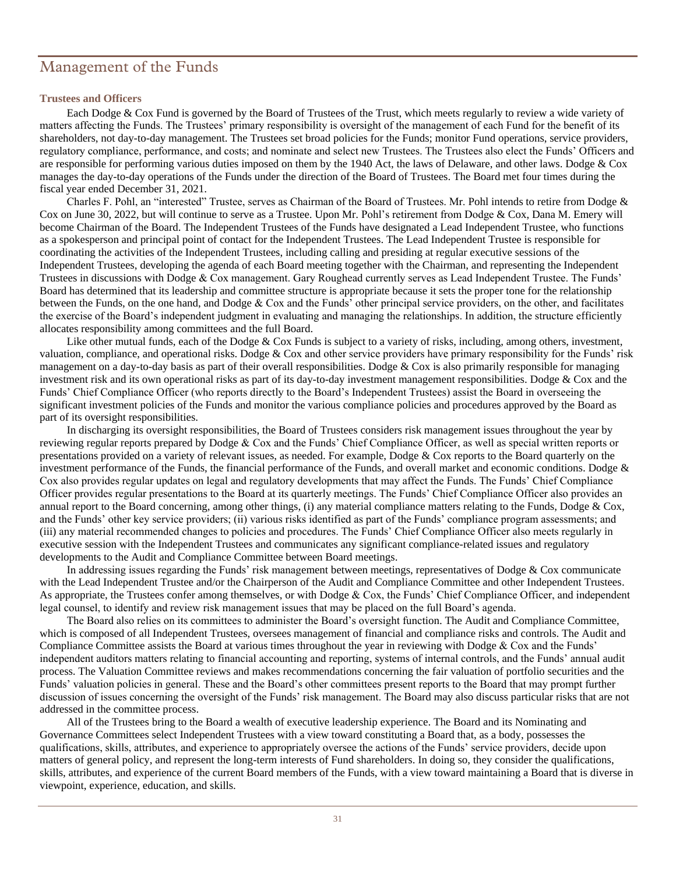# <span id="page-30-0"></span>Management of the Funds

### <span id="page-30-1"></span>**Trustees and Officers**

Each Dodge & Cox Fund is governed by the Board of Trustees of the Trust, which meets regularly to review a wide variety of matters affecting the Funds. The Trustees' primary responsibility is oversight of the management of each Fund for the benefit of its shareholders, not day-to-day management. The Trustees set broad policies for the Funds; monitor Fund operations, service providers, regulatory compliance, performance, and costs; and nominate and select new Trustees. The Trustees also elect the Funds' Officers and are responsible for performing various duties imposed on them by the 1940 Act, the laws of Delaware, and other laws. Dodge & Cox manages the day-to-day operations of the Funds under the direction of the Board of Trustees. The Board met four times during the fiscal year ended December 31, 2021.

Charles F. Pohl, an "interested" Trustee, serves as Chairman of the Board of Trustees. Mr. Pohl intends to retire from Dodge & Cox on June 30, 2022, but will continue to serve as a Trustee. Upon Mr. Pohl's retirement from Dodge & Cox, Dana M. Emery will become Chairman of the Board. The Independent Trustees of the Funds have designated a Lead Independent Trustee, who functions as a spokesperson and principal point of contact for the Independent Trustees. The Lead Independent Trustee is responsible for coordinating the activities of the Independent Trustees, including calling and presiding at regular executive sessions of the Independent Trustees, developing the agenda of each Board meeting together with the Chairman, and representing the Independent Trustees in discussions with Dodge & Cox management. Gary Roughead currently serves as Lead Independent Trustee. The Funds' Board has determined that its leadership and committee structure is appropriate because it sets the proper tone for the relationship between the Funds, on the one hand, and Dodge & Cox and the Funds' other principal service providers, on the other, and facilitates the exercise of the Board's independent judgment in evaluating and managing the relationships. In addition, the structure efficiently allocates responsibility among committees and the full Board.

Like other mutual funds, each of the Dodge & Cox Funds is subject to a variety of risks, including, among others, investment, valuation, compliance, and operational risks. Dodge  $& Cox$  and other service providers have primary responsibility for the Funds' risk management on a day-to-day basis as part of their overall responsibilities. Dodge  $\&$  Cox is also primarily responsible for managing investment risk and its own operational risks as part of its day-to-day investment management responsibilities. Dodge & Cox and the Funds' Chief Compliance Officer (who reports directly to the Board's Independent Trustees) assist the Board in overseeing the significant investment policies of the Funds and monitor the various compliance policies and procedures approved by the Board as part of its oversight responsibilities.

In discharging its oversight responsibilities, the Board of Trustees considers risk management issues throughout the year by reviewing regular reports prepared by Dodge & Cox and the Funds' Chief Compliance Officer, as well as special written reports or presentations provided on a variety of relevant issues, as needed. For example, Dodge & Cox reports to the Board quarterly on the investment performance of the Funds, the financial performance of the Funds, and overall market and economic conditions. Dodge & Cox also provides regular updates on legal and regulatory developments that may affect the Funds. The Funds' Chief Compliance Officer provides regular presentations to the Board at its quarterly meetings. The Funds' Chief Compliance Officer also provides an annual report to the Board concerning, among other things, (i) any material compliance matters relating to the Funds, Dodge & Cox, and the Funds' other key service providers; (ii) various risks identified as part of the Funds' compliance program assessments; and (iii) any material recommended changes to policies and procedures. The Funds' Chief Compliance Officer also meets regularly in executive session with the Independent Trustees and communicates any significant compliance-related issues and regulatory developments to the Audit and Compliance Committee between Board meetings.

In addressing issues regarding the Funds' risk management between meetings, representatives of Dodge & Cox communicate with the Lead Independent Trustee and/or the Chairperson of the Audit and Compliance Committee and other Independent Trustees. As appropriate, the Trustees confer among themselves, or with Dodge & Cox, the Funds' Chief Compliance Officer, and independent legal counsel, to identify and review risk management issues that may be placed on the full Board's agenda.

The Board also relies on its committees to administer the Board's oversight function. The Audit and Compliance Committee, which is composed of all Independent Trustees, oversees management of financial and compliance risks and controls. The Audit and Compliance Committee assists the Board at various times throughout the year in reviewing with Dodge  $&$  Cox and the Funds' independent auditors matters relating to financial accounting and reporting, systems of internal controls, and the Funds' annual audit process. The Valuation Committee reviews and makes recommendations concerning the fair valuation of portfolio securities and the Funds' valuation policies in general. These and the Board's other committees present reports to the Board that may prompt further discussion of issues concerning the oversight of the Funds' risk management. The Board may also discuss particular risks that are not addressed in the committee process.

All of the Trustees bring to the Board a wealth of executive leadership experience. The Board and its Nominating and Governance Committees select Independent Trustees with a view toward constituting a Board that, as a body, possesses the qualifications, skills, attributes, and experience to appropriately oversee the actions of the Funds' service providers, decide upon matters of general policy, and represent the long-term interests of Fund shareholders. In doing so, they consider the qualifications, skills, attributes, and experience of the current Board members of the Funds, with a view toward maintaining a Board that is diverse in viewpoint, experience, education, and skills.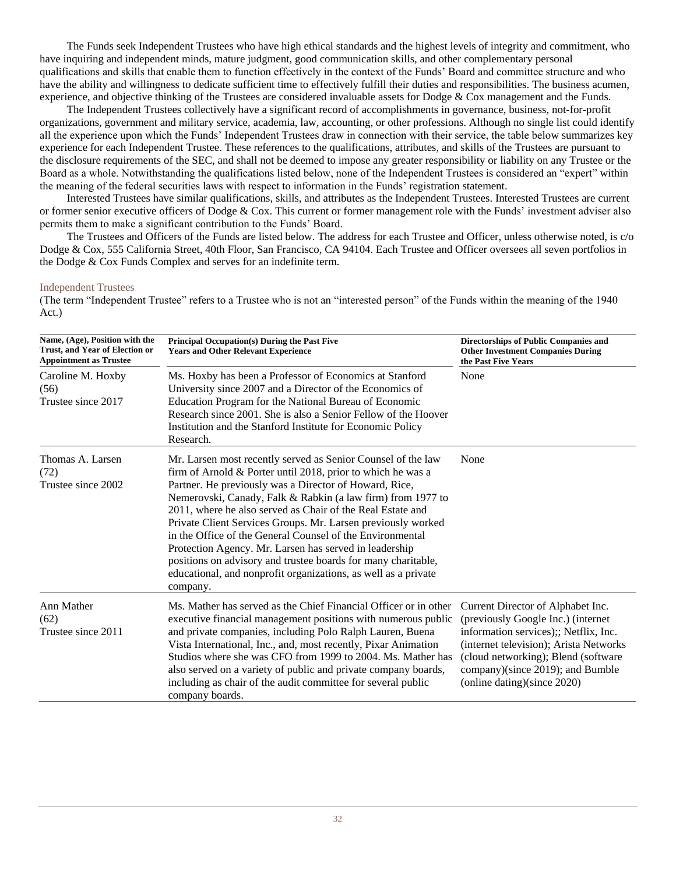The Funds seek Independent Trustees who have high ethical standards and the highest levels of integrity and commitment, who have inquiring and independent minds, mature judgment, good communication skills, and other complementary personal qualifications and skills that enable them to function effectively in the context of the Funds' Board and committee structure and who have the ability and willingness to dedicate sufficient time to effectively fulfill their duties and responsibilities. The business acumen, experience, and objective thinking of the Trustees are considered invaluable assets for Dodge & Cox management and the Funds.

The Independent Trustees collectively have a significant record of accomplishments in governance, business, not-for-profit organizations, government and military service, academia, law, accounting, or other professions. Although no single list could identify all the experience upon which the Funds' Independent Trustees draw in connection with their service, the table below summarizes key experience for each Independent Trustee. These references to the qualifications, attributes, and skills of the Trustees are pursuant to the disclosure requirements of the SEC, and shall not be deemed to impose any greater responsibility or liability on any Trustee or the Board as a whole. Notwithstanding the qualifications listed below, none of the Independent Trustees is considered an "expert" within the meaning of the federal securities laws with respect to information in the Funds' registration statement.

Interested Trustees have similar qualifications, skills, and attributes as the Independent Trustees. Interested Trustees are current or former senior executive officers of Dodge & Cox. This current or former management role with the Funds' investment adviser also permits them to make a significant contribution to the Funds' Board.

The Trustees and Officers of the Funds are listed below. The address for each Trustee and Officer, unless otherwise noted, is c/o Dodge & Cox, 555 California Street, 40th Floor, San Francisco, CA 94104. Each Trustee and Officer oversees all seven portfolios in the Dodge & Cox Funds Complex and serves for an indefinite term.

### Independent Trustees

(The term "Independent Trustee" refers to a Trustee who is not an "interested person" of the Funds within the meaning of the 1940 Act.)

| Name, (Age), Position with the<br><b>Trust, and Year of Election or</b><br><b>Appointment as Trustee</b> | <b>Principal Occupation(s) During the Past Five</b><br><b>Years and Other Relevant Experience</b>                                                                                                                                                                                                                                                                                                                                                                                                                                                                                                                                                        | Directorships of Public Companies and<br><b>Other Investment Companies During</b><br>the Past Five Years                                                                                                                                                                 |
|----------------------------------------------------------------------------------------------------------|----------------------------------------------------------------------------------------------------------------------------------------------------------------------------------------------------------------------------------------------------------------------------------------------------------------------------------------------------------------------------------------------------------------------------------------------------------------------------------------------------------------------------------------------------------------------------------------------------------------------------------------------------------|--------------------------------------------------------------------------------------------------------------------------------------------------------------------------------------------------------------------------------------------------------------------------|
| Caroline M. Hoxby<br>(56)<br>Trustee since 2017                                                          | Ms. Hoxby has been a Professor of Economics at Stanford<br>University since 2007 and a Director of the Economics of<br>Education Program for the National Bureau of Economic<br>Research since 2001. She is also a Senior Fellow of the Hoover<br>Institution and the Stanford Institute for Economic Policy<br>Research.                                                                                                                                                                                                                                                                                                                                | None                                                                                                                                                                                                                                                                     |
| Thomas A. Larsen<br>(72)<br>Trustee since 2002                                                           | Mr. Larsen most recently served as Senior Counsel of the law<br>firm of Arnold & Porter until 2018, prior to which he was a<br>Partner. He previously was a Director of Howard, Rice,<br>Nemerovski, Canady, Falk & Rabkin (a law firm) from 1977 to<br>2011, where he also served as Chair of the Real Estate and<br>Private Client Services Groups. Mr. Larsen previously worked<br>in the Office of the General Counsel of the Environmental<br>Protection Agency. Mr. Larsen has served in leadership<br>positions on advisory and trustee boards for many charitable,<br>educational, and nonprofit organizations, as well as a private<br>company. | None                                                                                                                                                                                                                                                                     |
| Ann Mather<br>(62)<br>Trustee since 2011                                                                 | Ms. Mather has served as the Chief Financial Officer or in other<br>executive financial management positions with numerous public<br>and private companies, including Polo Ralph Lauren, Buena<br>Vista International, Inc., and, most recently, Pixar Animation<br>Studios where she was CFO from 1999 to 2004. Ms. Mather has<br>also served on a variety of public and private company boards,<br>including as chair of the audit committee for several public<br>company boards.                                                                                                                                                                     | Current Director of Alphabet Inc.<br>(previously Google Inc.) (internet<br>information services);; Netflix, Inc.<br>(internet television); Arista Networks<br>(cloud networking); Blend (software<br>company)(since 2019); and Bumble<br>(online dating) (since $2020$ ) |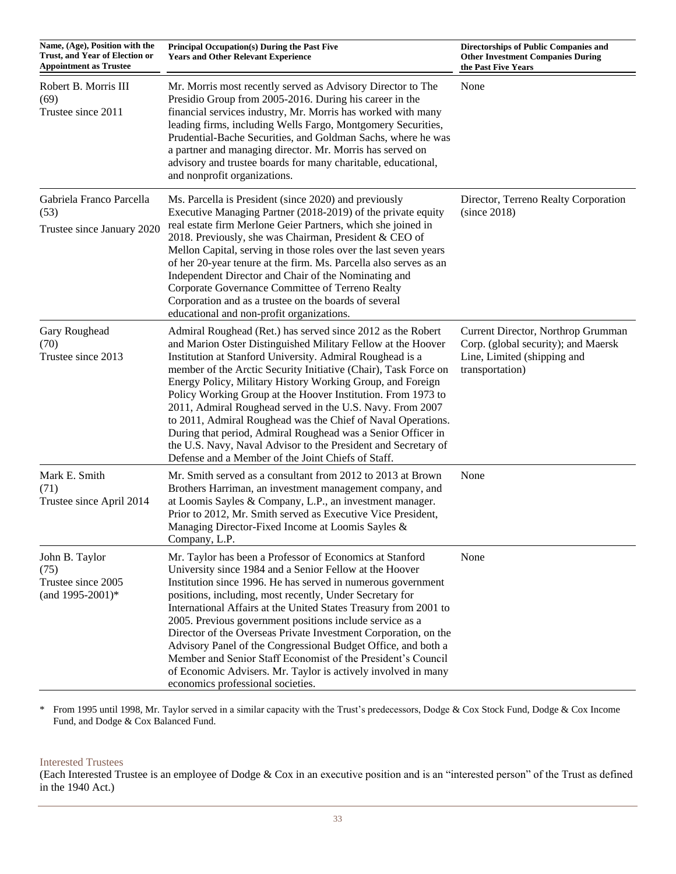| Name, (Age), Position with the<br><b>Trust, and Year of Election or</b><br><b>Appointment as Trustee</b> | <b>Principal Occupation(s) During the Past Five</b><br><b>Years and Other Relevant Experience</b>                                                                                                                                                                                                                                                                                                                                                                                                                                                                                                                                                                                                              | Directorships of Public Companies and<br><b>Other Investment Companies During</b><br>the Past Five Years                    |
|----------------------------------------------------------------------------------------------------------|----------------------------------------------------------------------------------------------------------------------------------------------------------------------------------------------------------------------------------------------------------------------------------------------------------------------------------------------------------------------------------------------------------------------------------------------------------------------------------------------------------------------------------------------------------------------------------------------------------------------------------------------------------------------------------------------------------------|-----------------------------------------------------------------------------------------------------------------------------|
| Robert B. Morris III<br>(69)<br>Trustee since 2011                                                       | Mr. Morris most recently served as Advisory Director to The<br>Presidio Group from 2005-2016. During his career in the<br>financial services industry, Mr. Morris has worked with many<br>leading firms, including Wells Fargo, Montgomery Securities,<br>Prudential-Bache Securities, and Goldman Sachs, where he was<br>a partner and managing director. Mr. Morris has served on<br>advisory and trustee boards for many charitable, educational,<br>and nonprofit organizations.                                                                                                                                                                                                                           | None                                                                                                                        |
| Gabriela Franco Parcella<br>(53)<br>Trustee since January 2020                                           | Ms. Parcella is President (since 2020) and previously<br>Executive Managing Partner (2018-2019) of the private equity<br>real estate firm Merlone Geier Partners, which she joined in<br>2018. Previously, she was Chairman, President & CEO of<br>Mellon Capital, serving in those roles over the last seven years<br>of her 20-year tenure at the firm. Ms. Parcella also serves as an<br>Independent Director and Chair of the Nominating and<br>Corporate Governance Committee of Terreno Realty<br>Corporation and as a trustee on the boards of several<br>educational and non-profit organizations.                                                                                                     | Director, Terreno Realty Corporation<br>(since 2018)                                                                        |
| Gary Roughead<br>(70)<br>Trustee since 2013                                                              | Admiral Roughead (Ret.) has served since 2012 as the Robert<br>and Marion Oster Distinguished Military Fellow at the Hoover<br>Institution at Stanford University. Admiral Roughead is a<br>member of the Arctic Security Initiative (Chair), Task Force on<br>Energy Policy, Military History Working Group, and Foreign<br>Policy Working Group at the Hoover Institution. From 1973 to<br>2011, Admiral Roughead served in the U.S. Navy. From 2007<br>to 2011, Admiral Roughead was the Chief of Naval Operations.<br>During that period, Admiral Roughead was a Senior Officer in<br>the U.S. Navy, Naval Advisor to the President and Secretary of<br>Defense and a Member of the Joint Chiefs of Staff. | Current Director, Northrop Grumman<br>Corp. (global security); and Maersk<br>Line, Limited (shipping and<br>transportation) |
| Mark E. Smith<br>(71)<br>Trustee since April 2014                                                        | Mr. Smith served as a consultant from 2012 to 2013 at Brown<br>Brothers Harriman, an investment management company, and<br>at Loomis Sayles & Company, L.P., an investment manager.<br>Prior to 2012, Mr. Smith served as Executive Vice President,<br>Managing Director-Fixed Income at Loomis Sayles &<br>Company, L.P.                                                                                                                                                                                                                                                                                                                                                                                      | None                                                                                                                        |
| John B. Taylor<br>(75)<br>Trustee since 2005<br>(and 1995-2001)*                                         | Mr. Taylor has been a Professor of Economics at Stanford<br>University since 1984 and a Senior Fellow at the Hoover<br>Institution since 1996. He has served in numerous government<br>positions, including, most recently, Under Secretary for<br>International Affairs at the United States Treasury from 2001 to<br>2005. Previous government positions include service as a<br>Director of the Overseas Private Investment Corporation, on the<br>Advisory Panel of the Congressional Budget Office, and both a<br>Member and Senior Staff Economist of the President's Council<br>of Economic Advisers. Mr. Taylor is actively involved in many<br>economics professional societies.                      | None                                                                                                                        |

\* From 1995 until 1998, Mr. Taylor served in a similar capacity with the Trust's predecessors, Dodge & Cox Stock Fund, Dodge & Cox Income Fund, and Dodge & Cox Balanced Fund.

## Interested Trustees

(Each Interested Trustee is an employee of Dodge & Cox in an executive position and is an "interested person" of the Trust as defined in the 1940 Act.)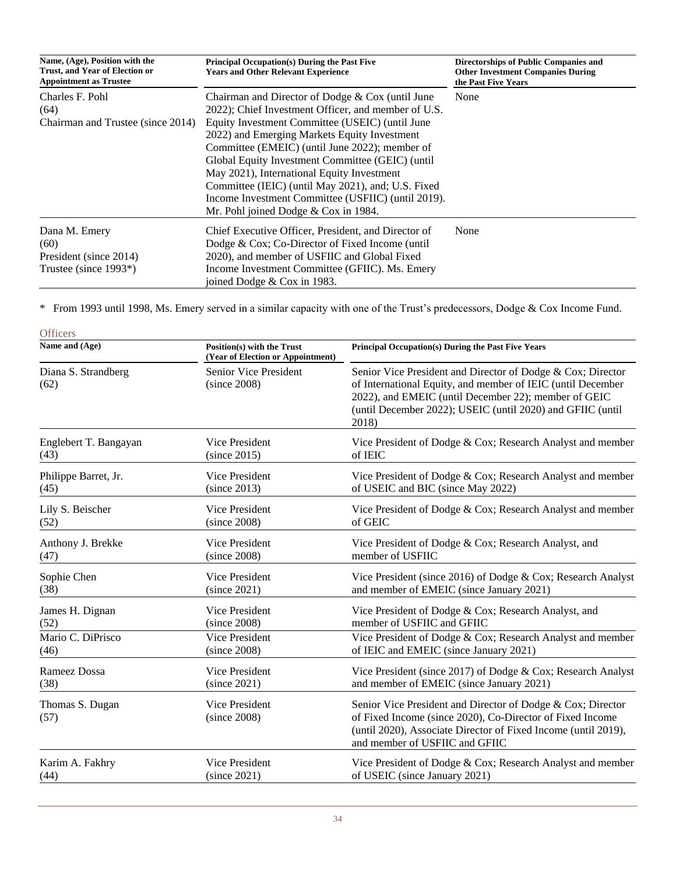| Name, (Age), Position with the<br><b>Principal Occupation(s) During the Past Five</b><br>Trust, and Year of Election or<br><b>Years and Other Relevant Experience</b><br><b>Appointment as Trustee</b>                                                                                                                                                                                                                                                                                                                                                                             |                                                                                                                                                                                                                                         | Directorships of Public Companies and<br><b>Other Investment Companies During</b><br>the Past Five Years |  |
|------------------------------------------------------------------------------------------------------------------------------------------------------------------------------------------------------------------------------------------------------------------------------------------------------------------------------------------------------------------------------------------------------------------------------------------------------------------------------------------------------------------------------------------------------------------------------------|-----------------------------------------------------------------------------------------------------------------------------------------------------------------------------------------------------------------------------------------|----------------------------------------------------------------------------------------------------------|--|
| Charles F. Pohl<br>Chairman and Director of Dodge & Cox (until June<br>2022); Chief Investment Officer, and member of U.S.<br>(64)<br>Equity Investment Committee (USEIC) (until June<br>Chairman and Trustee (since 2014)<br>2022) and Emerging Markets Equity Investment<br>Committee (EMEIC) (until June 2022); member of<br>Global Equity Investment Committee (GEIC) (until<br>May 2021), International Equity Investment<br>Committee (IEIC) (until May 2021), and; U.S. Fixed<br>Income Investment Committee (USFIIC) (until 2019).<br>Mr. Pohl joined Dodge & Cox in 1984. |                                                                                                                                                                                                                                         | None                                                                                                     |  |
| Dana M. Emery<br>(60)<br>President (since 2014)<br>Trustee (since $1993^*$ )                                                                                                                                                                                                                                                                                                                                                                                                                                                                                                       | Chief Executive Officer, President, and Director of<br>Dodge & Cox; Co-Director of Fixed Income (until<br>2020), and member of USFIIC and Global Fixed<br>Income Investment Committee (GFIIC). Ms. Emery<br>joined Dodge & Cox in 1983. | None                                                                                                     |  |

\* From 1993 until 1998, Ms. Emery served in a similar capacity with one of the Trust's predecessors, Dodge & Cox Income Fund.

| <b>Officers</b>             |                                                                 |                                                                                                                                                                                                                                                           |
|-----------------------------|-----------------------------------------------------------------|-----------------------------------------------------------------------------------------------------------------------------------------------------------------------------------------------------------------------------------------------------------|
| Name and (Age)              | Position(s) with the Trust<br>(Year of Election or Appointment) | Principal Occupation(s) During the Past Five Years                                                                                                                                                                                                        |
| Diana S. Strandberg<br>(62) | Senior Vice President<br>(since 2008)                           | Senior Vice President and Director of Dodge & Cox; Director<br>of International Equity, and member of IEIC (until December<br>2022), and EMEIC (until December 22); member of GEIC<br>(until December 2022); USEIC (until 2020) and GFIIC (until<br>2018) |
| Englebert T. Bangayan       | Vice President                                                  | Vice President of Dodge & Cox; Research Analyst and member                                                                                                                                                                                                |
| (43)                        | (since 2015)                                                    | of IEIC                                                                                                                                                                                                                                                   |
| Philippe Barret, Jr.        | Vice President                                                  | Vice President of Dodge & Cox; Research Analyst and member                                                                                                                                                                                                |
| (45)                        | (since 2013)                                                    | of USEIC and BIC (since May 2022)                                                                                                                                                                                                                         |
| Lily S. Beischer            | Vice President                                                  | Vice President of Dodge & Cox; Research Analyst and member                                                                                                                                                                                                |
| (52)                        | (since 2008)                                                    | of GEIC                                                                                                                                                                                                                                                   |
| Anthony J. Brekke           | Vice President                                                  | Vice President of Dodge & Cox; Research Analyst, and                                                                                                                                                                                                      |
| (47)                        | (since 2008)                                                    | member of USFIIC                                                                                                                                                                                                                                          |
| Sophie Chen                 | Vice President                                                  | Vice President (since 2016) of Dodge & Cox; Research Analyst                                                                                                                                                                                              |
| (38)                        | (since 2021)                                                    | and member of EMEIC (since January 2021)                                                                                                                                                                                                                  |
| James H. Dignan             | Vice President                                                  | Vice President of Dodge & Cox; Research Analyst, and                                                                                                                                                                                                      |
| (52)                        | (since 2008)                                                    | member of USFIIC and GFIIC                                                                                                                                                                                                                                |
| Mario C. DiPrisco           | Vice President                                                  | Vice President of Dodge & Cox; Research Analyst and member                                                                                                                                                                                                |
| (46)                        | (since 2008)                                                    | of IEIC and EMEIC (since January 2021)                                                                                                                                                                                                                    |
| Rameez Dossa                | Vice President                                                  | Vice President (since 2017) of Dodge & Cox; Research Analyst                                                                                                                                                                                              |
| (38)                        | (since 2021)                                                    | and member of EMEIC (since January 2021)                                                                                                                                                                                                                  |
| Thomas S. Dugan<br>(57)     | Vice President<br>(since 2008)                                  | Senior Vice President and Director of Dodge & Cox; Director<br>of Fixed Income (since 2020), Co-Director of Fixed Income<br>(until 2020), Associate Director of Fixed Income (until 2019),<br>and member of USFIIC and GFIIC                              |
| Karim A. Fakhry             | Vice President                                                  | Vice President of Dodge & Cox; Research Analyst and member                                                                                                                                                                                                |
| (44)                        | (since 2021)                                                    | of USEIC (since January 2021)                                                                                                                                                                                                                             |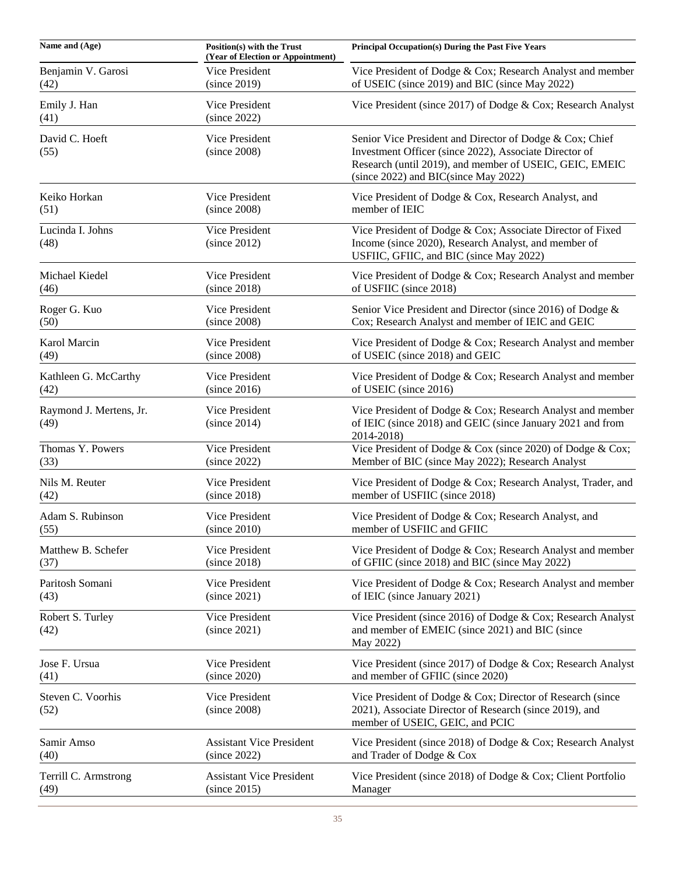| Name and (Age)                  | Position(s) with the Trust<br>(Year of Election or Appointment) | <b>Principal Occupation(s) During the Past Five Years</b>                                                                                                                                                             |
|---------------------------------|-----------------------------------------------------------------|-----------------------------------------------------------------------------------------------------------------------------------------------------------------------------------------------------------------------|
| Benjamin V. Garosi              | Vice President                                                  | Vice President of Dodge & Cox; Research Analyst and member                                                                                                                                                            |
| (42)                            | (since 2019)                                                    | of USEIC (since 2019) and BIC (since May 2022)                                                                                                                                                                        |
| Emily J. Han<br>(41)            | Vice President<br>(since 2022)                                  | Vice President (since 2017) of Dodge & Cox; Research Analyst                                                                                                                                                          |
| David C. Hoeft<br>(55)          | Vice President<br>(since 2008)                                  | Senior Vice President and Director of Dodge & Cox; Chief<br>Investment Officer (since 2022), Associate Director of<br>Research (until 2019), and member of USEIC, GEIC, EMEIC<br>(since 2022) and BIC(since May 2022) |
| Keiko Horkan                    | Vice President                                                  | Vice President of Dodge & Cox, Research Analyst, and                                                                                                                                                                  |
| (51)                            | (since 2008)                                                    | member of IEIC                                                                                                                                                                                                        |
| Lucinda I. Johns<br>(48)        | Vice President<br>(since 2012)                                  | Vice President of Dodge & Cox; Associate Director of Fixed<br>Income (since 2020), Research Analyst, and member of<br>USFIIC, GFIIC, and BIC (since May 2022)                                                         |
| Michael Kiedel                  | Vice President                                                  | Vice President of Dodge & Cox; Research Analyst and member                                                                                                                                                            |
| (46)                            | (since 2018)                                                    | of USFIIC (since 2018)                                                                                                                                                                                                |
| Roger G. Kuo                    | Vice President                                                  | Senior Vice President and Director (since 2016) of Dodge &                                                                                                                                                            |
| (50)                            | (since 2008)                                                    | Cox; Research Analyst and member of IEIC and GEIC                                                                                                                                                                     |
| Karol Marcin                    | Vice President                                                  | Vice President of Dodge & Cox; Research Analyst and member                                                                                                                                                            |
| (49)                            | (since 2008)                                                    | of USEIC (since 2018) and GEIC                                                                                                                                                                                        |
| Kathleen G. McCarthy            | Vice President                                                  | Vice President of Dodge & Cox; Research Analyst and member                                                                                                                                                            |
| (42)                            | (since 2016)                                                    | of USEIC (since 2016)                                                                                                                                                                                                 |
| Raymond J. Mertens, Jr.<br>(49) | Vice President<br>(since 2014)                                  | Vice President of Dodge & Cox; Research Analyst and member<br>of IEIC (since 2018) and GEIC (since January 2021 and from<br>2014-2018)                                                                                |
| Thomas Y. Powers                | Vice President                                                  | Vice President of Dodge & Cox (since 2020) of Dodge & Cox;                                                                                                                                                            |
| (33)                            | (since 2022)                                                    | Member of BIC (since May 2022); Research Analyst                                                                                                                                                                      |
| Nils M. Reuter                  | Vice President                                                  | Vice President of Dodge & Cox; Research Analyst, Trader, and                                                                                                                                                          |
| (42)                            | (since 2018)                                                    | member of USFIIC (since 2018)                                                                                                                                                                                         |
| Adam S. Rubinson                | Vice President                                                  | Vice President of Dodge & Cox; Research Analyst, and                                                                                                                                                                  |
| (55)                            | (since 2010)                                                    | member of USFIIC and GFIIC                                                                                                                                                                                            |
| Matthew B. Schefer              | Vice President                                                  | Vice President of Dodge & Cox; Research Analyst and member                                                                                                                                                            |
| (37)                            | (since 2018)                                                    | of GFIIC (since 2018) and BIC (since May 2022)                                                                                                                                                                        |
| Paritosh Somani                 | Vice President                                                  | Vice President of Dodge & Cox; Research Analyst and member                                                                                                                                                            |
| (43)                            | (since 2021)                                                    | of IEIC (since January 2021)                                                                                                                                                                                          |
| Robert S. Turley<br>(42)        | Vice President<br>(since 2021)                                  | Vice President (since 2016) of Dodge & Cox; Research Analyst<br>and member of EMEIC (since 2021) and BIC (since<br>May 2022)                                                                                          |
| Jose F. Ursua                   | Vice President                                                  | Vice President (since 2017) of Dodge & Cox; Research Analyst                                                                                                                                                          |
| (41)                            | (since 2020)                                                    | and member of GFIIC (since 2020)                                                                                                                                                                                      |
| Steven C. Voorhis<br>(52)       | Vice President<br>(since 2008)                                  | Vice President of Dodge & Cox; Director of Research (since<br>2021), Associate Director of Research (since 2019), and<br>member of USEIC, GEIC, and PCIC                                                              |
| Samir Amso                      | <b>Assistant Vice President</b>                                 | Vice President (since 2018) of Dodge & Cox; Research Analyst                                                                                                                                                          |
| (40)                            | (since 2022)                                                    | and Trader of Dodge & Cox                                                                                                                                                                                             |
| Terrill C. Armstrong            | <b>Assistant Vice President</b>                                 | Vice President (since 2018) of Dodge & Cox; Client Portfolio                                                                                                                                                          |
| (49)                            | (since 2015)                                                    | Manager                                                                                                                                                                                                               |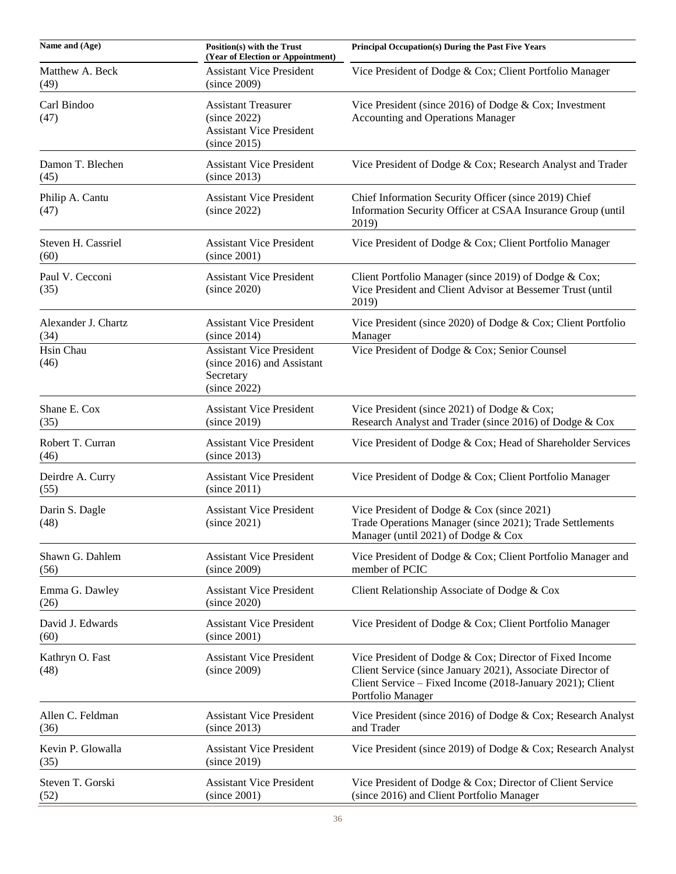| Name and (Age)              | Position(s) with the Trust<br>(Year of Election or Appointment)                               | Principal Occupation(s) During the Past Five Years                                                                                                                                                      |
|-----------------------------|-----------------------------------------------------------------------------------------------|---------------------------------------------------------------------------------------------------------------------------------------------------------------------------------------------------------|
| Matthew A. Beck<br>(49)     | <b>Assistant Vice President</b><br>(since 2009)                                               | Vice President of Dodge & Cox; Client Portfolio Manager                                                                                                                                                 |
| Carl Bindoo<br>(47)         | <b>Assistant Treasurer</b><br>(since 2022)<br><b>Assistant Vice President</b><br>(since 2015) | Vice President (since 2016) of Dodge $& Cox$ ; Investment<br><b>Accounting and Operations Manager</b>                                                                                                   |
| Damon T. Blechen<br>(45)    | <b>Assistant Vice President</b><br>(since 2013)                                               | Vice President of Dodge & Cox; Research Analyst and Trader                                                                                                                                              |
| Philip A. Cantu<br>(47)     | <b>Assistant Vice President</b><br>(since 2022)                                               | Chief Information Security Officer (since 2019) Chief<br>Information Security Officer at CSAA Insurance Group (until<br>2019)                                                                           |
| Steven H. Cassriel<br>(60)  | <b>Assistant Vice President</b><br>(since 2001)                                               | Vice President of Dodge & Cox; Client Portfolio Manager                                                                                                                                                 |
| Paul V. Cecconi<br>(35)     | <b>Assistant Vice President</b><br>(since 2020)                                               | Client Portfolio Manager (since 2019) of Dodge & Cox;<br>Vice President and Client Advisor at Bessemer Trust (until<br>2019)                                                                            |
| Alexander J. Chartz<br>(34) | <b>Assistant Vice President</b><br>(since 2014)                                               | Vice President (since 2020) of Dodge & Cox; Client Portfolio<br>Manager                                                                                                                                 |
| Hsin Chau<br>(46)           | <b>Assistant Vice President</b><br>(since 2016) and Assistant<br>Secretary<br>(since 2022)    | Vice President of Dodge & Cox; Senior Counsel                                                                                                                                                           |
| Shane E. Cox<br>(35)        | <b>Assistant Vice President</b><br>(since 2019)                                               | Vice President (since 2021) of Dodge & Cox;<br>Research Analyst and Trader (since 2016) of Dodge & Cox                                                                                                  |
| Robert T. Curran<br>(46)    | <b>Assistant Vice President</b><br>(since 2013)                                               | Vice President of Dodge & Cox; Head of Shareholder Services                                                                                                                                             |
| Deirdre A. Curry<br>(55)    | <b>Assistant Vice President</b><br>(since 2011)                                               | Vice President of Dodge & Cox; Client Portfolio Manager                                                                                                                                                 |
| Darin S. Dagle<br>(48)      | <b>Assistant Vice President</b><br>(since 2021)                                               | Vice President of Dodge & Cox (since 2021)<br>Trade Operations Manager (since 2021); Trade Settlements<br>Manager (until 2021) of Dodge & Cox                                                           |
| Shawn G. Dahlem<br>(56)     | <b>Assistant Vice President</b><br>(since 2009)                                               | Vice President of Dodge & Cox; Client Portfolio Manager and<br>member of PCIC                                                                                                                           |
| Emma G. Dawley<br>(26)      | <b>Assistant Vice President</b><br>(since 2020)                                               | Client Relationship Associate of Dodge & Cox                                                                                                                                                            |
| David J. Edwards<br>(60)    | <b>Assistant Vice President</b><br>(since 2001)                                               | Vice President of Dodge & Cox; Client Portfolio Manager                                                                                                                                                 |
| Kathryn O. Fast<br>(48)     | <b>Assistant Vice President</b><br>(since 2009)                                               | Vice President of Dodge & Cox; Director of Fixed Income<br>Client Service (since January 2021), Associate Director of<br>Client Service - Fixed Income (2018-January 2021); Client<br>Portfolio Manager |
| Allen C. Feldman<br>(36)    | <b>Assistant Vice President</b><br>(since 2013)                                               | Vice President (since 2016) of Dodge & Cox; Research Analyst<br>and Trader                                                                                                                              |
| Kevin P. Glowalla<br>(35)   | <b>Assistant Vice President</b><br>(since 2019)                                               | Vice President (since 2019) of Dodge & Cox; Research Analyst                                                                                                                                            |
| Steven T. Gorski<br>(52)    | <b>Assistant Vice President</b><br>(since 2001)                                               | Vice President of Dodge & Cox; Director of Client Service<br>(since 2016) and Client Portfolio Manager                                                                                                  |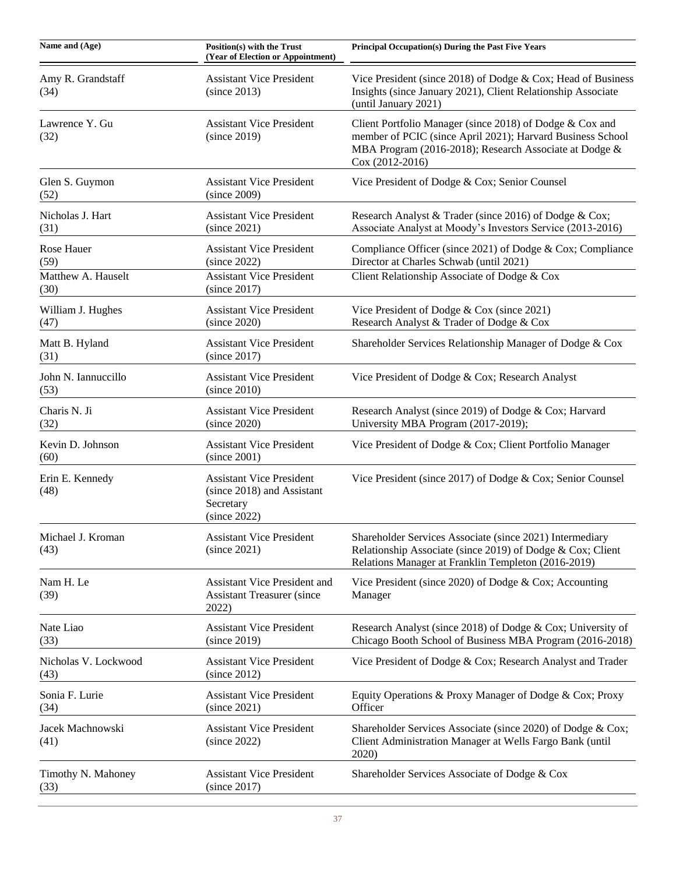| Name and (Age)                                                               | Position(s) with the Trust<br>(Year of Election or Appointment)                            | <b>Principal Occupation(s) During the Past Five Years</b>                                                                                                                                           |  |  |
|------------------------------------------------------------------------------|--------------------------------------------------------------------------------------------|-----------------------------------------------------------------------------------------------------------------------------------------------------------------------------------------------------|--|--|
| Amy R. Grandstaff<br><b>Assistant Vice President</b><br>(since 2013)<br>(34) |                                                                                            | Vice President (since 2018) of Dodge & Cox; Head of Business<br>Insights (since January 2021), Client Relationship Associate<br>(until January 2021)                                                |  |  |
| Lawrence Y. Gu<br>(32)                                                       | <b>Assistant Vice President</b><br>(since 2019)                                            | Client Portfolio Manager (since 2018) of Dodge & Cox and<br>member of PCIC (since April 2021); Harvard Business School<br>MBA Program (2016-2018); Research Associate at Dodge &<br>Cox (2012-2016) |  |  |
| Glen S. Guymon<br>(52)                                                       | <b>Assistant Vice President</b><br>(since 2009)                                            | Vice President of Dodge & Cox; Senior Counsel                                                                                                                                                       |  |  |
| Nicholas J. Hart<br>(31)                                                     | <b>Assistant Vice President</b><br>(since 2021)                                            | Research Analyst & Trader (since 2016) of Dodge & Cox;<br>Associate Analyst at Moody's Investors Service (2013-2016)                                                                                |  |  |
| Rose Hauer<br>(59)                                                           | <b>Assistant Vice President</b><br>(since 2022)                                            | Compliance Officer (since 2021) of Dodge & Cox; Compliance<br>Director at Charles Schwab (until 2021)                                                                                               |  |  |
| Matthew A. Hauselt<br>(30)                                                   | <b>Assistant Vice President</b><br>(since 2017)                                            | Client Relationship Associate of Dodge & Cox                                                                                                                                                        |  |  |
| William J. Hughes<br>(47)                                                    | <b>Assistant Vice President</b><br>(since 2020)                                            | Vice President of Dodge & Cox (since 2021)<br>Research Analyst & Trader of Dodge & Cox                                                                                                              |  |  |
| Matt B. Hyland<br>(31)                                                       | <b>Assistant Vice President</b><br>(since 2017)                                            | Shareholder Services Relationship Manager of Dodge & Cox                                                                                                                                            |  |  |
| John N. Iannuccillo<br>(53)                                                  | <b>Assistant Vice President</b><br>(since 2010)                                            | Vice President of Dodge & Cox; Research Analyst                                                                                                                                                     |  |  |
| Charis N. Ji<br>(32)                                                         | <b>Assistant Vice President</b><br>(since 2020)                                            | Research Analyst (since 2019) of Dodge & Cox; Harvard<br>University MBA Program (2017-2019);                                                                                                        |  |  |
| Kevin D. Johnson<br>(60)                                                     | <b>Assistant Vice President</b><br>(since 2001)                                            | Vice President of Dodge & Cox; Client Portfolio Manager                                                                                                                                             |  |  |
| Erin E. Kennedy<br>(48)                                                      | <b>Assistant Vice President</b><br>(since 2018) and Assistant<br>Secretary<br>(since 2022) | Vice President (since 2017) of Dodge & Cox; Senior Counsel                                                                                                                                          |  |  |
| Michael J. Kroman<br>(43)                                                    | <b>Assistant Vice President</b><br>(since 2021)                                            | Shareholder Services Associate (since 2021) Intermediary<br>Relationship Associate (since 2019) of Dodge & Cox; Client<br>Relations Manager at Franklin Templeton (2016-2019)                       |  |  |
| Nam H. Le<br>(39)                                                            | <b>Assistant Vice President and</b><br><b>Assistant Treasurer (since</b><br>2022)          | Vice President (since 2020) of Dodge & Cox; Accounting<br>Manager                                                                                                                                   |  |  |
| Nate Liao<br>(33)                                                            | <b>Assistant Vice President</b><br>(since 2019)                                            | Research Analyst (since 2018) of Dodge & Cox; University of<br>Chicago Booth School of Business MBA Program (2016-2018)                                                                             |  |  |
| Nicholas V. Lockwood<br>(43)                                                 | <b>Assistant Vice President</b><br>(since 2012)                                            | Vice President of Dodge & Cox; Research Analyst and Trader                                                                                                                                          |  |  |
| Sonia F. Lurie<br>(34)                                                       | <b>Assistant Vice President</b><br>(since 2021)                                            | Equity Operations & Proxy Manager of Dodge & Cox; Proxy<br>Officer                                                                                                                                  |  |  |
| Jacek Machnowski<br>(41)                                                     | <b>Assistant Vice President</b><br>(since 2022)                                            | Shareholder Services Associate (since 2020) of Dodge & Cox;<br>Client Administration Manager at Wells Fargo Bank (until<br>2020)                                                                    |  |  |
| Timothy N. Mahoney<br>(33)                                                   | <b>Assistant Vice President</b><br>(since 2017)                                            | Shareholder Services Associate of Dodge & Cox                                                                                                                                                       |  |  |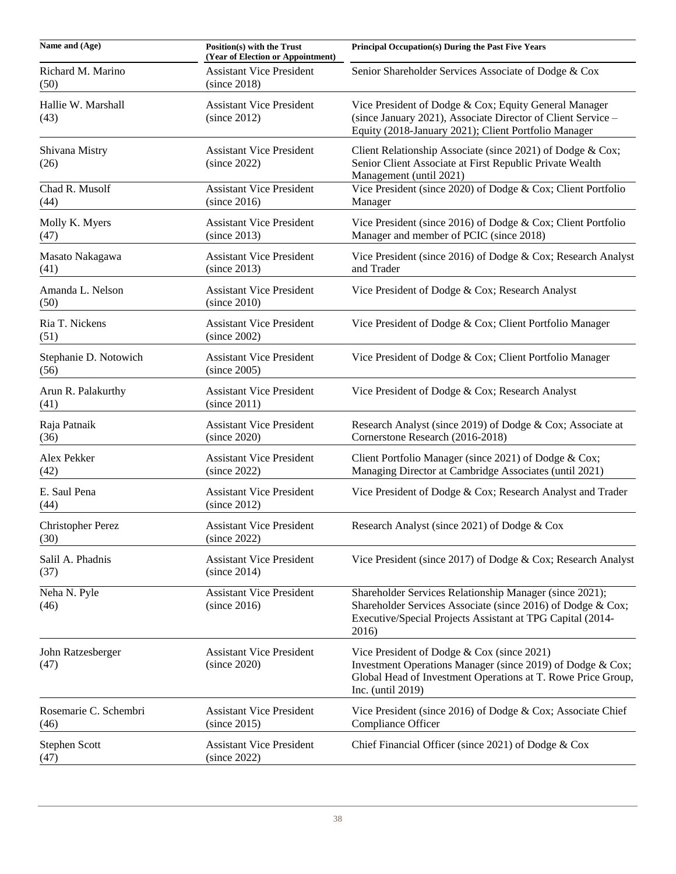| Name and (Age)                   | Position(s) with the Trust<br>(Year of Election or Appointment) | <b>Principal Occupation(s) During the Past Five Years</b>                                                                                                                                                 |
|----------------------------------|-----------------------------------------------------------------|-----------------------------------------------------------------------------------------------------------------------------------------------------------------------------------------------------------|
| Richard M. Marino<br>(50)        | <b>Assistant Vice President</b><br>(since 2018)                 | Senior Shareholder Services Associate of Dodge & Cox                                                                                                                                                      |
| Hallie W. Marshall<br>(43)       | <b>Assistant Vice President</b><br>(since 2012)                 | Vice President of Dodge & Cox; Equity General Manager<br>(since January 2021), Associate Director of Client Service -<br>Equity (2018-January 2021); Client Portfolio Manager                             |
| Shivana Mistry<br>(26)           | <b>Assistant Vice President</b><br>(since 2022)                 | Client Relationship Associate (since 2021) of Dodge & Cox;<br>Senior Client Associate at First Republic Private Wealth<br>Management (until 2021)                                                         |
| Chad R. Musolf<br>(44)           | <b>Assistant Vice President</b><br>(since 2016)                 | Vice President (since 2020) of Dodge & Cox; Client Portfolio<br>Manager                                                                                                                                   |
| Molly K. Myers<br>(47)           | <b>Assistant Vice President</b><br>(since 2013)                 | Vice President (since 2016) of Dodge & Cox; Client Portfolio<br>Manager and member of PCIC (since 2018)                                                                                                   |
| Masato Nakagawa<br>(41)          | <b>Assistant Vice President</b><br>(since 2013)                 | Vice President (since 2016) of Dodge & Cox; Research Analyst<br>and Trader                                                                                                                                |
| Amanda L. Nelson<br>(50)         | <b>Assistant Vice President</b><br>(since 2010)                 | Vice President of Dodge & Cox; Research Analyst                                                                                                                                                           |
| Ria T. Nickens<br>(51)           | <b>Assistant Vice President</b><br>(since 2002)                 | Vice President of Dodge & Cox; Client Portfolio Manager                                                                                                                                                   |
| Stephanie D. Notowich<br>(56)    | <b>Assistant Vice President</b><br>(since 2005)                 | Vice President of Dodge & Cox; Client Portfolio Manager                                                                                                                                                   |
| Arun R. Palakurthy<br>(41)       | <b>Assistant Vice President</b><br>(since 2011)                 | Vice President of Dodge & Cox; Research Analyst                                                                                                                                                           |
| Raja Patnaik<br>(36)             | <b>Assistant Vice President</b><br>(since 2020)                 | Research Analyst (since 2019) of Dodge & Cox; Associate at<br>Cornerstone Research (2016-2018)                                                                                                            |
| Alex Pekker<br>(42)              | <b>Assistant Vice President</b><br>(since 2022)                 | Client Portfolio Manager (since 2021) of Dodge & Cox;<br>Managing Director at Cambridge Associates (until 2021)                                                                                           |
| E. Saul Pena<br>(44)             | <b>Assistant Vice President</b><br>(since 2012)                 | Vice President of Dodge & Cox; Research Analyst and Trader                                                                                                                                                |
| <b>Christopher Perez</b><br>(30) | <b>Assistant Vice President</b><br>(since 2022)                 | Research Analyst (since 2021) of Dodge & Cox                                                                                                                                                              |
| Salil A. Phadnis<br>(37)         | <b>Assistant Vice President</b><br>(since 2014)                 | Vice President (since 2017) of Dodge & Cox; Research Analyst                                                                                                                                              |
| Neha N. Pyle<br>(46)             | <b>Assistant Vice President</b><br>(since 2016)                 | Shareholder Services Relationship Manager (since 2021);<br>Shareholder Services Associate (since 2016) of Dodge & Cox;<br>Executive/Special Projects Assistant at TPG Capital (2014-<br>2016)             |
| John Ratzesberger<br>(47)        | <b>Assistant Vice President</b><br>(since 2020)                 | Vice President of Dodge $& \text{Cox}$ (since 2021)<br>Investment Operations Manager (since 2019) of Dodge & Cox;<br>Global Head of Investment Operations at T. Rowe Price Group,<br>Inc. (until $2019$ ) |
| Rosemarie C. Schembri<br>(46)    | <b>Assistant Vice President</b><br>(since 2015)                 | Vice President (since 2016) of Dodge $& Cox$ ; Associate Chief<br>Compliance Officer                                                                                                                      |
| <b>Stephen Scott</b><br>(47)     | <b>Assistant Vice President</b><br>(since 2022)                 | Chief Financial Officer (since 2021) of Dodge & Cox                                                                                                                                                       |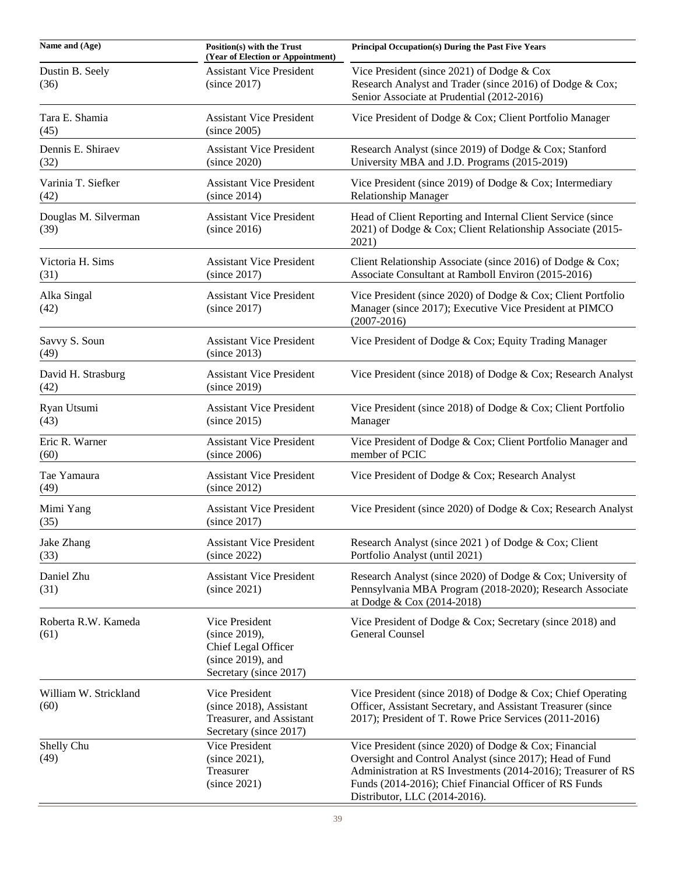| Name and (Age)                | Position(s) with the Trust<br>(Year of Election or Appointment)                                          | <b>Principal Occupation(s) During the Past Five Years</b>                                                                                                                                                                                                                     |  |
|-------------------------------|----------------------------------------------------------------------------------------------------------|-------------------------------------------------------------------------------------------------------------------------------------------------------------------------------------------------------------------------------------------------------------------------------|--|
| Dustin B. Seely<br>(36)       | <b>Assistant Vice President</b><br>(since 2017)                                                          | Vice President (since 2021) of Dodge & Cox<br>Research Analyst and Trader (since 2016) of Dodge & Cox;<br>Senior Associate at Prudential (2012-2016)                                                                                                                          |  |
| Tara E. Shamia<br>(45)        | <b>Assistant Vice President</b><br>(since 2005)                                                          | Vice President of Dodge & Cox; Client Portfolio Manager                                                                                                                                                                                                                       |  |
| Dennis E. Shiraev<br>(32)     | <b>Assistant Vice President</b><br>(since 2020)                                                          | Research Analyst (since 2019) of Dodge & Cox; Stanford<br>University MBA and J.D. Programs (2015-2019)                                                                                                                                                                        |  |
| Varinia T. Siefker<br>(42)    | <b>Assistant Vice President</b><br>(since 2014)                                                          | Vice President (since 2019) of Dodge & Cox; Intermediary<br><b>Relationship Manager</b>                                                                                                                                                                                       |  |
| Douglas M. Silverman<br>(39)  | <b>Assistant Vice President</b><br>(since 2016)                                                          | Head of Client Reporting and Internal Client Service (since<br>2021) of Dodge & Cox; Client Relationship Associate (2015-<br>2021)                                                                                                                                            |  |
| Victoria H. Sims<br>(31)      | <b>Assistant Vice President</b><br>(since 2017)                                                          | Client Relationship Associate (since 2016) of Dodge & Cox;<br>Associate Consultant at Ramboll Environ (2015-2016)                                                                                                                                                             |  |
| Alka Singal<br>(42)           | <b>Assistant Vice President</b><br>(since 2017)                                                          | Vice President (since 2020) of Dodge & Cox; Client Portfolio<br>Manager (since 2017); Executive Vice President at PIMCO<br>$(2007 - 2016)$                                                                                                                                    |  |
| Savvy S. Soun<br>(49)         | <b>Assistant Vice President</b><br>(since 2013)                                                          | Vice President of Dodge & Cox; Equity Trading Manager                                                                                                                                                                                                                         |  |
| David H. Strasburg<br>(42)    | <b>Assistant Vice President</b><br>(since 2019)                                                          | Vice President (since 2018) of Dodge & Cox; Research Analyst                                                                                                                                                                                                                  |  |
| Ryan Utsumi<br>(43)           | <b>Assistant Vice President</b><br>(since 2015)                                                          | Vice President (since 2018) of Dodge & Cox; Client Portfolio<br>Manager                                                                                                                                                                                                       |  |
| Eric R. Warner<br>(60)        | <b>Assistant Vice President</b><br>(since 2006)                                                          | Vice President of Dodge & Cox; Client Portfolio Manager and<br>member of PCIC                                                                                                                                                                                                 |  |
| Tae Yamaura<br>(49)           | <b>Assistant Vice President</b><br>(since 2012)                                                          | Vice President of Dodge & Cox; Research Analyst                                                                                                                                                                                                                               |  |
| Mimi Yang<br>(35)             | <b>Assistant Vice President</b><br>(since 2017)                                                          | Vice President (since 2020) of Dodge & Cox; Research Analyst                                                                                                                                                                                                                  |  |
| Jake Zhang<br>(33)            | <b>Assistant Vice President</b><br>(since 2022)                                                          | Research Analyst (since 2021) of Dodge & Cox; Client<br>Portfolio Analyst (until 2021)                                                                                                                                                                                        |  |
| Daniel Zhu<br>(31)            | <b>Assistant Vice President</b><br>(since 2021)                                                          | Research Analyst (since 2020) of Dodge & Cox; University of<br>Pennsylvania MBA Program (2018-2020); Research Associate<br>at Dodge & Cox (2014-2018)                                                                                                                         |  |
| Roberta R.W. Kameda<br>(61)   | Vice President<br>(since 2019),<br>Chief Legal Officer<br>$(since 2019)$ , and<br>Secretary (since 2017) | Vice President of Dodge & Cox; Secretary (since 2018) and<br><b>General Counsel</b>                                                                                                                                                                                           |  |
| William W. Strickland<br>(60) | Vice President<br>(since 2018), Assistant<br>Treasurer, and Assistant<br>Secretary (since 2017)          | Vice President (since 2018) of Dodge $& \text{Cox}$ ; Chief Operating<br>Officer, Assistant Secretary, and Assistant Treasurer (since<br>2017); President of T. Rowe Price Services (2011-2016)                                                                               |  |
| Shelly Chu<br>(49)            | Vice President<br>(since 2021),<br>Treasurer<br>(since 2021)                                             | Vice President (since 2020) of Dodge & Cox; Financial<br>Oversight and Control Analyst (since 2017); Head of Fund<br>Administration at RS Investments (2014-2016); Treasurer of RS<br>Funds (2014-2016); Chief Financial Officer of RS Funds<br>Distributor, LLC (2014-2016). |  |

Ξ.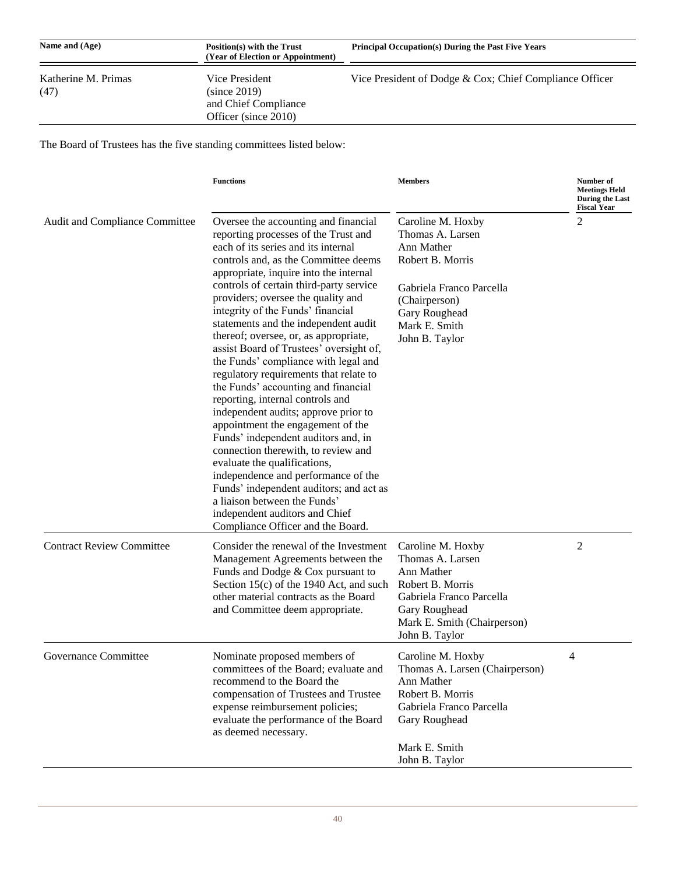| Name and (Age)              | Position(s) with the Trust<br>(Year of Election or Appointment)                | <b>Principal Occupation(s) During the Past Five Years</b> |
|-----------------------------|--------------------------------------------------------------------------------|-----------------------------------------------------------|
| Katherine M. Primas<br>(47) | Vice President<br>(since 2019)<br>and Chief Compliance<br>Officer (since 2010) | Vice President of Dodge & Cox; Chief Compliance Officer   |

The Board of Trustees has the five standing committees listed below:

|                                  | <b>Functions</b>                                                                                                                                                                                                                                                                                                                                                                                                                                                                                                                                                                                                                                                                                                                                                                                                                                                                                                                                                                                         | <b>Members</b>                                                                                                                                                           | Number of<br><b>Meetings Held</b><br>During the Last<br><b>Fiscal Year</b> |
|----------------------------------|----------------------------------------------------------------------------------------------------------------------------------------------------------------------------------------------------------------------------------------------------------------------------------------------------------------------------------------------------------------------------------------------------------------------------------------------------------------------------------------------------------------------------------------------------------------------------------------------------------------------------------------------------------------------------------------------------------------------------------------------------------------------------------------------------------------------------------------------------------------------------------------------------------------------------------------------------------------------------------------------------------|--------------------------------------------------------------------------------------------------------------------------------------------------------------------------|----------------------------------------------------------------------------|
| Audit and Compliance Committee   | Oversee the accounting and financial<br>reporting processes of the Trust and<br>each of its series and its internal<br>controls and, as the Committee deems<br>appropriate, inquire into the internal<br>controls of certain third-party service<br>providers; oversee the quality and<br>integrity of the Funds' financial<br>statements and the independent audit<br>thereof; oversee, or, as appropriate,<br>assist Board of Trustees' oversight of,<br>the Funds' compliance with legal and<br>regulatory requirements that relate to<br>the Funds' accounting and financial<br>reporting, internal controls and<br>independent audits; approve prior to<br>appointment the engagement of the<br>Funds' independent auditors and, in<br>connection therewith, to review and<br>evaluate the qualifications,<br>independence and performance of the<br>Funds' independent auditors; and act as<br>a liaison between the Funds'<br>independent auditors and Chief<br>Compliance Officer and the Board. | Caroline M. Hoxby<br>Thomas A. Larsen<br>Ann Mather<br>Robert B. Morris<br>Gabriela Franco Parcella<br>(Chairperson)<br>Gary Roughead<br>Mark E. Smith<br>John B. Taylor | 2                                                                          |
| <b>Contract Review Committee</b> | Consider the renewal of the Investment<br>Management Agreements between the<br>Funds and Dodge & Cox pursuant to<br>Section 15(c) of the 1940 Act, and such<br>other material contracts as the Board<br>and Committee deem appropriate.                                                                                                                                                                                                                                                                                                                                                                                                                                                                                                                                                                                                                                                                                                                                                                  | Caroline M. Hoxby<br>Thomas A. Larsen<br>Ann Mather<br>Robert B. Morris<br>Gabriela Franco Parcella<br>Gary Roughead<br>Mark E. Smith (Chairperson)<br>John B. Taylor    | 2                                                                          |
| Governance Committee             | Nominate proposed members of<br>committees of the Board; evaluate and<br>recommend to the Board the<br>compensation of Trustees and Trustee<br>expense reimbursement policies;<br>evaluate the performance of the Board<br>as deemed necessary.                                                                                                                                                                                                                                                                                                                                                                                                                                                                                                                                                                                                                                                                                                                                                          | Caroline M. Hoxby<br>Thomas A. Larsen (Chairperson)<br>Ann Mather<br>Robert B. Morris<br>Gabriela Franco Parcella<br>Gary Roughead<br>Mark E. Smith<br>John B. Taylor    | 4                                                                          |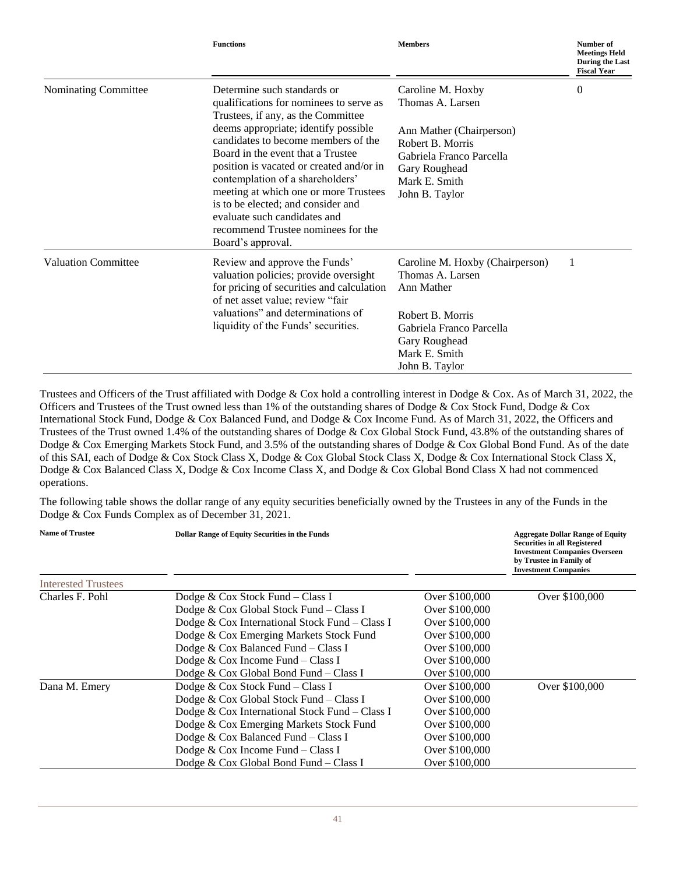|                            | <b>Functions</b>                                                                                                                                                                                                                                                                                                                                                                                                                                                                           | <b>Members</b>                                                                                                                                                        | Number of<br><b>Meetings Held</b><br>During the Last<br><b>Fiscal Year</b> |
|----------------------------|--------------------------------------------------------------------------------------------------------------------------------------------------------------------------------------------------------------------------------------------------------------------------------------------------------------------------------------------------------------------------------------------------------------------------------------------------------------------------------------------|-----------------------------------------------------------------------------------------------------------------------------------------------------------------------|----------------------------------------------------------------------------|
| Nominating Committee       | Determine such standards or<br>qualifications for nominees to serve as<br>Trustees, if any, as the Committee<br>deems appropriate; identify possible<br>candidates to become members of the<br>Board in the event that a Trustee<br>position is vacated or created and/or in<br>contemplation of a shareholders'<br>meeting at which one or more Trustees<br>is to be elected; and consider and<br>evaluate such candidates and<br>recommend Trustee nominees for the<br>Board's approval. | Caroline M. Hoxby<br>Thomas A. Larsen<br>Ann Mather (Chairperson)<br>Robert B. Morris<br>Gabriela Franco Parcella<br>Gary Roughead<br>Mark E. Smith<br>John B. Taylor | $\theta$                                                                   |
| <b>Valuation Committee</b> | Review and approve the Funds'<br>valuation policies; provide oversight<br>for pricing of securities and calculation<br>of net asset value; review "fair<br>valuations" and determinations of<br>liquidity of the Funds' securities.                                                                                                                                                                                                                                                        | Caroline M. Hoxby (Chairperson)<br>Thomas A. Larsen<br>Ann Mather<br>Robert B. Morris<br>Gabriela Franco Parcella<br>Gary Roughead<br>Mark E. Smith<br>John B. Taylor | 1                                                                          |

Trustees and Officers of the Trust affiliated with Dodge & Cox hold a controlling interest in Dodge & Cox. As of March 31, 2022, the Officers and Trustees of the Trust owned less than 1% of the outstanding shares of Dodge & Cox Stock Fund, Dodge & Cox International Stock Fund, Dodge & Cox Balanced Fund, and Dodge & Cox Income Fund. As of March 31, 2022, the Officers and Trustees of the Trust owned 1.4% of the outstanding shares of Dodge & Cox Global Stock Fund, 43.8% of the outstanding shares of Dodge & Cox Emerging Markets Stock Fund, and 3.5% of the outstanding shares of Dodge & Cox Global Bond Fund. As of the date of this SAI, each of Dodge & Cox Stock Class X, Dodge & Cox Global Stock Class X, Dodge & Cox International Stock Class X, Dodge & Cox Balanced Class X, Dodge & Cox Income Class X, and Dodge & Cox Global Bond Class X had not commenced operations.

The following table shows the dollar range of any equity securities beneficially owned by the Trustees in any of the Funds in the Dodge & Cox Funds Complex as of December 31, 2021.

| <b>Name of Trustee</b>     | <b>Dollar Range of Equity Securities in the Funds</b> |                | <b>Aggregate Dollar Range of Equity</b><br><b>Securities in all Registered</b><br><b>Investment Companies Overseen</b><br>by Trustee in Family of<br><b>Investment Companies</b> |
|----------------------------|-------------------------------------------------------|----------------|----------------------------------------------------------------------------------------------------------------------------------------------------------------------------------|
| <b>Interested Trustees</b> |                                                       |                |                                                                                                                                                                                  |
| Charles F. Pohl            | Dodge & Cox Stock Fund – Class I                      | Over \$100,000 | Over \$100,000                                                                                                                                                                   |
|                            | Dodge & Cox Global Stock Fund – Class I               | Over \$100,000 |                                                                                                                                                                                  |
|                            | Dodge & Cox International Stock Fund - Class I        | Over \$100,000 |                                                                                                                                                                                  |
|                            | Dodge & Cox Emerging Markets Stock Fund               | Over \$100,000 |                                                                                                                                                                                  |
|                            | Dodge & Cox Balanced Fund – Class I                   | Over \$100,000 |                                                                                                                                                                                  |
|                            | Dodge & Cox Income Fund – Class I                     | Over \$100,000 |                                                                                                                                                                                  |
|                            | Dodge & Cox Global Bond Fund – Class I                | Over \$100,000 |                                                                                                                                                                                  |
| Dana M. Emery              | Dodge & Cox Stock Fund - Class I                      | Over \$100,000 | Over \$100,000                                                                                                                                                                   |
|                            | Dodge & Cox Global Stock Fund - Class I               | Over \$100,000 |                                                                                                                                                                                  |
|                            | Dodge & Cox International Stock Fund – Class I        | Over \$100,000 |                                                                                                                                                                                  |
|                            | Dodge & Cox Emerging Markets Stock Fund               | Over \$100,000 |                                                                                                                                                                                  |
|                            | Dodge & Cox Balanced Fund - Class I                   | Over \$100,000 |                                                                                                                                                                                  |
|                            | Dodge & Cox Income Fund – Class I                     | Over \$100,000 |                                                                                                                                                                                  |
|                            | Dodge & $Cox$ Global Bond Fund – Class I              | Over \$100,000 |                                                                                                                                                                                  |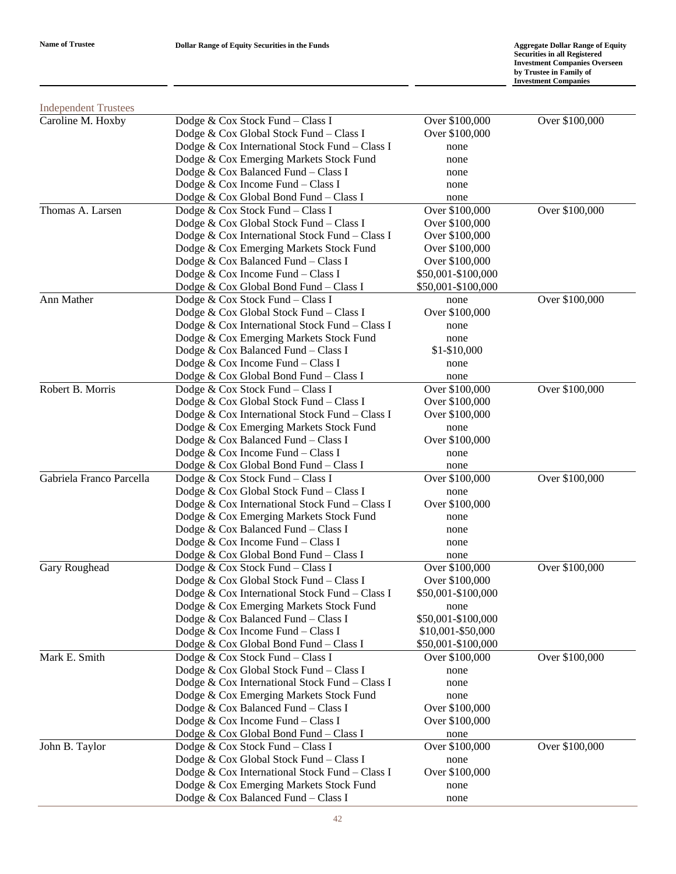| <b>Independent Trustees</b> |                                                |                    |                |
|-----------------------------|------------------------------------------------|--------------------|----------------|
| Caroline M. Hoxby           | Dodge & Cox Stock Fund - Class I               | Over \$100,000     | Over \$100,000 |
|                             | Dodge & Cox Global Stock Fund - Class I        | Over \$100,000     |                |
|                             | Dodge & Cox International Stock Fund - Class I | none               |                |
|                             | Dodge & Cox Emerging Markets Stock Fund        | none               |                |
|                             | Dodge & Cox Balanced Fund - Class I            | none               |                |
|                             | Dodge & Cox Income Fund - Class I              | none               |                |
|                             | Dodge & Cox Global Bond Fund - Class I         | none               |                |
| Thomas A. Larsen            | Dodge & Cox Stock Fund - Class I               | Over \$100,000     | Over \$100,000 |
|                             | Dodge & Cox Global Stock Fund - Class I        | Over \$100,000     |                |
|                             | Dodge & Cox International Stock Fund - Class I | Over \$100,000     |                |
|                             | Dodge & Cox Emerging Markets Stock Fund        | Over \$100,000     |                |
|                             | Dodge & Cox Balanced Fund - Class I            | Over \$100,000     |                |
|                             | Dodge & Cox Income Fund - Class I              | \$50,001-\$100,000 |                |
|                             | Dodge & Cox Global Bond Fund - Class I         | \$50,001-\$100,000 |                |
| Ann Mather                  | Dodge & Cox Stock Fund - Class I               | none               | Over \$100,000 |
|                             | Dodge & Cox Global Stock Fund - Class I        | Over \$100,000     |                |
|                             | Dodge & Cox International Stock Fund - Class I | none               |                |
|                             | Dodge & Cox Emerging Markets Stock Fund        | none               |                |
|                             | Dodge & Cox Balanced Fund - Class I            | \$1-\$10,000       |                |
|                             | Dodge & Cox Income Fund - Class I              | none               |                |
|                             | Dodge & Cox Global Bond Fund - Class I         | none               |                |
| Robert B. Morris            | Dodge & Cox Stock Fund - Class I               | Over \$100,000     | Over \$100,000 |
|                             | Dodge & Cox Global Stock Fund - Class I        | Over \$100,000     |                |
|                             | Dodge & Cox International Stock Fund - Class I | Over \$100,000     |                |
|                             | Dodge & Cox Emerging Markets Stock Fund        | none               |                |
|                             | Dodge & Cox Balanced Fund - Class I            | Over \$100,000     |                |
|                             | Dodge & Cox Income Fund - Class I              | none               |                |
|                             | Dodge & Cox Global Bond Fund - Class I         | none               |                |
| Gabriela Franco Parcella    | Dodge & Cox Stock Fund - Class I               | Over \$100,000     | Over \$100,000 |
|                             | Dodge & Cox Global Stock Fund - Class I        | none               |                |
|                             | Dodge & Cox International Stock Fund - Class I | Over \$100,000     |                |
|                             | Dodge & Cox Emerging Markets Stock Fund        | none               |                |
|                             | Dodge & Cox Balanced Fund - Class I            | none               |                |
|                             | Dodge & Cox Income Fund - Class I              | none               |                |
|                             | Dodge & Cox Global Bond Fund - Class I         | none               |                |
| Gary Roughead               | Dodge & Cox Stock Fund - Class I               | Over \$100,000     | Over \$100,000 |
|                             | Dodge & Cox Global Stock Fund - Class I        | Over \$100,000     |                |
|                             | Dodge & Cox International Stock Fund – Class I | \$50,001-\$100,000 |                |
|                             | Dodge & Cox Emerging Markets Stock Fund        | none               |                |
|                             | Dodge & Cox Balanced Fund - Class I            | \$50,001-\$100,000 |                |
|                             | Dodge & Cox Income Fund - Class I              | \$10,001-\$50,000  |                |
|                             | Dodge & Cox Global Bond Fund - Class I         | \$50,001-\$100,000 |                |
| Mark E. Smith               | Dodge & Cox Stock Fund - Class I               | Over \$100,000     | Over \$100,000 |
|                             | Dodge & Cox Global Stock Fund - Class I        | none               |                |
|                             | Dodge & Cox International Stock Fund - Class I | none               |                |
|                             | Dodge & Cox Emerging Markets Stock Fund        | none               |                |
|                             | Dodge & Cox Balanced Fund - Class I            | Over \$100,000     |                |
|                             | Dodge & Cox Income Fund - Class I              | Over \$100,000     |                |
|                             | Dodge & Cox Global Bond Fund - Class I         | none               |                |
| John B. Taylor              | Dodge & Cox Stock Fund - Class I               | Over \$100,000     | Over \$100,000 |
|                             | Dodge & Cox Global Stock Fund - Class I        | none               |                |
|                             | Dodge & Cox International Stock Fund - Class I | Over \$100,000     |                |
|                             | Dodge & Cox Emerging Markets Stock Fund        | none               |                |
|                             | Dodge & Cox Balanced Fund - Class I            | none               |                |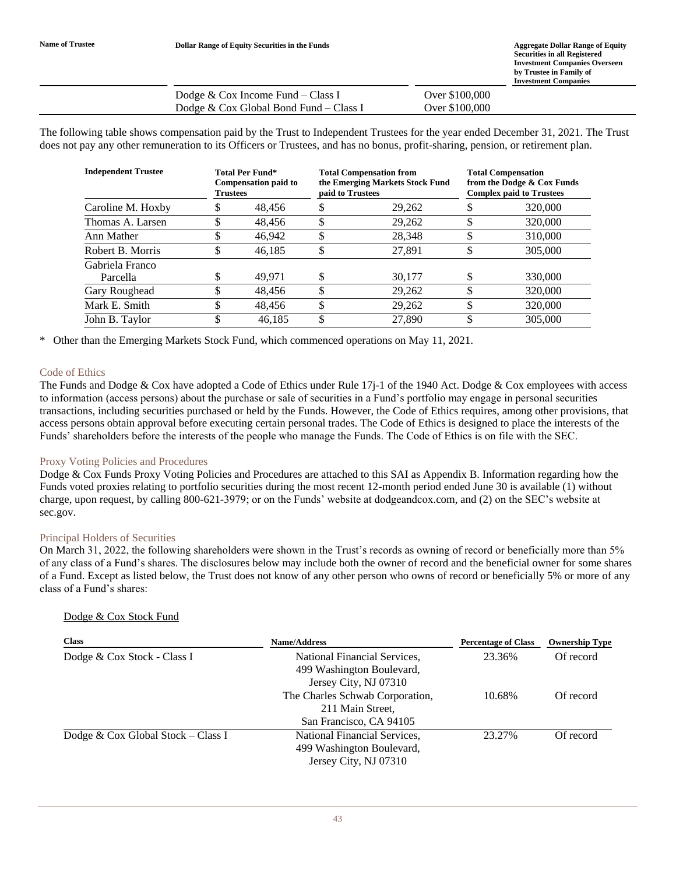| Over \$100.000<br>Dodge & Cox Global Bond Fund – Class I | Dodge & Cox Income Fund – Class I | Over \$100,000 |  |  |  |
|----------------------------------------------------------|-----------------------------------|----------------|--|--|--|
|----------------------------------------------------------|-----------------------------------|----------------|--|--|--|

The following table shows compensation paid by the Trust to Independent Trustees for the year ended December 31, 2021. The Trust does not pay any other remuneration to its Officers or Trustees, and has no bonus, profit-sharing, pension, or retirement plan.

| <b>Independent Trustee</b>  |    | <b>Total Per Fund*</b><br>Compensation paid to<br><b>Trustees</b> |    | <b>Total Compensation from</b><br>the Emerging Markets Stock Fund<br>paid to Trustees |     | <b>Total Compensation</b><br>from the Dodge & Cox Funds<br><b>Complex paid to Trustees</b> |
|-----------------------------|----|-------------------------------------------------------------------|----|---------------------------------------------------------------------------------------|-----|--------------------------------------------------------------------------------------------|
| Caroline M. Hoxby           | ۰D | 48,456                                                            |    | 29,262                                                                                |     | 320,000                                                                                    |
| Thomas A. Larsen            |    | 48,456                                                            |    | 29,262                                                                                |     | 320,000                                                                                    |
| Ann Mather                  |    | 46,942                                                            |    | 28,348                                                                                |     | 310,000                                                                                    |
| Robert B. Morris            | ۰D | 46,185                                                            | D  | 27,891                                                                                |     | 305,000                                                                                    |
| Gabriela Franco<br>Parcella | ъ  | 49,971                                                            | ۰D | 30,177                                                                                | \$  | 330,000                                                                                    |
| Gary Roughead               |    | 48,456                                                            | ۰D | 29,262                                                                                | \$. | 320,000                                                                                    |
| Mark E. Smith               |    | 48,456                                                            |    | 29,262                                                                                |     | 320,000                                                                                    |
| John B. Taylor              | ۰D | 46,185                                                            |    | 27,890                                                                                |     | 305,000                                                                                    |

\* Other than the Emerging Markets Stock Fund, which commenced operations on May 11, 2021.

#### Code of Ethics

The Funds and Dodge & Cox have adopted a Code of Ethics under Rule 17j-1 of the 1940 Act. Dodge & Cox employees with access to information (access persons) about the purchase or sale of securities in a Fund's portfolio may engage in personal securities transactions, including securities purchased or held by the Funds. However, the Code of Ethics requires, among other provisions, that access persons obtain approval before executing certain personal trades. The Code of Ethics is designed to place the interests of the Funds' shareholders before the interests of the people who manage the Funds. The Code of Ethics is on file with the SEC.

#### Proxy Voting Policies and Procedures

Dodge & Cox Funds Proxy Voting Policies and Procedures are attached to this SAI as Appendix B. Information regarding how the Funds voted proxies relating to portfolio securities during the most recent 12-month period ended June 30 is available (1) without charge, upon request, by calling 800-621-3979; or on the Funds' website at dodgeandcox.com, and (2) on the SEC's website at sec.gov.

#### Principal Holders of Securities

On March 31, 2022, the following shareholders were shown in the Trust's records as owning of record or beneficially more than 5% of any class of a Fund's shares. The disclosures below may include both the owner of record and the beneficial owner for some shares of a Fund. Except as listed below, the Trust does not know of any other person who owns of record or beneficially 5% or more of any class of a Fund's shares:

#### Dodge & Cox Stock Fund

| <b>Class</b>                       | Name/Address                                                                       | <b>Percentage of Class</b> | <b>Ownership Type</b> |
|------------------------------------|------------------------------------------------------------------------------------|----------------------------|-----------------------|
| Dodge & Cox Stock - Class I        | National Financial Services,<br>499 Washington Boulevard,<br>Jersey City, NJ 07310 | 23.36%                     | Of record             |
|                                    | The Charles Schwab Corporation,<br>211 Main Street,<br>San Francisco, CA 94105     | 10.68%                     | Of record             |
| Dodge & Cox Global Stock - Class I | National Financial Services,<br>499 Washington Boulevard,<br>Jersey City, NJ 07310 | 23.27%                     | Of record             |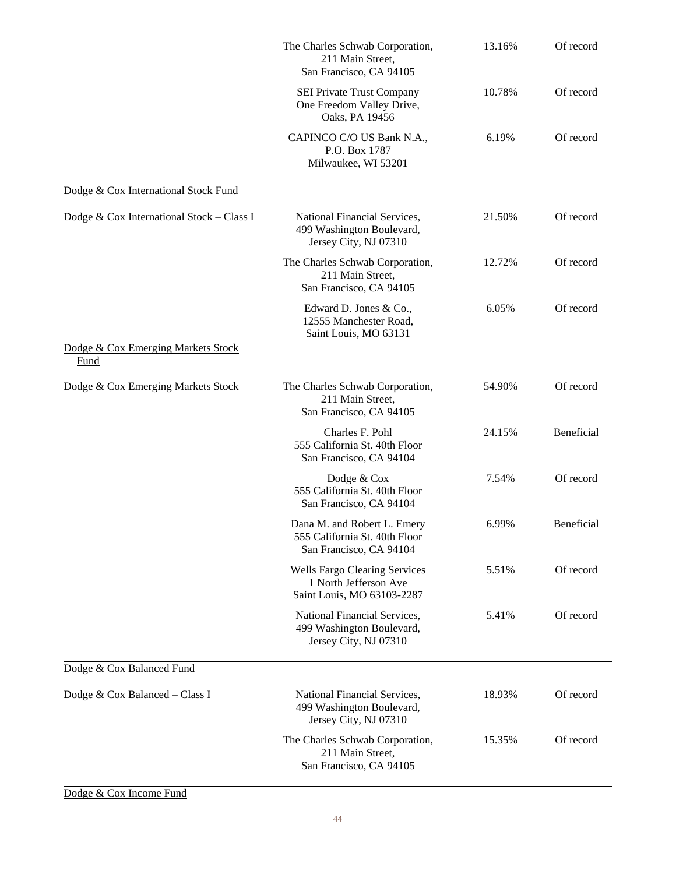|                                                   | The Charles Schwab Corporation,<br>211 Main Street,<br>San Francisco, CA 94105              | 13.16% | Of record  |
|---------------------------------------------------|---------------------------------------------------------------------------------------------|--------|------------|
|                                                   | SEI Private Trust Company<br>One Freedom Valley Drive,<br>Oaks, PA 19456                    | 10.78% | Of record  |
|                                                   | CAPINCO C/O US Bank N.A.,<br>P.O. Box 1787<br>Milwaukee, WI 53201                           | 6.19%  | Of record  |
| Dodge & Cox International Stock Fund              |                                                                                             |        |            |
| Dodge & Cox International Stock - Class I         | National Financial Services,<br>499 Washington Boulevard,<br>Jersey City, NJ 07310          | 21.50% | Of record  |
|                                                   | The Charles Schwab Corporation,<br>211 Main Street,<br>San Francisco, CA 94105              | 12.72% | Of record  |
|                                                   | Edward D. Jones & Co.,<br>12555 Manchester Road,<br>Saint Louis, MO 63131                   | 6.05%  | Of record  |
| Dodge & Cox Emerging Markets Stock<br><b>Fund</b> |                                                                                             |        |            |
| Dodge & Cox Emerging Markets Stock                | The Charles Schwab Corporation,<br>211 Main Street,<br>San Francisco, CA 94105              | 54.90% | Of record  |
|                                                   | Charles F. Pohl<br>555 California St. 40th Floor<br>San Francisco, CA 94104                 | 24.15% | Beneficial |
|                                                   | Dodge & Cox<br>555 California St. 40th Floor<br>San Francisco, CA 94104                     | 7.54%  | Of record  |
|                                                   | Dana M. and Robert L. Emery<br>555 California St. 40th Floor<br>San Francisco, CA 94104     | 6.99%  | Beneficial |
|                                                   | <b>Wells Fargo Clearing Services</b><br>1 North Jefferson Ave<br>Saint Louis, MO 63103-2287 | 5.51%  | Of record  |
|                                                   | National Financial Services,<br>499 Washington Boulevard,<br>Jersey City, NJ 07310          | 5.41%  | Of record  |
| Dodge & Cox Balanced Fund                         |                                                                                             |        |            |
| Dodge & Cox Balanced - Class I                    | National Financial Services,<br>499 Washington Boulevard,<br>Jersey City, NJ 07310          | 18.93% | Of record  |
|                                                   | The Charles Schwab Corporation,<br>211 Main Street,<br>San Francisco, CA 94105              | 15.35% | Of record  |

# Dodge & Cox Income Fund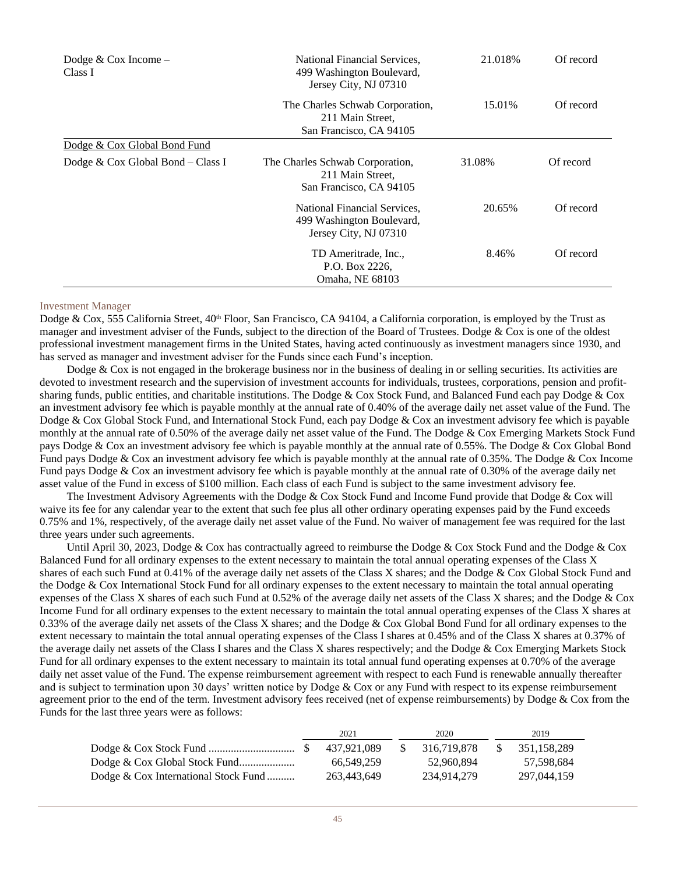| Dodge & Cox Income $-$<br>Class I | National Financial Services,<br>499 Washington Boulevard,<br>Jersey City, NJ 07310 | 21.018% | Of record |
|-----------------------------------|------------------------------------------------------------------------------------|---------|-----------|
|                                   | The Charles Schwab Corporation,<br>211 Main Street,<br>San Francisco, CA 94105     | 15.01%  | Of record |
| Dodge & Cox Global Bond Fund      |                                                                                    |         |           |
| Dodge & Cox Global Bond – Class I | The Charles Schwab Corporation,<br>211 Main Street,<br>San Francisco, CA 94105     | 31.08%  | Of record |
|                                   | National Financial Services.<br>499 Washington Boulevard,<br>Jersey City, NJ 07310 | 20.65%  | Of record |
|                                   | TD Ameritrade, Inc.,<br>P.O. Box 2226,<br>Omaha, NE 68103                          | 8.46%   | Of record |

#### Investment Manager

Dodge & Cox, 555 California Street,  $40<sup>th</sup>$  Floor, San Francisco, CA 94104, a California corporation, is employed by the Trust as manager and investment adviser of the Funds, subject to the direction of the Board of Trustees. Dodge & Cox is one of the oldest professional investment management firms in the United States, having acted continuously as investment managers since 1930, and has served as manager and investment adviser for the Funds since each Fund's inception.

Dodge & Cox is not engaged in the brokerage business nor in the business of dealing in or selling securities. Its activities are devoted to investment research and the supervision of investment accounts for individuals, trustees, corporations, pension and profitsharing funds, public entities, and charitable institutions. The Dodge & Cox Stock Fund, and Balanced Fund each pay Dodge & Cox an investment advisory fee which is payable monthly at the annual rate of 0.40% of the average daily net asset value of the Fund. The Dodge & Cox Global Stock Fund, and International Stock Fund, each pay Dodge & Cox an investment advisory fee which is payable monthly at the annual rate of 0.50% of the average daily net asset value of the Fund. The Dodge & Cox Emerging Markets Stock Fund pays Dodge & Cox an investment advisory fee which is payable monthly at the annual rate of 0.55%. The Dodge & Cox Global Bond Fund pays Dodge & Cox an investment advisory fee which is payable monthly at the annual rate of 0.35%. The Dodge & Cox Income Fund pays Dodge & Cox an investment advisory fee which is payable monthly at the annual rate of 0.30% of the average daily net asset value of the Fund in excess of \$100 million. Each class of each Fund is subject to the same investment advisory fee.

The Investment Advisory Agreements with the Dodge & Cox Stock Fund and Income Fund provide that Dodge & Cox will waive its fee for any calendar year to the extent that such fee plus all other ordinary operating expenses paid by the Fund exceeds 0.75% and 1%, respectively, of the average daily net asset value of the Fund. No waiver of management fee was required for the last three years under such agreements.

Until April 30, 2023, Dodge & Cox has contractually agreed to reimburse the Dodge & Cox Stock Fund and the Dodge & Cox Balanced Fund for all ordinary expenses to the extent necessary to maintain the total annual operating expenses of the Class X shares of each such Fund at 0.41% of the average daily net assets of the Class X shares; and the Dodge & Cox Global Stock Fund and the Dodge & Cox International Stock Fund for all ordinary expenses to the extent necessary to maintain the total annual operating expenses of the Class X shares of each such Fund at 0.52% of the average daily net assets of the Class X shares; and the Dodge & Cox Income Fund for all ordinary expenses to the extent necessary to maintain the total annual operating expenses of the Class X shares at 0.33% of the average daily net assets of the Class X shares; and the Dodge & Cox Global Bond Fund for all ordinary expenses to the extent necessary to maintain the total annual operating expenses of the Class I shares at 0.45% and of the Class X shares at 0.37% of the average daily net assets of the Class I shares and the Class X shares respectively; and the Dodge & Cox Emerging Markets Stock Fund for all ordinary expenses to the extent necessary to maintain its total annual fund operating expenses at 0.70% of the average daily net asset value of the Fund. The expense reimbursement agreement with respect to each Fund is renewable annually thereafter and is subject to termination upon 30 days' written notice by Dodge & Cox or any Fund with respect to its expense reimbursement agreement prior to the end of the term. Investment advisory fees received (net of expense reimbursements) by Dodge & Cox from the Funds for the last three years were as follows:

|                                      | 2021        | 2020        | 2019        |
|--------------------------------------|-------------|-------------|-------------|
|                                      | 437.921.089 | 316.719.878 | 351.158.289 |
|                                      | 66.549.259  | 52.960.894  | 57.598.684  |
| Dodge & Cox International Stock Fund | 263,443,649 | 234.914.279 | 297,044,159 |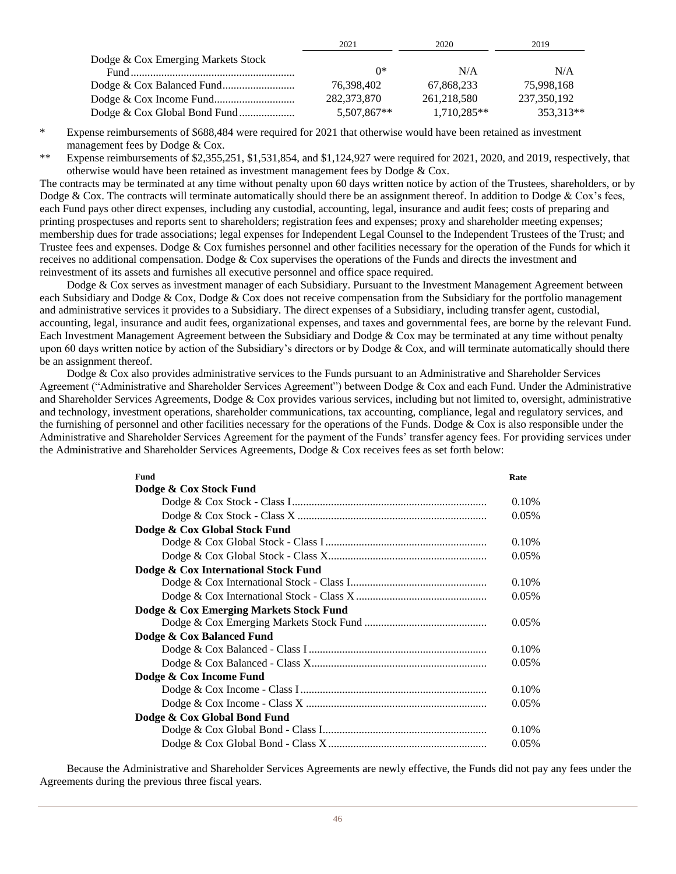|                                    | 2021        | 2020          | 2019          |
|------------------------------------|-------------|---------------|---------------|
| Dodge & Cox Emerging Markets Stock |             |               |               |
|                                    | $0*$        | N/A           | N/A           |
|                                    | 76.398.402  | 67.868.233    | 75,998,168    |
|                                    | 282,373,870 | 261.218.580   | 237, 350, 192 |
|                                    | 5.507.867** | $1.710.285**$ | 353.313**     |

\* Expense reimbursements of \$688,484 were required for 2021 that otherwise would have been retained as investment management fees by Dodge & Cox.

\*\* Expense reimbursements of \$2,355,251, \$1,531,854, and \$1,124,927 were required for 2021, 2020, and 2019, respectively, that otherwise would have been retained as investment management fees by Dodge & Cox.

The contracts may be terminated at any time without penalty upon 60 days written notice by action of the Trustees, shareholders, or by Dodge & Cox. The contracts will terminate automatically should there be an assignment thereof. In addition to Dodge & Cox's fees, each Fund pays other direct expenses, including any custodial, accounting, legal, insurance and audit fees; costs of preparing and printing prospectuses and reports sent to shareholders; registration fees and expenses; proxy and shareholder meeting expenses; membership dues for trade associations; legal expenses for Independent Legal Counsel to the Independent Trustees of the Trust; and Trustee fees and expenses. Dodge & Cox furnishes personnel and other facilities necessary for the operation of the Funds for which it receives no additional compensation. Dodge & Cox supervises the operations of the Funds and directs the investment and reinvestment of its assets and furnishes all executive personnel and office space required.

Dodge & Cox serves as investment manager of each Subsidiary. Pursuant to the Investment Management Agreement between each Subsidiary and Dodge & Cox, Dodge & Cox does not receive compensation from the Subsidiary for the portfolio management and administrative services it provides to a Subsidiary. The direct expenses of a Subsidiary, including transfer agent, custodial, accounting, legal, insurance and audit fees, organizational expenses, and taxes and governmental fees, are borne by the relevant Fund. Each Investment Management Agreement between the Subsidiary and Dodge & Cox may be terminated at any time without penalty upon 60 days written notice by action of the Subsidiary's directors or by Dodge  $\&$  Cox, and will terminate automatically should there be an assignment thereof.

Dodge & Cox also provides administrative services to the Funds pursuant to an Administrative and Shareholder Services Agreement ("Administrative and Shareholder Services Agreement") between Dodge & Cox and each Fund. Under the Administrative and Shareholder Services Agreements, Dodge & Cox provides various services, including but not limited to, oversight, administrative and technology, investment operations, shareholder communications, tax accounting, compliance, legal and regulatory services, and the furnishing of personnel and other facilities necessary for the operations of the Funds. Dodge  $\&$  Cox is also responsible under the Administrative and Shareholder Services Agreement for the payment of the Funds' transfer agency fees. For providing services under the Administrative and Shareholder Services Agreements, Dodge & Cox receives fees as set forth below:

| <b>Fund</b>                             | Rate  |
|-----------------------------------------|-------|
| Dodge & Cox Stock Fund                  |       |
|                                         | 0.10% |
|                                         | 0.05% |
| Dodge & Cox Global Stock Fund           |       |
|                                         | 0.10% |
|                                         | 0.05% |
| Dodge & Cox International Stock Fund    |       |
|                                         | 0.10% |
|                                         | 0.05% |
| Dodge & Cox Emerging Markets Stock Fund |       |
|                                         | 0.05% |
| Dodge & Cox Balanced Fund               |       |
|                                         | 0.10% |
|                                         | 0.05% |
| Dodge & Cox Income Fund                 |       |
|                                         | 0.10% |
|                                         | 0.05% |
| Dodge & Cox Global Bond Fund            |       |
|                                         | 0.10% |
|                                         | 0.05% |

Because the Administrative and Shareholder Services Agreements are newly effective, the Funds did not pay any fees under the Agreements during the previous three fiscal years.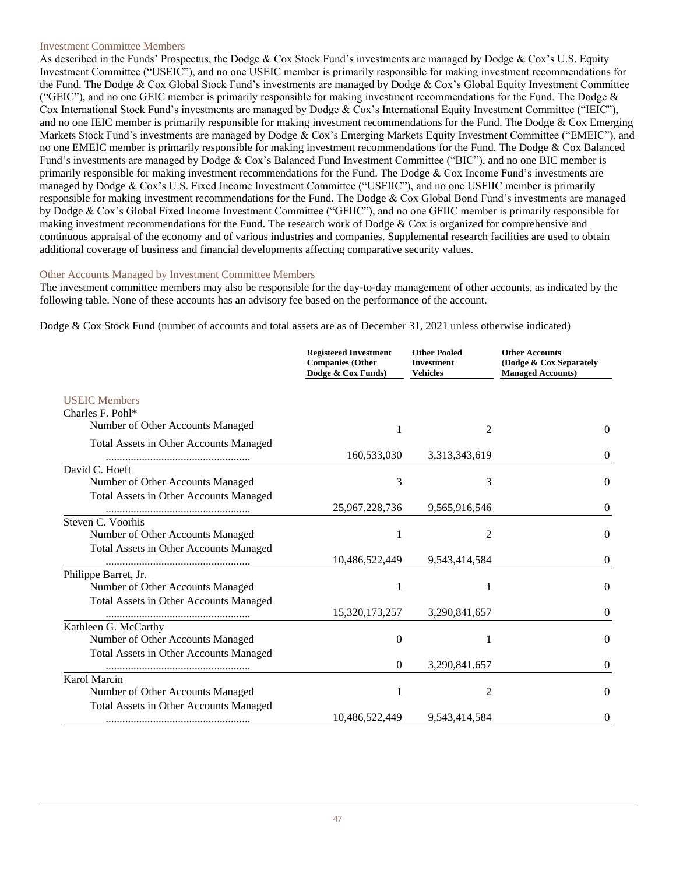## Investment Committee Members

As described in the Funds' Prospectus, the Dodge & Cox Stock Fund's investments are managed by Dodge & Cox's U.S. Equity Investment Committee ("USEIC"), and no one USEIC member is primarily responsible for making investment recommendations for the Fund. The Dodge & Cox Global Stock Fund's investments are managed by Dodge & Cox's Global Equity Investment Committee ("GEIC"), and no one GEIC member is primarily responsible for making investment recommendations for the Fund. The Dodge  $\&$ Cox International Stock Fund's investments are managed by Dodge & Cox's International Equity Investment Committee ("IEIC"), and no one IEIC member is primarily responsible for making investment recommendations for the Fund. The Dodge & Cox Emerging Markets Stock Fund's investments are managed by Dodge & Cox's Emerging Markets Equity Investment Committee ("EMEIC"), and no one EMEIC member is primarily responsible for making investment recommendations for the Fund. The Dodge & Cox Balanced Fund's investments are managed by Dodge & Cox's Balanced Fund Investment Committee ("BIC"), and no one BIC member is primarily responsible for making investment recommendations for the Fund. The Dodge & Cox Income Fund's investments are managed by Dodge & Cox's U.S. Fixed Income Investment Committee ("USFIIC"), and no one USFIIC member is primarily responsible for making investment recommendations for the Fund. The Dodge & Cox Global Bond Fund's investments are managed by Dodge & Cox's Global Fixed Income Investment Committee ("GFIIC"), and no one GFIIC member is primarily responsible for making investment recommendations for the Fund. The research work of Dodge & Cox is organized for comprehensive and continuous appraisal of the economy and of various industries and companies. Supplemental research facilities are used to obtain additional coverage of business and financial developments affecting comparative security values.

# Other Accounts Managed by Investment Committee Members

The investment committee members may also be responsible for the day-to-day management of other accounts, as indicated by the following table. None of these accounts has an advisory fee based on the performance of the account.

Dodge & Cox Stock Fund (number of accounts and total assets are as of December 31, 2021 unless otherwise indicated)

|                                               | <b>Registered Investment</b><br><b>Companies</b> (Other<br>Dodge & Cox Funds) | <b>Other Pooled</b><br><b>Investment</b><br><b>Vehicles</b> | <b>Other Accounts</b><br>(Dodge & Cox Separately<br><b>Managed Accounts)</b> |
|-----------------------------------------------|-------------------------------------------------------------------------------|-------------------------------------------------------------|------------------------------------------------------------------------------|
| <b>USEIC</b> Members                          |                                                                               |                                                             |                                                                              |
| Charles F. Pohl*                              |                                                                               |                                                             |                                                                              |
| Number of Other Accounts Managed              |                                                                               | 2                                                           | $\Omega$                                                                     |
| <b>Total Assets in Other Accounts Managed</b> |                                                                               |                                                             |                                                                              |
|                                               | 160,533,030                                                                   | 3,313,343,619                                               | $\theta$                                                                     |
| David C. Hoeft                                |                                                                               |                                                             |                                                                              |
| Number of Other Accounts Managed              | 3                                                                             | 3                                                           | $\Omega$                                                                     |
| <b>Total Assets in Other Accounts Managed</b> |                                                                               |                                                             |                                                                              |
|                                               | 25,967,228,736                                                                | 9,565,916,546                                               | $\theta$                                                                     |
| Steven C. Voorhis                             |                                                                               |                                                             |                                                                              |
| Number of Other Accounts Managed              |                                                                               | 2                                                           | $\Omega$                                                                     |
| Total Assets in Other Accounts Managed        |                                                                               |                                                             |                                                                              |
|                                               | 10,486,522,449                                                                | 9,543,414,584                                               | $\Omega$                                                                     |
| Philippe Barret, Jr.                          |                                                                               |                                                             |                                                                              |
| Number of Other Accounts Managed              |                                                                               |                                                             | $\Omega$                                                                     |
| Total Assets in Other Accounts Managed        |                                                                               |                                                             |                                                                              |
|                                               | 15,320,173,257                                                                | 3,290,841,657                                               | $\theta$                                                                     |
| Kathleen G. McCarthy                          |                                                                               |                                                             |                                                                              |
| Number of Other Accounts Managed              | $\Omega$                                                                      |                                                             | $\Omega$                                                                     |
| <b>Total Assets in Other Accounts Managed</b> |                                                                               |                                                             |                                                                              |
|                                               | $\theta$                                                                      | 3,290,841,657                                               | $\Omega$                                                                     |
| Karol Marcin                                  |                                                                               |                                                             |                                                                              |
| Number of Other Accounts Managed              |                                                                               | 2                                                           | $\Omega$                                                                     |
| <b>Total Assets in Other Accounts Managed</b> |                                                                               |                                                             |                                                                              |
|                                               | 10,486,522,449                                                                | 9,543,414,584                                               | 0                                                                            |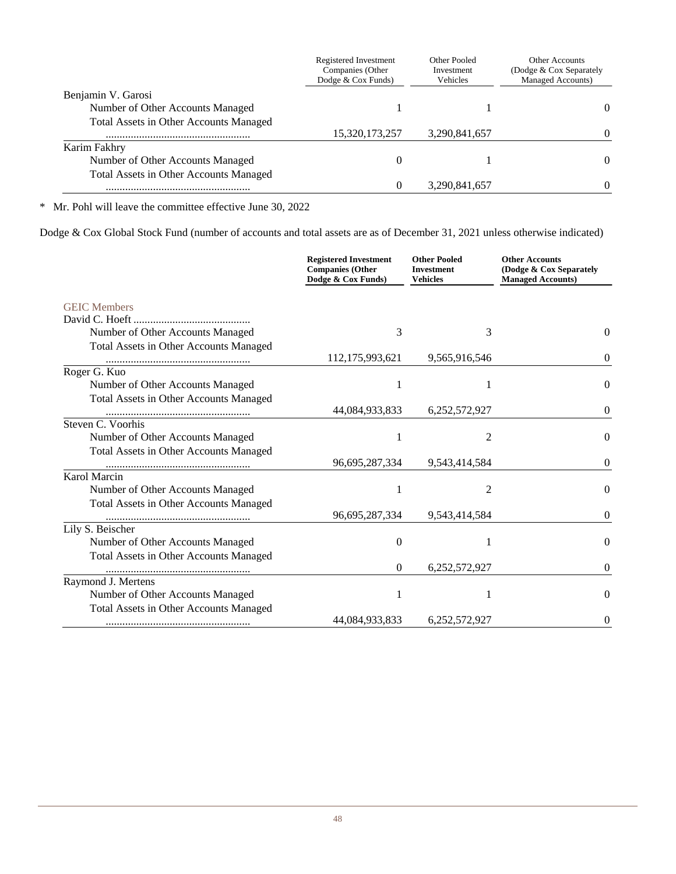|                                        | Registered Investment<br>Companies (Other<br>Dodge & Cox Funds) | Other Pooled<br>Investment<br>Vehicles | Other Accounts<br>(Dodge & Cox Separately<br><b>Managed Accounts)</b> |
|----------------------------------------|-----------------------------------------------------------------|----------------------------------------|-----------------------------------------------------------------------|
| Benjamin V. Garosi                     |                                                                 |                                        |                                                                       |
| Number of Other Accounts Managed       |                                                                 |                                        | 0                                                                     |
| Total Assets in Other Accounts Managed |                                                                 |                                        |                                                                       |
|                                        | 15,320,173,257                                                  | 3,290,841,657                          | 0                                                                     |
| Karim Fakhry                           |                                                                 |                                        |                                                                       |
| Number of Other Accounts Managed       |                                                                 |                                        | 0                                                                     |
| Total Assets in Other Accounts Managed |                                                                 |                                        |                                                                       |
|                                        | 0                                                               | 3,290,841,657                          | 0                                                                     |

\* Mr. Pohl will leave the committee effective June 30, 2022

Dodge & Cox Global Stock Fund (number of accounts and total assets are as of December 31, 2021 unless otherwise indicated)

|                                               | <b>Registered Investment</b><br><b>Companies</b> (Other<br>Dodge & Cox Funds) | <b>Other Pooled</b><br><b>Investment</b><br><b>Vehicles</b> | <b>Other Accounts</b><br>(Dodge & Cox Separately<br><b>Managed Accounts)</b> |
|-----------------------------------------------|-------------------------------------------------------------------------------|-------------------------------------------------------------|------------------------------------------------------------------------------|
| <b>GEIC</b> Members                           |                                                                               |                                                             |                                                                              |
|                                               |                                                                               |                                                             |                                                                              |
| Number of Other Accounts Managed              | 3                                                                             | 3                                                           | $\Omega$                                                                     |
| <b>Total Assets in Other Accounts Managed</b> |                                                                               |                                                             |                                                                              |
|                                               | 112,175,993,621                                                               | 9,565,916,546                                               | $\Omega$                                                                     |
| Roger G. Kuo                                  |                                                                               |                                                             |                                                                              |
| Number of Other Accounts Managed              |                                                                               |                                                             | $\Omega$                                                                     |
| <b>Total Assets in Other Accounts Managed</b> |                                                                               |                                                             |                                                                              |
|                                               | 44,084,933,833                                                                | 6,252,572,927                                               | $\Omega$                                                                     |
| Steven C. Voorhis                             |                                                                               |                                                             |                                                                              |
| Number of Other Accounts Managed              |                                                                               | 2                                                           | $\Omega$                                                                     |
| <b>Total Assets in Other Accounts Managed</b> |                                                                               |                                                             |                                                                              |
|                                               | 96,695,287,334                                                                | 9,543,414,584                                               | $\Omega$                                                                     |
| <b>Karol Marcin</b>                           |                                                                               |                                                             |                                                                              |
| Number of Other Accounts Managed              |                                                                               | 2                                                           | $\Omega$                                                                     |
| <b>Total Assets in Other Accounts Managed</b> |                                                                               |                                                             |                                                                              |
|                                               | 96,695,287,334                                                                | 9,543,414,584                                               | $\Omega$                                                                     |
| Lily S. Beischer                              |                                                                               |                                                             |                                                                              |
| Number of Other Accounts Managed              | $\Omega$                                                                      |                                                             | $\Omega$                                                                     |
| <b>Total Assets in Other Accounts Managed</b> |                                                                               |                                                             |                                                                              |
|                                               | $\Omega$                                                                      | 6,252,572,927                                               | $\Omega$                                                                     |
| Raymond J. Mertens                            |                                                                               |                                                             |                                                                              |
| Number of Other Accounts Managed              |                                                                               |                                                             | $\Omega$                                                                     |
| <b>Total Assets in Other Accounts Managed</b> |                                                                               |                                                             |                                                                              |
|                                               | 44,084,933,833                                                                | 6,252,572,927                                               | $\Omega$                                                                     |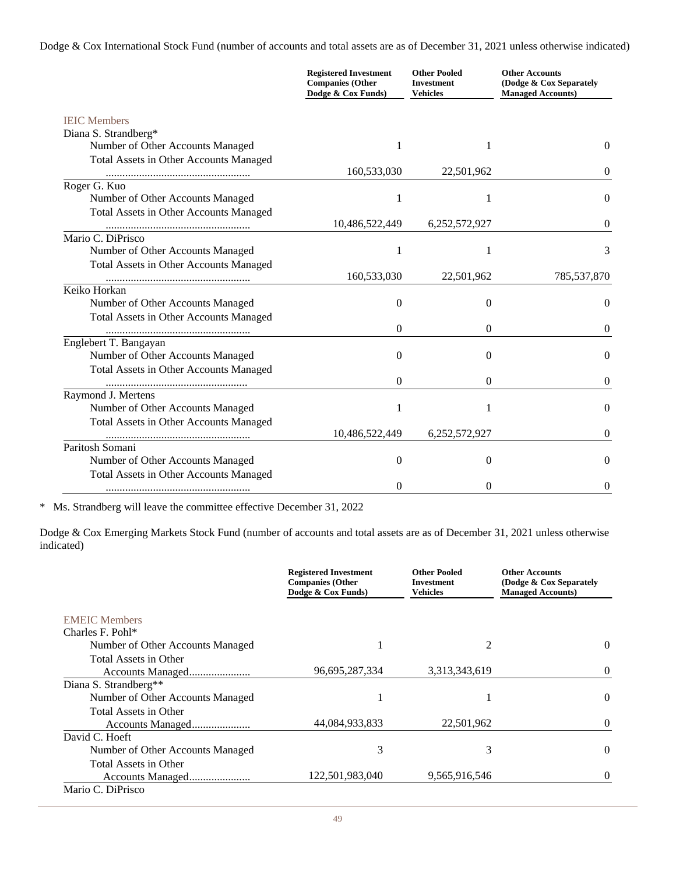Dodge & Cox International Stock Fund (number of accounts and total assets are as of December 31, 2021 unless otherwise indicated)

|                                               | <b>Registered Investment</b><br><b>Companies</b> (Other<br>Dodge & Cox Funds) | <b>Other Pooled</b><br><b>Investment</b><br><b>Vehicles</b> | <b>Other Accounts</b><br>(Dodge & Cox Separately<br><b>Managed Accounts)</b> |
|-----------------------------------------------|-------------------------------------------------------------------------------|-------------------------------------------------------------|------------------------------------------------------------------------------|
| <b>IEIC</b> Members                           |                                                                               |                                                             |                                                                              |
| Diana S. Strandberg*                          |                                                                               |                                                             |                                                                              |
| Number of Other Accounts Managed              |                                                                               |                                                             | $\Omega$                                                                     |
| <b>Total Assets in Other Accounts Managed</b> |                                                                               |                                                             |                                                                              |
|                                               | 160,533,030                                                                   | 22,501,962                                                  | $\Omega$                                                                     |
| Roger G. Kuo                                  |                                                                               |                                                             |                                                                              |
| Number of Other Accounts Managed              |                                                                               |                                                             | $\Omega$                                                                     |
| <b>Total Assets in Other Accounts Managed</b> |                                                                               |                                                             |                                                                              |
|                                               | 10,486,522,449                                                                | 6,252,572,927                                               | $\Omega$                                                                     |
| Mario C. DiPrisco                             |                                                                               |                                                             |                                                                              |
| Number of Other Accounts Managed              | 1                                                                             |                                                             | 3                                                                            |
| <b>Total Assets in Other Accounts Managed</b> | 160,533,030                                                                   |                                                             |                                                                              |
| Keiko Horkan                                  |                                                                               | 22,501,962                                                  | 785,537,870                                                                  |
| Number of Other Accounts Managed              | $\Omega$                                                                      | 0                                                           | $\theta$                                                                     |
| Total Assets in Other Accounts Managed        |                                                                               |                                                             |                                                                              |
|                                               | $\Omega$                                                                      | $\mathbf{0}$                                                | $\theta$                                                                     |
| Englebert T. Bangayan                         |                                                                               |                                                             |                                                                              |
| Number of Other Accounts Managed              | $\Omega$                                                                      | $\Omega$                                                    | $\Omega$                                                                     |
| <b>Total Assets in Other Accounts Managed</b> |                                                                               |                                                             |                                                                              |
|                                               | $\Omega$                                                                      | 0                                                           | $\Omega$                                                                     |
| Raymond J. Mertens                            |                                                                               |                                                             |                                                                              |
| Number of Other Accounts Managed              | 1                                                                             | 1                                                           | $\Omega$                                                                     |
| <b>Total Assets in Other Accounts Managed</b> |                                                                               |                                                             |                                                                              |
|                                               | 10,486,522,449                                                                | 6,252,572,927                                               | $\Omega$                                                                     |
| Paritosh Somani                               |                                                                               |                                                             |                                                                              |
| Number of Other Accounts Managed              | $\Omega$                                                                      | 0                                                           | $\Omega$                                                                     |
| <b>Total Assets in Other Accounts Managed</b> |                                                                               |                                                             |                                                                              |
|                                               | $\Omega$                                                                      | 0                                                           | $\overline{0}$                                                               |

\* Ms. Strandberg will leave the committee effective December 31, 2022

Dodge & Cox Emerging Markets Stock Fund (number of accounts and total assets are as of December 31, 2021 unless otherwise indicated)

|                                  | <b>Registered Investment</b><br><b>Companies (Other</b><br>Dodge & Cox Funds) | <b>Other Pooled</b><br>Investment<br><b>Vehicles</b> | <b>Other Accounts</b><br>(Dodge & Cox Separately<br><b>Managed Accounts)</b> |
|----------------------------------|-------------------------------------------------------------------------------|------------------------------------------------------|------------------------------------------------------------------------------|
| <b>EMEIC</b> Members             |                                                                               |                                                      |                                                                              |
| Charles F. Pohl*                 |                                                                               |                                                      |                                                                              |
| Number of Other Accounts Managed |                                                                               | 2                                                    | $\Omega$                                                                     |
| Total Assets in Other            |                                                                               |                                                      |                                                                              |
| Accounts Managed                 | 96,695,287,334                                                                | 3,313,343,619                                        | $\Omega$                                                                     |
| Diana S. Strandberg**            |                                                                               |                                                      |                                                                              |
| Number of Other Accounts Managed |                                                                               |                                                      | $\Omega$                                                                     |
| Total Assets in Other            |                                                                               |                                                      |                                                                              |
| Accounts Managed                 | 44,084,933,833                                                                | 22,501,962                                           | $\theta$                                                                     |
| David C. Hoeft                   |                                                                               |                                                      |                                                                              |
| Number of Other Accounts Managed | 3                                                                             | 3                                                    | $\Omega$                                                                     |
| Total Assets in Other            |                                                                               |                                                      |                                                                              |
| Accounts Managed                 | 122,501,983,040                                                               | 9,565,916,546                                        | $\Omega$                                                                     |
| Mario C. DiPrisco                |                                                                               |                                                      |                                                                              |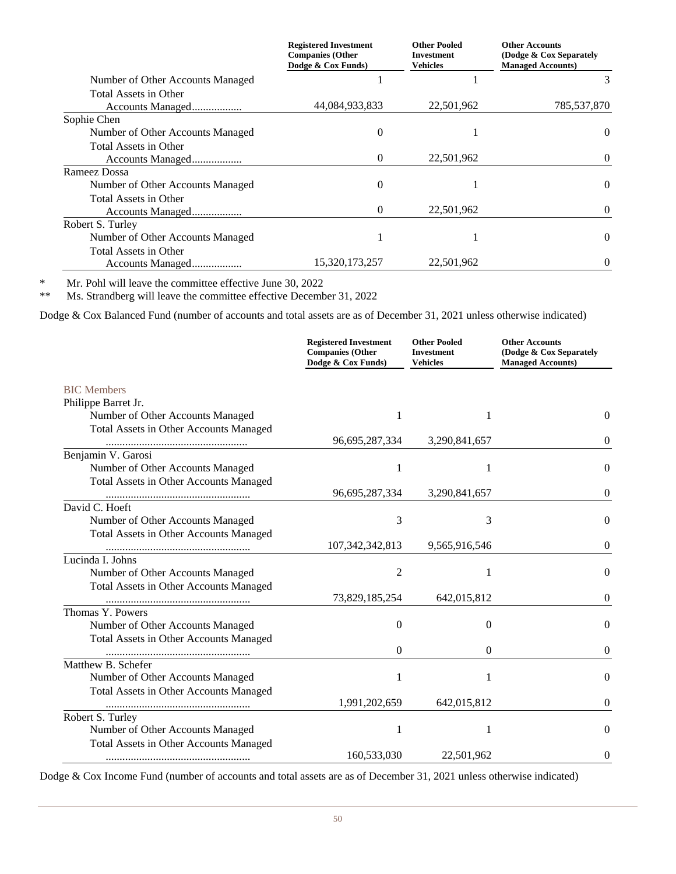|                                  | <b>Registered Investment</b><br><b>Companies (Other</b><br>Dodge & Cox Funds) | <b>Other Pooled</b><br><b>Investment</b><br><b>Vehicles</b> | <b>Other Accounts</b><br>(Dodge & Cox Separately<br><b>Managed Accounts)</b> |
|----------------------------------|-------------------------------------------------------------------------------|-------------------------------------------------------------|------------------------------------------------------------------------------|
| Number of Other Accounts Managed |                                                                               |                                                             | 3                                                                            |
| <b>Total Assets in Other</b>     |                                                                               |                                                             |                                                                              |
| Accounts Managed                 | 44,084,933,833                                                                | 22,501,962                                                  | 785,537,870                                                                  |
| Sophie Chen                      |                                                                               |                                                             |                                                                              |
| Number of Other Accounts Managed | 0                                                                             |                                                             | $\theta$                                                                     |
| <b>Total Assets in Other</b>     |                                                                               |                                                             |                                                                              |
| Accounts Managed                 | $\theta$                                                                      | 22,501,962                                                  | $\theta$                                                                     |
| Rameez Dossa                     |                                                                               |                                                             |                                                                              |
| Number of Other Accounts Managed | 0                                                                             |                                                             | $\Omega$                                                                     |
| <b>Total Assets in Other</b>     |                                                                               |                                                             |                                                                              |
| Accounts Managed                 | 0                                                                             | 22,501,962                                                  | $\Omega$                                                                     |
| Robert S. Turley                 |                                                                               |                                                             |                                                                              |
| Number of Other Accounts Managed |                                                                               |                                                             | $\Omega$                                                                     |
| Total Assets in Other            |                                                                               |                                                             |                                                                              |
| Accounts Managed                 | 15,320,173,257                                                                | 22,501,962                                                  | $\Omega$                                                                     |

\* Mr. Pohl will leave the committee effective June 30, 2022<br>\*\* Ms. Strandberg will leave the committee effective Decemb

Ms. Strandberg will leave the committee effective December 31, 2022

Dodge & Cox Balanced Fund (number of accounts and total assets are as of December 31, 2021 unless otherwise indicated)

|                                               | <b>Registered Investment</b><br><b>Companies (Other</b><br>Dodge & Cox Funds) | <b>Other Pooled</b><br><b>Investment</b><br><b>Vehicles</b> | <b>Other Accounts</b><br>(Dodge & Cox Separately<br><b>Managed Accounts)</b> |
|-----------------------------------------------|-------------------------------------------------------------------------------|-------------------------------------------------------------|------------------------------------------------------------------------------|
| <b>BIC</b> Members                            |                                                                               |                                                             |                                                                              |
| Philippe Barret Jr.                           |                                                                               |                                                             |                                                                              |
| Number of Other Accounts Managed              |                                                                               |                                                             | $\Omega$                                                                     |
| <b>Total Assets in Other Accounts Managed</b> |                                                                               |                                                             |                                                                              |
|                                               | 96,695,287,334                                                                | 3,290,841,657                                               | $\theta$                                                                     |
| Benjamin V. Garosi                            |                                                                               |                                                             |                                                                              |
| Number of Other Accounts Managed              |                                                                               |                                                             | $\Omega$                                                                     |
| <b>Total Assets in Other Accounts Managed</b> |                                                                               |                                                             |                                                                              |
|                                               | 96,695,287,334                                                                | 3,290,841,657                                               | $\Omega$                                                                     |
| David C. Hoeft                                |                                                                               |                                                             |                                                                              |
| Number of Other Accounts Managed              | 3                                                                             | 3                                                           | $\Omega$                                                                     |
| <b>Total Assets in Other Accounts Managed</b> |                                                                               |                                                             |                                                                              |
|                                               | 107, 342, 342, 813                                                            | 9,565,916,546                                               | $\overline{0}$                                                               |
| Lucinda I. Johns                              |                                                                               |                                                             |                                                                              |
| Number of Other Accounts Managed              | 2                                                                             |                                                             | $\Omega$                                                                     |
| <b>Total Assets in Other Accounts Managed</b> |                                                                               |                                                             |                                                                              |
|                                               | 73,829,185,254                                                                | 642,015,812                                                 | $\overline{0}$                                                               |
| Thomas Y. Powers                              |                                                                               |                                                             |                                                                              |
| Number of Other Accounts Managed              | 0                                                                             | $\Omega$                                                    | $\Omega$                                                                     |
| <b>Total Assets in Other Accounts Managed</b> |                                                                               |                                                             |                                                                              |
|                                               | 0                                                                             | 0                                                           | $\Omega$                                                                     |
| Matthew B. Schefer                            |                                                                               |                                                             |                                                                              |
| Number of Other Accounts Managed              |                                                                               |                                                             | $\theta$                                                                     |
| <b>Total Assets in Other Accounts Managed</b> |                                                                               |                                                             |                                                                              |
|                                               | 1,991,202,659                                                                 | 642,015,812                                                 | $\Omega$                                                                     |
| Robert S. Turley                              |                                                                               |                                                             |                                                                              |
| Number of Other Accounts Managed              |                                                                               |                                                             | $\Omega$                                                                     |
| <b>Total Assets in Other Accounts Managed</b> |                                                                               |                                                             |                                                                              |
|                                               | 160,533,030                                                                   | 22,501,962                                                  | $\theta$                                                                     |

Dodge & Cox Income Fund (number of accounts and total assets are as of December 31, 2021 unless otherwise indicated)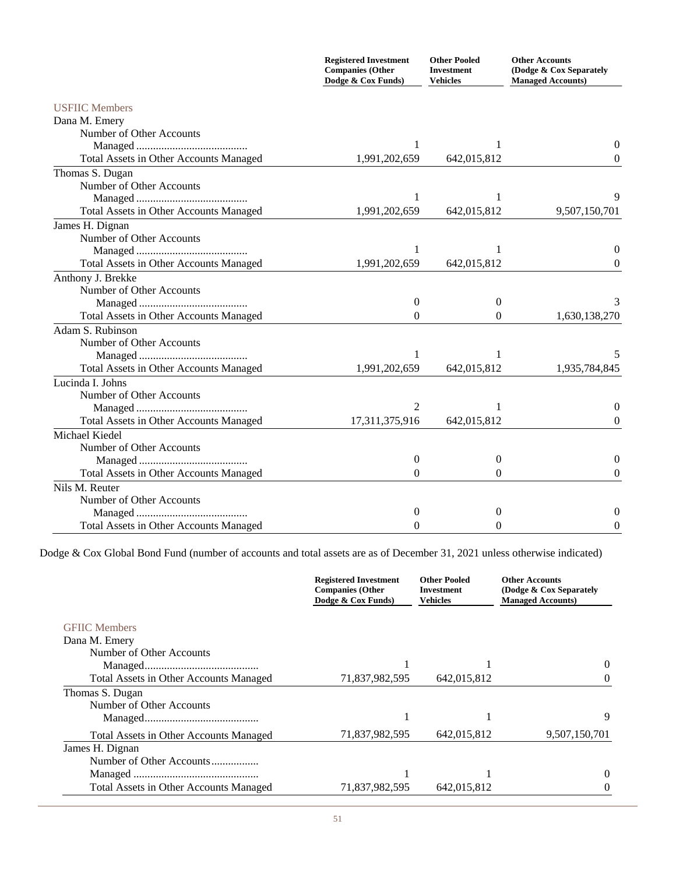|                                               | <b>Registered Investment</b><br><b>Companies (Other</b><br>Dodge & Cox Funds) | <b>Other Pooled</b><br><b>Investment</b><br><b>Vehicles</b> | <b>Other Accounts</b><br>(Dodge & Cox Separately<br><b>Managed Accounts)</b> |
|-----------------------------------------------|-------------------------------------------------------------------------------|-------------------------------------------------------------|------------------------------------------------------------------------------|
| <b>USFIIC Members</b>                         |                                                                               |                                                             |                                                                              |
| Dana M. Emery                                 |                                                                               |                                                             |                                                                              |
| Number of Other Accounts                      |                                                                               |                                                             |                                                                              |
|                                               |                                                                               |                                                             | 0                                                                            |
| <b>Total Assets in Other Accounts Managed</b> | 1,991,202,659                                                                 | 642,015,812                                                 | 0                                                                            |
| Thomas S. Dugan                               |                                                                               |                                                             |                                                                              |
| Number of Other Accounts                      |                                                                               |                                                             |                                                                              |
|                                               |                                                                               | 1                                                           |                                                                              |
| <b>Total Assets in Other Accounts Managed</b> | 1,991,202,659                                                                 | 642,015,812                                                 | 9,507,150,701                                                                |
| James H. Dignan                               |                                                                               |                                                             |                                                                              |
| Number of Other Accounts                      |                                                                               |                                                             |                                                                              |
|                                               |                                                                               | 1                                                           | 0                                                                            |
| <b>Total Assets in Other Accounts Managed</b> | 1,991,202,659                                                                 | 642,015,812                                                 | 0                                                                            |
| Anthony J. Brekke                             |                                                                               |                                                             |                                                                              |
| Number of Other Accounts                      |                                                                               |                                                             |                                                                              |
|                                               | 0                                                                             | 0                                                           | 3                                                                            |
| <b>Total Assets in Other Accounts Managed</b> | $\Omega$                                                                      | $\Omega$                                                    | 1,630,138,270                                                                |
| Adam S. Rubinson                              |                                                                               |                                                             |                                                                              |
| Number of Other Accounts                      |                                                                               |                                                             |                                                                              |
|                                               |                                                                               | 1                                                           |                                                                              |
| <b>Total Assets in Other Accounts Managed</b> | 1,991,202,659                                                                 | 642,015,812                                                 | 1,935,784,845                                                                |
| Lucinda I. Johns                              |                                                                               |                                                             |                                                                              |
| Number of Other Accounts                      |                                                                               |                                                             |                                                                              |
|                                               | 2                                                                             |                                                             | 0                                                                            |
| <b>Total Assets in Other Accounts Managed</b> | 17,311,375,916                                                                | 642,015,812                                                 | 0                                                                            |
| Michael Kiedel                                |                                                                               |                                                             |                                                                              |
| Number of Other Accounts                      |                                                                               |                                                             |                                                                              |
|                                               | $\theta$                                                                      | $\theta$                                                    | 0                                                                            |
| <b>Total Assets in Other Accounts Managed</b> | 0                                                                             | 0                                                           | 0                                                                            |
| Nils M. Reuter                                |                                                                               |                                                             |                                                                              |
| Number of Other Accounts                      |                                                                               |                                                             |                                                                              |
|                                               | 0                                                                             | 0                                                           | 0                                                                            |
| <b>Total Assets in Other Accounts Managed</b> | $\theta$                                                                      | $\theta$                                                    | 0                                                                            |

Dodge & Cox Global Bond Fund (number of accounts and total assets are as of December 31, 2021 unless otherwise indicated)

|                                               | <b>Registered Investment</b><br><b>Companies (Other</b><br>Dodge & Cox Funds) | <b>Other Pooled</b><br>Investment<br><b>Vehicles</b> | <b>Other Accounts</b><br>(Dodge & Cox Separately<br><b>Managed Accounts)</b> |
|-----------------------------------------------|-------------------------------------------------------------------------------|------------------------------------------------------|------------------------------------------------------------------------------|
|                                               |                                                                               |                                                      |                                                                              |
| <b>GFIIC Members</b>                          |                                                                               |                                                      |                                                                              |
| Dana M. Emery                                 |                                                                               |                                                      |                                                                              |
| Number of Other Accounts                      |                                                                               |                                                      |                                                                              |
|                                               |                                                                               |                                                      | $\theta$                                                                     |
| Total Assets in Other Accounts Managed        | 71,837,982,595                                                                | 642,015,812                                          |                                                                              |
| Thomas S. Dugan                               |                                                                               |                                                      |                                                                              |
| Number of Other Accounts                      |                                                                               |                                                      |                                                                              |
|                                               |                                                                               |                                                      | 9                                                                            |
| <b>Total Assets in Other Accounts Managed</b> | 71,837,982,595                                                                | 642,015,812                                          | 9,507,150,701                                                                |
| James H. Dignan                               |                                                                               |                                                      |                                                                              |
| Number of Other Accounts                      |                                                                               |                                                      |                                                                              |
|                                               |                                                                               |                                                      | $\Omega$                                                                     |
| Total Assets in Other Accounts Managed        | 71,837,982,595                                                                | 642,015,812                                          | $\theta$                                                                     |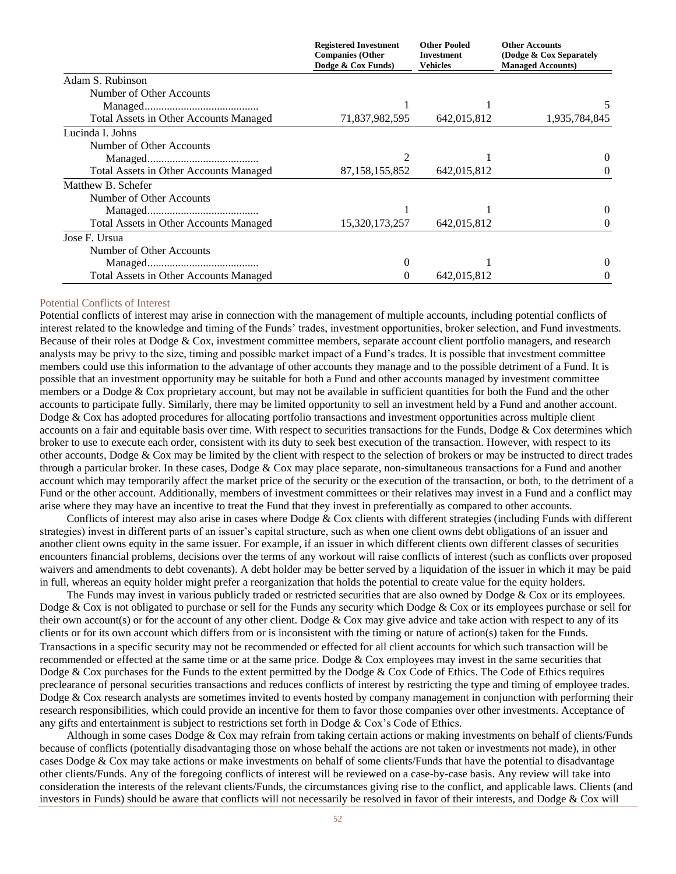|                                               | <b>Registered Investment</b><br><b>Companies (Other</b><br>Dodge & Cox Funds) | <b>Other Pooled</b><br>Investment<br><b>Vehicles</b> | <b>Other Accounts</b><br>(Dodge & Cox Separately<br><b>Managed Accounts)</b> |
|-----------------------------------------------|-------------------------------------------------------------------------------|------------------------------------------------------|------------------------------------------------------------------------------|
| Adam S. Rubinson                              |                                                                               |                                                      |                                                                              |
| Number of Other Accounts                      |                                                                               |                                                      |                                                                              |
|                                               |                                                                               |                                                      |                                                                              |
| <b>Total Assets in Other Accounts Managed</b> | 71,837,982,595                                                                | 642,015,812                                          | 1,935,784,845                                                                |
| Lucinda I. Johns                              |                                                                               |                                                      |                                                                              |
| Number of Other Accounts                      |                                                                               |                                                      |                                                                              |
|                                               |                                                                               |                                                      |                                                                              |
| <b>Total Assets in Other Accounts Managed</b> | 87, 158, 155, 852                                                             | 642,015,812                                          |                                                                              |
| Matthew B. Schefer                            |                                                                               |                                                      |                                                                              |
| Number of Other Accounts                      |                                                                               |                                                      |                                                                              |
|                                               |                                                                               |                                                      | $\theta$                                                                     |
| <b>Total Assets in Other Accounts Managed</b> | 15,320,173,257                                                                | 642,015,812                                          |                                                                              |
| Jose F. Ursua                                 |                                                                               |                                                      |                                                                              |
| Number of Other Accounts                      |                                                                               |                                                      |                                                                              |
|                                               |                                                                               |                                                      | $\theta$                                                                     |
| <b>Total Assets in Other Accounts Managed</b> |                                                                               | 642,015,812                                          |                                                                              |

#### Potential Conflicts of Interest

Potential conflicts of interest may arise in connection with the management of multiple accounts, including potential conflicts of interest related to the knowledge and timing of the Funds' trades, investment opportunities, broker selection, and Fund investments. Because of their roles at Dodge & Cox, investment committee members, separate account client portfolio managers, and research analysts may be privy to the size, timing and possible market impact of a Fund's trades. It is possible that investment committee members could use this information to the advantage of other accounts they manage and to the possible detriment of a Fund. It is possible that an investment opportunity may be suitable for both a Fund and other accounts managed by investment committee members or a Dodge & Cox proprietary account, but may not be available in sufficient quantities for both the Fund and the other accounts to participate fully. Similarly, there may be limited opportunity to sell an investment held by a Fund and another account. Dodge & Cox has adopted procedures for allocating portfolio transactions and investment opportunities across multiple client accounts on a fair and equitable basis over time. With respect to securities transactions for the Funds, Dodge  $\&$  Cox determines which broker to use to execute each order, consistent with its duty to seek best execution of the transaction. However, with respect to its other accounts, Dodge & Cox may be limited by the client with respect to the selection of brokers or may be instructed to direct trades through a particular broker. In these cases, Dodge & Cox may place separate, non-simultaneous transactions for a Fund and another account which may temporarily affect the market price of the security or the execution of the transaction, or both, to the detriment of a Fund or the other account. Additionally, members of investment committees or their relatives may invest in a Fund and a conflict may arise where they may have an incentive to treat the Fund that they invest in preferentially as compared to other accounts.

Conflicts of interest may also arise in cases where Dodge & Cox clients with different strategies (including Funds with different strategies) invest in different parts of an issuer's capital structure, such as when one client owns debt obligations of an issuer and another client owns equity in the same issuer. For example, if an issuer in which different clients own different classes of securities encounters financial problems, decisions over the terms of any workout will raise conflicts of interest (such as conflicts over proposed waivers and amendments to debt covenants). A debt holder may be better served by a liquidation of the issuer in which it may be paid in full, whereas an equity holder might prefer a reorganization that holds the potential to create value for the equity holders.

The Funds may invest in various publicly traded or restricted securities that are also owned by Dodge & Cox or its employees. Dodge & Cox is not obligated to purchase or sell for the Funds any security which Dodge & Cox or its employees purchase or sell for their own account(s) or for the account of any other client. Dodge  $\&$  Cox may give advice and take action with respect to any of its clients or for its own account which differs from or is inconsistent with the timing or nature of action(s) taken for the Funds. Transactions in a specific security may not be recommended or effected for all client accounts for which such transaction will be recommended or effected at the same time or at the same price. Dodge  $&$  Cox employees may invest in the same securities that Dodge & Cox purchases for the Funds to the extent permitted by the Dodge & Cox Code of Ethics. The Code of Ethics requires preclearance of personal securities transactions and reduces conflicts of interest by restricting the type and timing of employee trades. Dodge & Cox research analysts are sometimes invited to events hosted by company management in conjunction with performing their research responsibilities, which could provide an incentive for them to favor those companies over other investments. Acceptance of any gifts and entertainment is subject to restrictions set forth in Dodge & Cox's Code of Ethics.

Although in some cases Dodge & Cox may refrain from taking certain actions or making investments on behalf of clients/Funds because of conflicts (potentially disadvantaging those on whose behalf the actions are not taken or investments not made), in other cases Dodge & Cox may take actions or make investments on behalf of some clients/Funds that have the potential to disadvantage other clients/Funds. Any of the foregoing conflicts of interest will be reviewed on a case-by-case basis. Any review will take into consideration the interests of the relevant clients/Funds, the circumstances giving rise to the conflict, and applicable laws. Clients (and investors in Funds) should be aware that conflicts will not necessarily be resolved in favor of their interests, and Dodge & Cox will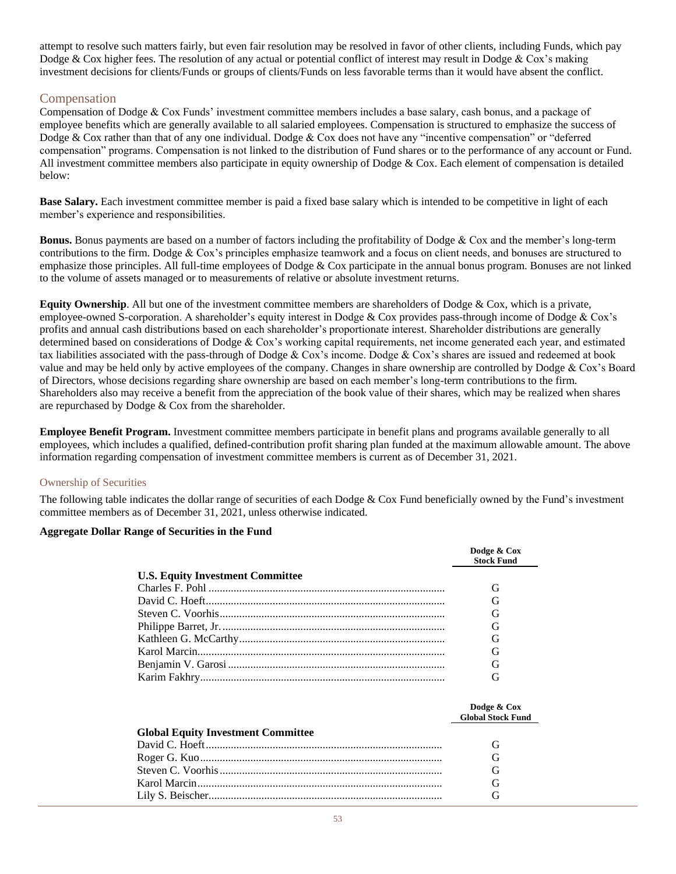attempt to resolve such matters fairly, but even fair resolution may be resolved in favor of other clients, including Funds, which pay Dodge & Cox higher fees. The resolution of any actual or potential conflict of interest may result in Dodge & Cox's making investment decisions for clients/Funds or groups of clients/Funds on less favorable terms than it would have absent the conflict.

# **Compensation**

Compensation of Dodge & Cox Funds' investment committee members includes a base salary, cash bonus, and a package of employee benefits which are generally available to all salaried employees. Compensation is structured to emphasize the success of Dodge & Cox rather than that of any one individual. Dodge & Cox does not have any "incentive compensation" or "deferred compensation" programs. Compensation is not linked to the distribution of Fund shares or to the performance of any account or Fund. All investment committee members also participate in equity ownership of Dodge & Cox. Each element of compensation is detailed below:

**Base Salary.** Each investment committee member is paid a fixed base salary which is intended to be competitive in light of each member's experience and responsibilities.

**Bonus.** Bonus payments are based on a number of factors including the profitability of Dodge & Cox and the member's long-term contributions to the firm. Dodge & Cox's principles emphasize teamwork and a focus on client needs, and bonuses are structured to emphasize those principles. All full-time employees of Dodge & Cox participate in the annual bonus program. Bonuses are not linked to the volume of assets managed or to measurements of relative or absolute investment returns.

**Equity Ownership**. All but one of the investment committee members are shareholders of Dodge & Cox, which is a private, employee-owned S-corporation. A shareholder's equity interest in Dodge & Cox provides pass-through income of Dodge & Cox's profits and annual cash distributions based on each shareholder's proportionate interest. Shareholder distributions are generally determined based on considerations of Dodge & Cox's working capital requirements, net income generated each year, and estimated tax liabilities associated with the pass-through of Dodge & Cox's income. Dodge & Cox's shares are issued and redeemed at book value and may be held only by active employees of the company. Changes in share ownership are controlled by Dodge & Cox's Board of Directors, whose decisions regarding share ownership are based on each member's long-term contributions to the firm. Shareholders also may receive a benefit from the appreciation of the book value of their shares, which may be realized when shares are repurchased by Dodge & Cox from the shareholder.

**Employee Benefit Program.** Investment committee members participate in benefit plans and programs available generally to all employees, which includes a qualified, defined-contribution profit sharing plan funded at the maximum allowable amount. The above information regarding compensation of investment committee members is current as of December 31, 2021.

# Ownership of Securities

The following table indicates the dollar range of securities of each Dodge & Cox Fund beneficially owned by the Fund's investment committee members as of December 31, 2021, unless otherwise indicated.

# **Aggregate Dollar Range of Securities in the Fund**

|                                         | Dodge & Cox<br><b>Stock Fund</b> |
|-----------------------------------------|----------------------------------|
| <b>U.S. Equity Investment Committee</b> |                                  |
|                                         | G                                |
|                                         | G                                |
|                                         | G                                |
|                                         | G                                |
|                                         | G                                |
|                                         | G                                |
|                                         | G                                |
|                                         | G                                |

|                                           | Dodge & Cox<br><b>Global Stock Fund</b> |
|-------------------------------------------|-----------------------------------------|
| <b>Global Equity Investment Committee</b> |                                         |
|                                           |                                         |
|                                           | G                                       |
|                                           | G                                       |
|                                           | G                                       |
|                                           |                                         |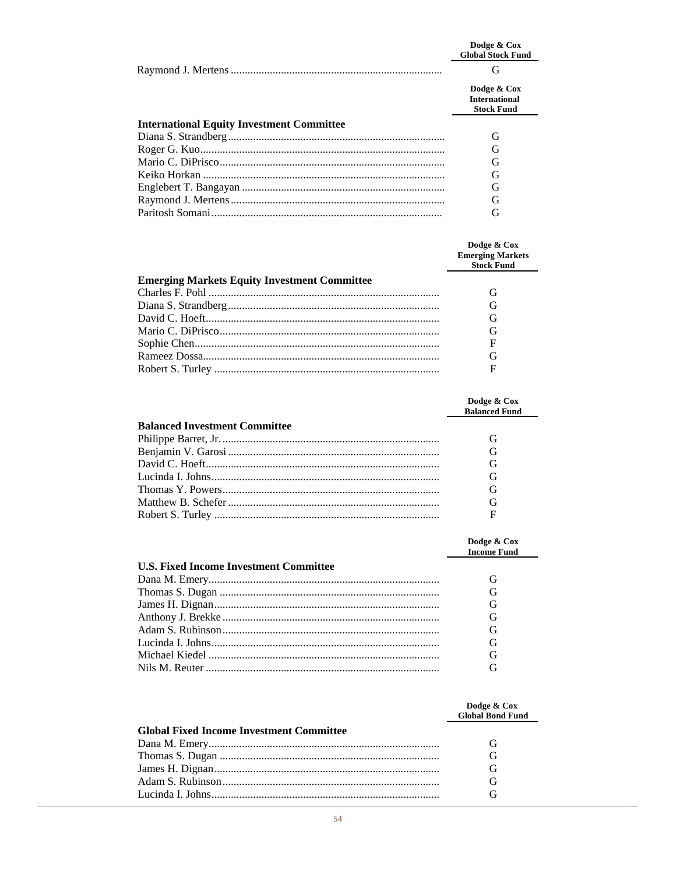|                                                  | <b>Dodge &amp; COX</b><br><b>Global Stock Fund</b>       |
|--------------------------------------------------|----------------------------------------------------------|
|                                                  | G                                                        |
|                                                  | Dodge & Cox<br><b>International</b><br><b>Stock Fund</b> |
| <b>International Equity Investment Committee</b> |                                                          |
|                                                  | G                                                        |
|                                                  | G                                                        |
|                                                  | G                                                        |
|                                                  | G                                                        |
|                                                  | G                                                        |
|                                                  | G                                                        |
|                                                  | G                                                        |

 $\sim$  $\overline{\phantom{a}}$ 

|                                                     | Dodge & Cox<br><b>Emerging Markets</b><br><b>Stock Fund</b> |
|-----------------------------------------------------|-------------------------------------------------------------|
| <b>Emerging Markets Equity Investment Committee</b> |                                                             |
|                                                     |                                                             |
|                                                     | G                                                           |
|                                                     | G                                                           |
|                                                     | G                                                           |
|                                                     | F                                                           |
|                                                     | G                                                           |
|                                                     | F                                                           |

|                                      | Dodge & Cox<br><b>Balanced Fund</b> |
|--------------------------------------|-------------------------------------|
| <b>Balanced Investment Committee</b> |                                     |
|                                      | G                                   |
|                                      | G                                   |
|                                      | G                                   |
|                                      | G                                   |
|                                      | G                                   |
|                                      | G                                   |
|                                      | F                                   |

|                                               | Dodge & Cox<br><b>Income Fund</b> |
|-----------------------------------------------|-----------------------------------|
| <b>U.S. Fixed Income Investment Committee</b> |                                   |
|                                               | G                                 |
|                                               | G                                 |
|                                               | G                                 |
|                                               | G                                 |
|                                               | G                                 |
|                                               | G                                 |
|                                               | G                                 |
|                                               | G                                 |

|                                                 | Dodge & Cox<br><b>Global Bond Fund</b> |
|-------------------------------------------------|----------------------------------------|
| <b>Global Fixed Income Investment Committee</b> |                                        |
|                                                 |                                        |
|                                                 |                                        |
|                                                 |                                        |
|                                                 |                                        |
|                                                 |                                        |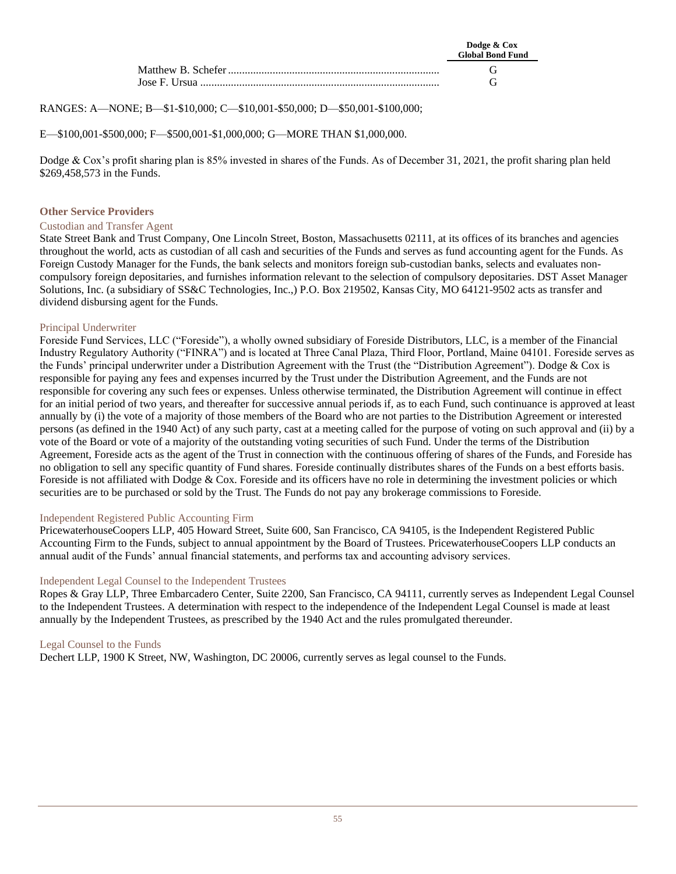| Dodge & Cox<br><b>Global Bond Fund</b> |
|----------------------------------------|
|                                        |
|                                        |

# RANGES: A—NONE; B—\$1-\$10,000; C—\$10,001-\$50,000; D—\$50,001-\$100,000;

# E—\$100,001-\$500,000; F—\$500,001-\$1,000,000; G—MORE THAN \$1,000,000.

Dodge & Cox's profit sharing plan is 85% invested in shares of the Funds. As of December 31, 2021, the profit sharing plan held \$269,458,573 in the Funds.

### **Other Service Providers**

## Custodian and Transfer Agent

State Street Bank and Trust Company, One Lincoln Street, Boston, Massachusetts 02111, at its offices of its branches and agencies throughout the world, acts as custodian of all cash and securities of the Funds and serves as fund accounting agent for the Funds. As Foreign Custody Manager for the Funds, the bank selects and monitors foreign sub-custodian banks, selects and evaluates noncompulsory foreign depositaries, and furnishes information relevant to the selection of compulsory depositaries. DST Asset Manager Solutions, Inc. (a subsidiary of SS&C Technologies, Inc.,) P.O. Box 219502, Kansas City, MO 64121-9502 acts as transfer and dividend disbursing agent for the Funds.

## Principal Underwriter

Foreside Fund Services, LLC ("Foreside"), a wholly owned subsidiary of Foreside Distributors, LLC, is a member of the Financial Industry Regulatory Authority ("FINRA") and is located at Three Canal Plaza, Third Floor, Portland, Maine 04101. Foreside serves as the Funds' principal underwriter under a Distribution Agreement with the Trust (the "Distribution Agreement"). Dodge & Cox is responsible for paying any fees and expenses incurred by the Trust under the Distribution Agreement, and the Funds are not responsible for covering any such fees or expenses. Unless otherwise terminated, the Distribution Agreement will continue in effect for an initial period of two years, and thereafter for successive annual periods if, as to each Fund, such continuance is approved at least annually by (i) the vote of a majority of those members of the Board who are not parties to the Distribution Agreement or interested persons (as defined in the 1940 Act) of any such party, cast at a meeting called for the purpose of voting on such approval and (ii) by a vote of the Board or vote of a majority of the outstanding voting securities of such Fund. Under the terms of the Distribution Agreement, Foreside acts as the agent of the Trust in connection with the continuous offering of shares of the Funds, and Foreside has no obligation to sell any specific quantity of Fund shares. Foreside continually distributes shares of the Funds on a best efforts basis. Foreside is not affiliated with Dodge & Cox. Foreside and its officers have no role in determining the investment policies or which securities are to be purchased or sold by the Trust. The Funds do not pay any brokerage commissions to Foreside.

#### Independent Registered Public Accounting Firm

PricewaterhouseCoopers LLP, 405 Howard Street, Suite 600, San Francisco, CA 94105, is the Independent Registered Public Accounting Firm to the Funds, subject to annual appointment by the Board of Trustees. PricewaterhouseCoopers LLP conducts an annual audit of the Funds' annual financial statements, and performs tax and accounting advisory services.

#### Independent Legal Counsel to the Independent Trustees

Ropes & Gray LLP, Three Embarcadero Center, Suite 2200, San Francisco, CA 94111, currently serves as Independent Legal Counsel to the Independent Trustees. A determination with respect to the independence of the Independent Legal Counsel is made at least annually by the Independent Trustees, as prescribed by the 1940 Act and the rules promulgated thereunder.

## Legal Counsel to the Funds

Dechert LLP, 1900 K Street, NW, Washington, DC 20006, currently serves as legal counsel to the Funds.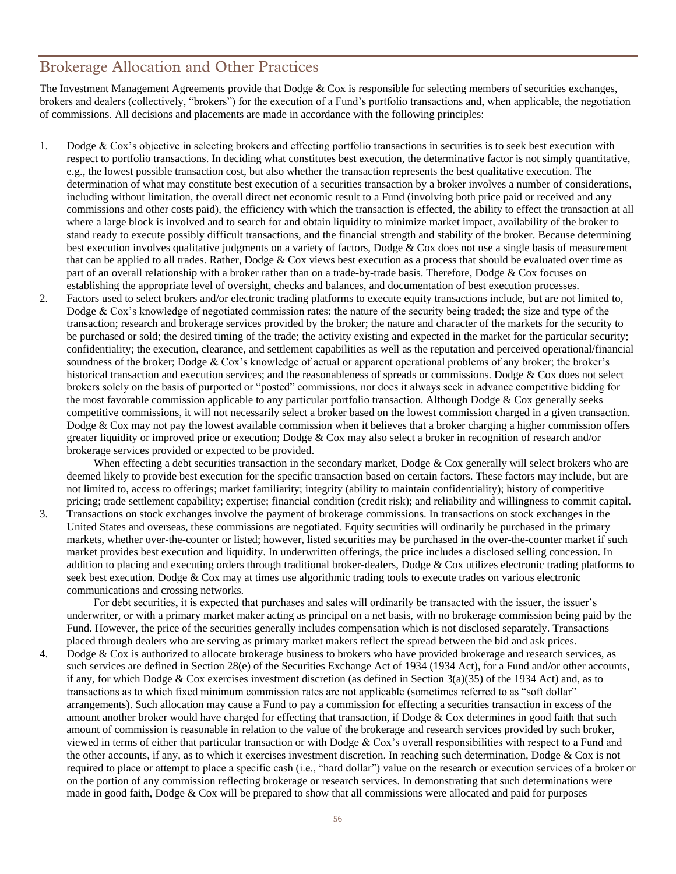# Brokerage Allocation and Other Practices

The Investment Management Agreements provide that Dodge  $& Cox$  is responsible for selecting members of securities exchanges, brokers and dealers (collectively, "brokers") for the execution of a Fund's portfolio transactions and, when applicable, the negotiation of commissions. All decisions and placements are made in accordance with the following principles:

- 1. Dodge & Cox's objective in selecting brokers and effecting portfolio transactions in securities is to seek best execution with respect to portfolio transactions. In deciding what constitutes best execution, the determinative factor is not simply quantitative, e.g., the lowest possible transaction cost, but also whether the transaction represents the best qualitative execution. The determination of what may constitute best execution of a securities transaction by a broker involves a number of considerations, including without limitation, the overall direct net economic result to a Fund (involving both price paid or received and any commissions and other costs paid), the efficiency with which the transaction is effected, the ability to effect the transaction at all where a large block is involved and to search for and obtain liquidity to minimize market impact, availability of the broker to stand ready to execute possibly difficult transactions, and the financial strength and stability of the broker. Because determining best execution involves qualitative judgments on a variety of factors, Dodge & Cox does not use a single basis of measurement that can be applied to all trades. Rather, Dodge & Cox views best execution as a process that should be evaluated over time as part of an overall relationship with a broker rather than on a trade-by-trade basis. Therefore, Dodge & Cox focuses on establishing the appropriate level of oversight, checks and balances, and documentation of best execution processes.
- 2. Factors used to select brokers and/or electronic trading platforms to execute equity transactions include, but are not limited to, Dodge & Cox's knowledge of negotiated commission rates; the nature of the security being traded; the size and type of the transaction; research and brokerage services provided by the broker; the nature and character of the markets for the security to be purchased or sold; the desired timing of the trade; the activity existing and expected in the market for the particular security; confidentiality; the execution, clearance, and settlement capabilities as well as the reputation and perceived operational/financial soundness of the broker; Dodge & Cox's knowledge of actual or apparent operational problems of any broker; the broker's historical transaction and execution services; and the reasonableness of spreads or commissions. Dodge & Cox does not select brokers solely on the basis of purported or "posted" commissions, nor does it always seek in advance competitive bidding for the most favorable commission applicable to any particular portfolio transaction. Although Dodge & Cox generally seeks competitive commissions, it will not necessarily select a broker based on the lowest commission charged in a given transaction. Dodge & Cox may not pay the lowest available commission when it believes that a broker charging a higher commission offers greater liquidity or improved price or execution; Dodge & Cox may also select a broker in recognition of research and/or brokerage services provided or expected to be provided.

When effecting a debt securities transaction in the secondary market, Dodge & Cox generally will select brokers who are deemed likely to provide best execution for the specific transaction based on certain factors. These factors may include, but are not limited to, access to offerings; market familiarity; integrity (ability to maintain confidentiality); history of competitive pricing; trade settlement capability; expertise; financial condition (credit risk); and reliability and willingness to commit capital.

3. Transactions on stock exchanges involve the payment of brokerage commissions. In transactions on stock exchanges in the United States and overseas, these commissions are negotiated. Equity securities will ordinarily be purchased in the primary markets, whether over-the-counter or listed; however, listed securities may be purchased in the over-the-counter market if such market provides best execution and liquidity. In underwritten offerings, the price includes a disclosed selling concession. In addition to placing and executing orders through traditional broker-dealers, Dodge & Cox utilizes electronic trading platforms to seek best execution. Dodge & Cox may at times use algorithmic trading tools to execute trades on various electronic communications and crossing networks.

For debt securities, it is expected that purchases and sales will ordinarily be transacted with the issuer, the issuer's underwriter, or with a primary market maker acting as principal on a net basis, with no brokerage commission being paid by the Fund. However, the price of the securities generally includes compensation which is not disclosed separately. Transactions placed through dealers who are serving as primary market makers reflect the spread between the bid and ask prices.

4. Dodge & Cox is authorized to allocate brokerage business to brokers who have provided brokerage and research services, as such services are defined in Section 28(e) of the Securities Exchange Act of 1934 (1934 Act), for a Fund and/or other accounts, if any, for which Dodge  $&$  Cox exercises investment discretion (as defined in Section 3(a)(35) of the 1934 Act) and, as to transactions as to which fixed minimum commission rates are not applicable (sometimes referred to as "soft dollar" arrangements). Such allocation may cause a Fund to pay a commission for effecting a securities transaction in excess of the amount another broker would have charged for effecting that transaction, if Dodge & Cox determines in good faith that such amount of commission is reasonable in relation to the value of the brokerage and research services provided by such broker, viewed in terms of either that particular transaction or with Dodge & Cox's overall responsibilities with respect to a Fund and the other accounts, if any, as to which it exercises investment discretion. In reaching such determination, Dodge & Cox is not required to place or attempt to place a specific cash (i.e., "hard dollar") value on the research or execution services of a broker or on the portion of any commission reflecting brokerage or research services. In demonstrating that such determinations were made in good faith, Dodge & Cox will be prepared to show that all commissions were allocated and paid for purposes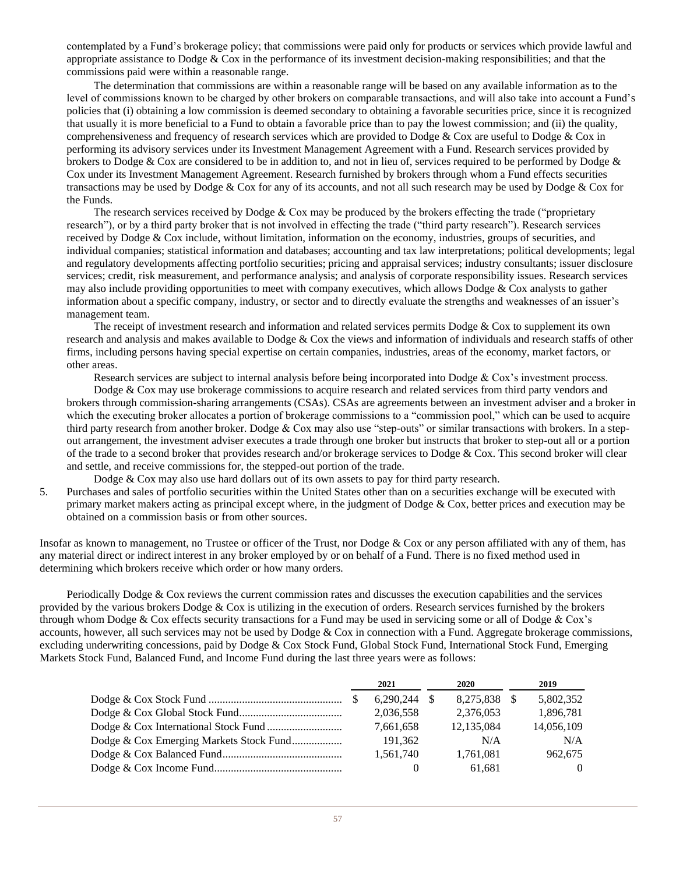contemplated by a Fund's brokerage policy; that commissions were paid only for products or services which provide lawful and appropriate assistance to Dodge  $\&$  Cox in the performance of its investment decision-making responsibilities; and that the commissions paid were within a reasonable range.

The determination that commissions are within a reasonable range will be based on any available information as to the level of commissions known to be charged by other brokers on comparable transactions, and will also take into account a Fund's policies that (i) obtaining a low commission is deemed secondary to obtaining a favorable securities price, since it is recognized that usually it is more beneficial to a Fund to obtain a favorable price than to pay the lowest commission; and (ii) the quality, comprehensiveness and frequency of research services which are provided to Dodge & Cox are useful to Dodge & Cox in performing its advisory services under its Investment Management Agreement with a Fund. Research services provided by brokers to Dodge & Cox are considered to be in addition to, and not in lieu of, services required to be performed by Dodge & Cox under its Investment Management Agreement. Research furnished by brokers through whom a Fund effects securities transactions may be used by Dodge & Cox for any of its accounts, and not all such research may be used by Dodge & Cox for the Funds.

The research services received by Dodge & Cox may be produced by the brokers effecting the trade ("proprietary research"), or by a third party broker that is not involved in effecting the trade ("third party research"). Research services received by Dodge & Cox include, without limitation, information on the economy, industries, groups of securities, and individual companies; statistical information and databases; accounting and tax law interpretations; political developments; legal and regulatory developments affecting portfolio securities; pricing and appraisal services; industry consultants; issuer disclosure services; credit, risk measurement, and performance analysis; and analysis of corporate responsibility issues. Research services may also include providing opportunities to meet with company executives, which allows Dodge & Cox analysts to gather information about a specific company, industry, or sector and to directly evaluate the strengths and weaknesses of an issuer's management team.

The receipt of investment research and information and related services permits Dodge  $\&$  Cox to supplement its own research and analysis and makes available to Dodge & Cox the views and information of individuals and research staffs of other firms, including persons having special expertise on certain companies, industries, areas of the economy, market factors, or other areas.

Research services are subject to internal analysis before being incorporated into Dodge & Cox's investment process.

Dodge & Cox may use brokerage commissions to acquire research and related services from third party vendors and brokers through commission-sharing arrangements (CSAs). CSAs are agreements between an investment adviser and a broker in which the executing broker allocates a portion of brokerage commissions to a "commission pool," which can be used to acquire third party research from another broker. Dodge & Cox may also use "step-outs" or similar transactions with brokers. In a stepout arrangement, the investment adviser executes a trade through one broker but instructs that broker to step-out all or a portion of the trade to a second broker that provides research and/or brokerage services to Dodge & Cox. This second broker will clear and settle, and receive commissions for, the stepped-out portion of the trade.

Dodge & Cox may also use hard dollars out of its own assets to pay for third party research.

5. Purchases and sales of portfolio securities within the United States other than on a securities exchange will be executed with primary market makers acting as principal except where, in the judgment of Dodge & Cox, better prices and execution may be obtained on a commission basis or from other sources.

Insofar as known to management, no Trustee or officer of the Trust, nor Dodge & Cox or any person affiliated with any of them, has any material direct or indirect interest in any broker employed by or on behalf of a Fund. There is no fixed method used in determining which brokers receive which order or how many orders.

Periodically Dodge & Cox reviews the current commission rates and discusses the execution capabilities and the services provided by the various brokers Dodge & Cox is utilizing in the execution of orders. Research services furnished by the brokers through whom Dodge & Cox effects security transactions for a Fund may be used in servicing some or all of Dodge & Cox's accounts, however, all such services may not be used by Dodge  $& Cox$  in connection with a Fund. Aggregate brokerage commissions, excluding underwriting concessions, paid by Dodge & Cox Stock Fund, Global Stock Fund, International Stock Fund, Emerging Markets Stock Fund, Balanced Fund, and Income Fund during the last three years were as follows:

|                                         | 2021      | 2020       |      | 2019       |
|-----------------------------------------|-----------|------------|------|------------|
|                                         | 6.290.244 | 8,275,838  | - \$ | 5,802,352  |
|                                         | 2,036,558 | 2,376,053  |      | 1,896,781  |
|                                         | 7.661.658 | 12.135.084 |      | 14,056,109 |
| Dodge & Cox Emerging Markets Stock Fund | 191.362   | N/A        |      | N/A        |
|                                         | 1.561.740 | 1,761,081  |      | 962,675    |
|                                         |           | 61.681     |      |            |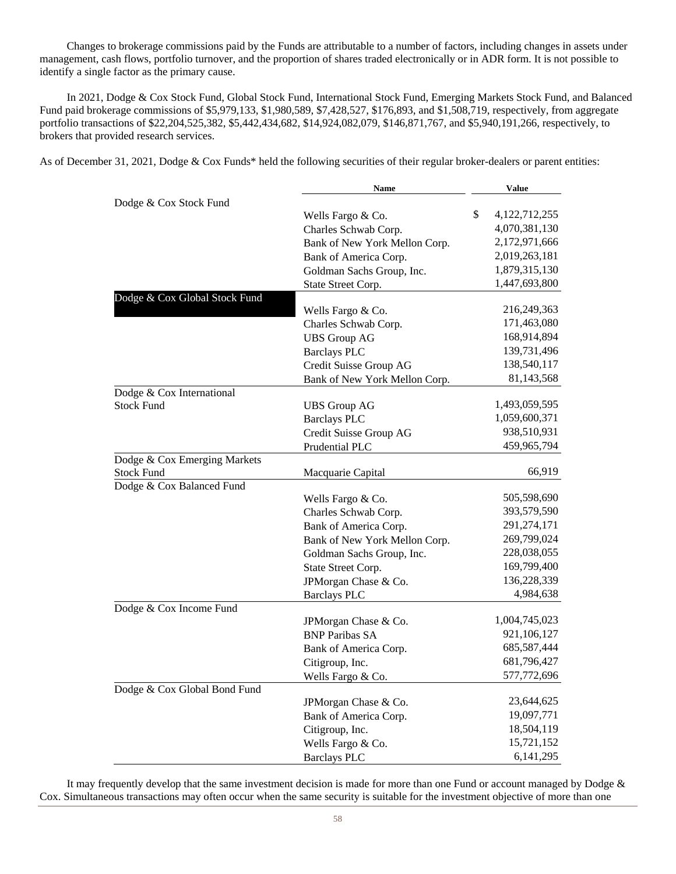Changes to brokerage commissions paid by the Funds are attributable to a number of factors, including changes in assets under management, cash flows, portfolio turnover, and the proportion of shares traded electronically or in ADR form. It is not possible to identify a single factor as the primary cause.

In 2021, Dodge & Cox Stock Fund, Global Stock Fund, International Stock Fund, Emerging Markets Stock Fund, and Balanced Fund paid brokerage commissions of \$5,979,133, \$1,980,589, \$7,428,527, \$176,893, and \$1,508,719, respectively, from aggregate portfolio transactions of \$22,204,525,382, \$5,442,434,682, \$14,924,082,079, \$146,871,767, and \$5,940,191,266, respectively, to brokers that provided research services.

As of December 31, 2021, Dodge & Cox Funds\* held the following securities of their regular broker-dealers or parent entities:

| Dodge & Cox Stock Fund<br>\$<br>4, 122, 712, 255<br>Wells Fargo & Co.<br>4,070,381,130<br>Charles Schwab Corp.<br>2,172,971,666<br>Bank of New York Mellon Corp.<br>2,019,263,181<br>Bank of America Corp.<br>1,879,315,130<br>Goldman Sachs Group, Inc.<br>1,447,693,800<br>State Street Corp.<br>Dodge & Cox Global Stock Fund<br>216,249,363<br>Wells Fargo & Co.<br>171,463,080<br>Charles Schwab Corp.<br>168,914,894<br><b>UBS</b> Group AG<br>139,731,496<br><b>Barclays PLC</b><br>138,540,117<br>Credit Suisse Group AG<br>81,143,568<br>Bank of New York Mellon Corp.<br>Dodge & Cox International<br>1,493,059,595<br><b>Stock Fund</b><br><b>UBS Group AG</b><br>1,059,600,371<br><b>Barclays PLC</b><br>938,510,931<br>Credit Suisse Group AG<br>459,965,794<br>Prudential PLC<br>Dodge & Cox Emerging Markets<br>66,919<br><b>Stock Fund</b><br>Macquarie Capital<br>Dodge & Cox Balanced Fund<br>505,598,690<br>Wells Fargo & Co.<br>393,579,590<br>Charles Schwab Corp.<br>291,274,171<br>Bank of America Corp.<br>269,799,024<br>Bank of New York Mellon Corp.<br>228,038,055<br>Goldman Sachs Group, Inc.<br>169,799,400<br>State Street Corp.<br>136,228,339<br>JPMorgan Chase & Co.<br>4,984,638<br><b>Barclays PLC</b><br>Dodge & Cox Income Fund<br>1,004,745,023<br>JPMorgan Chase & Co.<br><b>BNP Paribas SA</b><br>921,106,127<br>685,587,444<br>Bank of America Corp.<br>681,796,427<br>Citigroup, Inc.<br>577,772,696<br>Wells Fargo & Co.<br>Dodge & Cox Global Bond Fund<br>23,644,625<br>JPMorgan Chase & Co.<br>19,097,771<br>Bank of America Corp.<br>18,504,119<br>Citigroup, Inc.<br>15,721,152<br>Wells Fargo & Co. | Name                | <b>Value</b> |
|--------------------------------------------------------------------------------------------------------------------------------------------------------------------------------------------------------------------------------------------------------------------------------------------------------------------------------------------------------------------------------------------------------------------------------------------------------------------------------------------------------------------------------------------------------------------------------------------------------------------------------------------------------------------------------------------------------------------------------------------------------------------------------------------------------------------------------------------------------------------------------------------------------------------------------------------------------------------------------------------------------------------------------------------------------------------------------------------------------------------------------------------------------------------------------------------------------------------------------------------------------------------------------------------------------------------------------------------------------------------------------------------------------------------------------------------------------------------------------------------------------------------------------------------------------------------------------------------------------------------------------------------------------|---------------------|--------------|
|                                                                                                                                                                                                                                                                                                                                                                                                                                                                                                                                                                                                                                                                                                                                                                                                                                                                                                                                                                                                                                                                                                                                                                                                                                                                                                                                                                                                                                                                                                                                                                                                                                                        |                     |              |
|                                                                                                                                                                                                                                                                                                                                                                                                                                                                                                                                                                                                                                                                                                                                                                                                                                                                                                                                                                                                                                                                                                                                                                                                                                                                                                                                                                                                                                                                                                                                                                                                                                                        |                     |              |
|                                                                                                                                                                                                                                                                                                                                                                                                                                                                                                                                                                                                                                                                                                                                                                                                                                                                                                                                                                                                                                                                                                                                                                                                                                                                                                                                                                                                                                                                                                                                                                                                                                                        |                     |              |
|                                                                                                                                                                                                                                                                                                                                                                                                                                                                                                                                                                                                                                                                                                                                                                                                                                                                                                                                                                                                                                                                                                                                                                                                                                                                                                                                                                                                                                                                                                                                                                                                                                                        |                     |              |
|                                                                                                                                                                                                                                                                                                                                                                                                                                                                                                                                                                                                                                                                                                                                                                                                                                                                                                                                                                                                                                                                                                                                                                                                                                                                                                                                                                                                                                                                                                                                                                                                                                                        |                     |              |
|                                                                                                                                                                                                                                                                                                                                                                                                                                                                                                                                                                                                                                                                                                                                                                                                                                                                                                                                                                                                                                                                                                                                                                                                                                                                                                                                                                                                                                                                                                                                                                                                                                                        |                     |              |
|                                                                                                                                                                                                                                                                                                                                                                                                                                                                                                                                                                                                                                                                                                                                                                                                                                                                                                                                                                                                                                                                                                                                                                                                                                                                                                                                                                                                                                                                                                                                                                                                                                                        |                     |              |
|                                                                                                                                                                                                                                                                                                                                                                                                                                                                                                                                                                                                                                                                                                                                                                                                                                                                                                                                                                                                                                                                                                                                                                                                                                                                                                                                                                                                                                                                                                                                                                                                                                                        |                     |              |
|                                                                                                                                                                                                                                                                                                                                                                                                                                                                                                                                                                                                                                                                                                                                                                                                                                                                                                                                                                                                                                                                                                                                                                                                                                                                                                                                                                                                                                                                                                                                                                                                                                                        |                     |              |
|                                                                                                                                                                                                                                                                                                                                                                                                                                                                                                                                                                                                                                                                                                                                                                                                                                                                                                                                                                                                                                                                                                                                                                                                                                                                                                                                                                                                                                                                                                                                                                                                                                                        |                     |              |
|                                                                                                                                                                                                                                                                                                                                                                                                                                                                                                                                                                                                                                                                                                                                                                                                                                                                                                                                                                                                                                                                                                                                                                                                                                                                                                                                                                                                                                                                                                                                                                                                                                                        |                     |              |
|                                                                                                                                                                                                                                                                                                                                                                                                                                                                                                                                                                                                                                                                                                                                                                                                                                                                                                                                                                                                                                                                                                                                                                                                                                                                                                                                                                                                                                                                                                                                                                                                                                                        |                     |              |
|                                                                                                                                                                                                                                                                                                                                                                                                                                                                                                                                                                                                                                                                                                                                                                                                                                                                                                                                                                                                                                                                                                                                                                                                                                                                                                                                                                                                                                                                                                                                                                                                                                                        |                     |              |
|                                                                                                                                                                                                                                                                                                                                                                                                                                                                                                                                                                                                                                                                                                                                                                                                                                                                                                                                                                                                                                                                                                                                                                                                                                                                                                                                                                                                                                                                                                                                                                                                                                                        |                     |              |
|                                                                                                                                                                                                                                                                                                                                                                                                                                                                                                                                                                                                                                                                                                                                                                                                                                                                                                                                                                                                                                                                                                                                                                                                                                                                                                                                                                                                                                                                                                                                                                                                                                                        |                     |              |
|                                                                                                                                                                                                                                                                                                                                                                                                                                                                                                                                                                                                                                                                                                                                                                                                                                                                                                                                                                                                                                                                                                                                                                                                                                                                                                                                                                                                                                                                                                                                                                                                                                                        |                     |              |
|                                                                                                                                                                                                                                                                                                                                                                                                                                                                                                                                                                                                                                                                                                                                                                                                                                                                                                                                                                                                                                                                                                                                                                                                                                                                                                                                                                                                                                                                                                                                                                                                                                                        |                     |              |
|                                                                                                                                                                                                                                                                                                                                                                                                                                                                                                                                                                                                                                                                                                                                                                                                                                                                                                                                                                                                                                                                                                                                                                                                                                                                                                                                                                                                                                                                                                                                                                                                                                                        |                     |              |
|                                                                                                                                                                                                                                                                                                                                                                                                                                                                                                                                                                                                                                                                                                                                                                                                                                                                                                                                                                                                                                                                                                                                                                                                                                                                                                                                                                                                                                                                                                                                                                                                                                                        |                     |              |
|                                                                                                                                                                                                                                                                                                                                                                                                                                                                                                                                                                                                                                                                                                                                                                                                                                                                                                                                                                                                                                                                                                                                                                                                                                                                                                                                                                                                                                                                                                                                                                                                                                                        |                     |              |
|                                                                                                                                                                                                                                                                                                                                                                                                                                                                                                                                                                                                                                                                                                                                                                                                                                                                                                                                                                                                                                                                                                                                                                                                                                                                                                                                                                                                                                                                                                                                                                                                                                                        |                     |              |
|                                                                                                                                                                                                                                                                                                                                                                                                                                                                                                                                                                                                                                                                                                                                                                                                                                                                                                                                                                                                                                                                                                                                                                                                                                                                                                                                                                                                                                                                                                                                                                                                                                                        |                     |              |
|                                                                                                                                                                                                                                                                                                                                                                                                                                                                                                                                                                                                                                                                                                                                                                                                                                                                                                                                                                                                                                                                                                                                                                                                                                                                                                                                                                                                                                                                                                                                                                                                                                                        |                     |              |
|                                                                                                                                                                                                                                                                                                                                                                                                                                                                                                                                                                                                                                                                                                                                                                                                                                                                                                                                                                                                                                                                                                                                                                                                                                                                                                                                                                                                                                                                                                                                                                                                                                                        |                     |              |
|                                                                                                                                                                                                                                                                                                                                                                                                                                                                                                                                                                                                                                                                                                                                                                                                                                                                                                                                                                                                                                                                                                                                                                                                                                                                                                                                                                                                                                                                                                                                                                                                                                                        |                     |              |
|                                                                                                                                                                                                                                                                                                                                                                                                                                                                                                                                                                                                                                                                                                                                                                                                                                                                                                                                                                                                                                                                                                                                                                                                                                                                                                                                                                                                                                                                                                                                                                                                                                                        |                     |              |
|                                                                                                                                                                                                                                                                                                                                                                                                                                                                                                                                                                                                                                                                                                                                                                                                                                                                                                                                                                                                                                                                                                                                                                                                                                                                                                                                                                                                                                                                                                                                                                                                                                                        |                     |              |
|                                                                                                                                                                                                                                                                                                                                                                                                                                                                                                                                                                                                                                                                                                                                                                                                                                                                                                                                                                                                                                                                                                                                                                                                                                                                                                                                                                                                                                                                                                                                                                                                                                                        |                     |              |
|                                                                                                                                                                                                                                                                                                                                                                                                                                                                                                                                                                                                                                                                                                                                                                                                                                                                                                                                                                                                                                                                                                                                                                                                                                                                                                                                                                                                                                                                                                                                                                                                                                                        |                     |              |
|                                                                                                                                                                                                                                                                                                                                                                                                                                                                                                                                                                                                                                                                                                                                                                                                                                                                                                                                                                                                                                                                                                                                                                                                                                                                                                                                                                                                                                                                                                                                                                                                                                                        |                     |              |
|                                                                                                                                                                                                                                                                                                                                                                                                                                                                                                                                                                                                                                                                                                                                                                                                                                                                                                                                                                                                                                                                                                                                                                                                                                                                                                                                                                                                                                                                                                                                                                                                                                                        |                     |              |
|                                                                                                                                                                                                                                                                                                                                                                                                                                                                                                                                                                                                                                                                                                                                                                                                                                                                                                                                                                                                                                                                                                                                                                                                                                                                                                                                                                                                                                                                                                                                                                                                                                                        |                     |              |
|                                                                                                                                                                                                                                                                                                                                                                                                                                                                                                                                                                                                                                                                                                                                                                                                                                                                                                                                                                                                                                                                                                                                                                                                                                                                                                                                                                                                                                                                                                                                                                                                                                                        |                     |              |
|                                                                                                                                                                                                                                                                                                                                                                                                                                                                                                                                                                                                                                                                                                                                                                                                                                                                                                                                                                                                                                                                                                                                                                                                                                                                                                                                                                                                                                                                                                                                                                                                                                                        |                     |              |
|                                                                                                                                                                                                                                                                                                                                                                                                                                                                                                                                                                                                                                                                                                                                                                                                                                                                                                                                                                                                                                                                                                                                                                                                                                                                                                                                                                                                                                                                                                                                                                                                                                                        |                     |              |
|                                                                                                                                                                                                                                                                                                                                                                                                                                                                                                                                                                                                                                                                                                                                                                                                                                                                                                                                                                                                                                                                                                                                                                                                                                                                                                                                                                                                                                                                                                                                                                                                                                                        |                     |              |
|                                                                                                                                                                                                                                                                                                                                                                                                                                                                                                                                                                                                                                                                                                                                                                                                                                                                                                                                                                                                                                                                                                                                                                                                                                                                                                                                                                                                                                                                                                                                                                                                                                                        |                     |              |
|                                                                                                                                                                                                                                                                                                                                                                                                                                                                                                                                                                                                                                                                                                                                                                                                                                                                                                                                                                                                                                                                                                                                                                                                                                                                                                                                                                                                                                                                                                                                                                                                                                                        |                     |              |
|                                                                                                                                                                                                                                                                                                                                                                                                                                                                                                                                                                                                                                                                                                                                                                                                                                                                                                                                                                                                                                                                                                                                                                                                                                                                                                                                                                                                                                                                                                                                                                                                                                                        |                     |              |
|                                                                                                                                                                                                                                                                                                                                                                                                                                                                                                                                                                                                                                                                                                                                                                                                                                                                                                                                                                                                                                                                                                                                                                                                                                                                                                                                                                                                                                                                                                                                                                                                                                                        |                     |              |
|                                                                                                                                                                                                                                                                                                                                                                                                                                                                                                                                                                                                                                                                                                                                                                                                                                                                                                                                                                                                                                                                                                                                                                                                                                                                                                                                                                                                                                                                                                                                                                                                                                                        | <b>Barclays PLC</b> | 6, 141, 295  |

It may frequently develop that the same investment decision is made for more than one Fund or account managed by Dodge & Cox. Simultaneous transactions may often occur when the same security is suitable for the investment objective of more than one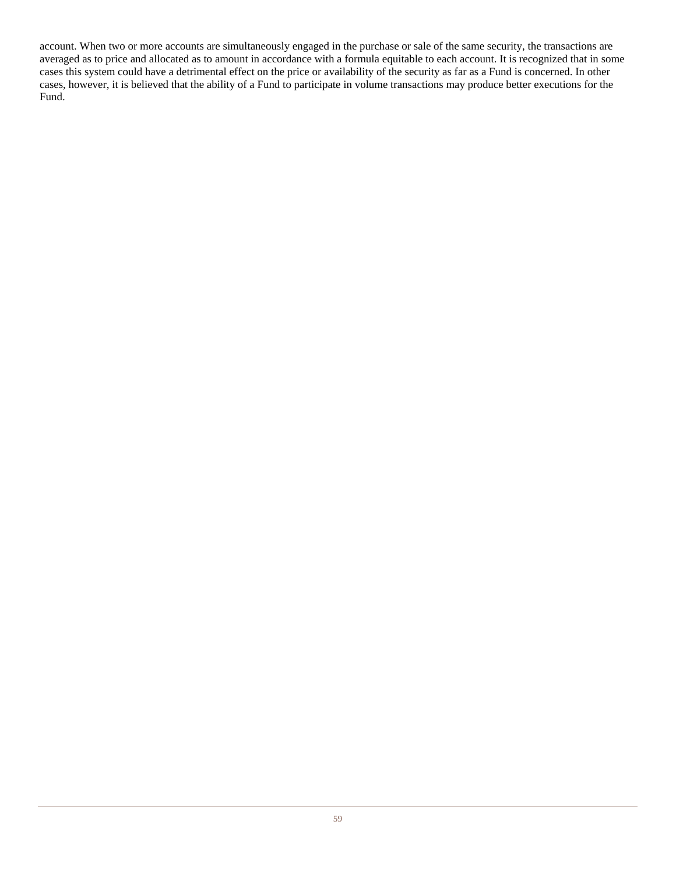account. When two or more accounts are simultaneously engaged in the purchase or sale of the same security, the transactions are averaged as to price and allocated as to amount in accordance with a formula equitable to each account. It is recognized that in some cases this system could have a detrimental effect on the price or availability of the security as far as a Fund is concerned. In other cases, however, it is believed that the ability of a Fund to participate in volume transactions may produce better executions for the Fund.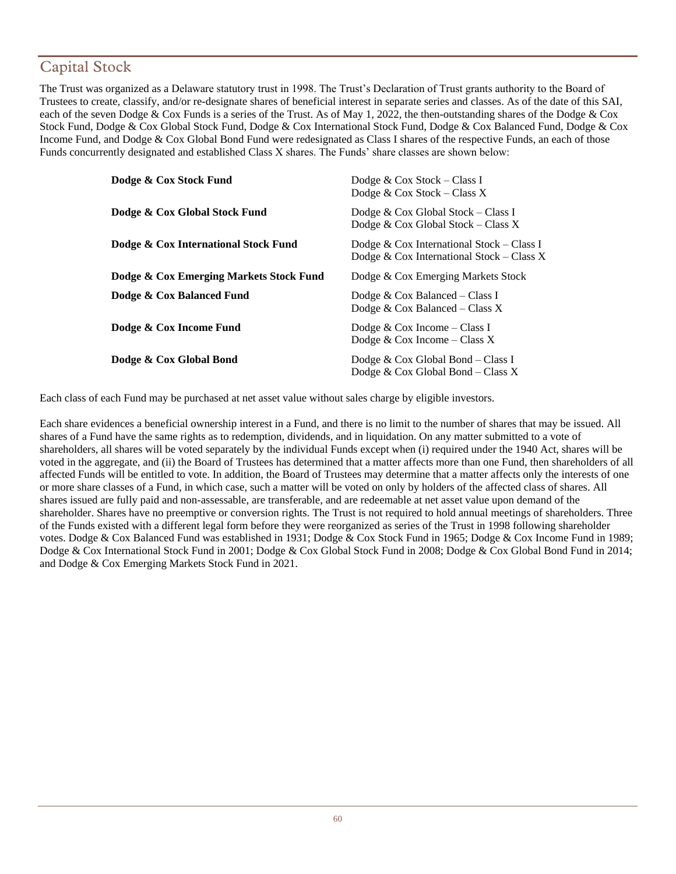# Capital Stock

The Trust was organized as a Delaware statutory trust in 1998. The Trust's Declaration of Trust grants authority to the Board of Trustees to create, classify, and/or re-designate shares of beneficial interest in separate series and classes. As of the date of this SAI, each of the seven Dodge & Cox Funds is a series of the Trust. As of May 1, 2022, the then-outstanding shares of the Dodge & Cox Stock Fund, Dodge & Cox Global Stock Fund, Dodge & Cox International Stock Fund, Dodge & Cox Balanced Fund, Dodge & Cox Income Fund, and Dodge & Cox Global Bond Fund were redesignated as Class I shares of the respective Funds, an each of those Funds concurrently designated and established Class X shares. The Funds' share classes are shown below:

| Dodge & Cox Stock Fund                  | Dodge & $\text{Cox Stock} - \text{Class I}$<br>Dodge & Cox Stock - Class X             |
|-----------------------------------------|----------------------------------------------------------------------------------------|
| Dodge & Cox Global Stock Fund           | Dodge & Cox Global Stock - Class I<br>Dodge & Cox Global Stock – Class X               |
| Dodge & Cox International Stock Fund    | Dodge & Cox International Stock – Class I<br>Dodge & Cox International Stock – Class X |
| Dodge & Cox Emerging Markets Stock Fund | Dodge & Cox Emerging Markets Stock                                                     |
| Dodge & Cox Balanced Fund               | Dodge & $Cox$ Balanced – Class I<br>Dodge & Cox Balanced – Class X                     |
| Dodge & Cox Income Fund                 | Dodge & Cox Income $-$ Class I<br>Dodge & Cox Income – Class X                         |
| Dodge & Cox Global Bond                 | Dodge & Cox Global Bond – Class I<br>Dodge & Cox Global Bond – Class X                 |

Each class of each Fund may be purchased at net asset value without sales charge by eligible investors.

Each share evidences a beneficial ownership interest in a Fund, and there is no limit to the number of shares that may be issued. All shares of a Fund have the same rights as to redemption, dividends, and in liquidation. On any matter submitted to a vote of shareholders, all shares will be voted separately by the individual Funds except when (i) required under the 1940 Act, shares will be voted in the aggregate, and (ii) the Board of Trustees has determined that a matter affects more than one Fund, then shareholders of all affected Funds will be entitled to vote. In addition, the Board of Trustees may determine that a matter affects only the interests of one or more share classes of a Fund, in which case, such a matter will be voted on only by holders of the affected class of shares. All shares issued are fully paid and non-assessable, are transferable, and are redeemable at net asset value upon demand of the shareholder. Shares have no preemptive or conversion rights. The Trust is not required to hold annual meetings of shareholders. Three of the Funds existed with a different legal form before they were reorganized as series of the Trust in 1998 following shareholder votes. Dodge & Cox Balanced Fund was established in 1931; Dodge & Cox Stock Fund in 1965; Dodge & Cox Income Fund in 1989; Dodge & Cox International Stock Fund in 2001; Dodge & Cox Global Stock Fund in 2008; Dodge & Cox Global Bond Fund in 2014; and Dodge & Cox Emerging Markets Stock Fund in 2021.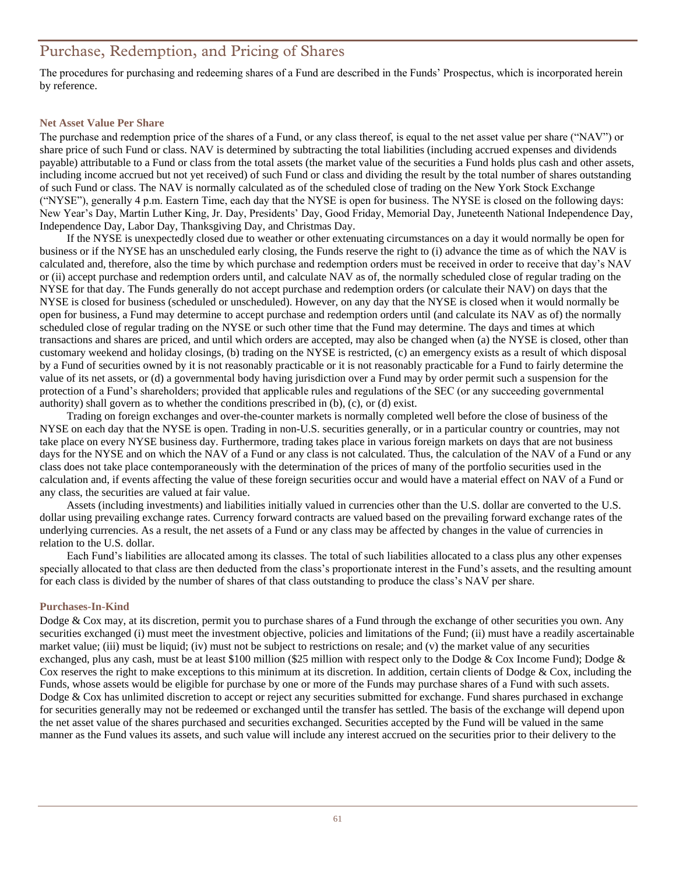# Purchase, Redemption, and Pricing of Shares

The procedures for purchasing and redeeming shares of a Fund are described in the Funds' Prospectus, which is incorporated herein by reference.

# **Net Asset Value Per Share**

The purchase and redemption price of the shares of a Fund, or any class thereof, is equal to the net asset value per share ("NAV") or share price of such Fund or class. NAV is determined by subtracting the total liabilities (including accrued expenses and dividends payable) attributable to a Fund or class from the total assets (the market value of the securities a Fund holds plus cash and other assets, including income accrued but not yet received) of such Fund or class and dividing the result by the total number of shares outstanding of such Fund or class. The NAV is normally calculated as of the scheduled close of trading on the New York Stock Exchange ("NYSE"), generally 4 p.m. Eastern Time, each day that the NYSE is open for business. The NYSE is closed on the following days: New Year's Day, Martin Luther King, Jr. Day, Presidents' Day, Good Friday, Memorial Day, Juneteenth National Independence Day, Independence Day, Labor Day, Thanksgiving Day, and Christmas Day.

If the NYSE is unexpectedly closed due to weather or other extenuating circumstances on a day it would normally be open for business or if the NYSE has an unscheduled early closing, the Funds reserve the right to (i) advance the time as of which the NAV is calculated and, therefore, also the time by which purchase and redemption orders must be received in order to receive that day's NAV or (ii) accept purchase and redemption orders until, and calculate NAV as of, the normally scheduled close of regular trading on the NYSE for that day. The Funds generally do not accept purchase and redemption orders (or calculate their NAV) on days that the NYSE is closed for business (scheduled or unscheduled). However, on any day that the NYSE is closed when it would normally be open for business, a Fund may determine to accept purchase and redemption orders until (and calculate its NAV as of) the normally scheduled close of regular trading on the NYSE or such other time that the Fund may determine. The days and times at which transactions and shares are priced, and until which orders are accepted, may also be changed when (a) the NYSE is closed, other than customary weekend and holiday closings, (b) trading on the NYSE is restricted, (c) an emergency exists as a result of which disposal by a Fund of securities owned by it is not reasonably practicable or it is not reasonably practicable for a Fund to fairly determine the value of its net assets, or (d) a governmental body having jurisdiction over a Fund may by order permit such a suspension for the protection of a Fund's shareholders; provided that applicable rules and regulations of the SEC (or any succeeding governmental authority) shall govern as to whether the conditions prescribed in (b), (c), or (d) exist.

Trading on foreign exchanges and over-the-counter markets is normally completed well before the close of business of the NYSE on each day that the NYSE is open. Trading in non-U.S. securities generally, or in a particular country or countries, may not take place on every NYSE business day. Furthermore, trading takes place in various foreign markets on days that are not business days for the NYSE and on which the NAV of a Fund or any class is not calculated. Thus, the calculation of the NAV of a Fund or any class does not take place contemporaneously with the determination of the prices of many of the portfolio securities used in the calculation and, if events affecting the value of these foreign securities occur and would have a material effect on NAV of a Fund or any class, the securities are valued at fair value.

Assets (including investments) and liabilities initially valued in currencies other than the U.S. dollar are converted to the U.S. dollar using prevailing exchange rates. Currency forward contracts are valued based on the prevailing forward exchange rates of the underlying currencies. As a result, the net assets of a Fund or any class may be affected by changes in the value of currencies in relation to the U.S. dollar.

Each Fund's liabilities are allocated among its classes. The total of such liabilities allocated to a class plus any other expenses specially allocated to that class are then deducted from the class's proportionate interest in the Fund's assets, and the resulting amount for each class is divided by the number of shares of that class outstanding to produce the class's NAV per share.

# **Purchases-In-Kind**

Dodge & Cox may, at its discretion, permit you to purchase shares of a Fund through the exchange of other securities you own. Any securities exchanged (i) must meet the investment objective, policies and limitations of the Fund; (ii) must have a readily ascertainable market value; (iii) must be liquid; (iv) must not be subject to restrictions on resale; and  $(v)$  the market value of any securities exchanged, plus any cash, must be at least \$100 million (\$25 million with respect only to the Dodge & Cox Income Fund); Dodge & Cox reserves the right to make exceptions to this minimum at its discretion. In addition, certain clients of Dodge & Cox, including the Funds, whose assets would be eligible for purchase by one or more of the Funds may purchase shares of a Fund with such assets. Dodge & Cox has unlimited discretion to accept or reject any securities submitted for exchange. Fund shares purchased in exchange for securities generally may not be redeemed or exchanged until the transfer has settled. The basis of the exchange will depend upon the net asset value of the shares purchased and securities exchanged. Securities accepted by the Fund will be valued in the same manner as the Fund values its assets, and such value will include any interest accrued on the securities prior to their delivery to the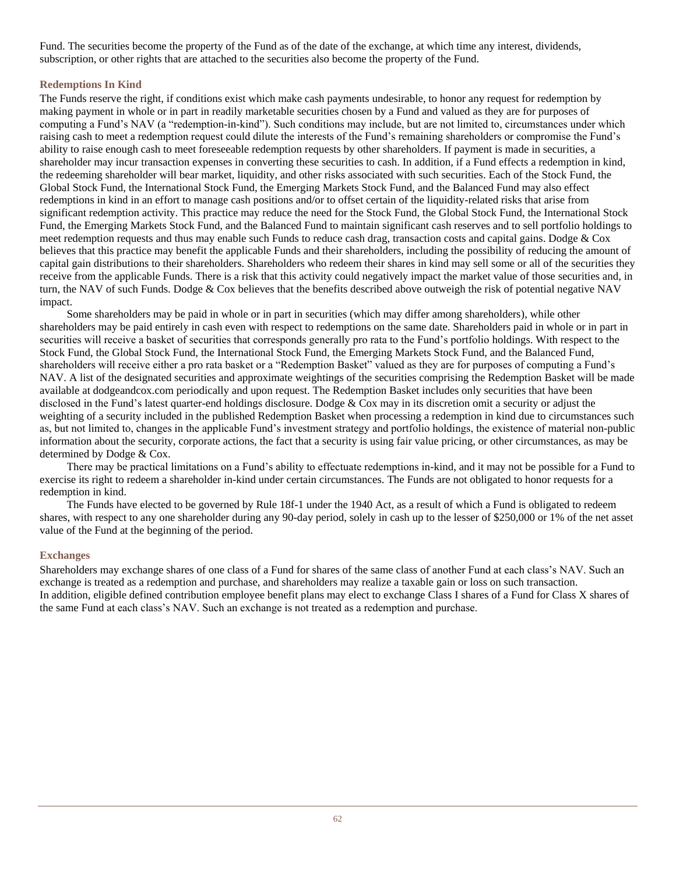Fund. The securities become the property of the Fund as of the date of the exchange, at which time any interest, dividends, subscription, or other rights that are attached to the securities also become the property of the Fund.

# **Redemptions In Kind**

The Funds reserve the right, if conditions exist which make cash payments undesirable, to honor any request for redemption by making payment in whole or in part in readily marketable securities chosen by a Fund and valued as they are for purposes of computing a Fund's NAV (a "redemption-in-kind"). Such conditions may include, but are not limited to, circumstances under which raising cash to meet a redemption request could dilute the interests of the Fund's remaining shareholders or compromise the Fund's ability to raise enough cash to meet foreseeable redemption requests by other shareholders. If payment is made in securities, a shareholder may incur transaction expenses in converting these securities to cash. In addition, if a Fund effects a redemption in kind, the redeeming shareholder will bear market, liquidity, and other risks associated with such securities. Each of the Stock Fund, the Global Stock Fund, the International Stock Fund, the Emerging Markets Stock Fund, and the Balanced Fund may also effect redemptions in kind in an effort to manage cash positions and/or to offset certain of the liquidity-related risks that arise from significant redemption activity. This practice may reduce the need for the Stock Fund, the Global Stock Fund, the International Stock Fund, the Emerging Markets Stock Fund, and the Balanced Fund to maintain significant cash reserves and to sell portfolio holdings to meet redemption requests and thus may enable such Funds to reduce cash drag, transaction costs and capital gains. Dodge & Cox believes that this practice may benefit the applicable Funds and their shareholders, including the possibility of reducing the amount of capital gain distributions to their shareholders. Shareholders who redeem their shares in kind may sell some or all of the securities they receive from the applicable Funds. There is a risk that this activity could negatively impact the market value of those securities and, in turn, the NAV of such Funds. Dodge & Cox believes that the benefits described above outweigh the risk of potential negative NAV impact.

Some shareholders may be paid in whole or in part in securities (which may differ among shareholders), while other shareholders may be paid entirely in cash even with respect to redemptions on the same date. Shareholders paid in whole or in part in securities will receive a basket of securities that corresponds generally pro rata to the Fund's portfolio holdings. With respect to the Stock Fund, the Global Stock Fund, the International Stock Fund, the Emerging Markets Stock Fund, and the Balanced Fund, shareholders will receive either a pro rata basket or a "Redemption Basket" valued as they are for purposes of computing a Fund's NAV. A list of the designated securities and approximate weightings of the securities comprising the Redemption Basket will be made available at dodgeandcox.com periodically and upon request. The Redemption Basket includes only securities that have been disclosed in the Fund's latest quarter-end holdings disclosure. Dodge & Cox may in its discretion omit a security or adjust the weighting of a security included in the published Redemption Basket when processing a redemption in kind due to circumstances such as, but not limited to, changes in the applicable Fund's investment strategy and portfolio holdings, the existence of material non-public information about the security, corporate actions, the fact that a security is using fair value pricing, or other circumstances, as may be determined by Dodge & Cox.

There may be practical limitations on a Fund's ability to effectuate redemptions in-kind, and it may not be possible for a Fund to exercise its right to redeem a shareholder in-kind under certain circumstances. The Funds are not obligated to honor requests for a redemption in kind.

The Funds have elected to be governed by Rule 18f-1 under the 1940 Act, as a result of which a Fund is obligated to redeem shares, with respect to any one shareholder during any 90-day period, solely in cash up to the lesser of \$250,000 or 1% of the net asset value of the Fund at the beginning of the period.

# **Exchanges**

Shareholders may exchange shares of one class of a Fund for shares of the same class of another Fund at each class's NAV. Such an exchange is treated as a redemption and purchase, and shareholders may realize a taxable gain or loss on such transaction. In addition, eligible defined contribution employee benefit plans may elect to exchange Class I shares of a Fund for Class X shares of the same Fund at each class's NAV. Such an exchange is not treated as a redemption and purchase.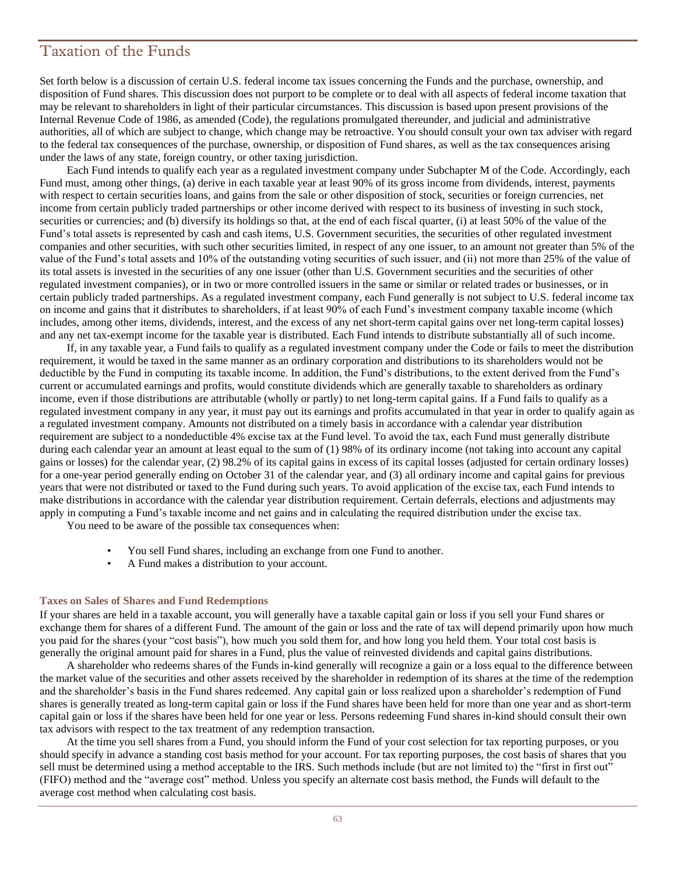# Taxation of the Funds

Set forth below is a discussion of certain U.S. federal income tax issues concerning the Funds and the purchase, ownership, and disposition of Fund shares. This discussion does not purport to be complete or to deal with all aspects of federal income taxation that may be relevant to shareholders in light of their particular circumstances. This discussion is based upon present provisions of the Internal Revenue Code of 1986, as amended (Code), the regulations promulgated thereunder, and judicial and administrative authorities, all of which are subject to change, which change may be retroactive. You should consult your own tax adviser with regard to the federal tax consequences of the purchase, ownership, or disposition of Fund shares, as well as the tax consequences arising under the laws of any state, foreign country, or other taxing jurisdiction.

Each Fund intends to qualify each year as a regulated investment company under Subchapter M of the Code. Accordingly, each Fund must, among other things, (a) derive in each taxable year at least 90% of its gross income from dividends, interest, payments with respect to certain securities loans, and gains from the sale or other disposition of stock, securities or foreign currencies, net income from certain publicly traded partnerships or other income derived with respect to its business of investing in such stock, securities or currencies; and (b) diversify its holdings so that, at the end of each fiscal quarter, (i) at least 50% of the value of the Fund's total assets is represented by cash and cash items, U.S. Government securities, the securities of other regulated investment companies and other securities, with such other securities limited, in respect of any one issuer, to an amount not greater than 5% of the value of the Fund's total assets and 10% of the outstanding voting securities of such issuer, and (ii) not more than 25% of the value of its total assets is invested in the securities of any one issuer (other than U.S. Government securities and the securities of other regulated investment companies), or in two or more controlled issuers in the same or similar or related trades or businesses, or in certain publicly traded partnerships. As a regulated investment company, each Fund generally is not subject to U.S. federal income tax on income and gains that it distributes to shareholders, if at least 90% of each Fund's investment company taxable income (which includes, among other items, dividends, interest, and the excess of any net short-term capital gains over net long-term capital losses) and any net tax-exempt income for the taxable year is distributed. Each Fund intends to distribute substantially all of such income.

If, in any taxable year, a Fund fails to qualify as a regulated investment company under the Code or fails to meet the distribution requirement, it would be taxed in the same manner as an ordinary corporation and distributions to its shareholders would not be deductible by the Fund in computing its taxable income. In addition, the Fund's distributions, to the extent derived from the Fund's current or accumulated earnings and profits, would constitute dividends which are generally taxable to shareholders as ordinary income, even if those distributions are attributable (wholly or partly) to net long-term capital gains. If a Fund fails to qualify as a regulated investment company in any year, it must pay out its earnings and profits accumulated in that year in order to qualify again as a regulated investment company. Amounts not distributed on a timely basis in accordance with a calendar year distribution requirement are subject to a nondeductible 4% excise tax at the Fund level. To avoid the tax, each Fund must generally distribute during each calendar year an amount at least equal to the sum of (1) 98% of its ordinary income (not taking into account any capital gains or losses) for the calendar year, (2) 98.2% of its capital gains in excess of its capital losses (adjusted for certain ordinary losses) for a one-year period generally ending on October 31 of the calendar year, and (3) all ordinary income and capital gains for previous years that were not distributed or taxed to the Fund during such years. To avoid application of the excise tax, each Fund intends to make distributions in accordance with the calendar year distribution requirement. Certain deferrals, elections and adjustments may apply in computing a Fund's taxable income and net gains and in calculating the required distribution under the excise tax.

You need to be aware of the possible tax consequences when:

- You sell Fund shares, including an exchange from one Fund to another.
- A Fund makes a distribution to your account.

#### **Taxes on Sales of Shares and Fund Redemptions**

If your shares are held in a taxable account, you will generally have a taxable capital gain or loss if you sell your Fund shares or exchange them for shares of a different Fund. The amount of the gain or loss and the rate of tax will depend primarily upon how much you paid for the shares (your "cost basis"), how much you sold them for, and how long you held them. Your total cost basis is generally the original amount paid for shares in a Fund, plus the value of reinvested dividends and capital gains distributions.

A shareholder who redeems shares of the Funds in-kind generally will recognize a gain or a loss equal to the difference between the market value of the securities and other assets received by the shareholder in redemption of its shares at the time of the redemption and the shareholder's basis in the Fund shares redeemed. Any capital gain or loss realized upon a shareholder's redemption of Fund shares is generally treated as long-term capital gain or loss if the Fund shares have been held for more than one year and as short-term capital gain or loss if the shares have been held for one year or less. Persons redeeming Fund shares in-kind should consult their own tax advisors with respect to the tax treatment of any redemption transaction.

At the time you sell shares from a Fund, you should inform the Fund of your cost selection for tax reporting purposes, or you should specify in advance a standing cost basis method for your account. For tax reporting purposes, the cost basis of shares that you sell must be determined using a method acceptable to the IRS. Such methods include (but are not limited to) the "first in first out" (FIFO) method and the "average cost" method. Unless you specify an alternate cost basis method, the Funds will default to the average cost method when calculating cost basis.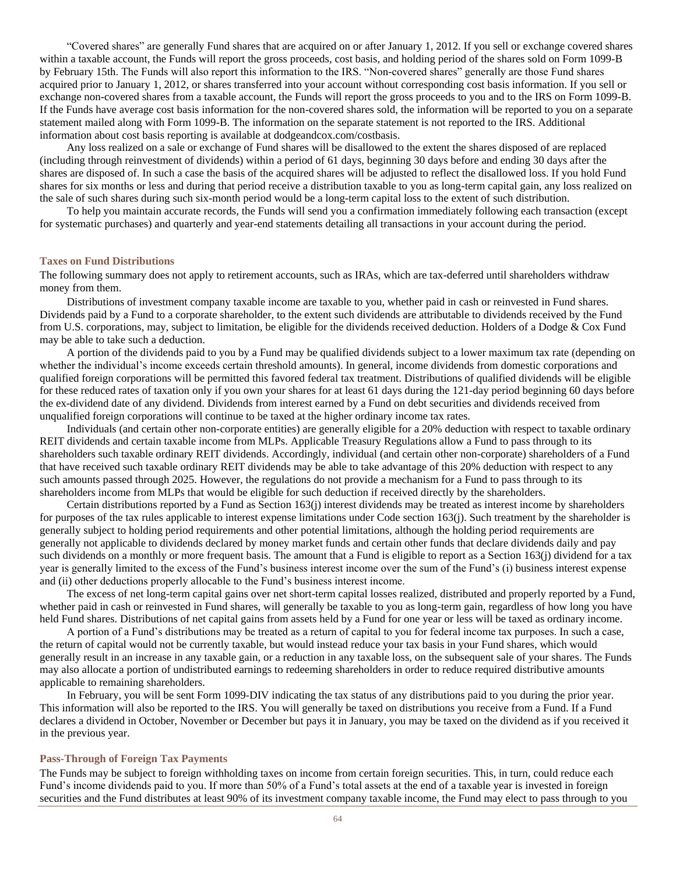"Covered shares" are generally Fund shares that are acquired on or after January 1, 2012. If you sell or exchange covered shares within a taxable account, the Funds will report the gross proceeds, cost basis, and holding period of the shares sold on Form 1099-B by February 15th. The Funds will also report this information to the IRS. "Non-covered shares" generally are those Fund shares acquired prior to January 1, 2012, or shares transferred into your account without corresponding cost basis information. If you sell or exchange non-covered shares from a taxable account, the Funds will report the gross proceeds to you and to the IRS on Form 1099-B. If the Funds have average cost basis information for the non-covered shares sold, the information will be reported to you on a separate statement mailed along with Form 1099-B. The information on the separate statement is not reported to the IRS. Additional information about cost basis reporting is available at dodgeandcox.com/costbasis.

Any loss realized on a sale or exchange of Fund shares will be disallowed to the extent the shares disposed of are replaced (including through reinvestment of dividends) within a period of 61 days, beginning 30 days before and ending 30 days after the shares are disposed of. In such a case the basis of the acquired shares will be adjusted to reflect the disallowed loss. If you hold Fund shares for six months or less and during that period receive a distribution taxable to you as long-term capital gain, any loss realized on the sale of such shares during such six-month period would be a long-term capital loss to the extent of such distribution.

To help you maintain accurate records, the Funds will send you a confirmation immediately following each transaction (except for systematic purchases) and quarterly and year-end statements detailing all transactions in your account during the period.

#### **Taxes on Fund Distributions**

The following summary does not apply to retirement accounts, such as IRAs, which are tax-deferred until shareholders withdraw money from them.

Distributions of investment company taxable income are taxable to you, whether paid in cash or reinvested in Fund shares. Dividends paid by a Fund to a corporate shareholder, to the extent such dividends are attributable to dividends received by the Fund from U.S. corporations, may, subject to limitation, be eligible for the dividends received deduction. Holders of a Dodge & Cox Fund may be able to take such a deduction.

A portion of the dividends paid to you by a Fund may be qualified dividends subject to a lower maximum tax rate (depending on whether the individual's income exceeds certain threshold amounts). In general, income dividends from domestic corporations and qualified foreign corporations will be permitted this favored federal tax treatment. Distributions of qualified dividends will be eligible for these reduced rates of taxation only if you own your shares for at least 61 days during the 121-day period beginning 60 days before the ex-dividend date of any dividend. Dividends from interest earned by a Fund on debt securities and dividends received from unqualified foreign corporations will continue to be taxed at the higher ordinary income tax rates.

Individuals (and certain other non-corporate entities) are generally eligible for a 20% deduction with respect to taxable ordinary REIT dividends and certain taxable income from MLPs. Applicable Treasury Regulations allow a Fund to pass through to its shareholders such taxable ordinary REIT dividends. Accordingly, individual (and certain other non-corporate) shareholders of a Fund that have received such taxable ordinary REIT dividends may be able to take advantage of this 20% deduction with respect to any such amounts passed through 2025. However, the regulations do not provide a mechanism for a Fund to pass through to its shareholders income from MLPs that would be eligible for such deduction if received directly by the shareholders.

Certain distributions reported by a Fund as Section  $163(j)$  interest dividends may be treated as interest income by shareholders for purposes of the tax rules applicable to interest expense limitations under Code section 163(j). Such treatment by the shareholder is generally subject to holding period requirements and other potential limitations, although the holding period requirements are generally not applicable to dividends declared by money market funds and certain other funds that declare dividends daily and pay such dividends on a monthly or more frequent basis. The amount that a Fund is eligible to report as a Section 163(j) dividend for a tax year is generally limited to the excess of the Fund's business interest income over the sum of the Fund's (i) business interest expense and (ii) other deductions properly allocable to the Fund's business interest income.

The excess of net long-term capital gains over net short-term capital losses realized, distributed and properly reported by a Fund, whether paid in cash or reinvested in Fund shares, will generally be taxable to you as long-term gain, regardless of how long you have held Fund shares. Distributions of net capital gains from assets held by a Fund for one year or less will be taxed as ordinary income.

A portion of a Fund's distributions may be treated as a return of capital to you for federal income tax purposes. In such a case, the return of capital would not be currently taxable, but would instead reduce your tax basis in your Fund shares, which would generally result in an increase in any taxable gain, or a reduction in any taxable loss, on the subsequent sale of your shares. The Funds may also allocate a portion of undistributed earnings to redeeming shareholders in order to reduce required distributive amounts applicable to remaining shareholders.

In February, you will be sent Form 1099-DIV indicating the tax status of any distributions paid to you during the prior year. This information will also be reported to the IRS. You will generally be taxed on distributions you receive from a Fund. If a Fund declares a dividend in October, November or December but pays it in January, you may be taxed on the dividend as if you received it in the previous year.

#### **Pass-Through of Foreign Tax Payments**

The Funds may be subject to foreign withholding taxes on income from certain foreign securities. This, in turn, could reduce each Fund's income dividends paid to you. If more than 50% of a Fund's total assets at the end of a taxable year is invested in foreign securities and the Fund distributes at least 90% of its investment company taxable income, the Fund may elect to pass through to you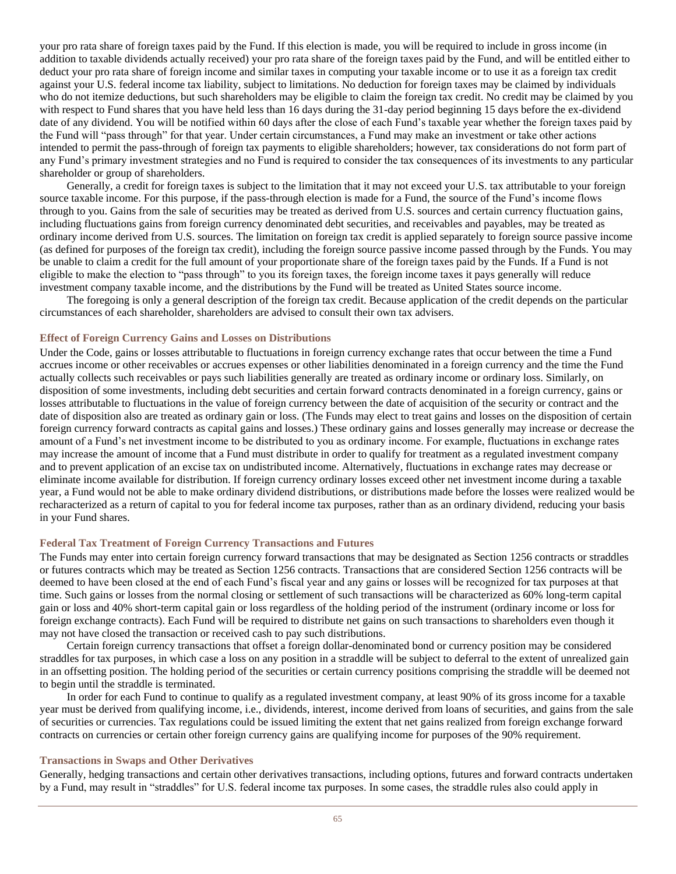your pro rata share of foreign taxes paid by the Fund. If this election is made, you will be required to include in gross income (in addition to taxable dividends actually received) your pro rata share of the foreign taxes paid by the Fund, and will be entitled either to deduct your pro rata share of foreign income and similar taxes in computing your taxable income or to use it as a foreign tax credit against your U.S. federal income tax liability, subject to limitations. No deduction for foreign taxes may be claimed by individuals who do not itemize deductions, but such shareholders may be eligible to claim the foreign tax credit. No credit may be claimed by you with respect to Fund shares that you have held less than 16 days during the 31-day period beginning 15 days before the ex-dividend date of any dividend. You will be notified within 60 days after the close of each Fund's taxable year whether the foreign taxes paid by the Fund will "pass through" for that year. Under certain circumstances, a Fund may make an investment or take other actions intended to permit the pass-through of foreign tax payments to eligible shareholders; however, tax considerations do not form part of any Fund's primary investment strategies and no Fund is required to consider the tax consequences of its investments to any particular shareholder or group of shareholders.

Generally, a credit for foreign taxes is subject to the limitation that it may not exceed your U.S. tax attributable to your foreign source taxable income. For this purpose, if the pass-through election is made for a Fund, the source of the Fund's income flows through to you. Gains from the sale of securities may be treated as derived from U.S. sources and certain currency fluctuation gains, including fluctuations gains from foreign currency denominated debt securities, and receivables and payables, may be treated as ordinary income derived from U.S. sources. The limitation on foreign tax credit is applied separately to foreign source passive income (as defined for purposes of the foreign tax credit), including the foreign source passive income passed through by the Funds. You may be unable to claim a credit for the full amount of your proportionate share of the foreign taxes paid by the Funds. If a Fund is not eligible to make the election to "pass through" to you its foreign taxes, the foreign income taxes it pays generally will reduce investment company taxable income, and the distributions by the Fund will be treated as United States source income.

The foregoing is only a general description of the foreign tax credit. Because application of the credit depends on the particular circumstances of each shareholder, shareholders are advised to consult their own tax advisers.

#### **Effect of Foreign Currency Gains and Losses on Distributions**

Under the Code, gains or losses attributable to fluctuations in foreign currency exchange rates that occur between the time a Fund accrues income or other receivables or accrues expenses or other liabilities denominated in a foreign currency and the time the Fund actually collects such receivables or pays such liabilities generally are treated as ordinary income or ordinary loss. Similarly, on disposition of some investments, including debt securities and certain forward contracts denominated in a foreign currency, gains or losses attributable to fluctuations in the value of foreign currency between the date of acquisition of the security or contract and the date of disposition also are treated as ordinary gain or loss. (The Funds may elect to treat gains and losses on the disposition of certain foreign currency forward contracts as capital gains and losses.) These ordinary gains and losses generally may increase or decrease the amount of a Fund's net investment income to be distributed to you as ordinary income. For example, fluctuations in exchange rates may increase the amount of income that a Fund must distribute in order to qualify for treatment as a regulated investment company and to prevent application of an excise tax on undistributed income. Alternatively, fluctuations in exchange rates may decrease or eliminate income available for distribution. If foreign currency ordinary losses exceed other net investment income during a taxable year, a Fund would not be able to make ordinary dividend distributions, or distributions made before the losses were realized would be recharacterized as a return of capital to you for federal income tax purposes, rather than as an ordinary dividend, reducing your basis in your Fund shares.

#### **Federal Tax Treatment of Foreign Currency Transactions and Futures**

The Funds may enter into certain foreign currency forward transactions that may be designated as Section 1256 contracts or straddles or futures contracts which may be treated as Section 1256 contracts. Transactions that are considered Section 1256 contracts will be deemed to have been closed at the end of each Fund's fiscal year and any gains or losses will be recognized for tax purposes at that time. Such gains or losses from the normal closing or settlement of such transactions will be characterized as 60% long-term capital gain or loss and 40% short-term capital gain or loss regardless of the holding period of the instrument (ordinary income or loss for foreign exchange contracts). Each Fund will be required to distribute net gains on such transactions to shareholders even though it may not have closed the transaction or received cash to pay such distributions.

Certain foreign currency transactions that offset a foreign dollar-denominated bond or currency position may be considered straddles for tax purposes, in which case a loss on any position in a straddle will be subject to deferral to the extent of unrealized gain in an offsetting position. The holding period of the securities or certain currency positions comprising the straddle will be deemed not to begin until the straddle is terminated.

In order for each Fund to continue to qualify as a regulated investment company, at least 90% of its gross income for a taxable year must be derived from qualifying income, i.e., dividends, interest, income derived from loans of securities, and gains from the sale of securities or currencies. Tax regulations could be issued limiting the extent that net gains realized from foreign exchange forward contracts on currencies or certain other foreign currency gains are qualifying income for purposes of the 90% requirement.

#### **Transactions in Swaps and Other Derivatives**

Generally, hedging transactions and certain other derivatives transactions, including options, futures and forward contracts undertaken by a Fund, may result in "straddles" for U.S. federal income tax purposes. In some cases, the straddle rules also could apply in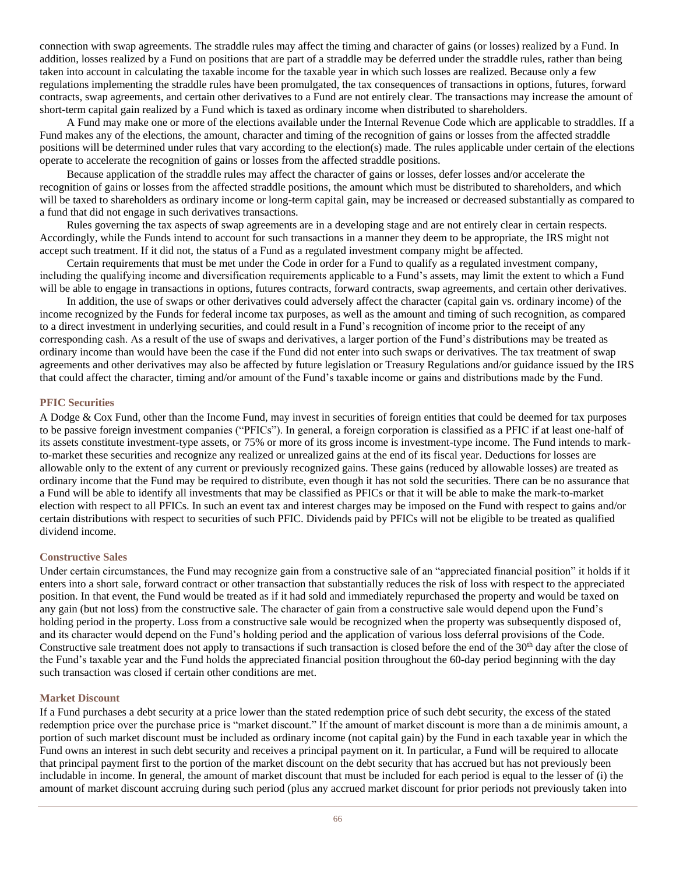connection with swap agreements. The straddle rules may affect the timing and character of gains (or losses) realized by a Fund. In addition, losses realized by a Fund on positions that are part of a straddle may be deferred under the straddle rules, rather than being taken into account in calculating the taxable income for the taxable year in which such losses are realized. Because only a few regulations implementing the straddle rules have been promulgated, the tax consequences of transactions in options, futures, forward contracts, swap agreements, and certain other derivatives to a Fund are not entirely clear. The transactions may increase the amount of short-term capital gain realized by a Fund which is taxed as ordinary income when distributed to shareholders.

A Fund may make one or more of the elections available under the Internal Revenue Code which are applicable to straddles. If a Fund makes any of the elections, the amount, character and timing of the recognition of gains or losses from the affected straddle positions will be determined under rules that vary according to the election(s) made. The rules applicable under certain of the elections operate to accelerate the recognition of gains or losses from the affected straddle positions.

Because application of the straddle rules may affect the character of gains or losses, defer losses and/or accelerate the recognition of gains or losses from the affected straddle positions, the amount which must be distributed to shareholders, and which will be taxed to shareholders as ordinary income or long-term capital gain, may be increased or decreased substantially as compared to a fund that did not engage in such derivatives transactions.

Rules governing the tax aspects of swap agreements are in a developing stage and are not entirely clear in certain respects. Accordingly, while the Funds intend to account for such transactions in a manner they deem to be appropriate, the IRS might not accept such treatment. If it did not, the status of a Fund as a regulated investment company might be affected.

Certain requirements that must be met under the Code in order for a Fund to qualify as a regulated investment company, including the qualifying income and diversification requirements applicable to a Fund's assets, may limit the extent to which a Fund will be able to engage in transactions in options, futures contracts, forward contracts, swap agreements, and certain other derivatives.

In addition, the use of swaps or other derivatives could adversely affect the character (capital gain vs. ordinary income) of the income recognized by the Funds for federal income tax purposes, as well as the amount and timing of such recognition, as compared to a direct investment in underlying securities, and could result in a Fund's recognition of income prior to the receipt of any corresponding cash. As a result of the use of swaps and derivatives, a larger portion of the Fund's distributions may be treated as ordinary income than would have been the case if the Fund did not enter into such swaps or derivatives. The tax treatment of swap agreements and other derivatives may also be affected by future legislation or Treasury Regulations and/or guidance issued by the IRS that could affect the character, timing and/or amount of the Fund's taxable income or gains and distributions made by the Fund.

#### **PFIC Securities**

A Dodge & Cox Fund, other than the Income Fund, may invest in securities of foreign entities that could be deemed for tax purposes to be passive foreign investment companies ("PFICs"). In general, a foreign corporation is classified as a PFIC if at least one-half of its assets constitute investment-type assets, or 75% or more of its gross income is investment-type income. The Fund intends to markto-market these securities and recognize any realized or unrealized gains at the end of its fiscal year. Deductions for losses are allowable only to the extent of any current or previously recognized gains. These gains (reduced by allowable losses) are treated as ordinary income that the Fund may be required to distribute, even though it has not sold the securities. There can be no assurance that a Fund will be able to identify all investments that may be classified as PFICs or that it will be able to make the mark-to-market election with respect to all PFICs. In such an event tax and interest charges may be imposed on the Fund with respect to gains and/or certain distributions with respect to securities of such PFIC. Dividends paid by PFICs will not be eligible to be treated as qualified dividend income.

# **Constructive Sales**

Under certain circumstances, the Fund may recognize gain from a constructive sale of an "appreciated financial position" it holds if it enters into a short sale, forward contract or other transaction that substantially reduces the risk of loss with respect to the appreciated position. In that event, the Fund would be treated as if it had sold and immediately repurchased the property and would be taxed on any gain (but not loss) from the constructive sale. The character of gain from a constructive sale would depend upon the Fund's holding period in the property. Loss from a constructive sale would be recognized when the property was subsequently disposed of, and its character would depend on the Fund's holding period and the application of various loss deferral provisions of the Code. Constructive sale treatment does not apply to transactions if such transaction is closed before the end of the  $30<sup>th</sup>$  day after the close of the Fund's taxable year and the Fund holds the appreciated financial position throughout the 60-day period beginning with the day such transaction was closed if certain other conditions are met.

#### **Market Discount**

If a Fund purchases a debt security at a price lower than the stated redemption price of such debt security, the excess of the stated redemption price over the purchase price is "market discount." If the amount of market discount is more than a de minimis amount, a portion of such market discount must be included as ordinary income (not capital gain) by the Fund in each taxable year in which the Fund owns an interest in such debt security and receives a principal payment on it. In particular, a Fund will be required to allocate that principal payment first to the portion of the market discount on the debt security that has accrued but has not previously been includable in income. In general, the amount of market discount that must be included for each period is equal to the lesser of (i) the amount of market discount accruing during such period (plus any accrued market discount for prior periods not previously taken into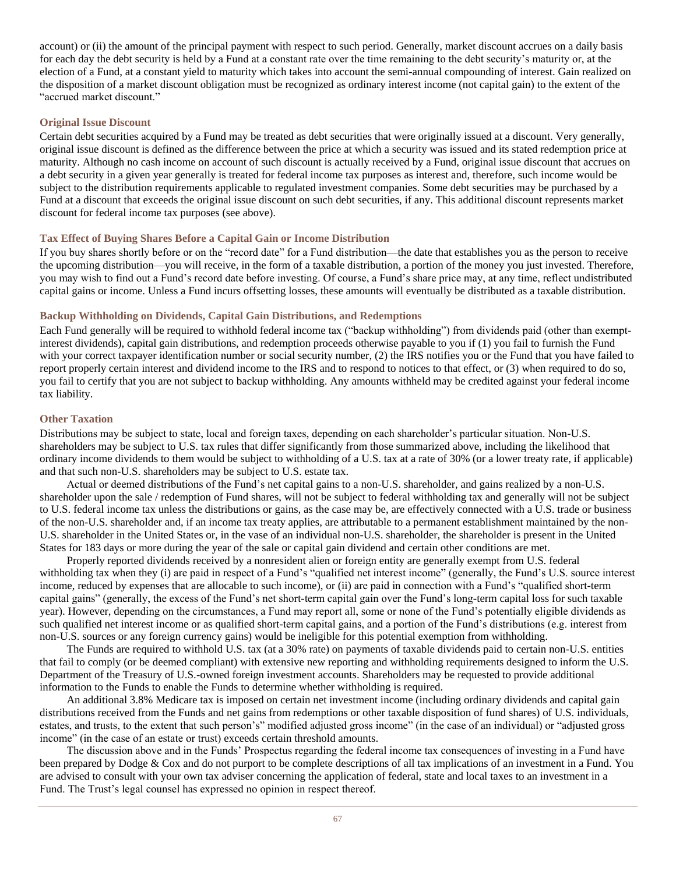account) or (ii) the amount of the principal payment with respect to such period. Generally, market discount accrues on a daily basis for each day the debt security is held by a Fund at a constant rate over the time remaining to the debt security's maturity or, at the election of a Fund, at a constant yield to maturity which takes into account the semi-annual compounding of interest. Gain realized on the disposition of a market discount obligation must be recognized as ordinary interest income (not capital gain) to the extent of the "accrued market discount."

## **Original Issue Discount**

Certain debt securities acquired by a Fund may be treated as debt securities that were originally issued at a discount. Very generally, original issue discount is defined as the difference between the price at which a security was issued and its stated redemption price at maturity. Although no cash income on account of such discount is actually received by a Fund, original issue discount that accrues on a debt security in a given year generally is treated for federal income tax purposes as interest and, therefore, such income would be subject to the distribution requirements applicable to regulated investment companies. Some debt securities may be purchased by a Fund at a discount that exceeds the original issue discount on such debt securities, if any. This additional discount represents market discount for federal income tax purposes (see above).

## **Tax Effect of Buying Shares Before a Capital Gain or Income Distribution**

If you buy shares shortly before or on the "record date" for a Fund distribution—the date that establishes you as the person to receive the upcoming distribution—you will receive, in the form of a taxable distribution, a portion of the money you just invested. Therefore, you may wish to find out a Fund's record date before investing. Of course, a Fund's share price may, at any time, reflect undistributed capital gains or income. Unless a Fund incurs offsetting losses, these amounts will eventually be distributed as a taxable distribution.

## **Backup Withholding on Dividends, Capital Gain Distributions, and Redemptions**

Each Fund generally will be required to withhold federal income tax ("backup withholding") from dividends paid (other than exemptinterest dividends), capital gain distributions, and redemption proceeds otherwise payable to you if (1) you fail to furnish the Fund with your correct taxpayer identification number or social security number, (2) the IRS notifies you or the Fund that you have failed to report properly certain interest and dividend income to the IRS and to respond to notices to that effect, or (3) when required to do so, you fail to certify that you are not subject to backup withholding. Any amounts withheld may be credited against your federal income tax liability.

## **Other Taxation**

Distributions may be subject to state, local and foreign taxes, depending on each shareholder's particular situation. Non-U.S. shareholders may be subject to U.S. tax rules that differ significantly from those summarized above, including the likelihood that ordinary income dividends to them would be subject to withholding of a U.S. tax at a rate of 30% (or a lower treaty rate, if applicable) and that such non-U.S. shareholders may be subject to U.S. estate tax.

Actual or deemed distributions of the Fund's net capital gains to a non-U.S. shareholder, and gains realized by a non-U.S. shareholder upon the sale / redemption of Fund shares, will not be subject to federal withholding tax and generally will not be subject to U.S. federal income tax unless the distributions or gains, as the case may be, are effectively connected with a U.S. trade or business of the non-U.S. shareholder and, if an income tax treaty applies, are attributable to a permanent establishment maintained by the non-U.S. shareholder in the United States or, in the vase of an individual non-U.S. shareholder, the shareholder is present in the United States for 183 days or more during the year of the sale or capital gain dividend and certain other conditions are met.

Properly reported dividends received by a nonresident alien or foreign entity are generally exempt from U.S. federal withholding tax when they (i) are paid in respect of a Fund's "qualified net interest income" (generally, the Fund's U.S. source interest income, reduced by expenses that are allocable to such income), or (ii) are paid in connection with a Fund's "qualified short-term capital gains" (generally, the excess of the Fund's net short-term capital gain over the Fund's long-term capital loss for such taxable year). However, depending on the circumstances, a Fund may report all, some or none of the Fund's potentially eligible dividends as such qualified net interest income or as qualified short-term capital gains, and a portion of the Fund's distributions (e.g. interest from non-U.S. sources or any foreign currency gains) would be ineligible for this potential exemption from withholding.

The Funds are required to withhold U.S. tax (at a 30% rate) on payments of taxable dividends paid to certain non-U.S. entities that fail to comply (or be deemed compliant) with extensive new reporting and withholding requirements designed to inform the U.S. Department of the Treasury of U.S.-owned foreign investment accounts. Shareholders may be requested to provide additional information to the Funds to enable the Funds to determine whether withholding is required.

An additional 3.8% Medicare tax is imposed on certain net investment income (including ordinary dividends and capital gain distributions received from the Funds and net gains from redemptions or other taxable disposition of fund shares) of U.S. individuals, estates, and trusts, to the extent that such person's" modified adjusted gross income" (in the case of an individual) or "adjusted gross income" (in the case of an estate or trust) exceeds certain threshold amounts.

The discussion above and in the Funds' Prospectus regarding the federal income tax consequences of investing in a Fund have been prepared by Dodge & Cox and do not purport to be complete descriptions of all tax implications of an investment in a Fund. You are advised to consult with your own tax adviser concerning the application of federal, state and local taxes to an investment in a Fund. The Trust's legal counsel has expressed no opinion in respect thereof.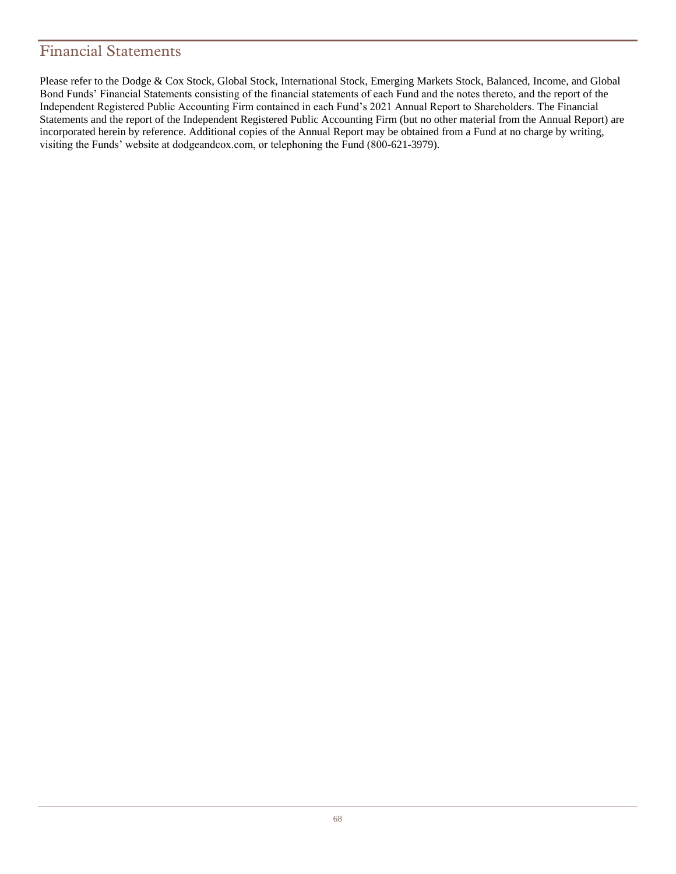# Financial Statements

Please refer to the Dodge & Cox Stock, Global Stock, International Stock, Emerging Markets Stock, Balanced, Income, and Global Bond Funds' Financial Statements consisting of the financial statements of each Fund and the notes thereto, and the report of the Independent Registered Public Accounting Firm contained in each Fund's 2021 Annual Report to Shareholders. The Financial Statements and the report of the Independent Registered Public Accounting Firm (but no other material from the Annual Report) are incorporated herein by reference. Additional copies of the Annual Report may be obtained from a Fund at no charge by writing, visiting the Funds' website at dodgeandcox.com, or telephoning the Fund (800-621-3979).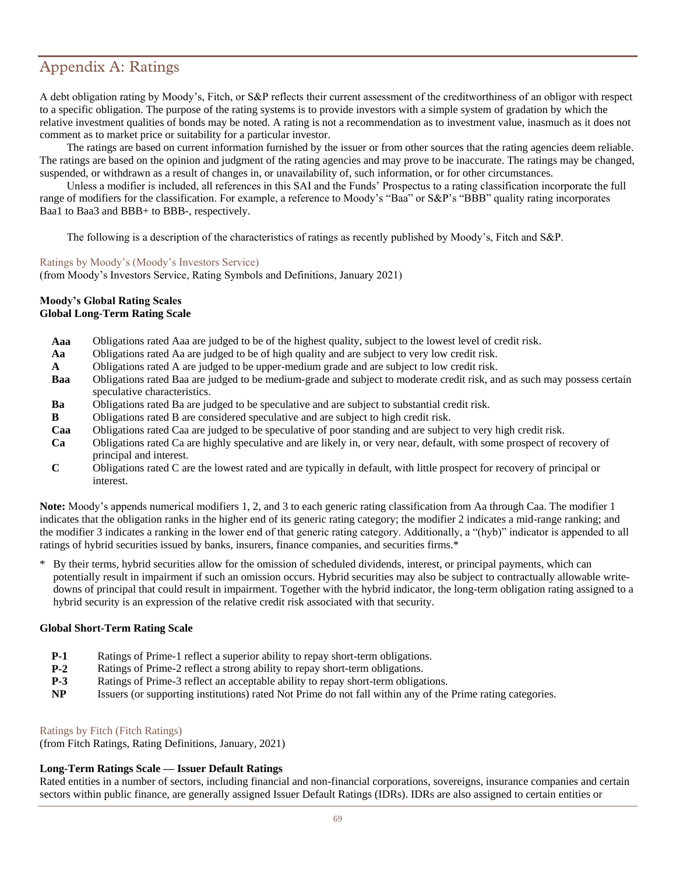# Appendix A: Ratings

A debt obligation rating by Moody's, Fitch, or S&P reflects their current assessment of the creditworthiness of an obligor with respect to a specific obligation. The purpose of the rating systems is to provide investors with a simple system of gradation by which the relative investment qualities of bonds may be noted. A rating is not a recommendation as to investment value, inasmuch as it does not comment as to market price or suitability for a particular investor.

The ratings are based on current information furnished by the issuer or from other sources that the rating agencies deem reliable. The ratings are based on the opinion and judgment of the rating agencies and may prove to be inaccurate. The ratings may be changed, suspended, or withdrawn as a result of changes in, or unavailability of, such information, or for other circumstances.

Unless a modifier is included, all references in this SAI and the Funds' Prospectus to a rating classification incorporate the full range of modifiers for the classification. For example, a reference to Moody's "Baa" or S&P's "BBB" quality rating incorporates Baa1 to Baa3 and BBB+ to BBB-, respectively.

The following is a description of the characteristics of ratings as recently published by Moody's, Fitch and S&P.

## Ratings by Moody's (Moody's Investors Service)

(from Moody's Investors Service, Rating Symbols and Definitions, January 2021)

## **Moody's Global Rating Scales Global Long-Term Rating Scale**

- **Aaa** Obligations rated Aaa are judged to be of the highest quality, subject to the lowest level of credit risk.
- **Aa** Obligations rated Aa are judged to be of high quality and are subject to very low credit risk.
- **A** Obligations rated A are judged to be upper-medium grade and are subject to low credit risk.
- **Baa** Obligations rated Baa are judged to be medium-grade and subject to moderate credit risk, and as such may possess certain speculative characteristics.
- **Ba** Obligations rated Ba are judged to be speculative and are subject to substantial credit risk.
- **B** Obligations rated B are considered speculative and are subject to high credit risk.
- **Caa** Obligations rated Caa are judged to be speculative of poor standing and are subject to very high credit risk.
- **Ca** Obligations rated Ca are highly speculative and are likely in, or very near, default, with some prospect of recovery of principal and interest.
- **C** Obligations rated C are the lowest rated and are typically in default, with little prospect for recovery of principal or interest.

**Note:** Moody's appends numerical modifiers 1, 2, and 3 to each generic rating classification from Aa through Caa. The modifier 1 indicates that the obligation ranks in the higher end of its generic rating category; the modifier 2 indicates a mid-range ranking; and the modifier 3 indicates a ranking in the lower end of that generic rating category. Additionally, a "(hyb)" indicator is appended to all ratings of hybrid securities issued by banks, insurers, finance companies, and securities firms.\*

\* By their terms, hybrid securities allow for the omission of scheduled dividends, interest, or principal payments, which can potentially result in impairment if such an omission occurs. Hybrid securities may also be subject to contractually allowable writedowns of principal that could result in impairment. Together with the hybrid indicator, the long-term obligation rating assigned to a hybrid security is an expression of the relative credit risk associated with that security.

# **Global Short-Term Rating Scale**

- **P-1** Ratings of Prime-1 reflect a superior ability to repay short-term obligations.
- **P-2** Ratings of Prime-2 reflect a strong ability to repay short-term obligations.
- **P-3** Ratings of Prime-3 reflect an acceptable ability to repay short-term obligations.
- **NP** Issuers (or supporting institutions) rated Not Prime do not fall within any of the Prime rating categories.

# Ratings by Fitch (Fitch Ratings)

(from Fitch Ratings, Rating Definitions, January, 2021)

# **Long-Term Ratings Scale — Issuer Default Ratings**

Rated entities in a number of sectors, including financial and non-financial corporations, sovereigns, insurance companies and certain sectors within public finance, are generally assigned Issuer Default Ratings (IDRs). IDRs are also assigned to certain entities or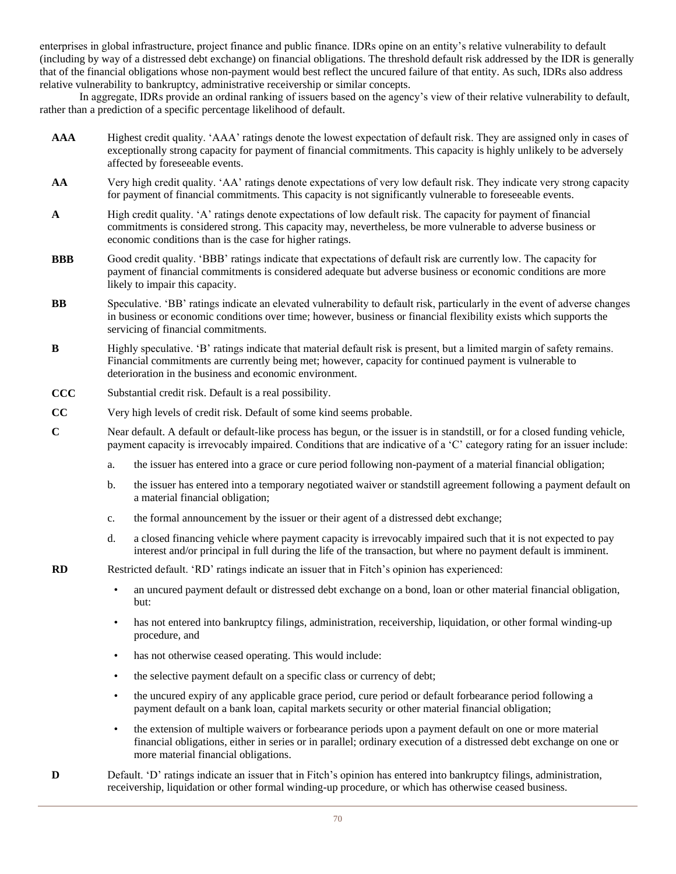enterprises in global infrastructure, project finance and public finance. IDRs opine on an entity's relative vulnerability to default (including by way of a distressed debt exchange) on financial obligations. The threshold default risk addressed by the IDR is generally that of the financial obligations whose non-payment would best reflect the uncured failure of that entity. As such, IDRs also address relative vulnerability to bankruptcy, administrative receivership or similar concepts.

In aggregate, IDRs provide an ordinal ranking of issuers based on the agency's view of their relative vulnerability to default, rather than a prediction of a specific percentage likelihood of default.

- AAA Highest credit quality. 'AAA' ratings denote the lowest expectation of default risk. They are assigned only in cases of exceptionally strong capacity for payment of financial commitments. This capacity is highly unlikely to be adversely affected by foreseeable events.
- **AA** Very high credit quality. 'AA' ratings denote expectations of very low default risk. They indicate very strong capacity for payment of financial commitments. This capacity is not significantly vulnerable to foreseeable events.
- **A** High credit quality. 'A' ratings denote expectations of low default risk. The capacity for payment of financial commitments is considered strong. This capacity may, nevertheless, be more vulnerable to adverse business or economic conditions than is the case for higher ratings.
- **BBB** Good credit quality. 'BBB' ratings indicate that expectations of default risk are currently low. The capacity for payment of financial commitments is considered adequate but adverse business or economic conditions are more likely to impair this capacity.
- **BB** Speculative. 'BB' ratings indicate an elevated vulnerability to default risk, particularly in the event of adverse changes in business or economic conditions over time; however, business or financial flexibility exists which supports the servicing of financial commitments.
- **B** Highly speculative. 'B' ratings indicate that material default risk is present, but a limited margin of safety remains. Financial commitments are currently being met; however, capacity for continued payment is vulnerable to deterioration in the business and economic environment.
- **CCC** Substantial credit risk. Default is a real possibility.
- **CC** Very high levels of credit risk. Default of some kind seems probable.
- **C** Near default. A default or default-like process has begun, or the issuer is in standstill, or for a closed funding vehicle, payment capacity is irrevocably impaired. Conditions that are indicative of a 'C' category rating for an issuer include:
	- a. the issuer has entered into a grace or cure period following non-payment of a material financial obligation;
	- b. the issuer has entered into a temporary negotiated waiver or standstill agreement following a payment default on a material financial obligation;
	- c. the formal announcement by the issuer or their agent of a distressed debt exchange;
	- d. a closed financing vehicle where payment capacity is irrevocably impaired such that it is not expected to pay interest and/or principal in full during the life of the transaction, but where no payment default is imminent.
- **RD** Restricted default. 'RD' ratings indicate an issuer that in Fitch's opinion has experienced:
	- an uncured payment default or distressed debt exchange on a bond, loan or other material financial obligation, but:
	- has not entered into bankruptcy filings, administration, receivership, liquidation, or other formal winding-up procedure, and
	- has not otherwise ceased operating. This would include:
	- the selective payment default on a specific class or currency of debt;
	- the uncured expiry of any applicable grace period, cure period or default forbearance period following a payment default on a bank loan, capital markets security or other material financial obligation;
	- the extension of multiple waivers or forbearance periods upon a payment default on one or more material financial obligations, either in series or in parallel; ordinary execution of a distressed debt exchange on one or more material financial obligations.
- **D** Default. 'D' ratings indicate an issuer that in Fitch's opinion has entered into bankruptcy filings, administration, receivership, liquidation or other formal winding-up procedure, or which has otherwise ceased business.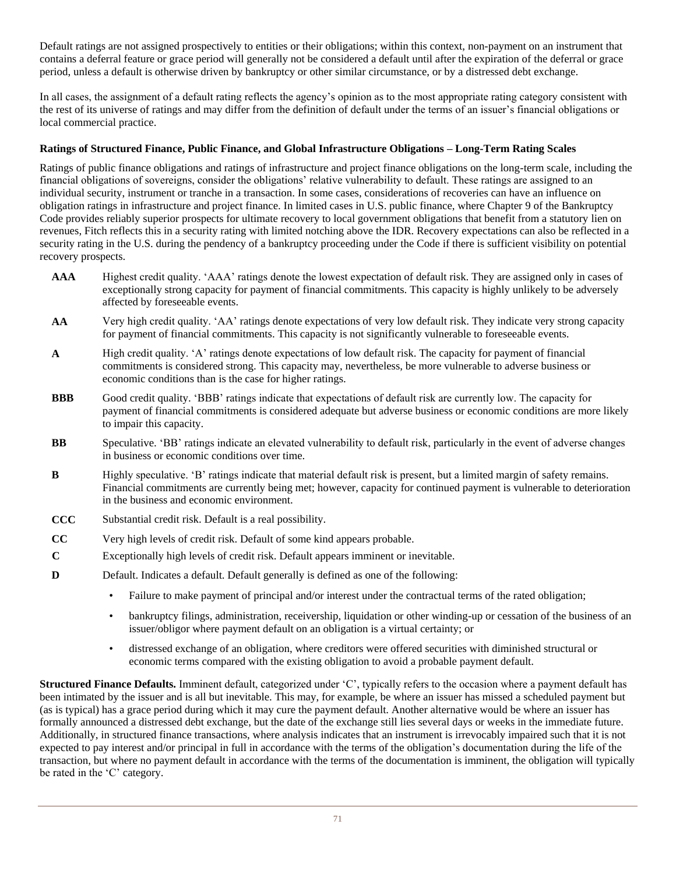Default ratings are not assigned prospectively to entities or their obligations; within this context, non-payment on an instrument that contains a deferral feature or grace period will generally not be considered a default until after the expiration of the deferral or grace period, unless a default is otherwise driven by bankruptcy or other similar circumstance, or by a distressed debt exchange.

In all cases, the assignment of a default rating reflects the agency's opinion as to the most appropriate rating category consistent with the rest of its universe of ratings and may differ from the definition of default under the terms of an issuer's financial obligations or local commercial practice.

# **Ratings of Structured Finance, Public Finance, and Global Infrastructure Obligations – Long-Term Rating Scales**

Ratings of public finance obligations and ratings of infrastructure and project finance obligations on the long-term scale, including the financial obligations of sovereigns, consider the obligations' relative vulnerability to default. These ratings are assigned to an individual security, instrument or tranche in a transaction. In some cases, considerations of recoveries can have an influence on obligation ratings in infrastructure and project finance. In limited cases in U.S. public finance, where Chapter 9 of the Bankruptcy Code provides reliably superior prospects for ultimate recovery to local government obligations that benefit from a statutory lien on revenues, Fitch reflects this in a security rating with limited notching above the IDR. Recovery expectations can also be reflected in a security rating in the U.S. during the pendency of a bankruptcy proceeding under the Code if there is sufficient visibility on potential recovery prospects.

- **AAA** Highest credit quality. 'AAA' ratings denote the lowest expectation of default risk. They are assigned only in cases of exceptionally strong capacity for payment of financial commitments. This capacity is highly unlikely to be adversely affected by foreseeable events.
- **AA** Very high credit quality. 'AA' ratings denote expectations of very low default risk. They indicate very strong capacity for payment of financial commitments. This capacity is not significantly vulnerable to foreseeable events.
- **A** High credit quality. 'A' ratings denote expectations of low default risk. The capacity for payment of financial commitments is considered strong. This capacity may, nevertheless, be more vulnerable to adverse business or economic conditions than is the case for higher ratings.
- **BBB** Good credit quality. 'BBB' ratings indicate that expectations of default risk are currently low. The capacity for payment of financial commitments is considered adequate but adverse business or economic conditions are more likely to impair this capacity.
- **BB** Speculative. 'BB' ratings indicate an elevated vulnerability to default risk, particularly in the event of adverse changes in business or economic conditions over time.
- **B** Highly speculative. 'B' ratings indicate that material default risk is present, but a limited margin of safety remains. Financial commitments are currently being met; however, capacity for continued payment is vulnerable to deterioration in the business and economic environment.
- **CCC** Substantial credit risk. Default is a real possibility.
- **CC** Very high levels of credit risk. Default of some kind appears probable.
- **C** Exceptionally high levels of credit risk. Default appears imminent or inevitable.
- **D** Default. Indicates a default. Default generally is defined as one of the following:
	- Failure to make payment of principal and/or interest under the contractual terms of the rated obligation;
	- bankruptcy filings, administration, receivership, liquidation or other winding-up or cessation of the business of an issuer/obligor where payment default on an obligation is a virtual certainty; or
	- distressed exchange of an obligation, where creditors were offered securities with diminished structural or economic terms compared with the existing obligation to avoid a probable payment default.

**Structured Finance Defaults.** Imminent default, categorized under 'C', typically refers to the occasion where a payment default has been intimated by the issuer and is all but inevitable. This may, for example, be where an issuer has missed a scheduled payment but (as is typical) has a grace period during which it may cure the payment default. Another alternative would be where an issuer has formally announced a distressed debt exchange, but the date of the exchange still lies several days or weeks in the immediate future. Additionally, in structured finance transactions, where analysis indicates that an instrument is irrevocably impaired such that it is not expected to pay interest and/or principal in full in accordance with the terms of the obligation's documentation during the life of the transaction, but where no payment default in accordance with the terms of the documentation is imminent, the obligation will typically be rated in the 'C' category.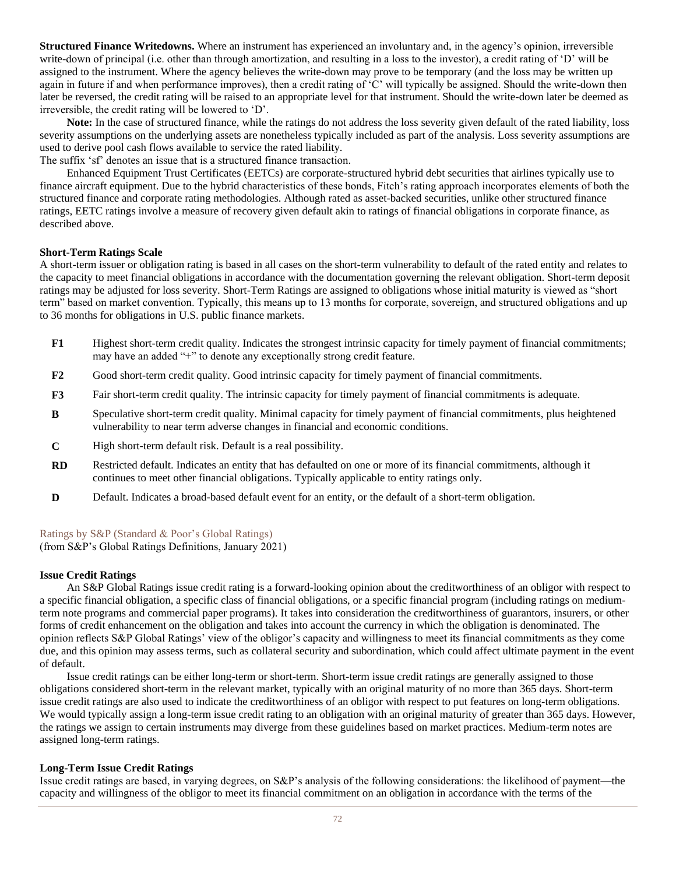**Structured Finance Writedowns.** Where an instrument has experienced an involuntary and, in the agency's opinion, irreversible write-down of principal (i.e. other than through amortization, and resulting in a loss to the investor), a credit rating of 'D' will be assigned to the instrument. Where the agency believes the write-down may prove to be temporary (and the loss may be written up again in future if and when performance improves), then a credit rating of 'C' will typically be assigned. Should the write-down then later be reversed, the credit rating will be raised to an appropriate level for that instrument. Should the write-down later be deemed as irreversible, the credit rating will be lowered to 'D'.

**Note:** In the case of structured finance, while the ratings do not address the loss severity given default of the rated liability, loss severity assumptions on the underlying assets are nonetheless typically included as part of the analysis. Loss severity assumptions are used to derive pool cash flows available to service the rated liability.

The suffix 'sf' denotes an issue that is a structured finance transaction.

Enhanced Equipment Trust Certificates (EETCs) are corporate-structured hybrid debt securities that airlines typically use to finance aircraft equipment. Due to the hybrid characteristics of these bonds, Fitch's rating approach incorporates elements of both the structured finance and corporate rating methodologies. Although rated as asset-backed securities, unlike other structured finance ratings, EETC ratings involve a measure of recovery given default akin to ratings of financial obligations in corporate finance, as described above.

## **Short-Term Ratings Scale**

A short-term issuer or obligation rating is based in all cases on the short-term vulnerability to default of the rated entity and relates to the capacity to meet financial obligations in accordance with the documentation governing the relevant obligation. Short-term deposit ratings may be adjusted for loss severity. Short-Term Ratings are assigned to obligations whose initial maturity is viewed as "short term" based on market convention. Typically, this means up to 13 months for corporate, sovereign, and structured obligations and up to 36 months for obligations in U.S. public finance markets.

- **F1** Highest short-term credit quality. Indicates the strongest intrinsic capacity for timely payment of financial commitments; may have an added "+" to denote any exceptionally strong credit feature.
- **F2** Good short-term credit quality. Good intrinsic capacity for timely payment of financial commitments.
- **F3** Fair short-term credit quality. The intrinsic capacity for timely payment of financial commitments is adequate.
- **B** Speculative short-term credit quality. Minimal capacity for timely payment of financial commitments, plus heightened vulnerability to near term adverse changes in financial and economic conditions.
- **C** High short-term default risk. Default is a real possibility.
- **RD** Restricted default. Indicates an entity that has defaulted on one or more of its financial commitments, although it continues to meet other financial obligations. Typically applicable to entity ratings only.
- **D** Default. Indicates a broad-based default event for an entity, or the default of a short-term obligation.

Ratings by S&P (Standard & Poor's Global Ratings) (from S&P's Global Ratings Definitions, January 2021)

#### **Issue Credit Ratings**

An S&P Global Ratings issue credit rating is a forward-looking opinion about the creditworthiness of an obligor with respect to a specific financial obligation, a specific class of financial obligations, or a specific financial program (including ratings on mediumterm note programs and commercial paper programs). It takes into consideration the creditworthiness of guarantors, insurers, or other forms of credit enhancement on the obligation and takes into account the currency in which the obligation is denominated. The opinion reflects S&P Global Ratings' view of the obligor's capacity and willingness to meet its financial commitments as they come due, and this opinion may assess terms, such as collateral security and subordination, which could affect ultimate payment in the event of default.

Issue credit ratings can be either long-term or short-term. Short-term issue credit ratings are generally assigned to those obligations considered short-term in the relevant market, typically with an original maturity of no more than 365 days. Short-term issue credit ratings are also used to indicate the creditworthiness of an obligor with respect to put features on long-term obligations. We would typically assign a long-term issue credit rating to an obligation with an original maturity of greater than 365 days. However, the ratings we assign to certain instruments may diverge from these guidelines based on market practices. Medium-term notes are assigned long-term ratings.

# **Long-Term Issue Credit Ratings**

Issue credit ratings are based, in varying degrees, on S&P's analysis of the following considerations: the likelihood of payment—the capacity and willingness of the obligor to meet its financial commitment on an obligation in accordance with the terms of the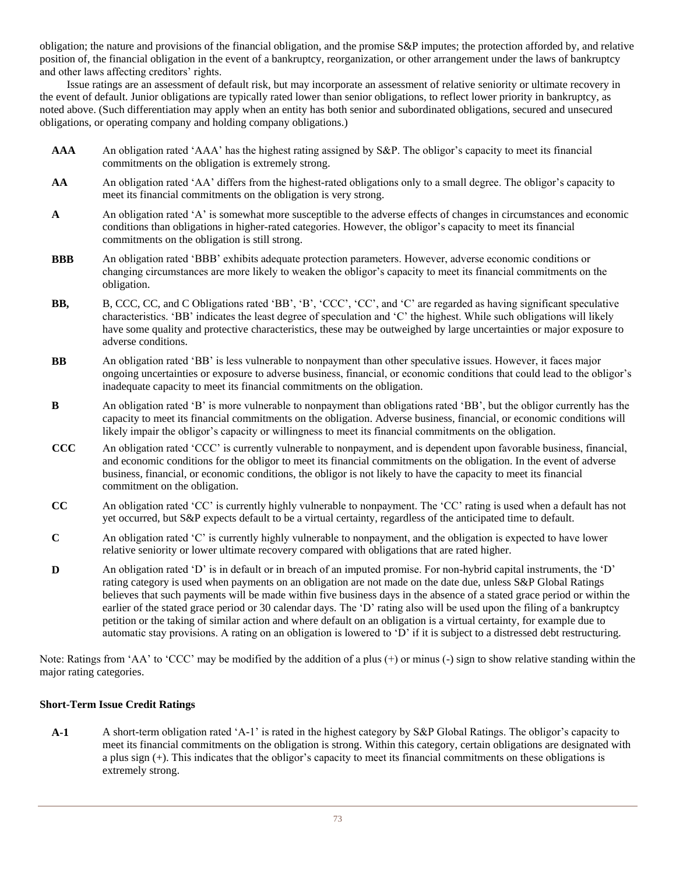obligation; the nature and provisions of the financial obligation, and the promise  $S\&P$  imputes; the protection afforded by, and relative position of, the financial obligation in the event of a bankruptcy, reorganization, or other arrangement under the laws of bankruptcy and other laws affecting creditors' rights.

Issue ratings are an assessment of default risk, but may incorporate an assessment of relative seniority or ultimate recovery in the event of default. Junior obligations are typically rated lower than senior obligations, to reflect lower priority in bankruptcy, as noted above. (Such differentiation may apply when an entity has both senior and subordinated obligations, secured and unsecured obligations, or operating company and holding company obligations.)

- AAA An obligation rated 'AAA' has the highest rating assigned by S&P. The obligor's capacity to meet its financial commitments on the obligation is extremely strong.
- **AA** An obligation rated 'AA' differs from the highest-rated obligations only to a small degree. The obligor's capacity to meet its financial commitments on the obligation is very strong.
- **A** An obligation rated 'A' is somewhat more susceptible to the adverse effects of changes in circumstances and economic conditions than obligations in higher-rated categories. However, the obligor's capacity to meet its financial commitments on the obligation is still strong.
- **BBB** An obligation rated 'BBB' exhibits adequate protection parameters. However, adverse economic conditions or changing circumstances are more likely to weaken the obligor's capacity to meet its financial commitments on the obligation.
- BB, B, CCC, CC, and C Obligations rated 'BB', 'B', 'CCC', 'CC', and 'C' are regarded as having significant speculative characteristics. 'BB' indicates the least degree of speculation and 'C' the highest. While such obligations will likely have some quality and protective characteristics, these may be outweighed by large uncertainties or major exposure to adverse conditions.
- **BB** An obligation rated 'BB' is less vulnerable to nonpayment than other speculative issues. However, it faces major ongoing uncertainties or exposure to adverse business, financial, or economic conditions that could lead to the obligor's inadequate capacity to meet its financial commitments on the obligation.
- **B** An obligation rated 'B' is more vulnerable to nonpayment than obligations rated 'BB', but the obligor currently has the capacity to meet its financial commitments on the obligation. Adverse business, financial, or economic conditions will likely impair the obligor's capacity or willingness to meet its financial commitments on the obligation.
- **CCC** An obligation rated 'CCC' is currently vulnerable to nonpayment, and is dependent upon favorable business, financial, and economic conditions for the obligor to meet its financial commitments on the obligation. In the event of adverse business, financial, or economic conditions, the obligor is not likely to have the capacity to meet its financial commitment on the obligation.
- **CC** An obligation rated 'CC' is currently highly vulnerable to nonpayment. The 'CC' rating is used when a default has not yet occurred, but S&P expects default to be a virtual certainty, regardless of the anticipated time to default.
- **C** An obligation rated 'C' is currently highly vulnerable to nonpayment, and the obligation is expected to have lower relative seniority or lower ultimate recovery compared with obligations that are rated higher.
- **D** An obligation rated 'D' is in default or in breach of an imputed promise. For non-hybrid capital instruments, the 'D' rating category is used when payments on an obligation are not made on the date due, unless S&P Global Ratings believes that such payments will be made within five business days in the absence of a stated grace period or within the earlier of the stated grace period or 30 calendar days. The 'D' rating also will be used upon the filing of a bankruptcy petition or the taking of similar action and where default on an obligation is a virtual certainty, for example due to automatic stay provisions. A rating on an obligation is lowered to 'D' if it is subject to a distressed debt restructuring.

Note: Ratings from 'AA' to 'CCC' may be modified by the addition of a plus (+) or minus (-) sign to show relative standing within the major rating categories.

# **Short-Term Issue Credit Ratings**

**A-1** A short-term obligation rated 'A-1' is rated in the highest category by S&P Global Ratings. The obligor's capacity to meet its financial commitments on the obligation is strong. Within this category, certain obligations are designated with a plus sign (+). This indicates that the obligor's capacity to meet its financial commitments on these obligations is extremely strong.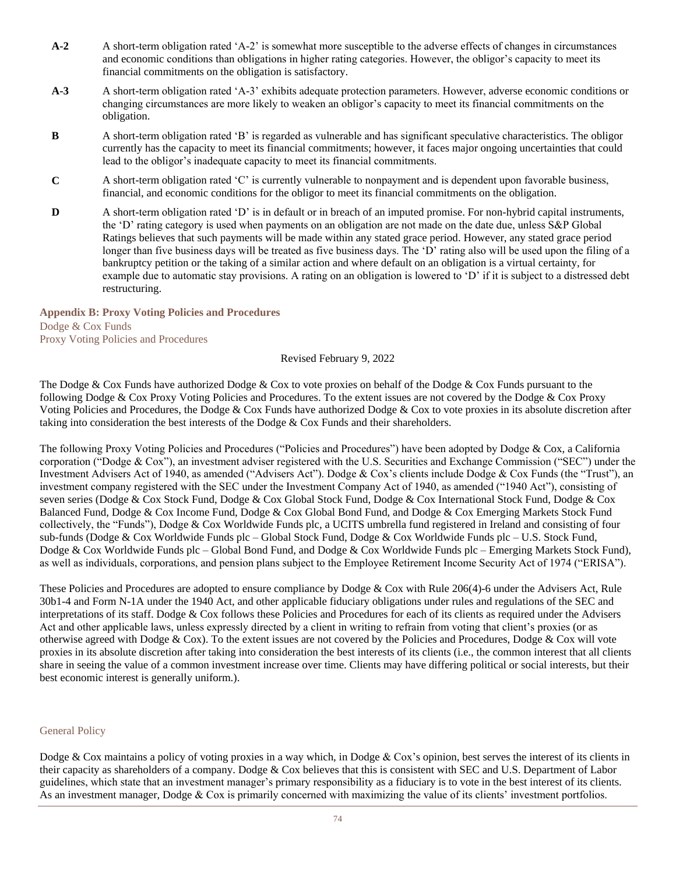- **A-2** A short-term obligation rated 'A-2' is somewhat more susceptible to the adverse effects of changes in circumstances and economic conditions than obligations in higher rating categories. However, the obligor's capacity to meet its financial commitments on the obligation is satisfactory.
- **A-3** A short-term obligation rated 'A-3' exhibits adequate protection parameters. However, adverse economic conditions or changing circumstances are more likely to weaken an obligor's capacity to meet its financial commitments on the obligation.
- **B** A short-term obligation rated 'B' is regarded as vulnerable and has significant speculative characteristics. The obligor currently has the capacity to meet its financial commitments; however, it faces major ongoing uncertainties that could lead to the obligor's inadequate capacity to meet its financial commitments.
- **C** A short-term obligation rated 'C' is currently vulnerable to nonpayment and is dependent upon favorable business, financial, and economic conditions for the obligor to meet its financial commitments on the obligation.
- **D** A short-term obligation rated 'D' is in default or in breach of an imputed promise. For non-hybrid capital instruments, the 'D' rating category is used when payments on an obligation are not made on the date due, unless S&P Global Ratings believes that such payments will be made within any stated grace period. However, any stated grace period longer than five business days will be treated as five business days. The 'D' rating also will be used upon the filing of a bankruptcy petition or the taking of a similar action and where default on an obligation is a virtual certainty, for example due to automatic stay provisions. A rating on an obligation is lowered to 'D' if it is subject to a distressed debt restructuring.

# **Appendix B: Proxy Voting Policies and Procedures**

Dodge & Cox Funds Proxy Voting Policies and Procedures

#### Revised February 9, 2022

The Dodge  $\&$  Cox Funds have authorized Dodge  $\&$  Cox to vote proxies on behalf of the Dodge  $\&$  Cox Funds pursuant to the following Dodge & Cox Proxy Voting Policies and Procedures. To the extent issues are not covered by the Dodge & Cox Proxy Voting Policies and Procedures, the Dodge & Cox Funds have authorized Dodge & Cox to vote proxies in its absolute discretion after taking into consideration the best interests of the Dodge & Cox Funds and their shareholders.

The following Proxy Voting Policies and Procedures ("Policies and Procedures") have been adopted by Dodge & Cox, a California corporation ("Dodge & Cox"), an investment adviser registered with the U.S. Securities and Exchange Commission ("SEC") under the Investment Advisers Act of 1940, as amended ("Advisers Act"). Dodge & Cox's clients include Dodge & Cox Funds (the "Trust"), an investment company registered with the SEC under the Investment Company Act of 1940, as amended ("1940 Act"), consisting of seven series (Dodge & Cox Stock Fund, Dodge & Cox Global Stock Fund, Dodge & Cox International Stock Fund, Dodge & Cox Balanced Fund, Dodge & Cox Income Fund, Dodge & Cox Global Bond Fund, and Dodge & Cox Emerging Markets Stock Fund collectively, the "Funds"), Dodge & Cox Worldwide Funds plc, a UCITS umbrella fund registered in Ireland and consisting of four sub-funds (Dodge & Cox Worldwide Funds plc – Global Stock Fund, Dodge & Cox Worldwide Funds plc – U.S. Stock Fund, Dodge & Cox Worldwide Funds plc – Global Bond Fund, and Dodge & Cox Worldwide Funds plc – Emerging Markets Stock Fund), as well as individuals, corporations, and pension plans subject to the Employee Retirement Income Security Act of 1974 ("ERISA").

These Policies and Procedures are adopted to ensure compliance by Dodge & Cox with Rule 206(4)-6 under the Advisers Act, Rule 30b1-4 and Form N-1A under the 1940 Act, and other applicable fiduciary obligations under rules and regulations of the SEC and interpretations of its staff. Dodge & Cox follows these Policies and Procedures for each of its clients as required under the Advisers Act and other applicable laws, unless expressly directed by a client in writing to refrain from voting that client's proxies (or as otherwise agreed with Dodge  $& Cox$ ). To the extent issues are not covered by the Policies and Procedures, Dodge  $& Cox$  will vote proxies in its absolute discretion after taking into consideration the best interests of its clients (i.e., the common interest that all clients share in seeing the value of a common investment increase over time. Clients may have differing political or social interests, but their best economic interest is generally uniform.).

### General Policy

Dodge & Cox maintains a policy of voting proxies in a way which, in Dodge & Cox's opinion, best serves the interest of its clients in their capacity as shareholders of a company. Dodge & Cox believes that this is consistent with SEC and U.S. Department of Labor guidelines, which state that an investment manager's primary responsibility as a fiduciary is to vote in the best interest of its clients. As an investment manager, Dodge & Cox is primarily concerned with maximizing the value of its clients' investment portfolios.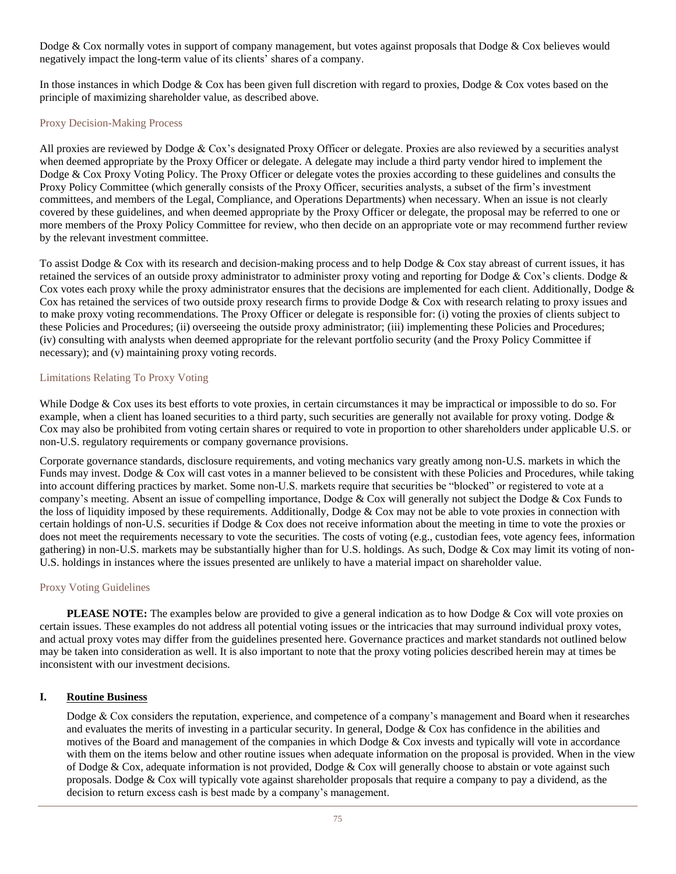Dodge & Cox normally votes in support of company management, but votes against proposals that Dodge & Cox believes would negatively impact the long-term value of its clients' shares of a company.

In those instances in which Dodge & Cox has been given full discretion with regard to proxies, Dodge & Cox votes based on the principle of maximizing shareholder value, as described above.

### Proxy Decision-Making Process

All proxies are reviewed by Dodge & Cox's designated Proxy Officer or delegate. Proxies are also reviewed by a securities analyst when deemed appropriate by the Proxy Officer or delegate. A delegate may include a third party vendor hired to implement the Dodge & Cox Proxy Voting Policy. The Proxy Officer or delegate votes the proxies according to these guidelines and consults the Proxy Policy Committee (which generally consists of the Proxy Officer, securities analysts, a subset of the firm's investment committees, and members of the Legal, Compliance, and Operations Departments) when necessary. When an issue is not clearly covered by these guidelines, and when deemed appropriate by the Proxy Officer or delegate, the proposal may be referred to one or more members of the Proxy Policy Committee for review, who then decide on an appropriate vote or may recommend further review by the relevant investment committee.

To assist Dodge & Cox with its research and decision-making process and to help Dodge & Cox stay abreast of current issues, it has retained the services of an outside proxy administrator to administer proxy voting and reporting for Dodge & Cox's clients. Dodge & Cox votes each proxy while the proxy administrator ensures that the decisions are implemented for each client. Additionally, Dodge  $\&$ Cox has retained the services of two outside proxy research firms to provide Dodge & Cox with research relating to proxy issues and to make proxy voting recommendations. The Proxy Officer or delegate is responsible for: (i) voting the proxies of clients subject to these Policies and Procedures; (ii) overseeing the outside proxy administrator; (iii) implementing these Policies and Procedures; (iv) consulting with analysts when deemed appropriate for the relevant portfolio security (and the Proxy Policy Committee if necessary); and (v) maintaining proxy voting records.

#### Limitations Relating To Proxy Voting

While Dodge & Cox uses its best efforts to vote proxies, in certain circumstances it may be impractical or impossible to do so. For example, when a client has loaned securities to a third party, such securities are generally not available for proxy voting. Dodge & Cox may also be prohibited from voting certain shares or required to vote in proportion to other shareholders under applicable U.S. or non-U.S. regulatory requirements or company governance provisions.

Corporate governance standards, disclosure requirements, and voting mechanics vary greatly among non-U.S. markets in which the Funds may invest. Dodge & Cox will cast votes in a manner believed to be consistent with these Policies and Procedures, while taking into account differing practices by market. Some non-U.S. markets require that securities be "blocked" or registered to vote at a company's meeting. Absent an issue of compelling importance, Dodge & Cox will generally not subject the Dodge & Cox Funds to the loss of liquidity imposed by these requirements. Additionally, Dodge  $& Cox$  may not be able to vote proxies in connection with certain holdings of non-U.S. securities if Dodge & Cox does not receive information about the meeting in time to vote the proxies or does not meet the requirements necessary to vote the securities. The costs of voting (e.g., custodian fees, vote agency fees, information gathering) in non-U.S. markets may be substantially higher than for U.S. holdings. As such, Dodge  $\&$  Cox may limit its voting of non-U.S. holdings in instances where the issues presented are unlikely to have a material impact on shareholder value.

### Proxy Voting Guidelines

**PLEASE NOTE:** The examples below are provided to give a general indication as to how Dodge & Cox will vote proxies on certain issues. These examples do not address all potential voting issues or the intricacies that may surround individual proxy votes, and actual proxy votes may differ from the guidelines presented here. Governance practices and market standards not outlined below may be taken into consideration as well. It is also important to note that the proxy voting policies described herein may at times be inconsistent with our investment decisions.

### **I. Routine Business**

Dodge & Cox considers the reputation, experience, and competence of a company's management and Board when it researches and evaluates the merits of investing in a particular security. In general, Dodge & Cox has confidence in the abilities and motives of the Board and management of the companies in which Dodge & Cox invests and typically will vote in accordance with them on the items below and other routine issues when adequate information on the proposal is provided. When in the view of Dodge & Cox, adequate information is not provided, Dodge & Cox will generally choose to abstain or vote against such proposals. Dodge & Cox will typically vote against shareholder proposals that require a company to pay a dividend, as the decision to return excess cash is best made by a company's management.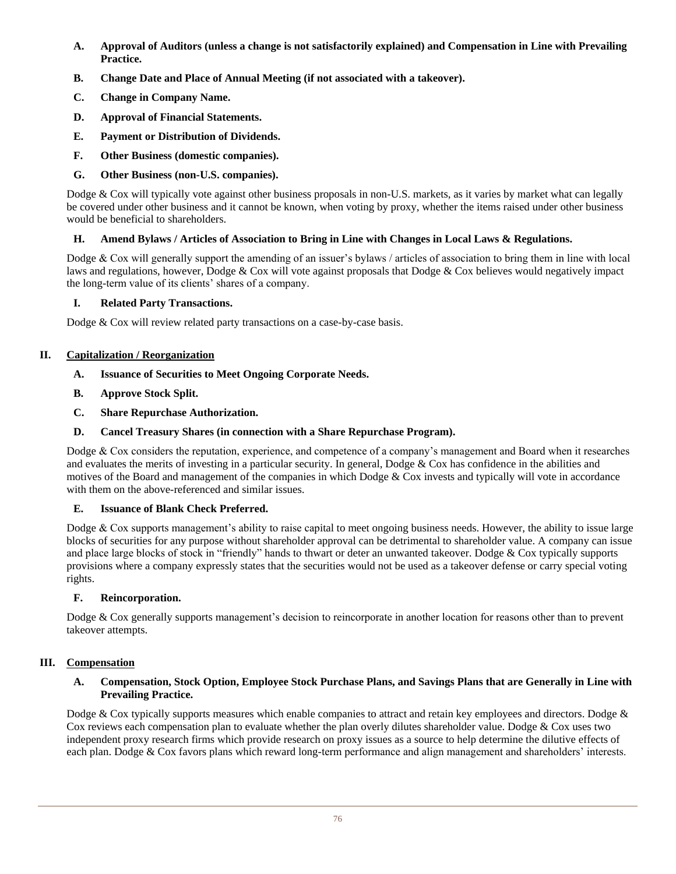- **A. Approval of Auditors (unless a change is not satisfactorily explained) and Compensation in Line with Prevailing Practice.**
- **B. Change Date and Place of Annual Meeting (if not associated with a takeover).**
- **C. Change in Company Name.**
- **D. Approval of Financial Statements.**
- **E. Payment or Distribution of Dividends.**
- **F. Other Business (domestic companies).**
- **G. Other Business (non-U.S. companies).**

Dodge & Cox will typically vote against other business proposals in non-U.S. markets, as it varies by market what can legally be covered under other business and it cannot be known, when voting by proxy, whether the items raised under other business would be beneficial to shareholders.

# **H. Amend Bylaws / Articles of Association to Bring in Line with Changes in Local Laws & Regulations.**

Dodge & Cox will generally support the amending of an issuer's bylaws / articles of association to bring them in line with local laws and regulations, however, Dodge & Cox will vote against proposals that Dodge & Cox believes would negatively impact the long-term value of its clients' shares of a company.

## **I. Related Party Transactions.**

Dodge & Cox will review related party transactions on a case-by-case basis.

# **II. Capitalization / Reorganization**

- **A. Issuance of Securities to Meet Ongoing Corporate Needs.**
- **B. Approve Stock Split.**
- **C. Share Repurchase Authorization.**
- **D. Cancel Treasury Shares (in connection with a Share Repurchase Program).**

Dodge & Cox considers the reputation, experience, and competence of a company's management and Board when it researches and evaluates the merits of investing in a particular security. In general, Dodge & Cox has confidence in the abilities and motives of the Board and management of the companies in which Dodge  $& Cox$  invests and typically will vote in accordance with them on the above-referenced and similar issues.

# **E. Issuance of Blank Check Preferred.**

Dodge & Cox supports management's ability to raise capital to meet ongoing business needs. However, the ability to issue large blocks of securities for any purpose without shareholder approval can be detrimental to shareholder value. A company can issue and place large blocks of stock in "friendly" hands to thwart or deter an unwanted takeover. Dodge & Cox typically supports provisions where a company expressly states that the securities would not be used as a takeover defense or carry special voting rights.

# **F. Reincorporation.**

Dodge & Cox generally supports management's decision to reincorporate in another location for reasons other than to prevent takeover attempts.

# **III. Compensation**

## **A. Compensation, Stock Option, Employee Stock Purchase Plans, and Savings Plans that are Generally in Line with Prevailing Practice.**

Dodge & Cox typically supports measures which enable companies to attract and retain key employees and directors. Dodge & Cox reviews each compensation plan to evaluate whether the plan overly dilutes shareholder value. Dodge & Cox uses two independent proxy research firms which provide research on proxy issues as a source to help determine the dilutive effects of each plan. Dodge & Cox favors plans which reward long-term performance and align management and shareholders' interests.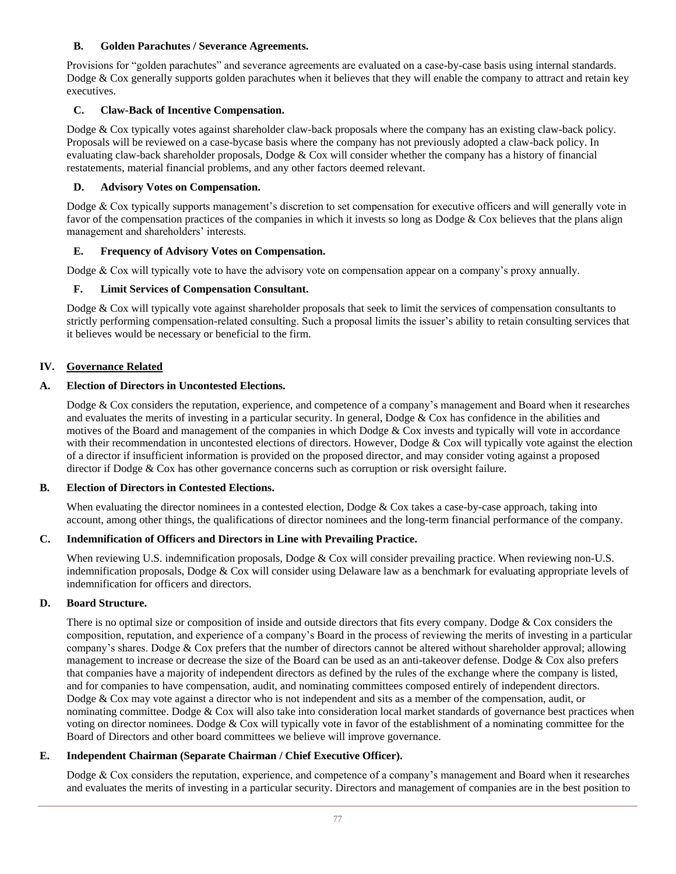## **B. Golden Parachutes / Severance Agreements.**

Provisions for "golden parachutes" and severance agreements are evaluated on a case-by-case basis using internal standards. Dodge & Cox generally supports golden parachutes when it believes that they will enable the company to attract and retain key executives.

## **C. Claw-Back of Incentive Compensation.**

Dodge & Cox typically votes against shareholder claw-back proposals where the company has an existing claw-back policy. Proposals will be reviewed on a case-bycase basis where the company has not previously adopted a claw-back policy. In evaluating claw-back shareholder proposals, Dodge & Cox will consider whether the company has a history of financial restatements, material financial problems, and any other factors deemed relevant.

## **D. Advisory Votes on Compensation.**

Dodge & Cox typically supports management's discretion to set compensation for executive officers and will generally vote in favor of the compensation practices of the companies in which it invests so long as Dodge  $\&$  Cox believes that the plans align management and shareholders' interests.

## **E. Frequency of Advisory Votes on Compensation.**

Dodge & Cox will typically vote to have the advisory vote on compensation appear on a company's proxy annually.

## **F. Limit Services of Compensation Consultant.**

Dodge & Cox will typically vote against shareholder proposals that seek to limit the services of compensation consultants to strictly performing compensation-related consulting. Such a proposal limits the issuer's ability to retain consulting services that it believes would be necessary or beneficial to the firm.

## **IV. Governance Related**

## **A. Election of Directors in Uncontested Elections.**

Dodge & Cox considers the reputation, experience, and competence of a company's management and Board when it researches and evaluates the merits of investing in a particular security. In general, Dodge & Cox has confidence in the abilities and motives of the Board and management of the companies in which Dodge & Cox invests and typically will vote in accordance with their recommendation in uncontested elections of directors. However, Dodge & Cox will typically vote against the election of a director if insufficient information is provided on the proposed director, and may consider voting against a proposed director if Dodge & Cox has other governance concerns such as corruption or risk oversight failure.

### **B. Election of Directors in Contested Elections.**

When evaluating the director nominees in a contested election, Dodge & Cox takes a case-by-case approach, taking into account, among other things, the qualifications of director nominees and the long-term financial performance of the company.

### **C. Indemnification of Officers and Directors in Line with Prevailing Practice.**

When reviewing U.S. indemnification proposals, Dodge & Cox will consider prevailing practice. When reviewing non-U.S. indemnification proposals, Dodge & Cox will consider using Delaware law as a benchmark for evaluating appropriate levels of indemnification for officers and directors.

### **D. Board Structure.**

There is no optimal size or composition of inside and outside directors that fits every company. Dodge & Cox considers the composition, reputation, and experience of a company's Board in the process of reviewing the merits of investing in a particular company's shares. Dodge & Cox prefers that the number of directors cannot be altered without shareholder approval; allowing management to increase or decrease the size of the Board can be used as an anti-takeover defense. Dodge & Cox also prefers that companies have a majority of independent directors as defined by the rules of the exchange where the company is listed, and for companies to have compensation, audit, and nominating committees composed entirely of independent directors. Dodge & Cox may vote against a director who is not independent and sits as a member of the compensation, audit, or nominating committee. Dodge & Cox will also take into consideration local market standards of governance best practices when voting on director nominees. Dodge  $&$  Cox will typically vote in favor of the establishment of a nominating committee for the Board of Directors and other board committees we believe will improve governance.

# **E. Independent Chairman (Separate Chairman / Chief Executive Officer).**

Dodge & Cox considers the reputation, experience, and competence of a company's management and Board when it researches and evaluates the merits of investing in a particular security. Directors and management of companies are in the best position to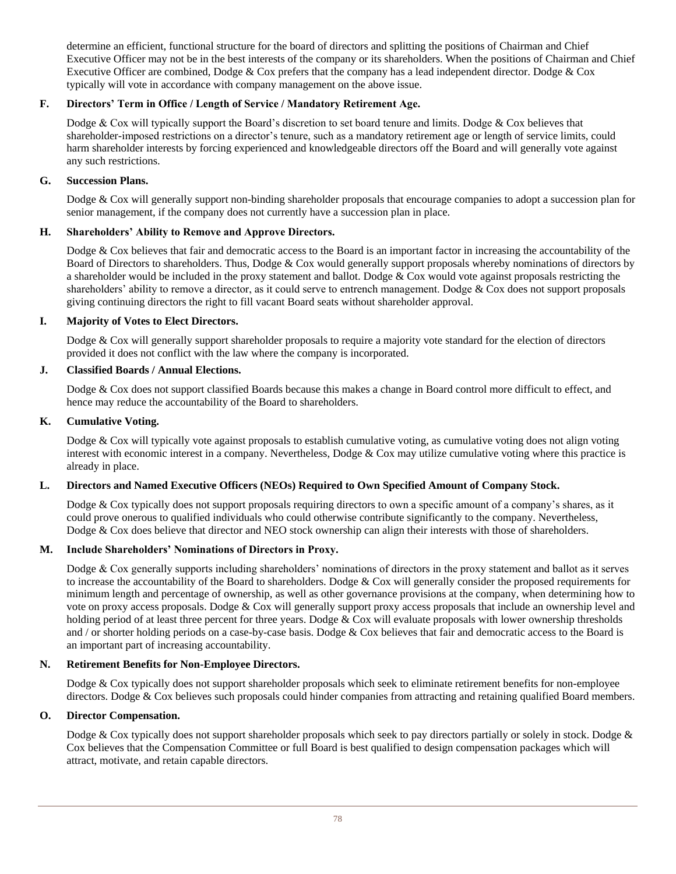determine an efficient, functional structure for the board of directors and splitting the positions of Chairman and Chief Executive Officer may not be in the best interests of the company or its shareholders. When the positions of Chairman and Chief Executive Officer are combined, Dodge & Cox prefers that the company has a lead independent director. Dodge & Cox typically will vote in accordance with company management on the above issue.

## **F. Directors' Term in Office / Length of Service / Mandatory Retirement Age.**

Dodge & Cox will typically support the Board's discretion to set board tenure and limits. Dodge & Cox believes that shareholder-imposed restrictions on a director's tenure, such as a mandatory retirement age or length of service limits, could harm shareholder interests by forcing experienced and knowledgeable directors off the Board and will generally vote against any such restrictions.

### **G. Succession Plans.**

Dodge & Cox will generally support non-binding shareholder proposals that encourage companies to adopt a succession plan for senior management, if the company does not currently have a succession plan in place.

## **H. Shareholders' Ability to Remove and Approve Directors.**

Dodge & Cox believes that fair and democratic access to the Board is an important factor in increasing the accountability of the Board of Directors to shareholders. Thus, Dodge & Cox would generally support proposals whereby nominations of directors by a shareholder would be included in the proxy statement and ballot. Dodge & Cox would vote against proposals restricting the shareholders' ability to remove a director, as it could serve to entrench management. Dodge & Cox does not support proposals giving continuing directors the right to fill vacant Board seats without shareholder approval.

## **I. Majority of Votes to Elect Directors.**

Dodge & Cox will generally support shareholder proposals to require a majority vote standard for the election of directors provided it does not conflict with the law where the company is incorporated.

## **J. Classified Boards / Annual Elections.**

Dodge & Cox does not support classified Boards because this makes a change in Board control more difficult to effect, and hence may reduce the accountability of the Board to shareholders.

## **K. Cumulative Voting.**

Dodge & Cox will typically vote against proposals to establish cumulative voting, as cumulative voting does not align voting interest with economic interest in a company. Nevertheless, Dodge & Cox may utilize cumulative voting where this practice is already in place.

# **L. Directors and Named Executive Officers (NEOs) Required to Own Specified Amount of Company Stock.**

Dodge & Cox typically does not support proposals requiring directors to own a specific amount of a company's shares, as it could prove onerous to qualified individuals who could otherwise contribute significantly to the company. Nevertheless, Dodge & Cox does believe that director and NEO stock ownership can align their interests with those of shareholders.

### **M. Include Shareholders' Nominations of Directors in Proxy.**

Dodge & Cox generally supports including shareholders' nominations of directors in the proxy statement and ballot as it serves to increase the accountability of the Board to shareholders. Dodge & Cox will generally consider the proposed requirements for minimum length and percentage of ownership, as well as other governance provisions at the company, when determining how to vote on proxy access proposals. Dodge & Cox will generally support proxy access proposals that include an ownership level and holding period of at least three percent for three years. Dodge & Cox will evaluate proposals with lower ownership thresholds and / or shorter holding periods on a case-by-case basis. Dodge & Cox believes that fair and democratic access to the Board is an important part of increasing accountability.

### **N. Retirement Benefits for Non-Employee Directors.**

Dodge & Cox typically does not support shareholder proposals which seek to eliminate retirement benefits for non-employee directors. Dodge & Cox believes such proposals could hinder companies from attracting and retaining qualified Board members.

### **O. Director Compensation.**

Dodge & Cox typically does not support shareholder proposals which seek to pay directors partially or solely in stock. Dodge & Cox believes that the Compensation Committee or full Board is best qualified to design compensation packages which will attract, motivate, and retain capable directors.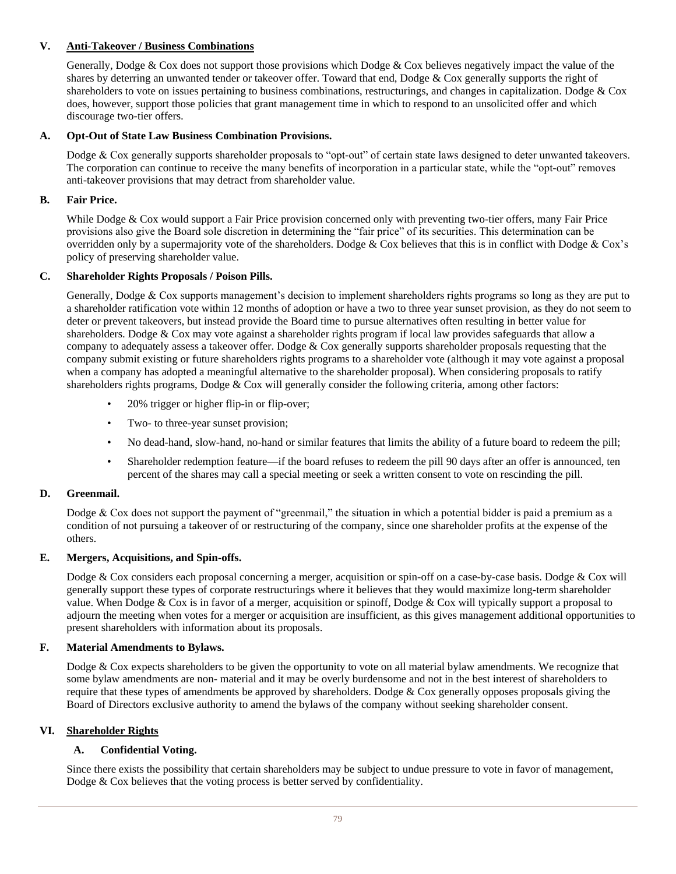# **V. Anti-Takeover / Business Combinations**

Generally, Dodge & Cox does not support those provisions which Dodge & Cox believes negatively impact the value of the shares by deterring an unwanted tender or takeover offer. Toward that end, Dodge & Cox generally supports the right of shareholders to vote on issues pertaining to business combinations, restructurings, and changes in capitalization. Dodge & Cox does, however, support those policies that grant management time in which to respond to an unsolicited offer and which discourage two-tier offers.

## **A. Opt-Out of State Law Business Combination Provisions.**

Dodge & Cox generally supports shareholder proposals to "opt-out" of certain state laws designed to deter unwanted takeovers. The corporation can continue to receive the many benefits of incorporation in a particular state, while the "opt-out" removes anti-takeover provisions that may detract from shareholder value.

## **B. Fair Price.**

While Dodge & Cox would support a Fair Price provision concerned only with preventing two-tier offers, many Fair Price provisions also give the Board sole discretion in determining the "fair price" of its securities. This determination can be overridden only by a supermajority vote of the shareholders. Dodge & Cox believes that this is in conflict with Dodge & Cox's policy of preserving shareholder value.

## **C. Shareholder Rights Proposals / Poison Pills.**

Generally, Dodge & Cox supports management's decision to implement shareholders rights programs so long as they are put to a shareholder ratification vote within 12 months of adoption or have a two to three year sunset provision, as they do not seem to deter or prevent takeovers, but instead provide the Board time to pursue alternatives often resulting in better value for shareholders. Dodge & Cox may vote against a shareholder rights program if local law provides safeguards that allow a company to adequately assess a takeover offer. Dodge  $& Cox$  generally supports shareholder proposals requesting that the company submit existing or future shareholders rights programs to a shareholder vote (although it may vote against a proposal when a company has adopted a meaningful alternative to the shareholder proposal). When considering proposals to ratify shareholders rights programs, Dodge & Cox will generally consider the following criteria, among other factors:

- 20% trigger or higher flip-in or flip-over;
- Two- to three-year sunset provision;
- No dead-hand, slow-hand, no-hand or similar features that limits the ability of a future board to redeem the pill;
- Shareholder redemption feature—if the board refuses to redeem the pill 90 days after an offer is announced, ten percent of the shares may call a special meeting or seek a written consent to vote on rescinding the pill.

### **D. Greenmail.**

Dodge & Cox does not support the payment of "greenmail," the situation in which a potential bidder is paid a premium as a condition of not pursuing a takeover of or restructuring of the company, since one shareholder profits at the expense of the others.

### **E. Mergers, Acquisitions, and Spin-offs.**

Dodge & Cox considers each proposal concerning a merger, acquisition or spin-off on a case-by-case basis. Dodge & Cox will generally support these types of corporate restructurings where it believes that they would maximize long-term shareholder value. When Dodge & Cox is in favor of a merger, acquisition or spinoff, Dodge & Cox will typically support a proposal to adjourn the meeting when votes for a merger or acquisition are insufficient, as this gives management additional opportunities to present shareholders with information about its proposals.

### **F. Material Amendments to Bylaws.**

Dodge & Cox expects shareholders to be given the opportunity to vote on all material bylaw amendments. We recognize that some bylaw amendments are non- material and it may be overly burdensome and not in the best interest of shareholders to require that these types of amendments be approved by shareholders. Dodge & Cox generally opposes proposals giving the Board of Directors exclusive authority to amend the bylaws of the company without seeking shareholder consent.

### **VI. Shareholder Rights**

# **A. Confidential Voting.**

Since there exists the possibility that certain shareholders may be subject to undue pressure to vote in favor of management, Dodge & Cox believes that the voting process is better served by confidentiality.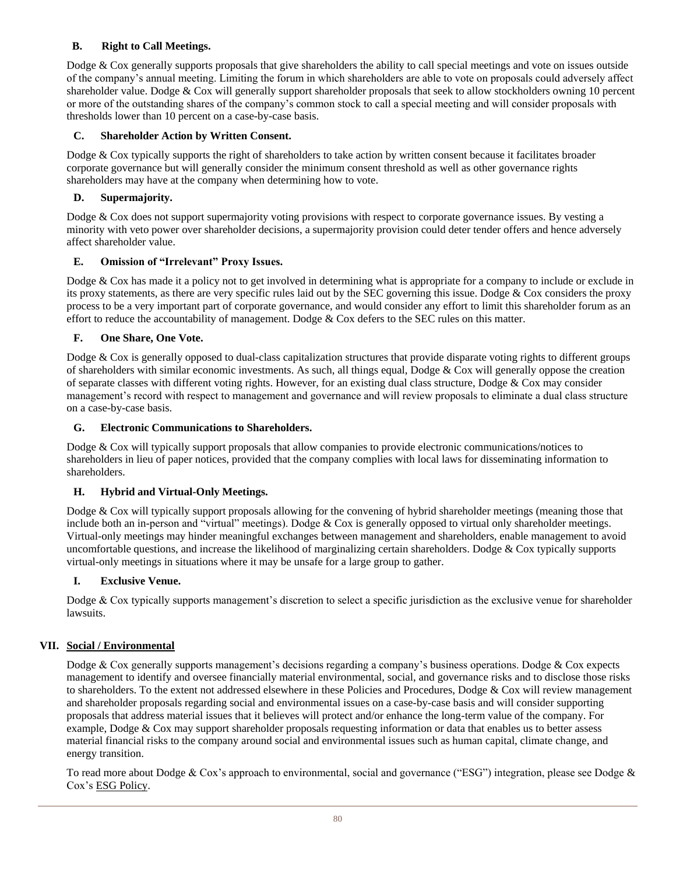# **B. Right to Call Meetings.**

Dodge & Cox generally supports proposals that give shareholders the ability to call special meetings and vote on issues outside of the company's annual meeting. Limiting the forum in which shareholders are able to vote on proposals could adversely affect shareholder value. Dodge & Cox will generally support shareholder proposals that seek to allow stockholders owning 10 percent or more of the outstanding shares of the company's common stock to call a special meeting and will consider proposals with thresholds lower than 10 percent on a case-by-case basis.

# **C. Shareholder Action by Written Consent.**

Dodge & Cox typically supports the right of shareholders to take action by written consent because it facilitates broader corporate governance but will generally consider the minimum consent threshold as well as other governance rights shareholders may have at the company when determining how to vote.

# **D. Supermajority.**

Dodge & Cox does not support supermajority voting provisions with respect to corporate governance issues. By vesting a minority with veto power over shareholder decisions, a supermajority provision could deter tender offers and hence adversely affect shareholder value.

# **E. Omission of "Irrelevant" Proxy Issues.**

Dodge & Cox has made it a policy not to get involved in determining what is appropriate for a company to include or exclude in its proxy statements, as there are very specific rules laid out by the SEC governing this issue. Dodge & Cox considers the proxy process to be a very important part of corporate governance, and would consider any effort to limit this shareholder forum as an effort to reduce the accountability of management. Dodge  $& \text{Cox}$  defers to the SEC rules on this matter.

# **F. One Share, One Vote.**

Dodge & Cox is generally opposed to dual-class capitalization structures that provide disparate voting rights to different groups of shareholders with similar economic investments. As such, all things equal, Dodge  $& Cox$  will generally oppose the creation of separate classes with different voting rights. However, for an existing dual class structure, Dodge & Cox may consider management's record with respect to management and governance and will review proposals to eliminate a dual class structure on a case-by-case basis.

# **G. Electronic Communications to Shareholders.**

Dodge & Cox will typically support proposals that allow companies to provide electronic communications/notices to shareholders in lieu of paper notices, provided that the company complies with local laws for disseminating information to shareholders.

# **H. Hybrid and Virtual-Only Meetings.**

Dodge & Cox will typically support proposals allowing for the convening of hybrid shareholder meetings (meaning those that include both an in-person and "virtual" meetings). Dodge & Cox is generally opposed to virtual only shareholder meetings. Virtual-only meetings may hinder meaningful exchanges between management and shareholders, enable management to avoid uncomfortable questions, and increase the likelihood of marginalizing certain shareholders. Dodge  $&$  Cox typically supports virtual-only meetings in situations where it may be unsafe for a large group to gather.

# **I. Exclusive Venue.**

Dodge & Cox typically supports management's discretion to select a specific jurisdiction as the exclusive venue for shareholder lawsuits.

# **VII. Social / Environmental**

Dodge & Cox generally supports management's decisions regarding a company's business operations. Dodge & Cox expects management to identify and oversee financially material environmental, social, and governance risks and to disclose those risks to shareholders. To the extent not addressed elsewhere in these Policies and Procedures, Dodge  $\&$  Cox will review management and shareholder proposals regarding social and environmental issues on a case-by-case basis and will consider supporting proposals that address material issues that it believes will protect and/or enhance the long-term value of the company. For example, Dodge & Cox may support shareholder proposals requesting information or data that enables us to better assess material financial risks to the company around social and environmental issues such as human capital, climate change, and energy transition.

To read more about Dodge & Cox's approach to environmental, social and governance ("ESG") integration, please see Dodge & Cox's ESG Policy.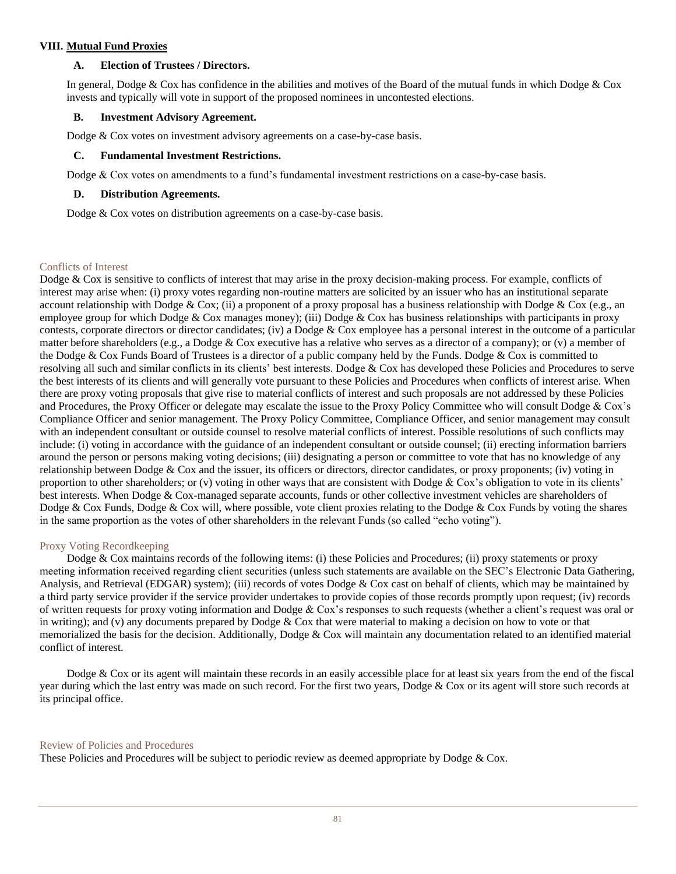#### **VIII. Mutual Fund Proxies**

#### **A. Election of Trustees / Directors.**

In general, Dodge & Cox has confidence in the abilities and motives of the Board of the mutual funds in which Dodge  $&$  Cox invests and typically will vote in support of the proposed nominees in uncontested elections.

#### **B. Investment Advisory Agreement.**

Dodge & Cox votes on investment advisory agreements on a case-by-case basis.

#### **C. Fundamental Investment Restrictions.**

Dodge & Cox votes on amendments to a fund's fundamental investment restrictions on a case-by-case basis.

#### **D. Distribution Agreements.**

Dodge & Cox votes on distribution agreements on a case-by-case basis.

#### Conflicts of Interest

Dodge & Cox is sensitive to conflicts of interest that may arise in the proxy decision-making process. For example, conflicts of interest may arise when: (i) proxy votes regarding non-routine matters are solicited by an issuer who has an institutional separate account relationship with Dodge & Cox; (ii) a proponent of a proxy proposal has a business relationship with Dodge & Cox (e.g., an employee group for which Dodge & Cox manages money); (iii) Dodge & Cox has business relationships with participants in proxy contests, corporate directors or director candidates; (iv) a Dodge & Cox employee has a personal interest in the outcome of a particular matter before shareholders (e.g., a Dodge & Cox executive has a relative who serves as a director of a company); or (v) a member of the Dodge & Cox Funds Board of Trustees is a director of a public company held by the Funds. Dodge & Cox is committed to resolving all such and similar conflicts in its clients' best interests. Dodge & Cox has developed these Policies and Procedures to serve the best interests of its clients and will generally vote pursuant to these Policies and Procedures when conflicts of interest arise. When there are proxy voting proposals that give rise to material conflicts of interest and such proposals are not addressed by these Policies and Procedures, the Proxy Officer or delegate may escalate the issue to the Proxy Policy Committee who will consult Dodge & Cox's Compliance Officer and senior management. The Proxy Policy Committee, Compliance Officer, and senior management may consult with an independent consultant or outside counsel to resolve material conflicts of interest. Possible resolutions of such conflicts may include: (i) voting in accordance with the guidance of an independent consultant or outside counsel; (ii) erecting information barriers around the person or persons making voting decisions; (iii) designating a person or committee to vote that has no knowledge of any relationship between Dodge & Cox and the issuer, its officers or directors, director candidates, or proxy proponents; (iv) voting in proportion to other shareholders; or (v) voting in other ways that are consistent with Dodge & Cox's obligation to vote in its clients' best interests. When Dodge & Cox-managed separate accounts, funds or other collective investment vehicles are shareholders of Dodge & Cox Funds, Dodge & Cox will, where possible, vote client proxies relating to the Dodge & Cox Funds by voting the shares in the same proportion as the votes of other shareholders in the relevant Funds (so called "echo voting").

### Proxy Voting Recordkeeping

Dodge & Cox maintains records of the following items: (i) these Policies and Procedures; (ii) proxy statements or proxy meeting information received regarding client securities (unless such statements are available on the SEC's Electronic Data Gathering, Analysis, and Retrieval (EDGAR) system); (iii) records of votes Dodge & Cox cast on behalf of clients, which may be maintained by a third party service provider if the service provider undertakes to provide copies of those records promptly upon request; (iv) records of written requests for proxy voting information and Dodge & Cox's responses to such requests (whether a client's request was oral or in writing); and (v) any documents prepared by Dodge & Cox that were material to making a decision on how to vote or that memorialized the basis for the decision. Additionally, Dodge  $&$  Cox will maintain any documentation related to an identified material conflict of interest.

Dodge & Cox or its agent will maintain these records in an easily accessible place for at least six years from the end of the fiscal year during which the last entry was made on such record. For the first two years, Dodge & Cox or its agent will store such records at its principal office.

#### Review of Policies and Procedures

These Policies and Procedures will be subject to periodic review as deemed appropriate by Dodge & Cox.